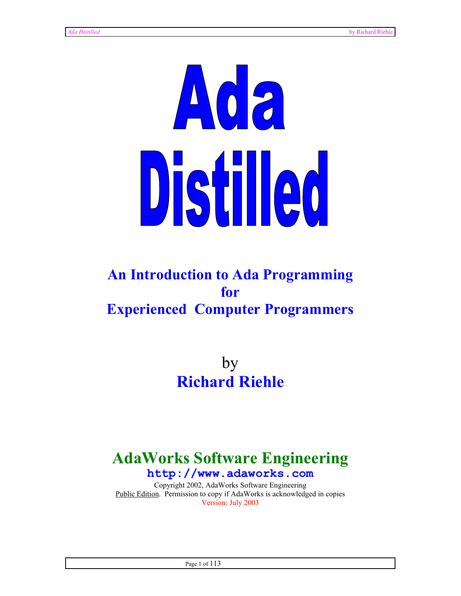# Ada DISTILLED

# **An Introduction to Ada Programming for Experienced Computer Programmers**

by **Richard Riehle**

# **AdaWorks Software Engineering http://www.adaworks.com**

Copyright 2002, AdaWorks Software Engineering Public Edition. Permission to copy if AdaWorks is acknowledged in copies Version: July 2003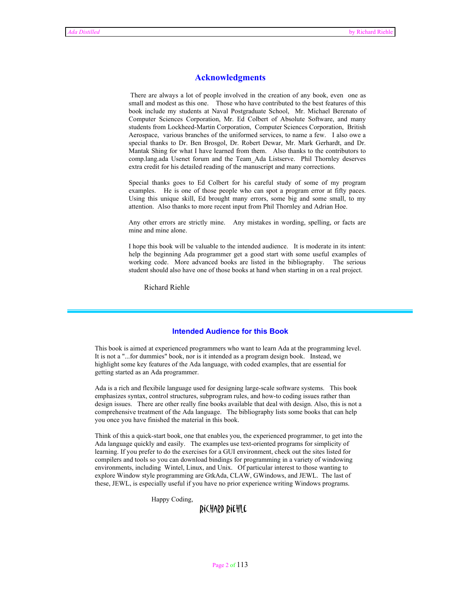#### **Acknowledgments**

 There are always a lot of people involved in the creation of any book, even one as small and modest as this one. Those who have contributed to the best features of this book include my students at Naval Postgraduate School, Mr. Michael Berenato of Computer Sciences Corporation, Mr. Ed Colbert of Absolute Software, and many students from Lockheed-Martin Corporation, Computer Sciences Corporation, British Aerospace, various branches of the uniformed services, to name a few. I also owe a special thanks to Dr. Ben Brosgol, Dr. Robert Dewar, Mr. Mark Gerhardt, and Dr. Mantak Shing for what I have learned from them. Also thanks to the contributors to comp.lang.ada Usenet forum and the Team\_Ada Listserve. Phil Thornley deserves extra credit for his detailed reading of the manuscript and many corrections.

Special thanks goes to Ed Colbert for his careful study of some of my program examples. He is one of those people who can spot a program error at fifty paces. Using this unique skill, Ed brought many errors, some big and some small, to my attention. Also thanks to more recent input from Phil Thornley and Adrian Hoe.

Any other errors are strictly mine. Any mistakes in wording, spelling, or facts are mine and mine alone.

I hope this book will be valuable to the intended audience. It is moderate in its intent: help the beginning Ada programmer get a good start with some useful examples of working code. More advanced books are listed in the bibliography. The serious student should also have one of those books at hand when starting in on a real project.

Richard Riehle

#### **Intended Audience for this Book**

This book is aimed at experienced programmers who want to learn Ada at the programming level. It is not a "...for dummies" book, nor is it intended as a program design book. Instead, we highlight some key features of the Ada language, with coded examples, that are essential for getting started as an Ada programmer.

Ada is a rich and flexibile language used for designing large-scale software systems. This book emphasizes syntax, control structures, subprogram rules, and how-to coding issues rather than design issues. There are other really fine books available that deal with design. Also, this is not a comprehensive treatment of the Ada language. The bibliography lists some books that can help you once you have finished the material in this book.

Think of this a quick-start book, one that enables you, the experienced programmer, to get into the Ada language quickly and easily. The examples use text-oriented programs for simplicity of learning. If you prefer to do the exercises for a GUI environment, check out the sites listed for compilers and tools so you can download bindings for programming in a variety of windowing environments, including Wintel, Linux, and Unix. Of particular interest to those wanting to explore Window style programming are GtkAda, CLAW, GWindows, and JEWL. The last of these, JEWL, is especially useful if you have no prior experience writing Windows programs.

Happy Coding,

#### Richard Riehle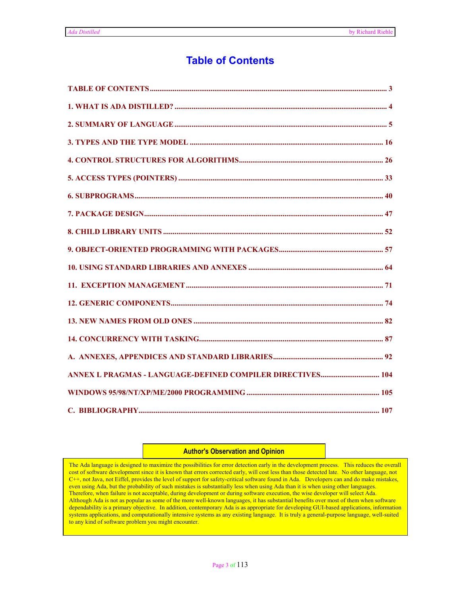# **Table of Contents**

#### **Author's Observation and Opinion**

The Ada language is designed to maximize the possibilities for error detection early in the development process. This reduces the overall cost of software development since it is known that errors corrected early, will cost less than those detected late. No other language, not C++, not Java, not Eiffel, provides the level of support for safety-critical software found in Ada. Developers can and do make mistakes, even using Ada, but the probability of such mistakes is substantially less when using Ada than it is when using other languages. Therefore, when failure is not acceptable, during development or during software execution, the wise developer will select Ada. Although Ada is not as popular as some of the more well-known languages, it has substantial benefits over most of them when software dependability is a primary objective. In addition, contemporary Ada is as appropriate for developing GUI-based applications, information systems applications, and computationally intensive systems as any existing language. It is truly a general-purpose language, well-suited to any kind of software problem you might encounter.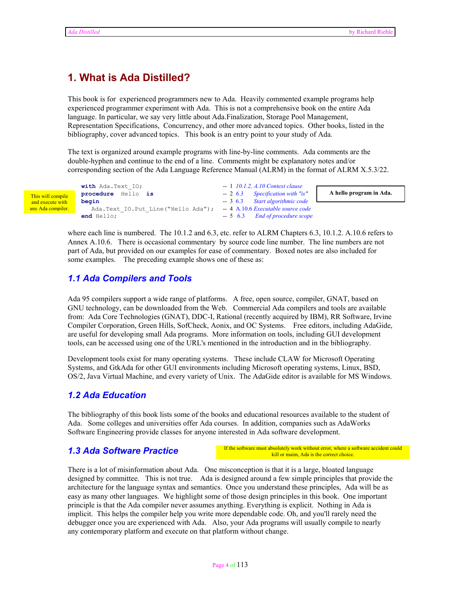# **1. What is Ada Distilled?**

This book is for experienced programmers new to Ada. Heavily commented example programs help experienced programmer experiment with Ada. This is not a comprehensive book on the entire Ada language. In particular, we say very little about Ada.Finalization, Storage Pool Management, Representation Specifications, Concurrency, and other more advanced topics. Other books, listed in the bibliography, cover advanced topics. This book is an entry point to your study of Ada.

The text is organized around example programs with line-by-line comments. Ada comments are the double-hyphen and continue to the end of a line. Comments might be explanatory notes and/or corresponding section of the Ada Language Reference Manual (ALRM) in the format of ALRM X.5.3/22.

and execute with any Ada compiler.

|                   | with Ada. Text IO;                    | $-1$ 10.1.2, A.10 Context clause   |                         |
|-------------------|---------------------------------------|------------------------------------|-------------------------|
| This will compile | <b>procedure</b> Hello is             | - 2 6.3 Specification with "is"    | A hello program in Ada. |
| and execute with  | begin                                 | - 3 6.3 Start algorithmic code     |                         |
| any Ada compiler. | Ada. Text IO. Put Line ("Hello Ada"); | -- 4 A.10.6 Executable source code |                         |
|                   | end Hello;                            | -- 5 6.3 End of procedure scope    |                         |

where each line is numbered. The 10.1.2 and 6.3, etc. refer to ALRM Chapters 6.3, 10.1.2. A.10.6 refers to Annex A.10.6. There is occasional commentary by source code line number. The line numbers are not part of Ada, but provided on our examples for ease of commentary. Boxed notes are also included for some examples. The preceding example shows one of these as:

# *1.1 Ada Compilers and Tools*

Ada 95 compilers support a wide range of platforms. A free, open source, compiler, GNAT, based on GNU technology, can be downloaded from the Web. Commercial Ada compilers and tools are available from: Ada Core Technologies (GNAT), DDC-I, Rational (recently acquired by IBM), RR Software, Irvine Compiler Corporation, Green Hills, SofCheck, Aonix, and OC Systems. Free editors, including AdaGide, are useful for developing small Ada programs. More information on tools, including GUI development tools, can be accessed using one of the URL's mentioned in the introduction and in the bibliography.

Development tools exist for many operating systems. These include CLAW for Microsoft Operating Systems, and GtkAda for other GUI environments including Microsoft operating systems, Linux, BSD, OS/2, Java Virtual Machine, and every variety of Unix. The AdaGide editor is available for MS Windows.

# *1.2 Ada Education*

The bibliography of this book lists some of the books and educational resources available to the student of Ada. Some colleges and universities offer Ada courses. In addition, companies such as AdaWorks Software Engineering provide classes for anyone interested in Ada software development.

#### *1.3 Ada Software Practice*

If the software must absolutely work without error, where a software accident could kill or maim, Ada is the correct choice.

There is a lot of misinformation about Ada. One misconception is that it is a large, bloated language designed by committee. This is not true. Ada is designed around a few simple principles that provide the architecture for the language syntax and semantics. Once you understand these principles, Ada will be as easy as many other languages. We highlight some of those design principles in this book. One important principle is that the Ada compiler never assumes anything. Everything is explicit. Nothing in Ada is implicit. This helps the compiler help you write more dependable code. Oh, and you'll rarely need the debugger once you are experienced with Ada. Also, your Ada programs will usually compile to nearly any contemporary platform and execute on that platform without change.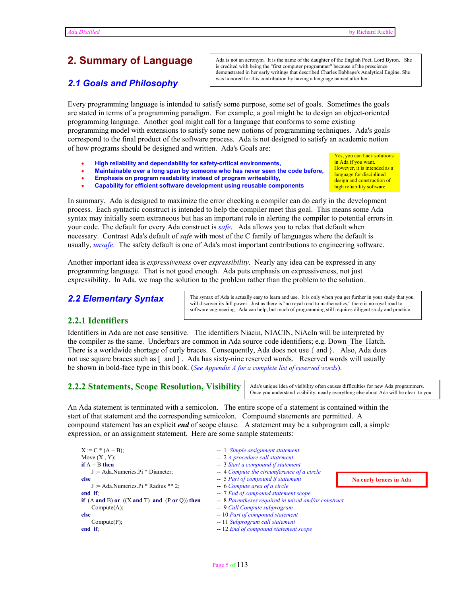in Ada if you want. However, it is intended as a language for disciplined design and construction of high reliability software.

# **2. Summary of Language**

# *2.1 Goals and Philosophy*

Ada is not an acronym. It is the name of the daughter of the English Poet, Lord Byron. She is credited with being the "first computer programmer" because of the prescience demonstrated in her early writings that described Charles Babbage's Analytical Engine. She was honored for this contribution by having a language named after her.

Every programming language is intended to satisfy some purpose, some set of goals. Sometimes the goals are stated in terms of a programming paradigm. For example, a goal might be to design an object-oriented programming language. Another goal might call for a language that conforms to some existing programming model with extensions to satisfy some new notions of programming techniques. Ada's goals correspond to the final product of the software process. Ada is not designed to satisfy an academic notion of how programs should be designed and written. Ada's Goals are: Yes, you can hack solutions

- **High reliability and dependability for safety-critical environments,**
- **Maintainable over a long span by someone who has never seen the code before,**
- **Emphasis on program readability instead of program writeability,**
- **Capability for efficient software development using reusable components**

In summary, Ada is designed to maximize the error checking a compiler can do early in the development process. Each syntactic construct is intended to help the compiler meet this goal. This means some Ada syntax may initially seem extraneous but has an important role in alerting the compiler to potential errors in your code. The default for every Ada construct is *safe*. Ada allows you to relax that default when necessary. Contrast Ada's default of *safe* with most of the C family of languages where the default is usually, *unsafe*. The safety default is one of Ada's most important contributions to engineering software.

Another important idea is *expressiveness* over *expressibility*. Nearly any idea can be expressed in any programming language. That is not good enough. Ada puts emphasis on expressiveness, not just expressibility. In Ada, we map the solution to the problem rather than the problem to the solution.

# *2.2 Elementary Syntax*

The syntax of Ada is actually easy to learn and use. It is only when you get further in your study that you will discover its full power. Just as there is "no royal road to mathematics," there is no royal road to software engineering. Ada can help, but much of programming still requires diligent study and practice.

#### **2.2.1 Identifiers**

Identifiers in Ada are not case sensitive. The identifiers Niacin, NIACIN, NiAcIn will be interpreted by the compiler as the same. Underbars are common in Ada source code identifiers; e.g. Down\_The\_Hatch. There is a worldwide shortage of curly braces. Consequently, Ada does not use { and }. Also, Ada does not use square braces such as [ and ]. Ada has sixty-nine reserved words. Reserved words will usually be shown in bold-face type in this book. (*See Appendix A for a complete list of reserved words*).

# **2.2.2 Statements, Scope Resolution, Visibility**

Ada's unique idea of visibility often causes difficulties for new Ada programmers. Once you understand visibility, nearly everything else about Ada will be clear to you.

An Ada statement is terminated with a semicolon. The entire scope of a statement is contained within the start of that statement and the corresponding semicolon. Compound statements are permitted. A compound statement has an explicit *end* of scope clause. A statement may be a subprogram call, a simple expression, or an assignment statement. Here are some sample statements:

| $X := C * (A + B);$                                                                   | -- 1 Simple assignment statement                    |                        |
|---------------------------------------------------------------------------------------|-----------------------------------------------------|------------------------|
| Move $(X, Y)$ ;                                                                       | -- 2 A procedure call statement                     |                        |
| if $A = B$ then                                                                       | -- 3 Start a compound if statement                  |                        |
| $J = Ada.Numerics.Pi * Diameter;$                                                     | -- 4 Compute the circumference of a circle          |                        |
| else                                                                                  | -- 5 Part of compound if statement                  | No curly braces in Ada |
| $J = Ada.Numerics.Pi * Radius ** 2;$                                                  | -- 6 Compute area of a circle                       |                        |
| end if:                                                                               | -- 7 End of compound statement scope                |                        |
| if $(A \text{ and } B)$ or $((X \text{ and } T) \text{ and } (P \text{ or } Q))$ then | -- 8 Parentheses required in mixed and/or construct |                        |
| Compute(A);                                                                           | -- 9 Call Compute subprogram                        |                        |
| else                                                                                  | -- 10 Part of compound statement                    |                        |
| $Compute(P)$ ;                                                                        | -- 11 Subprogram call statement                     |                        |
| end if:                                                                               | -- 12 End of compound statement scope               |                        |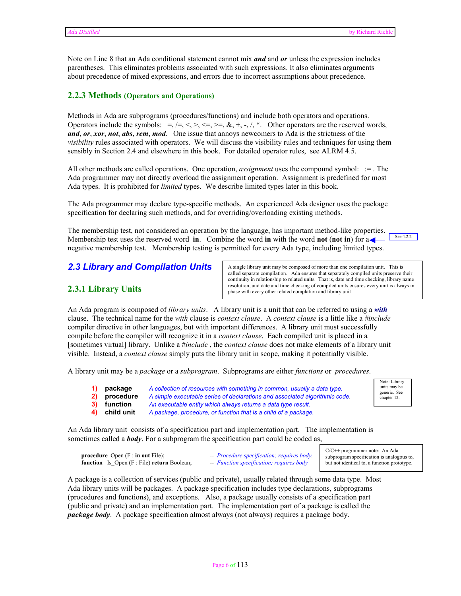Note on Line 8 that an Ada conditional statement cannot mix *and* and *or* unless the expression includes parentheses. This eliminates problems associated with such expressions. It also eliminates arguments about precedence of mixed expressions, and errors due to incorrect assumptions about precedence.

# **2.2.3 Methods (Operators and Operations)**

Methods in Ada are subprograms (procedures/functions) and include both operators and operations. Operators include the symbols:  $=$ ,  $/=$ ,  $\lt$ ,  $\lt$ ,  $\lt$ =,  $\gt$ ,  $\ll$ ,  $+$ ,  $-$ ,  $\ll$ ,  $*$ . Other operators are the reserved words, *and*, *or*, *xor*, *not*, *abs*, *rem*, *mod*. One issue that annoys newcomers to Ada is the strictness of the *visibility* rules associated with operators. We will discuss the visibility rules and techniques for using them sensibly in Section 2.4 and elsewhere in this book. For detailed operator rules, see ALRM 4.5.

All other methods are called operations. One operation, *assignment* uses the compound symbol: := . The Ada programmer may not directly overload the assignment operation. Assignment is predefined for most Ada types. It is prohibited for *limited* types. We describe limited types later in this book.

The Ada programmer may declare type-specific methods. An experienced Ada designer uses the package specification for declaring such methods, and for overriding/overloading existing methods.

The membership test, not considered an operation by the language, has important method-like properties. Membership test uses the reserved word **in**. Combine the word **in** with the word **not** (**not in**) for a negative membership test. Membership testing is permitted for every Ada type, including limited types. See 4.2.2

# *2.3 Library and Compilation Units*

# **2.3.1 Library Units**

A single library unit may be composed of more than one compilation unit. This is called separate compilation. Ada ensures that separately compiled units preserve their continuity in relationship to related units. That is, date and time checking, library name resolution, and date and time checking of compiled units ensures every unit is always in phase with every other related complation and library unit

An Ada program is composed of *library units*. A library unit is a unit that can be referred to using a *with* clause. The technical name for the *with* clause is *context clause*. A *context clause* is a little like a *#include* compiler directive in other languages, but with important differences. A library unit must successfully compile before the compiler will recognize it in a *context clause*. Each compiled unit is placed in a [sometimes virtual] library. Unlike a #*include* , the *context clause* does not make elements of a library unit visible. Instead, a *context clause* simply puts the library unit in scope, making it potentially visible.

A library unit may be a *package* or a *subprogram*. Subprograms are either *functions* or *procedures*.

- **1) package** *A collection of resources with something in common, usually a data type.*
- **2) procedure** *A simple executable series of declarations and associated algorithmic code.*
- **3) function** *An executable entity which always returns a data type result.*
- **4) child unit** *A package, procedure, or function that is a child of a package.*

An Ada library unit consists of a specification part and implementation part. The implementation is sometimes called a *body*. For a subprogram the specification part could be coded as,

**procedure** Open (F : **in out** File); -- *Procedure specification; requires body.* **function** Is\_Open (F : File) **return** Boolean; -- *Function specification; requires body*

C/C++ programmer note: An Ada subprogram specification is analogous to, but not identical to, a function prototype.

Note: Library units may be generic. See chapter 12.

A package is a collection of services (public and private), usually related through some data type. Most Ada library units will be packages. A package specification includes type declarations, subprograms (procedures and functions), and exceptions. Also, a package usually consists of a specification part (public and private) and an implementation part. The implementation part of a package is called the *package body*. A package specification almost always (not always) requires a package body.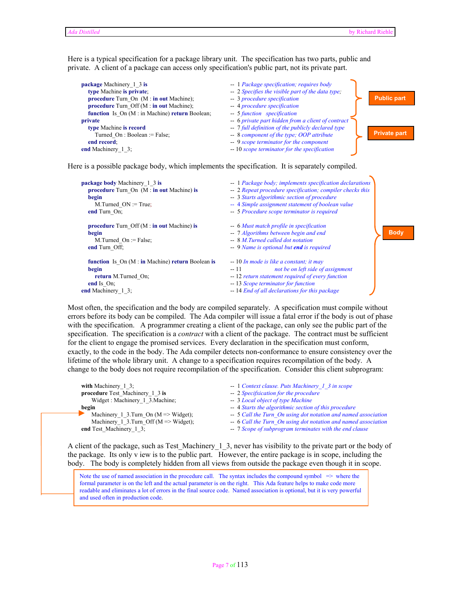Here is a typical specification for a package library unit. The specification has two parts, public and private. A client of a package can access only specification's public part, not its private part.

| <b>package</b> Machinery 1 3 is                   | -- 1 Package specification; requires body          |                     |
|---------------------------------------------------|----------------------------------------------------|---------------------|
| type Machine is private:                          | $-2$ Specifies the visible part of the data type;  |                     |
| <b>procedure</b> Turn On $(M : in out Machine)$ ; | -- 3 procedure specification                       | <b>Public part</b>  |
| procedure Turn_Off (M : in out Machine);          | -- 4 procedure specification                       |                     |
| function Is On (M : in Machine) return Boolean;   | -- 5 function specification                        |                     |
| private                                           | -- 6 private part hidden from a client of contract |                     |
| type Machine is record                            | -- 7 full definition of the publicly declared type |                     |
| Turned On : Boolean := False:                     | -- 8 component of the type; OOP attribute          | <b>Private part</b> |
| end record;                                       | -- 9 scope terminator for the component            |                     |
| end Machinery $1\,3$ ;                            | -- 10 scope terminator for the specification       |                     |

Here is a possible package body, which implements the specification. It is separately compiled.

| package body Machinery 1 3 is                              | -- 1 Package body; implements specification declarations  |             |  |  |
|------------------------------------------------------------|-----------------------------------------------------------|-------------|--|--|
| procedure Turn On $(M : in out Machine)$ is                | -- 2 Repeat procedure specification; compiler checks this |             |  |  |
| begin                                                      | -- 3 Starts algorithmic section of procedure              |             |  |  |
| $M$ . Turned $ON := True$ ;                                | -- 4 Simple assignment statement of boolean value         |             |  |  |
| end Turn On;                                               | -- 5 Procedure scope terminator is required               |             |  |  |
| <b>procedure</b> Turn Off $(M : in out Machine)$ is        | -- 6 Must match profile in specification                  |             |  |  |
| begin                                                      | -- 7 Algorithms between begin and end                     | <b>Body</b> |  |  |
| M.Turned On $:=$ False:                                    | -- 8 M.Turned called dot notation                         |             |  |  |
| end Turn Off;                                              | -- 9 Name is optional but <b>end</b> is required          |             |  |  |
| <b>function</b> Is On $(M : in Machine)$ return Boolean is | -- 10 In mode is like a constant; it may                  |             |  |  |
| begin                                                      | $-11$<br>not be on left side of assignment                |             |  |  |
| return M.Turned On;                                        | --12 return statement required of every function          |             |  |  |
| end Is On:                                                 | -- 13 Scope terminator for function                       |             |  |  |
| end Machinery 1 3;                                         | -- 14 End of all declarations for this package            |             |  |  |

Most often, the specification and the body are compiled separately. A specification must compile without errors before its body can be compiled. The Ada compiler will issue a fatal error if the body is out of phase with the specification. A programmer creating a client of the package, can only see the public part of the specification. The specification is a *contract* with a client of the package. The contract must be sufficient for the client to engage the promised services. Every declaration in the specification must conform, exactly, to the code in the body. The Ada compiler detects non-conformance to ensure consistency over the lifetime of the whole library unit. A change to a specification requires recompilation of the body. A change to the body does not require recompilation of the specification. Consider this client subprogram:

with Machinery\_1\_3;  $\qquad -1$  *Context clause. Puts Machinery\_1\_3 in scope* **procedure** Test\_Machinery\_1\_3 **is** -- 2 *Specifxication for the procedure* Widget : Machinery\_1\_3.Machine; -- 3 *Local object of type Machine* **begin**<br>**begin** -- 4 *Starts the algorithmic section of this procedure*<br>Machinery\_1\_3.Turn\_On (M => Widget);<br>-5 *Call the Turn\_On using dot notation and named* 

- 
- 
- 
- 
- $-5$  Call the Turn On using dot notation and named association
- Machinery\_1\_3.Turn\_Off (M => Widget); -- 6 *Call the Turn\_On using dot notation and named association*
- **end** Test\_Machinery\_1\_3;  $\qquad \qquad -7$  *Scope of subprogram terminates with the end clause*

A client of the package, such as Test\_Machinery\_1\_3, never has visibility to the private part or the body of the package. Its only v iew is to the public part. However, the entire package is in scope, including the body. The body is completely hidden from all views from outside the package even though it in scope.

Note the use of named association in the procedure call. The syntax includes the compound symbol  $\Rightarrow$  where the formal parameter is on the left and the actual parameter is on the right. This Ada feature helps to make code more readable and eliminates a lot of errors in the final source code. Named association is optional, but it is very powerful and used often in production code.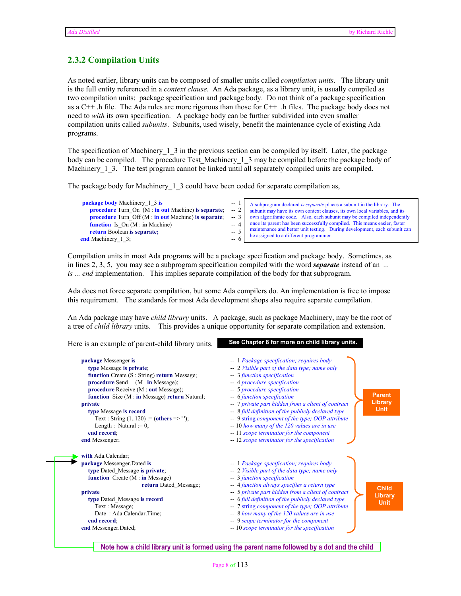# **2.3.2 Compilation Units**

As noted earlier, library units can be composed of smaller units called *compilation units*. The library unit is the full entity referenced in a *context clause*. An Ada package, as a library unit, is usually compiled as two compilation units: package specification and package body. Do not think of a package specification as a  $C_{++}$ . h file. The Ada rules are more rigorous than those for  $C_{++}$ . h files. The package body does not need to *with* its own specification. A package body can be further subdivided into even smaller compilation units called *subunits*. Subunits, used wisely, benefit the maintenance cycle of existing Ada programs.

The specification of Machinery 1 3 in the previous section can be compiled by itself. Later, the package body can be compiled. The procedure Test Machinery 1 3 may be compiled before the package body of Machinery 1 3. The test program cannot be linked until all separately compiled units are compiled.

The package body for Machinery 1 3 could have been coded for separate compilation as,

Compilation units in most Ada programs will be a package specification and package body. Sometimes, as in lines 2, 3, 5, you may see a subprogram specification compiled with the word *separate* instead of an *... is ... end* implementation. This implies separate compilation of the body for that subprogram.

Ada does not force separate compilation, but some Ada compilers do. An implementation is free to impose this requirement. The standards for most Ada development shops also require separate compilation.

An Ada package may have *child library* units. A package, such as package Machinery, may be the root of a tree of *child library* units. This provides a unique opportunity for separate compilation and extension.

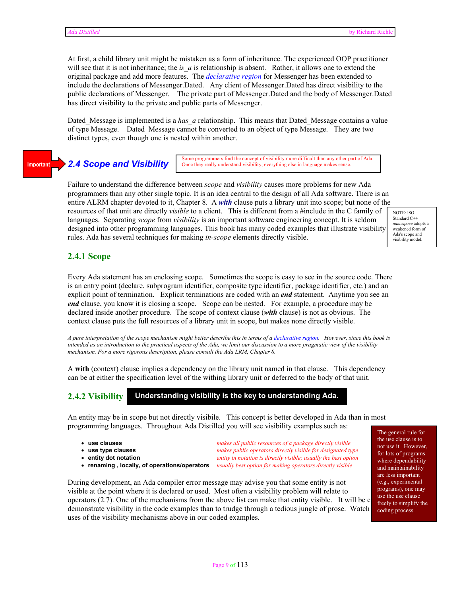At first, a child library unit might be mistaken as a form of inheritance. The experienced OOP practitioner will see that it is not inheritance; the *is-a* is relationship is absent. Rather, it allows one to extend the original package and add more features. The *declarative region* for Messenger has been extended to include the declarations of Messenger.Dated. Any client of Messenger.Dated has direct visibility to the public declarations of Messenger. The private part of Messenger.Dated and the body of Messenger.Dated has direct visibility to the private and public parts of Messenger.

Dated Message is implemented is a *has a* relationship. This means that Dated Message contains a value of type Message. Dated\_Message cannot be converted to an object of type Message. They are two distinct types, even though one is nested within another.

# **Important**

*2.4 Scope and Visibility*

Some programmers find the concept of visibility more difficult than any other part of Ada. Once they really understand visibility, everything else in language makes sense.

Failure to understand the difference between *scope* and *visibility* causes more problems for new Ada programmers than any other single topic. It is an idea central to the design of all Ada software. There is an entire ALRM chapter devoted to it, Chapter 8. A *with* clause puts a library unit into scope; but none of the resources of that unit are directly *visible* to a client. This is different from a #include in the C family of languages. Separating *scope* from *visibility* is an important software engineering concept. It is seldom designed into other programming languages. This book has many coded examples that illustrate visibility rules. Ada has several techniques for making *in-scope* elements directly visible. NOTE: ISO

#### Standard C++ *namespace* adopts a weakened form of Ada's scope and visibility model.

#### **2.4.1 Scope**

Every Ada statement has an enclosing scope. Sometimes the scope is easy to see in the source code. There is an entry point (declare, subprogram identifier, composite type identifier, package identifier, etc.) and an explicit point of termination. Explicit terminations are coded with an *end* statement. Anytime you see an *end* clause, you know it is closing a scope. Scope can be nested. For example, a procedure may be declared inside another procedure. The scope of context clause (*with* clause) is not as obvious. The context clause puts the full resources of a library unit in scope, but makes none directly visible.

*A pure interpretation of the scope mechanism might better describe this in terms of a declarative region. However, since this book is intended as an introduction to the practical aspects of the Ada, we limit our discussion to a more pragmatic view of the visibility mechanism. For a more rigorous description, please consult the Ada LRM, Chapter 8.*

A **with** (context) clause implies a dependency on the library unit named in that clause. This dependency can be at either the specification level of the withing library unit or deferred to the body of that unit.

#### **2.4.2 Visibility**

#### **Understanding visibility is the key to understanding Ada.**

An entity may be in scope but not directly visibile. This concept is better developed in Ada than in most programming languages. Throughout Ada Distilled you will see visibility examples such as:

- 
- 
- 

• **use clauses** *makes all public resources of a package directly visible* • **use type clauses** *makes public operators directly visible for designated type* • **entity dot notation** *entity in notation is directly visible; usually the best option* • **renaming , locally, of operations/operators** *usually best option for making operators directly visible*

During development, an Ada compiler error message may advise you that some entity is not visible at the point where it is declared or used. Most often a visibility problem will relate to operators  $(2.7)$ . One of the mechanisms from the above list can make that entity visible. It will be easier to demonstrate visibility in the code examples than to trudge through a tedious jungle of prose. Watch uses of the visibility mechanisms above in our coded examples.

The general rule for the use clause is to not use it. However, for lots of programs where dependability and maintainability are less important (e.g., experimental programs), one may use the use clause freely to simplify the coding process.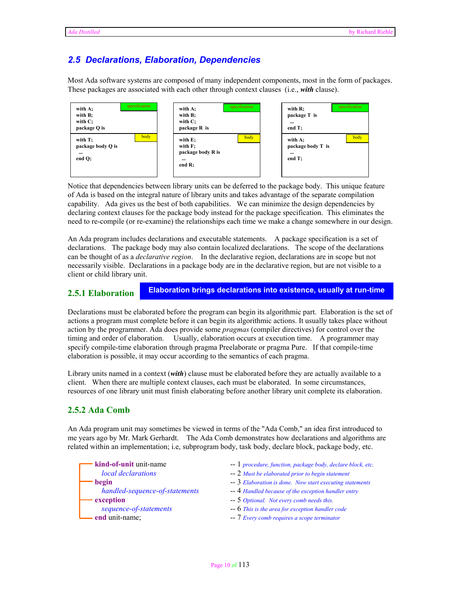# *2.5 Declarations, Elaboration, Dependencies*

Most Ada software systems are composed of many independent components, most in the form of packages. These packages are associated with each other through context clauses (i.e., *with* clause).



Notice that dependencies between library units can be deferred to the package body. This unique feature of Ada is based on the integral nature of library units and takes advantage of the separate compilation capability. Ada gives us the best of both capabilities. We can minimize the design dependencies by declaring context clauses for the package body instead for the package specification. This eliminates the need to re-compile (or re-examine) the relationships each time we make a change somewhere in our design.

An Ada program includes declarations and executable statements. A package specification is a set of declarations. The package body may also contain localized declarations. The scope of the declarations can be thought of as a *declarative region*. In the declarative region, declarations are in scope but not necessarily visible. Declarations in a package body are in the declarative region, but are not visible to a client or child library unit.

#### **2.5.1 Elaboration Elaboration brings declarations into existence, usually at run-time**

Declarations must be elaborated before the program can begin its algorithmic part. Elaboration is the set of actions a program must complete before it can begin its algorithmic actions. It usually takes place without action by the programmer. Ada does provide some *pragmas* (compiler directives) for control over the timing and order of elaboration. Usually, elaboration occurs at execution time. A programmer may specify compile-time elaboration through pragma Preelaborate or pragma Pure. If that compile-time elaboration is possible, it may occur according to the semantics of each pragma.

Library units named in a context (*with*) clause must be elaborated before they are actually available to a client. When there are multiple context clauses, each must be elaborated. In some circumstances, resources of one library unit must finish elaborating before another library unit complete its elaboration.

# **2.5.2 Ada Comb**

An Ada program unit may sometimes be viewed in terms of the "Ada Comb," an idea first introduced to me years ago by Mr. Mark Gerhardt. The Ada Comb demonstrates how declarations and algorithms are related within an implementation; i.e, subprogram body, task body, declare block, package body, etc.

- **exception** -- 5 *Optional. Not every comb needs this.*
- **kind-of-unit** unit-name  $\qquad \qquad \text{---}$  1 *procedure, function, package body, declare block, etc.* 
	- *local declarations* -- 2 *Must be elaborated prior to begin statement*
	- **begin**  $-3$  *Elaboration is done. Now start executing statements* 
		- *handled-sequence-of-statements* -- 4 *Handled because of the exception handler entry* 
			-
		- *sequence-of-statements* -- 6 *This is the area for exception handler code*
	- **end** unit-name;  $-7$  *Every comb requires a scope terminator*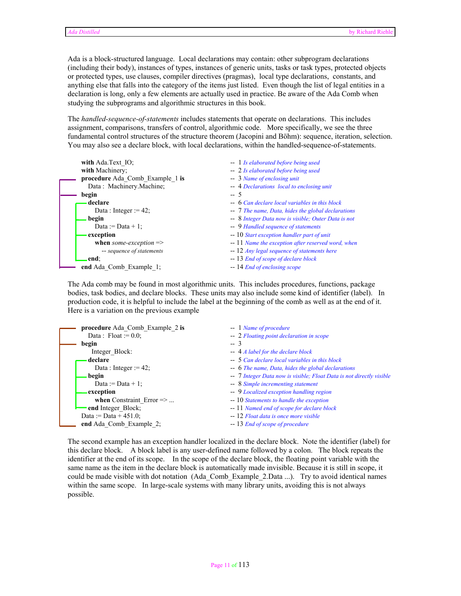Ada is a block-structured language. Local declarations may contain: other subprogram declarations (including their body), instances of types, instances of generic units, tasks or task types, protected objects or protected types, use clauses, compiler directives (pragmas), local type declarations, constants, and anything else that falls into the category of the items just listed. Even though the list of legal entities in a declaration is long, only a few elements are actually used in practice. Be aware of the Ada Comb when studying the subprograms and algorithmic structures in this book.

The *handled-sequence-of-statements* includes statements that operate on declarations. This includes assignment, comparisons, transfers of control, algorithmic code. More specifically, we see the three fundamental control structures of the structure theorem (Jacopini and Böhm): sequence, iteration, selection. You may also see a declare block, with local declarations, within the handled-sequence-of-statements.

| with Ada.Text IO;                 | -- 1 Is elaborated before being used                |
|-----------------------------------|-----------------------------------------------------|
| with Machinery;                   | -- 2 Is elaborated before being used                |
| procedure Ada_Comb_Example_1 is   | -- 3 Name of enclosing unit                         |
| Data: Machinery.Machine;          | -- 4 Declarations local to enclosing unit           |
| begin                             | $-5$                                                |
| declare                           | -- 6 Can declare local variables in this block      |
| Data : Integer := $42$ ;          | -- 7 The name, Data, hides the global declarations  |
| begin                             | -- 8 Integer Data now is visible; Outer Data is not |
| Data := Data + 1;                 | -- 9 Handled sequence of statements                 |
| exception                         | -- 10 Start exception handler part of unit          |
| when some-exception $\Rightarrow$ | -- 11 Name the exception after reserved word, when  |
| -- sequence of statements         | -- 12 Any legal sequence of statements here         |
| end:                              | -- 13 End of scope of declare block                 |
| end Ada Comb Example 1:           | -- 14 End of enclosing scope                        |

The Ada comb may be found in most algorithmic units. This includes procedures, functions, package bodies, task bodies, and declare blocks. These units may also include some kind of identifier (label). In production code, it is helpful to include the label at the beginning of the comb as well as at the end of it. Here is a variation on the previous example

| procedure Ada Comb Example 2 is     | -- 1 Name of procedure                                               |
|-------------------------------------|----------------------------------------------------------------------|
| Data : Float := $0.0$ ;             | -- 2 Floating point declaration in scope                             |
| begin                               | $-3$                                                                 |
| Integer Block:                      | -- 4 A label for the declare block                                   |
| declare                             | -- 5 Can declare local variables in this block                       |
| Data : Integer := $42$ ;            | -- 6 The name, Data, hides the global declarations                   |
| begin                               | -- 7 Integer Data now is visible; Float Data is not directly visible |
| Data := Data + 1:                   | -- 8 Simple incrementing statement                                   |
| exception                           | -- 9 Localized exception handling region                             |
| when Constraint Error $\Rightarrow$ | -- 10 Statements to handle the exception                             |
| end Integer Block;                  | -- 11 Named end of scope for declare block                           |
| Data := Data + 451.0;               | -- 12 Float data is once more visible                                |
| end Ada Comb Example 2;             | -- 13 End of scope of procedure                                      |

The second example has an exception handler localized in the declare block. Note the identifier (label) for this declare block. A block label is any user-defined name followed by a colon. The block repeats the identifier at the end of its scope. In the scope of the declare block, the floating point variable with the same name as the item in the declare block is automatically made invisible. Because it is still in scope, it could be made visible with dot notation (Ada\_Comb\_Example\_2.Data ...). Try to avoid identical names within the same scope. In large-scale systems with many library units, avoiding this is not always possible.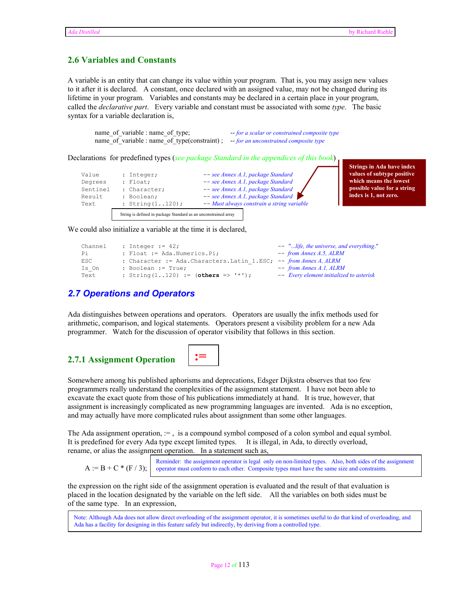#### **2.6 Variables and Constants**

A variable is an entity that can change its value within your program. That is, you may assign new values to it after it is declared. A constant, once declared with an assigned value, may not be changed during its lifetime in your program. Variables and constants may be declared in a certain place in your program, called the *declarative part*. Every variable and constant must be associated with some *type*. The basic syntax for a variable declaration is,

name\_of\_variable : name\_of\_type; -- *for a scalar or constrained composite type* name\_of\_variable : name\_of\_type(constraint) ; -- *for an unconstrained composite type* 

Declarations for predefined types (*see package Standard in the appendices of this book*)

```
Value : Integer; -- see Annex A.1, package Standard
Degrees : Float; -- see Annex A.1, package Standard
Sentinel : Character; -- see Annex A.1, package Standard
Result : Boolean; -- see Annex A.1, package Standard<br>Text : String (1..120); -- Must always constrain a string vari
Text : String(1..120); -- Must always constrain a string variable
             String is defined in package Standard as an unconstrained array
```
**Strings in Ada have index values of subtype positive which means the lowest possible value for a string index is 1, not zero.**

We could also initialize a variable at the time it is declared,

```
Channel : Integer := 42; -- The state of the universe, and everything."
Pi : Float := Ada.Numerics.Pi; -- from Annex A.5, ALRM<br>ESC : Character := Ada Characters Latin 1 ESC: -- from Annex A ALRM
ESC : Character := Ada.Characters.Latin_1.ESC; -- from Annex A, ALRM<br>Is On : Boolean := True; -- from Annex A.I, ALRM
             Is_On : Boolean := True; -- from Annex A.1, ALRM
Text : String(1..120) := (others => '*'); -- Every element initialized to asterisk
```
# *2.7 Operations and Operators*

Ada distinguishes between operations and operators. Operators are usually the infix methods used for arithmetic, comparison, and logical statements. Operators present a visibility problem for a new Ada programmer. Watch for the discussion of operator visibility that follows in this section.

#### **2.7.1 Assignment Operation**



Somewhere among his published aphorisms and deprecations, Edsger Dijkstra observes that too few programmers really understand the complexities of the assignment statement. I have not been able to excavate the exact quote from those of his publications immediately at hand. It is true, however, that assignment is increasingly complicated as new programming languages are invented. Ada is no exception, and may actually have more complicated rules about assignment than some other languages.

The Ada assignment operation,  $:=$  , is a compound symbol composed of a colon symbol and equal symbol. It is predefined for every Ada type except limited types. It is illegal, in Ada, to directly overload, rename, or alias the assignment operation. In a statement such as,

$$
A := B + C * (F / 3);
$$
  
Reminder: the assignment operator is legal only on non-limited types. Also, both sides of the assignment operator must conform to each other. Composite types must have the same size and constraints.

the expression on the right side of the assignment operation is evaluated and the result of that evaluation is placed in the location designated by the variable on the left side. All the variables on both sides must be of the same type. In an expression,

Note: Although Ada does not allow direct overloading of the assignment operator, it is sometimes useful to do that kind of overloading, and Ada has a facility for designing in this feature safely but indirectly, by deriving from a controlled type.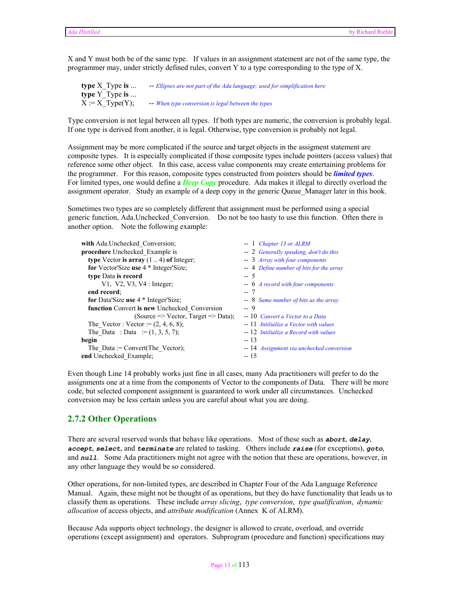X and Y must both be of the same type. If values in an assignment statement are not of the same type, the programmer may, under strictly defined rules, convert Y to a type corresponding to the type of X.

```
type X_Type is ... -- Ellipses are not part of the Ada language; used for simplification here
type Y_Type is ...
X := X Type(Y); -- When type conversion is legal between the types
```
Type conversion is not legal between all types. If both types are numeric, the conversion is probably legal. If one type is derived from another, it is legal. Otherwise, type conversion is probably not legal.

Assignment may be more complicated if the source and target objects in the assigment statement are composite types. It is especially complicated if those composite types include pointers (access values) that reference some other object. In this case, access value components may create entertaining problems for the programmer. For this reason, composite types constructed from pointers should be *limited types*. For limited types, one would define a *Deep Copy* procedure. Ada makes it illegal to directly overload the assignment operator. Study an example of a deep copy in the generic Queue\_Manager later in this book.

Sometimes two types are so completely different that assignment must be performed using a special generic function, Ada.Unchecked\_Conversion. Do not be too hasty to use this function. Often there is another option. Note the following example:

| -- 1 Chapter 13 or ALRM                   |
|-------------------------------------------|
| -- 2 Generally speaking, don't do this    |
| -- 3 <i>Array with four components</i>    |
| -- 4 Define number of bits for the array  |
| $-5$                                      |
| -- 6 A record with four components        |
| $-7$                                      |
| -- 8 Same number of bits as the array     |
| $-9$                                      |
| -- 10 Convert a Vector to a Data          |
| -- 11 Intilialize a Vector with values    |
| -- 12 Intilialize a Record with values    |
| $-13$                                     |
| -- 14 Assignment via unchecked conversion |
| -- 15                                     |
|                                           |

Even though Line 14 probably works just fine in all cases, many Ada practitioners will prefer to do the assignments one at a time from the components of Vector to the components of Data. There will be more code, but selected component assignment is guaranteed to work under all circumstances. Unchecked conversion may be less certain unless you are careful about what you are doing.

#### **2.7.2 Other Operations**

There are several reserved words that behave like operations. Most of these such as *abort*, *delay*, *accept*, *select*, and *terminate* are related to tasking. Others include *raise* (for exceptions), *goto*, and *null*. Some Ada practitioners might not agree with the notion that these are operations, however, in any other language they would be so considered.

Other operations, for non-limited types, are described in Chapter Four of the Ada Language Reference Manual. Again, these might not be thought of as operations, but they do have functionality that leads us to classify them as operations. These include *array slicing*, *type conversion*, *type qualification*, *dynamic allocation* of access objects, and *attribute modification* (Annex K of ALRM).

Because Ada supports object technology, the designer is allowed to create, overload, and override operations (except assignment) and operators. Subprogram (procedure and function) specifications may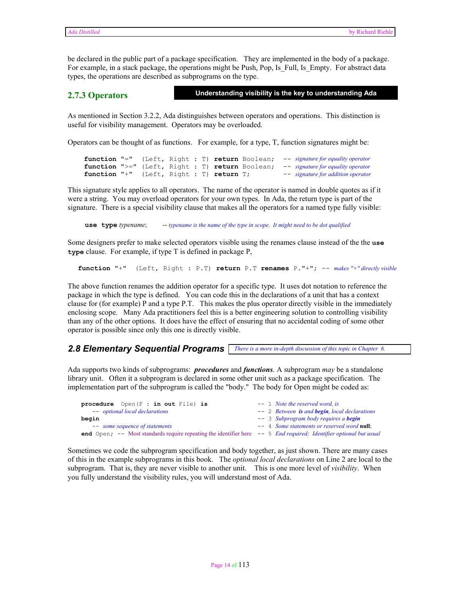be declared in the public part of a package specification. They are implemented in the body of a package. For example, in a stack package, the operations might be Push, Pop, Is Full, Is Empty. For abstract data types, the operations are described as subprograms on the type.

#### **2.7.3 Operators**

**Understanding visibility is the key to understanding Ada**

As mentioned in Section 3.2.2, Ada distinguishes between operators and operations. This distinction is useful for visibility management. Operators may be overloaded.

Operators can be thought of as functions. For example, for a type, T, function signatures might be:

```
 function "=" (Left, Right : T) return Boolean; -- signature for equality operator
function ">=" (Left, Right : T) return Boolean; -- signature for equality operator function "+" (Left, Right : T) return T; -- signature for addition operator
                    (Left, Right : T) return T; -- signature for addition operator
```
This signature style applies to all operators. The name of the operator is named in double quotes as if it were a string. You may overload operators for your own types. In Ada, the return type is part of the signature. There is a special visibility clause that makes all the operators for a named type fully visible:

**use type** *typename*; -- *typename is the name of the type in scope. It might need to be dot qualified*

Some designers prefer to make selected operators visible using the renames clause instead of the the **use type** clause. For example, if type T is defined in package P,

**function** "+" (Left, Right : P.T) **return** P.T **renames** P."+"; -- *makes "+" directly visible*

The above function renames the addition operator for a specific type. It uses dot notation to reference the package in which the type is defined. You can code this in the declarations of a unit that has a context clause for (for example) P and a type P.T. This makes the plus operator directly visible in the immediately enclosing scope. Many Ada practitioners feel this is a better engineering solution to controlling visibility than any of the other options. It does have the effect of ensuring that no accidental coding of some other operator is possible since only this one is directly visible.

#### *2.8 Elementary Sequential Programs There is a more in-depth discussion of this topic in Chapter 6.*

Ada supports two kinds of subprograms: *procedures* and *functions*. A subprogram *may* be a standalone library unit. Often it a subprogram is declared in some other unit such as a package specification. The implementation part of the subprogram is called the "body." The body for Open might be coded as:

| procedure Open (F : in out File) is                                                                                                         |  | $-- 1$ Note the reserved word, is                  |
|---------------------------------------------------------------------------------------------------------------------------------------------|--|----------------------------------------------------|
| -- optional local declarations                                                                                                              |  | $--$ 2 Between is and begin, local declarations    |
| begin                                                                                                                                       |  | -- 3 Subprogram body requires a <b>begin</b>       |
| -- some sequence of statements                                                                                                              |  | -- 4 <i>Some statements or reserved word</i> null; |
| <b>end</b> Open; $-\text{C}$ Most standards require repeating the identifier here $-\text{C}$ 5 End required; Identifier optional but usual |  |                                                    |

Sometimes we code the subprogram specification and body together, as just shown. There are many cases of this in the example subprograms in this book. The *optional local declarations* on Line 2 are local to the subprogram. That is, they are never visible to another unit. This is one more level of *visibility*. When you fully understand the visibility rules, you will understand most of Ada.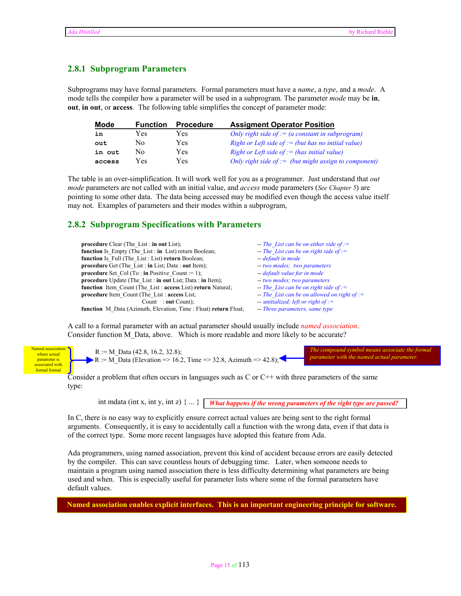# **2.8.1 Subprogram Parameters**

Subprograms may have formal parameters. Formal parameters must have a *name*, a *type*, and a *mode*. A mode tells the compiler how a parameter will be used in a subprogram. The parameter *mode* may be **in**, **out**, **in out**, or **access**. The following table simplifies the concept of parameter mode:

| Mode   | <b>Function</b> | <b>Procedure</b> | <b>Assigment Operator Position</b>                          |
|--------|-----------------|------------------|-------------------------------------------------------------|
| in     | Yes             | Y es             | Only right side of $:=(a \text{ constant in subprogram})$   |
| out    | No.             | Yes              | <i>Right or Left side of : = (but has no initial value)</i> |
| in out | No              | Yes              | <i>Right or Left side of : = (has initial value)</i>        |
| access | Yes             | Yes              | Only right side of $:=$ (but might assign to component)     |

The table is an over-simplification. It will work well for you as a programmer. Just understand that *out mode* parameters are not called with an initial value, and *access* mode parameters (*See Chapter 5*) are pointing to some other data. The data being accessed may be modified even though the access value itself may not. Examples of parameters and their modes within a subprogram,

# **2.8.2 Subprogram Specifications with Parameters**

| <b>procedure</b> Clear (The List : <b>in out</b> List);          | - The List can be on either side of $:=$      |
|------------------------------------------------------------------|-----------------------------------------------|
| function Is Empty (The List: in List) return Boolean;            | - The List can be on right side of $:=$       |
| function Is Full (The List: List) return Boolean;                | - default in mode                             |
| <b>procedure</b> Get (The List: in List; Data: out Item);        | -- two modes; two parameters                  |
| <b>procedure</b> Set Col (To : <b>in</b> Positive Count := 1);   | -- default value for in mode                  |
| <b>procedure</b> Update (The List: in out List; Data: in Item);  | -- two modes; two parameters                  |
| function Item Count (The List: access List) return Natural;      | -- The List can be on right side of $:=$      |
| <b>procedure</b> Item Count (The List: access List;              | - The List can be on allowed on right of $:=$ |
| Count: out Count):                                               | - unitialized; left or right of $:=$          |
| function M Data (Azimuth, Elevation, Time : Float) return Float; | - Three parameters, same type                 |
|                                                                  |                                               |

A call to a formal parameter with an actual parameter should usually include *named association*. Consider function M\_Data, above. Which is more readable and more likely to be accurate?

Named association where actual parameter is sociated with formal formal

 $R := M$  Data (42.8, 16.2, 32.8);  $R := M$  Data (Elevation => 16.2, Time => 32.8, Azimuth => 42.8); *The compound symbol means associate the formal parameter with the named actual parameter.*

Consider a problem that often occurs in languages such as C or  $C^{++}$  with three parameters of the same type:

int mdata (int x, int y, int z) { ... } *What happens if the wrong parameters of the right type are passed?*

In C, there is no easy way to explicitly ensure correct actual values are being sent to the right formal arguments. Consequently, it is easy to accidentally call a function with the wrong data, even if that data is of the correct type. Some more recent languages have adopted this feature from Ada.

Ada programmers, using named association, prevent this kind of accident because errors are easily detected by the compiler. This can save countless hours of debugging time. Later, when someone needs to maintain a program using named association there is less difficulty determining what parameters are being used and when. This is especially useful for parameter lists where some of the formal parameters have default values.

**Named association enables explicit interfaces. This is an important engineering principle for software.**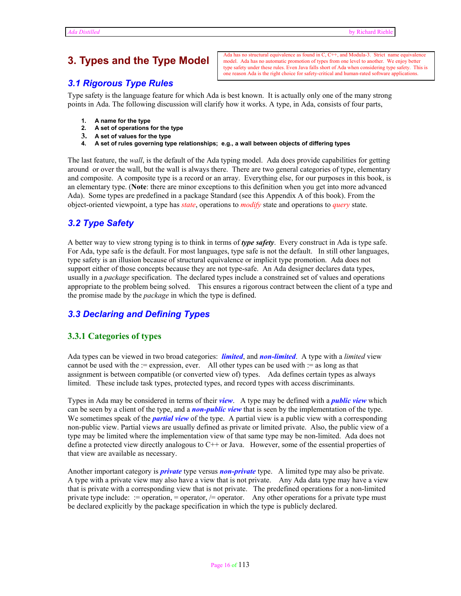Ada has no structural equivalence as found in C, C++, and Modula-3. Strict name equivalence model. Ada has no automatic promotion of types from one level to another. We enjoy better type safety under these rules. Even Java falls short of Ada when considering type safety. This is one reason Ada is the right choice for safety-critical and human-rated software applications.

# **3. Types and the Type Model**

# *3.1 Rigorous Type Rules*

Type safety is the language feature for which Ada is best known. It is actually only one of the many strong points in Ada. The following discussion will clarify how it works. A type, in Ada, consists of four parts,

- **1. A name for the type**
- **2. A set of operations for the type**
- **3. A set of values for the type**
- **4. A set of rules governing type relationships; e.g., a wall between objects of differing types**

The last feature, the *wall*, is the default of the Ada typing model. Ada does provide capabilities for getting around or over the wall, but the wall is always there. There are two general categories of type, elementary and composite. A composite type is a record or an array. Everything else, for our purposes in this book, is an elementary type. (**Note**: there are minor exceptions to this definition when you get into more advanced Ada). Some types are predefined in a package Standard (see this Appendix A of this book). From the object-oriented viewpoint, a type has *state*, operations to *modify* state and operations to *query* state.

# *3.2 Type Safety*

A better way to view strong typing is to think in terms of *type safety*. Every construct in Ada is type safe. For Ada, type safe is the default. For most languages, type safe is not the default. In still other languages, type safety is an illusion because of structural equivalence or implicit type promotion. Ada does not support either of those concepts because they are not type-safe. An Ada designer declares data types, usually in a *package* specification. The declared types include a constrained set of values and operations appropriate to the problem being solved. This ensures a rigorous contract between the client of a type and the promise made by the *package* in which the type is defined.

# *3.3 Declaring and Defining Types*

# **3.3.1 Categories of types**

Ada types can be viewed in two broad categories: *limited*, and *non-limited*. A type with a *limited* view cannot be used with the  $:=$  expression, ever. All other types can be used with  $:=$  as long as that assignment is between compatible (or converted view of) types. Ada defines certain types as always limited. These include task types, protected types, and record types with access discriminants.

Types in Ada may be considered in terms of their *view*. A type may be defined with a *public view* which can be seen by a client of the type, and a *non-public view* that is seen by the implementation of the type. We sometimes speak of the *partial view* of the type. A partial view is a public view with a corresponding non-public view. Partial views are usually defined as private or limited private. Also, the public view of a type may be limited where the implementation view of that same type may be non-limited. Ada does not define a protected view directly analogous to C++ or Java. However, some of the essential properties of that view are available as necessary.

Another important category is *private* type versus *non-private* type. A limited type may also be private. A type with a private view may also have a view that is not private. Any Ada data type may have a view that is private with a corresponding view that is not private. The predefined operations for a non-limited private type include: := operation, = operator, /= operator. Any other operations for a private type must be declared explicitly by the package specification in which the type is publicly declared.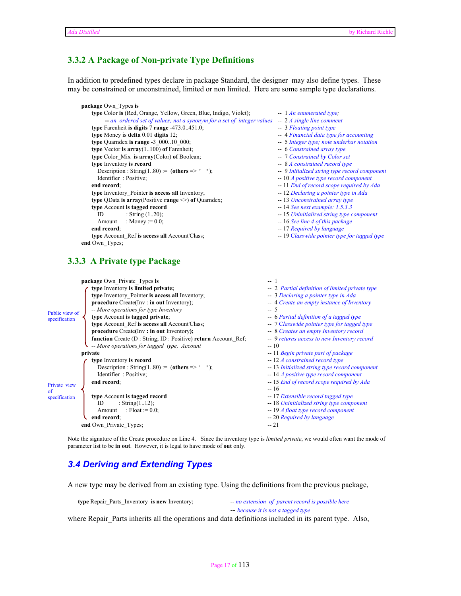# **3.3.2 A Package of Non-private Type Definitions**

In addition to predefined types declare in package Standard, the designer may also define types. These may be constrained or unconstrained, limited or non limited. Here are some sample type declarations.

| package Own Types is                                                   |                                               |
|------------------------------------------------------------------------|-----------------------------------------------|
| type Color is (Red, Orange, Yellow, Green, Blue, Indigo, Violet);      | -- 1 An enumerated type;                      |
| -- an ordered set of values; not a synonym for a set of integer values | -- 2 A single line comment                    |
| type Farenheit is digits $7$ range -473.0451.0;                        | -- 3 Floating point type                      |
| type Money is delta $0.01$ digits $12$ ;                               | -- 4 Financial data type for accounting       |
| type Quarndex is range $-3$ 00010 000;                                 | -- 5 Integer type; note underbar notation     |
| type Vector is $array(1100)$ of Farenheit;                             | -- 6 Constrained array type                   |
| type Color Mix is array (Color) of Boolean;                            | -- 7 Constrained by Color set                 |
| type Inventory is record                                               | -- 8 A constrained record type                |
| Description : String $(180)$ := (others => '');                        | -- 9 Initialized string type record component |
| Identifier: Positive:                                                  | $-10$ A positive type record component        |
| end record:                                                            | -- 11 End of record scope required by Ada     |
| type Inventory Pointer is access all Inventory;                        | -- 12 Declaring a pointer type in Ada         |
| type QData is $array(Positive range \diamond)$ of Quarndex;            | -- 13 Unconstrained array type                |
| type Account is tagged record                                          | $-14$ See next example: 1.5.3.3               |
| : String $(120)$ ;<br>ID                                               | -- 15 Uninitialized string type component     |
| : Money := $0.0$ ;<br>Amount                                           | -- 16 See line 4 of this package              |
| end record:                                                            | -- 17 Required by language                    |
| type Account Ref is access all Account Class;                          | -- 19 Classwide pointer type for tagged type  |
| end Own Types;                                                         |                                               |

# **3.3.3 A Private type Package**

**package** Own Private Types **is** -- 1 **type** Inventory **is limited private;** -- 2 *Partial definition of limited private type* **type** Inventory\_Pointer is access all Inventory;  $\qquad \qquad -3$  *Declaring a pointer type in Ada* **procedure** Create(Inv : **in out** Inventory); -- 4 *Create an empty instance of Inventory* -- *More operations for type Inventory* -- 5 **type** Account **is tagged private**;  $\qquad \qquad -6$  *Partial definition of a tagged type* **type** Account\_Ref **is access all** Account'Class; -- 7 C*lasswide pointer type for tagged type* **procedure** Create**(**Inv **: in out** Inventory**);** -- 8 *Creates an empty Inventory record* **function** Create (D : String; ID : Positive) **return** Account\_Ref; -- 9 *returns access to new Inventory record* -- *More operations for tagged type, Account* -- 10 **private**  $\qquad \qquad -11$  *Begin private part of package* **type** Inventory **is record** -- 12 *A constrained record type* Description : String(1..80) := (others => ' '); -- 13 *Initialized string type record component* Identifier : Positive;<br>  $-14 A positive type record component$ **end record**;  $\qquad \qquad -15$  *End of record scope required by Ada* -- 16 **type** Account **is tagged record** -- 17 *Extensible record tagged type* ID : String(1..12); -- 18 *Uninitialized string type component*  Amount : Float := 0.0; -- 19 *A float type record component* **end record**;  $\qquad \qquad -20$  *Required by language* **end** Own\_Private\_Types;  $-21$ Public view of specification Private view of specification

Note the signature of the Create procedure on Line 4. Since the inventory type is *limited private*, we would often want the mode of parameter list to be **in out**. However, it is legal to have mode of **out** only.

# *3.4 Deriving and Extending Types*

A new type may be derived from an existing type. Using the definitions from the previous package,

| type Repair_Parts_Inventory is new Inventory; | - no extension of parent record is possible here |
|-----------------------------------------------|--------------------------------------------------|
|                                               | -- because it is not a tagged type               |

where Repair Parts inherits all the operations and data definitions included in its parent type. Also,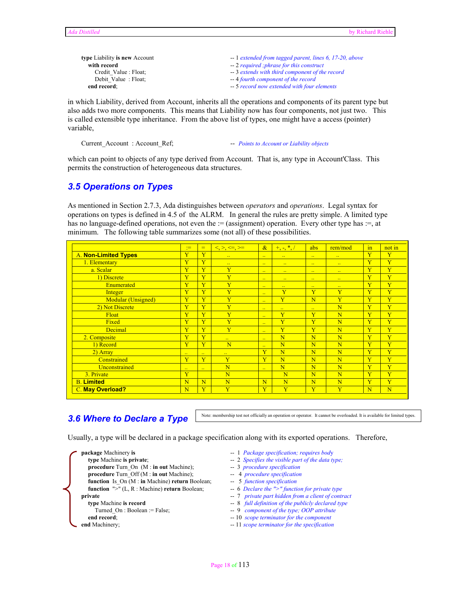| <b>type Liability is new Account</b> | --1 extended from tagged parent, lines 6, 17-20, above |
|--------------------------------------|--------------------------------------------------------|
| with record                          | --2 required :phrase for this construct                |
| Credit Value : Float:                | --3 extends with third component of the record         |
| Debit Value: Float:                  | --4 fourth component of the record                     |
| end record:                          | -- 5 record now extended with four elements            |

in which Liability, derived from Account, inherits all the operations and components of its parent type but also adds two more components. This means that Liability now has four components, not just two. This is called extensible type inheritance. From the above list of types, one might have a access (pointer) variable,

Current\_Account : Account\_Ref; -- *Points to Account or Liability objects*

which can point to objects of any type derived from Account. That is, any type in Account'Class. This permits the construction of heterogeneous data structures.

# *3.5 Operations on Types*

As mentioned in Section 2.7.3, Ada distinguishes between *operators* and *operations*. Legal syntax for operations on types is defined in 4.5 of the ALRM. In general the rules are pretty simple. A limited type has no language-defined operations, not even the := (assignment) operation. Every other type has :=, at minimum. The following table summarizes some (not all) of these possibilities.

|                             | $:=$           | $=$       | $\langle \, \rangle, \langle = \rangle =$ | $\alpha$                 | $+, -, *, /$            | abs                      | rem/mod                 | in | not in |
|-----------------------------|----------------|-----------|-------------------------------------------|--------------------------|-------------------------|--------------------------|-------------------------|----|--------|
| <b>A. Non-Limited Types</b> | Y              | Y         | $\overline{a}$                            | $\overline{a}$           | $\overline{a}$          | $\ddotsc$                | $\ddotsc$               | Y  | Y      |
| 1. Elementary               | Y              | Y         | $\ddotsc$                                 | $\overline{\phantom{a}}$ | $\sim$                  | $\sim$                   | $\ddotsc$               | Y  | Y      |
| a. Scalar                   | Y              | Y         | Y                                         | $\overline{\phantom{a}}$ | $\dddotsc$              | $\overline{\phantom{a}}$ | $\ddotsc$               | Y  | Y      |
| 1) Discrete                 | Y              | Y         | Y                                         | $\sim$                   | $\dddot{\bullet}$       | $\dddot{\bullet}$        | $\bullet\bullet$        | Y  | Y      |
| Enumerated                  | Y              | Y         | Y                                         | $\ddotsc$                | $\overline{a}$          | $\sim$                   | $\bullet\bullet$        | Y  | Y      |
| Integer                     | Y              | Y         | Y                                         | $\ddotsc$                | Y                       | Y                        | Y                       | Y  | Y      |
| <b>Modular (Unsigned)</b>   | Y              | Y         | Y                                         | $\overline{\phantom{a}}$ | Ÿ                       | $\overline{\mathsf{N}}$  | Y                       | Y  | Y      |
| 2) Not Discrete             | Y              | Y         | Y                                         | $\sim$                   | $\ddotsc$               | $\ddotsc$                | N                       | Y  | Y      |
| Float                       | Y              | Y         | Y                                         | $\overline{\phantom{a}}$ | Ÿ                       | Y                        | N                       | Y  | Y      |
| Fixed                       | Y              | Y         | Y                                         | $\ddotsc$                | Ÿ                       | Y                        | N                       | Y  | Y      |
| Decimal                     | Y              | Y         | Y                                         | $\ddotsc$                | Y                       | Y                        | $\overline{\mathbf{N}}$ | Y  | Y      |
| 2. Composite                | Y              | Y         | $\overline{a}$                            | $\ddotsc$                | Ñ                       | N                        | N                       | Y  | Y      |
| 1) Record                   | Y              | Y         | N                                         | $\ddotsc$                | $\overline{\mathbf{N}}$ | N                        | N                       | Y  | Y      |
| 2) Array                    | $\overline{a}$ | $\ddotsc$ | $\overline{a}$                            | Y                        | N                       | N                        | N                       | Y  | Y      |
| Constrained                 | Y              | Y         | Ÿ                                         | Y                        | Ñ                       | N                        | N                       | Y  | Y      |
| Unconstrained               | $\ddotsc$      | $\ddotsc$ | Ñ                                         | $\ddotsc$                | Ñ                       | N                        | $\overline{\mathbf{N}}$ | Y  | Y      |
| 3. Private                  | Y              |           | Ñ                                         |                          | N                       | N                        | N                       | Y  | Y      |
| <b>B.</b> Limited           | N              | N         | N                                         | N                        | N                       | N                        | N                       | Y  | Y      |
| <b>C. May Overload?</b>     | N              | Y         | Y                                         | Y                        | Y                       | Y                        | Y                       | N  | N      |

# *3.6 Where to Declare a Type*

Note: membership test not officially an operation or operator. It cannot be overloaded. It is available for limited types.

Usually, a type will be declared in a package specification along with its exported operations. Therefore,

**package** Machinery **is**  $\qquad \qquad -1$  *Package specification; requires body* **type** Machine **is private**;  $\qquad \qquad -2$  *Specifies the visible part of the data type;* **procedure** Turn\_On (M : **in out** Machine); -- 3 *procedure specification* **procedure** Turn\_Off (M : **in out** Machine); -- 4 *procedure specification* **function** Is\_On (M : **in** Machine) **return** Boolean; -- 5 *function specification* **function** ">" (L, R : Machine) **return** Boolean; -- 6 *Declare the ">" function for private type* **private**  $-7$  *private part hidden from a client of contract* **type** Machine **is record**  $-8$  *full definition of the publicly declared type* Turned On : Boolean := False; -- 9 *component of the type; OOP attribute* **end record**;  $\qquad -10$  *scope terminator for the component* **end** Machinery;  $-11$  *scope terminator for the specification* 

- 
- 
- 
- 
- 
- 
- 
- 
- 
- 
-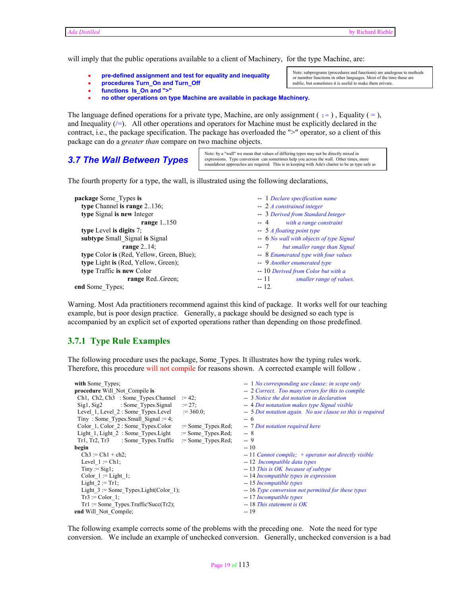will imply that the public operations available to a client of Machinery, for the type Machine, are:

- **pre-defined assignment and test for equality and inequality**
- **procedures Turn\_On and Turn\_Off**
- **functions Is\_On and ">"**
- **no other operations on type Machine are available in package Machinery.**

The language defined operations for a private type, Machine, are only assignment ( $:=$ ), Equality ( $=$ ), and Inequality  $($   $=$  ). All other operations and operators for Machine must be explicitly declared in the contract, i.e., the package specification. The package has overloaded the ">" operator, so a client of this package can do a *greater than* compare on two machine objects.

#### *3.7 The Wall Between Types*

Note: by a "wall" we mean that values of differing types may not be directly mixed in expressions. Type conversion can sometimes help you across the wall. Other times, more roundabout approaches are required. This is in keeping with Ada's charter to be as type safe as

The fourth property for a type, the wall, is illustrated using the following declarations,

| package Some Types is                     | -- 1 Declare specification name          |
|-------------------------------------------|------------------------------------------|
| type Channel is range $2.136$ ;           | -- 2 A constrained integer               |
| type Signal is new Integer                | -- 3 Derived from Standard. Integer      |
| range $1.150$                             | -- 4 with a range constraint             |
| type Level is digits $7$ ;                | -- 5 A floating point type               |
| subtype Small Signal is Signal            | -- 6 No wall with objects of type Signal |
| range $2.14$ ;                            | but smaller range than Signal<br>$-7$    |
| type Color is (Red, Yellow, Green, Blue); | -- 8 Enumerated type with four values    |
| type Light is (Red, Yellow, Green);       | -- 9 Another enumerated type             |
| type Traffic is new Color                 | -- 10 Derived from Color but with a      |
| range Red. Green:                         | $-11$ $-$<br>smaller range of values.    |
| end Some Types;                           | $-12.$                                   |

Warning. Most Ada practitioners recommend against this kind of package. It works well for our teaching example, but is poor design practice. Generally, a package should be designed so each type is accompanied by an explicit set of exported operations rather than depending on those predefined.

#### **3.7.1 Type Rule Examples**

The following procedure uses the package, Some\_Types. It illustrates how the typing rules work. Therefore, this procedure will not compile for reasons shown. A corrected example will follow.

```
with Some Types; -1 No corresponding use clause; in scope only
procedure Will_Not_Compile is -- 2 Correct. Too many errors for this to compile<br>
Ch1, Ch2, Ch3 : Some Types.Channel := 42;<br>
-- 3 Notice the dot notation in declaration
Ch1, Ch2, Ch<sub>3</sub> : Some_Types.Channel := 42;
Sig1, Sig2 : Some_Types.Signal := 27; -- 4 Dot notatation makes type Signal visible
Level_1, Level_2 : Some_Types.Level := 360.0; -- 5 Dot notation again. No use clause so this is required
Tiny : Some\_Types.Small_Signal := 4; \t -6 Color_1, Color_2 : Some_Types.Color := Some_Types.Red; -- 7 Dot notation required here
Light_1, Light_2 : Some_Types.Light := Some_Types.Red; -- 8
Tr1, Tr2, Tr3 : Some_Types.Traffic := Some_Types.Red; -- 9
begin -- 10
  Ch3 := Ch1 + ch2;<br>-- 11 Cannot compile; + operator not directly visible
 Level<sub>1</sub> := Ch1; -- 12 Incompatible data types
  Tiny := Sig1; -13 This is OK because of subtypeColor_1 := Light_1; -- 14 Incompatible types in expression
 Light 2 := \text{Tr} 1; -15 Incompatible types
 Light_3 := Some_Types.Light(Color_1); -- 16 Type conversion not permitted for these types<br>Tr3 := Color 1; -- 17 Incompatible types
                                                    -- 17 Incompatible types
  Tr1 := Some_Types.Traffic'Succ(Tr2); -- 18 This statement is OK<br>d Will Not Compile: -- 19
end Will_Not_Compile;
```
The following example corrects some of the problems with the preceding one. Note the need for type conversion. We include an example of unchecked conversion. Generally, unchecked conversion is a bad

Note: subprograms (procedures and functions) are analogous to methods or member functions in other languages. Most of the time these are public, but sometimes it is useful to make them private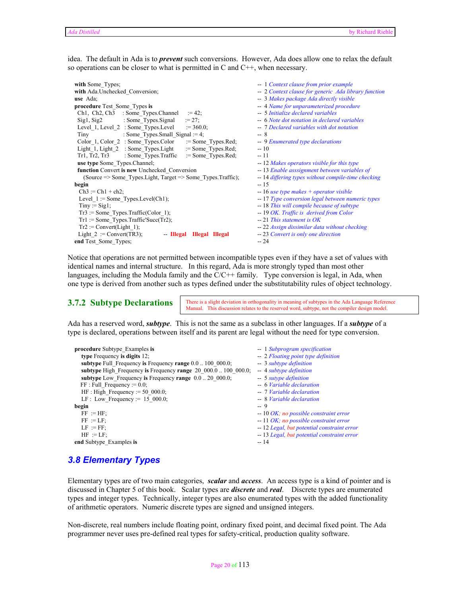idea. The default in Ada is to *prevent* such conversions. However, Ada does allow one to relax the default so operations can be closer to what is permitted in C and C++, when necessary.

```
with Some_Types; \qquad \qquad -1 Context clause from prior example
with Ada.Unchecked_Conversion; -2 Context clause for generic Ada library function
use Ada; and a contract a contract and a set of the set of the 3 Makes package Ada directly visible <b>a
procedure Test_Some_Types is -- 4 Name for unparameterized procedure
 Ch1, Ch2, Ch3 : Some_Types.Channel := 42; -- 5 Initialize declared variables
 Sig1, Sig2 : Some_Types.Signal := 27; -- 6 Note dot notation in declared variables
Level_1, Level_2 : Some_Types.Level := 360.0; -- 7 Declared variables with dot notation
 Tiny : Some_Types.Small_Signal := 4; -- 8
 Color_1, Color_2 : Some_Types.Color := Some_Types.Red; -- 9 Enumerated type declarations
Light_1, Light_2 : Some_Types.Light := Some_Types.Red; -- 10
Tr1, Tr2, Tr3 : Some_Types.Traffic := Some_Types.Red; -- 11
 use type Some Types.Channel; -12 Makes operators visible for this type
function Convert is new Unchecked_Conversion -- 13 Enable asssignment between variables of<br>(Source => Some_Types.Light, Target => Some_Types.Traffic); -- 14 differing types without compile-time checking
  (Source => Some_Types.Light, Target => Some_Types.Traffic);
begin -- 15
 Ch3 := Ch1 + ch2; \qquad \qquad -16 use type makes + operator visible
  Level_1 := Some_Types.Level(Ch1); -- 17 Type conversion legal between numeric types
 Tiny := Sig1; -18 This will compile because of subtype
 Tr3 := Some_Types.Traffic(Color_1); -- 19 OK. Traffic is derived from Color
 Tr1 := Some_Types.Traffic'Succ(Tr2); -- 21 This statement is OK
 Tr2 := Convert(Light 1); -- 22 Assign dissimilar data without checking
  Light_2 := Convert(TR3); -- Illegal Illegal Illegal -- 23 Convert is only one direction
end Test Some Types; -24
```
Notice that operations are not permitted between incompatible types even if they have a set of values with identical names and internal structure. In this regard, Ada is more strongly typed than most other languages, including the Modula family and the C/C++ family. Type conversion is legal, in Ada, when one type is derived from another such as types defined under the substitutability rules of object technology.

#### **3.7.2 Subtype Declarations**

There is a slight deviation in orthogonality in meaning of subtypes in the Ada Language Reference Manual. This discussion relates to the reserved word, subtype, not the compiler design model.

Ada has a reserved word, *subtype*. This is not the same as a subclass in other languages. If a *subtype* of a type is declared, operations between itself and its parent are legal without the need for type conversion.

```
procedure Subtype_Examples is -- 1 Subprogram specification
 type Frequency is digits 12; \qquad \qquad -2 Floating point type definition
 subtype Full_Frequency is Frequency range 0.0 .. 100_000.0; -- 3 subtype definition
 subtype High_Frequency is Frequency range 20_000.0 .. 100_000.0; -- 4 subtype definition
 subtype Low_Frequency is Frequency range 0.0 .. 20_000.0; -- 5 sutype definition
 FF : Full_Frequency := 0.0; -6 \text{ Variable declaration}HF : High_Frequency := 50_000.0; -- 7 Variable declaration
 LF : Low_Frequency := 15_000.0; -- 8 Variable declaration
begin -- 9
 FF := HF; -10 OK; no possible constraint error
 FF := LF; -- 11 OK; no possible constraint error
 LF := FF; -- 12 Legal, but potential constraint error
 HF := LF; -- 13 Legal, but potential constraint error
end Subtype_Examples is -- 14
```
# *3.8 Elementary Types*

Elementary types are of two main categories, *scalar* and *access*. An access type is a kind of pointer and is discussed in Chapter 5 of this book. Scalar types are *discrete* and *real*. Discrete types are enumerated types and integer types. Technically, integer types are also enumerated types with the added functionality of arithmetic operators. Numeric discrete types are signed and unsigned integers.

Non-discrete, real numbers include floating point, ordinary fixed point, and decimal fixed point. The Ada programmer never uses pre-defined real types for safety-critical, production quality software.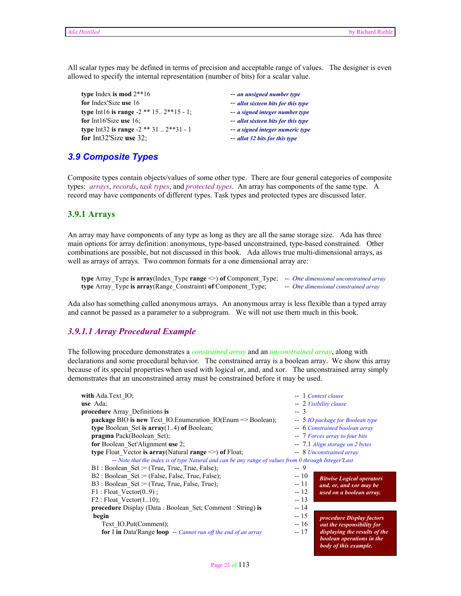All scalar types may be defined in terms of precision and acceptable range of values. The designer is even allowed to specify the internal representation (number of bits) for a scalar value.

**type** Index **is mod**  $2^{**}16$  -- *an unsigned number type* **for** Index'Size **use** 16 -- *allot sixteen bits for this type* **type** Int16 **is range** -2 \*\* 15.. 2\*\*15 - 1; -- *a signed integer number type* **for** Int16'Size **use** 16; **--** *allot sixteen bits for this type* **type** Int32 **is range**  $-2$  \*\* 31  $\ldots$  2\*\*31 - 1 -- *a signed integer numeric type* **for** Int32'Size **use** 32; -- *allot 32 bits for this type* 

# *3.9 Composite Types*

Composite types contain objects/values of some other type. There are four general categories of composite types: *arrays*, *records*, *task types*, and *protected types*. An array has components of the same type. A record may have components of different types. Task types and protected types are discussed later.

#### **3.9.1 Arrays**

An array may have components of any type as long as they are all the same storage size. Ada has three main options for array definition: anonymous, type-based unconstrained, type-based constrained. Other combinations are possible, but not discussed in this book. Ada allows true multi-dimensional arrays, as well as arrays of arrays. Two common formats for a one dimensional array are:

**type** Array\_Type **is array**(Index\_Type **range** <>) **of** Component\_Type; -- *One dimensional unconstrained array* **type** Array\_Type **is array**(Range\_Constraint) **of** Component\_Type; -- *One dimensional constrained array*

Ada also has something called anonymous arrays. An anonymous array is less flexible than a typed array and cannot be passed as a parameter to a subprogram. We will not use them much in this book.

#### *3.9.1.1 Array Procedural Example*

The following procedure demonstrates a *constrained array* and an *unconstrained array*, along with declarations and some procedural behavior. The constrained array is a boolean array. We show this array because of its special properties when used with logical or, and, and xor. The unconstrained array simply demonstrates that an unconstrained array must be constrained before it may be used.

| with Ada.Text IO;                                                                                                  |       | -- 1 Context clause                                        |  |  |
|--------------------------------------------------------------------------------------------------------------------|-------|------------------------------------------------------------|--|--|
| <b>use</b> Ada:<br>-- 2 Visibility clause                                                                          |       |                                                            |  |  |
| procedure Array Definitions is                                                                                     | $-3$  |                                                            |  |  |
| <b>package BIO is new Text IO.</b> Enumeration IO(Enum $\Rightarrow$ Boolean);<br>-- 5 IO package for Boolean type |       |                                                            |  |  |
| type Boolean Set is $array(14)$ of Boolean;                                                                        |       | -- 6 Constrained boolean array                             |  |  |
| pragma Pack(Boolean Set);                                                                                          |       | -- 7 Forces array to four bits                             |  |  |
| for Boolean Set'Alignment use 2;                                                                                   |       | -- 7.1 Align storage on 2 bytes                            |  |  |
| <b>type</b> Float Vector is $array(Natural range \lhd)$ of Float;                                                  |       | -- 8 Unconstrained array                                   |  |  |
| -- Note that the index is of type Natural and can be any range of values from 0 through Integer'Last               |       |                                                            |  |  |
| $B1$ : Boolean Set := (True, True, True, False);                                                                   | $-9$  |                                                            |  |  |
| $B2 : Boolean Set := (False, False, True, False);$                                                                 | $-10$ | <b>Bitwise Logical operators</b>                           |  |  |
| $B3: Boolean Set := (True, True, False, True);$                                                                    | $-11$ | and, or, and xor may be                                    |  |  |
| $F1$ : Float Vector(09);                                                                                           | $-12$ | used on a boolean array.                                   |  |  |
| $F2$ : Float Vector $(110)$ ;                                                                                      | $-13$ |                                                            |  |  |
| procedure Display (Data: Boolean Set; Comment: String) is                                                          | $-14$ |                                                            |  |  |
| begin                                                                                                              | $-15$ | procedure Display factors                                  |  |  |
| Text IO.Put(Comment);                                                                                              | $-16$ | out the responsibility for                                 |  |  |
| for I in Data'Range loop -- Cannot run off the end of an array                                                     | $-17$ | displaying the results of the<br>boolean operations in the |  |  |

*body of this example.*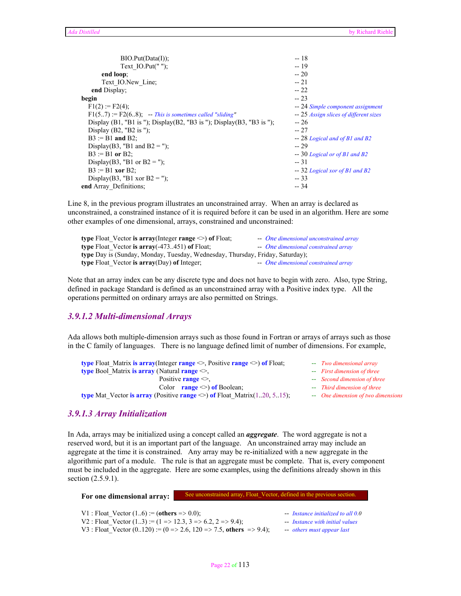| BIO.Put(Data(I));                                                       | $-18$                                  |
|-------------------------------------------------------------------------|----------------------------------------|
| Text $IO.Put("")$ :                                                     | $-19$                                  |
| end loop;                                                               | $-20$                                  |
| Text IO.New Line;                                                       | $-21$                                  |
| end Display;                                                            | $-22$                                  |
| begin                                                                   | $-23$                                  |
| $F1(2) := F2(4)$ ;                                                      | -- 24 Simple component assignment      |
| $F1(57) := F2(68);$ -- This is sometimes called "sliding"               | -- 25 Assign slices of different sizes |
| Display (B1, "B1 is "); Display (B2, "B3 is "); Display (B3, "B3 is "); | $-26$                                  |
| Display $(B2, "B2 is").$                                                | $-27$                                  |
| $B3 := B1$ and $B2$ ;                                                   | $-$ 28 Logical and of B1 and B2        |
| Display(B3, "B1 and B2 = ");                                            | -- 29                                  |
| $B3 := B1$ or $B2$ ;                                                    | $-30$ Logical or of B1 and B2          |
| Display(B3, "B1 or B2 = ");                                             | $-31$                                  |
| $B3 := B1$ xor $B2$ ;                                                   | -- 32 Logical xor of B1 and B2         |
| Display(B3, "B1 xor B2 = ");                                            | $-33$                                  |
| end Array Definitions;                                                  | $-34$                                  |

Line 8, in the previous program illustrates an unconstrained array. When an array is declared as unconstrained, a constrained instance of it is required before it can be used in an algorithm. Here are some other examples of one dimensional, arrays, constrained and unconstrained:

| <b>type</b> Float Vector is $array(Integer range \diamond)$ of Float;         | -- One dimensional unconstrained array |
|-------------------------------------------------------------------------------|----------------------------------------|
| <b>type</b> Float Vector is $array(-473451)$ of Float;                        | -- One dimensional constrained array   |
| type Day is (Sunday, Monday, Tuesday, Wednesday, Thursday, Friday, Saturday); |                                        |
| <b>type</b> Float Vector is $array(Day)$ of Integer;                          | - One dimensional constrained array    |

Note that an array index can be any discrete type and does not have to begin with zero. Also, type String, defined in package Standard is defined as an unconstrained array with a Positive index type. All the operations permitted on ordinary arrays are also permitted on Strings.

#### *3.9.1.2 Multi-dimensional Arrays*

Ada allows both multiple-dimension arrays such as those found in Fortran or arrays of arrays such as those in the C family of languages. There is no language defined limit of number of dimensions. For example,

| <b>type</b> Float Matrix is <b>array</b> (Integer <b>range</b> $\leq$ , Positive <b>range</b> $\leq$ ) of Float; | -- Two dimensional array           |  |
|------------------------------------------------------------------------------------------------------------------|------------------------------------|--|
| <b>type</b> Bool Matrix <b>is array</b> (Natural <b>range</b> $\leq$ ,                                           | -- First dimension of three        |  |
| Positive range $\leq$ .                                                                                          | -- Second dimension of three       |  |
| Color <b>range</b> $\Diamond$ of Boolean:                                                                        | -- Third dimension of three        |  |
| <b>type</b> Mat Vector is <b>array</b> (Positive <b>range</b> $\diamond$ ) of Float Matrix(120, 515);            | -- One dimension of two dimensions |  |

#### *3.9.1.3 Array Initialization*

In Ada, arrays may be initialized using a concept called an *aggregate*. The word aggregate is not a reserved word, but it is an important part of the language. An unconstrained array may include an aggregate at the time it is constrained. Any array may be re-initialized with a new aggregate in the algorithmic part of a module. The rule is that an aggregate must be complete. That is, every component must be included in the aggregate. Here are some examples, using the definitions already shown in this section  $(2.5.9.1)$ .

**For one dimensional array:** See unconstrained array, Float\_Vector, defined in the previous section.

V1 : Float Vector  $(1.6)$  :=  $(others => 0.0);$  -- *Instance initialized to all 0.0*  $V2$ : Float Vector (1..3) := (1 => 12.3, 3 => 6.2, 2 => 9.4); -- *Instance with initial values* V3 : Float\_Vector  $(0..120)$  :=  $(0 = 2.6, 120 = 7.5,$  others =  $> 9.4$ ); -- *others must appear last* 

- 
- 
-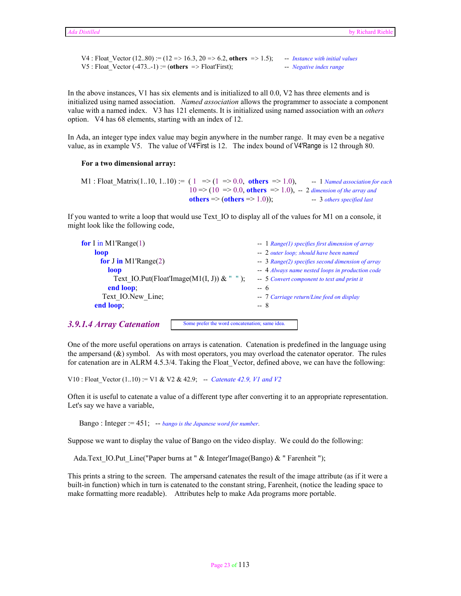$V4$ : Float Vector (12..80) := (12 => 16.3, 20 => 6.2, **others** => 1.5); -- *Instance with initial values* V5 : Float Vector (-473..-1) := (**others** => Float'First); -- *Negative index range* 

In the above instances, V1 has six elements and is initialized to all 0.0, V2 has three elements and is initialized using named association. *Named association* allows the programmer to associate a component value with a named index. V3 has 121 elements. It is initialized using named association with an *others* option. V4 has 68 elements, starting with an index of 12.

In Ada, an integer type index value may begin anywhere in the number range. It may even be a negative value, as in example V5. The value of V4'First is 12. The index bound of V4'Range is 12 through 80.

#### **For a two dimensional array:**

```
 M1 : Float_Matrix(1..10, 1..10) := ( 1 => (1 => 0.0, others => 1.0), -- 1 Named association for each
                                          10 \Rightarrow (10 \Rightarrow 0.0, \text{others} \Rightarrow 1.0), -2 dimension of the array and
                                          others \Rightarrow (others \Rightarrow 1.0)); -- 3 others specified last
```
If you wanted to write a loop that would use Text IO to display all of the values for M1 on a console, it might look like the following code,

| for I in M1'Range $(1)$                   | -- 1 Range(1) specifies first dimension of array  |
|-------------------------------------------|---------------------------------------------------|
| <b>loop</b>                               | -- 2 outer loop; should have been named           |
| for $J$ in M1'Range $(2)$                 | $-3$ Range(2) specifies second dimension of array |
| <b>loop</b>                               | -- 4 Always name nested loops in production code  |
| Text IO.Put(Float'Image(M1(I, J)) & " "); | -- 5 Convert component to text and print it       |
| end loop;                                 | $-6$                                              |
| Text IO.New Line;                         | -- 7 Carriage return/Line feed on display         |
| end loop;                                 | -- 8                                              |
|                                           |                                                   |

*3.9.1.4 Array Catenation*

Some prefer the word concatenation; same idea.

One of the more useful operations on arrays is catenation. Catenation is predefined in the language using the ampersand  $(\&)$  symbol. As with most operators, you may overload the catenator operator. The rules for catenation are in ALRM 4.5.3/4. Taking the Float Vector, defined above, we can have the following:

V10 : Float Vector  $(1..10)$  := V1 & V2 & 42.9; -- *Catenate 42.9, V1 and V2* 

Often it is useful to catenate a value of a different type after converting it to an appropriate representation. Let's say we have a variable,

Bango : Integer := 451; -- *bango is the Japanese word for number*.

Suppose we want to display the value of Bango on the video display. We could do the following:

Ada.Text\_IO.Put\_Line("Paper burns at " & Integer'Image(Bango) & " Farenheit ");

This prints a string to the screen. The ampersand catenates the result of the image attribute (as if it were a built-in function) which in turn is catenated to the constant string, Farenheit, (notice the leading space to make formatting more readable). Attributes help to make Ada programs more portable.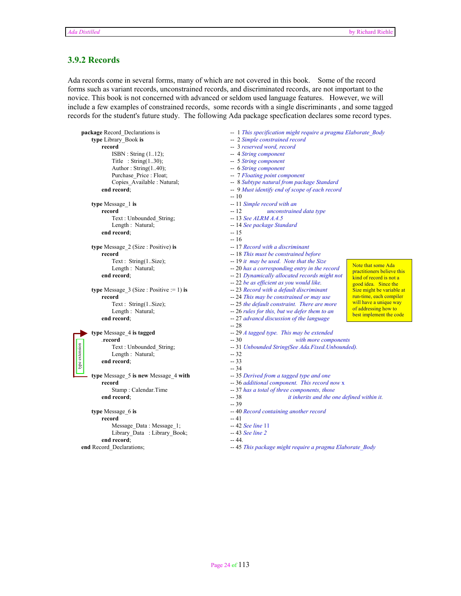type extension

#### **3.9.2 Records**

Ada records come in several forms, many of which are not covered in this book. Some of the record forms such as variant records, unconstrained records, and discriminated records, are not important to the novice. This book is not concerned with advanced or seldom used language features. However, we will include a few examples of constrained records, some records with a single discriminants , and some tagged records for the student's future study. The following Ada package specfication declares some record types.

```
package Record_Declarations is -- 1 This specification might require a pragma Elaborate_Body<br>
type Library_Book is -- 2 Simple constrained record
                                            type Library_Book is -- 2 Simple constrained record
      record -- 3 reserved word, record<br>
ISBN : String (1..12);<br>
-- 4 String component
                                            -- 4 String component
         Title : String(1..30); -- 5 String component
         Author : String(1..40); -- 6 String component
         Purchase_Price : Float; -7 Floating point component
         Copies_Available : Natural; -- 8 Subtype natural from package Standard
      end record; \qquad \qquad -9 Must identify end of scope of each record
                                            -- 10
   type Message 1 is -11 Simple record with an
      record -- 12 unconstrained data type
         Text : Unbounded String; -- 13 See ALRM A.4.5
         Length : Natural; -14 See package Standard
      end record; -15-- 16
   type Message_2 (Size : Positive) is -- 17 Record with a discriminant
      record -- 18 This must be constrained before
         Text : String(1..Size);<br>
Length : Natural;<br>
Length : Natural;<br>
\begin{array}{r} -19 it may be used. Note that the Size
                                            -- 20 has a corresponding entry in the record
      end record; and records end records end records end records might not
                                            -- 22 be as efficient as you would like.
   type Message_3 (Size : Positive := 1) is -- 23 Record with a default discriminant
      record -- 24 This may be constrained or may useText : String(1..Size); -- 25 the default constraint. There are more
         Length : Natural; \qquad -26 rules for this, but we defer them to an
      end record; -- 27 advancd discussion of the language
                                            -- 28
   type Message_4 is tagged<br>record<br>extended<br>-- 30<br>extended<br>extended<br>with more components
      .record -- 30 with more components
         Text : Unbounded String; -- 31 Unbounded String(See Ada.Fixed.Unbounded).
        Length : Natural: -32end record; -33<br>--33
\frac{1}{2} -- 34
  type Message 5 is new Message 4 with -- 35 Derived from a tagged type and one
      record -- 36 additional component. This record now x
         Stamp : Calendar.Time -- 37 has a total of three components, those
      end record; and integral is a computer of the set of the set of the one defined within it.
                                            -- 39
  type Message 6 is \qquad \qquad -40 Record containing another record
      record -- 41
         Message_Data : Message_1; --- 42 See line 11
         Library_Data : Library_Book; -- 43 See line 2
      end record; -44end Record_Declarations; -45 This package might require a pragma Elaborate Body
                                                                                Note that some Ada
                                                                                practitioners believe this
                                                                                kind of record is not a
                                                                                good idea. Since the
                                                                                Size might be variable at
                                                                                run-time, each compiler
                                                                                will have a unique way
                                                                                of addressing how to
                                                                                best implement the code
```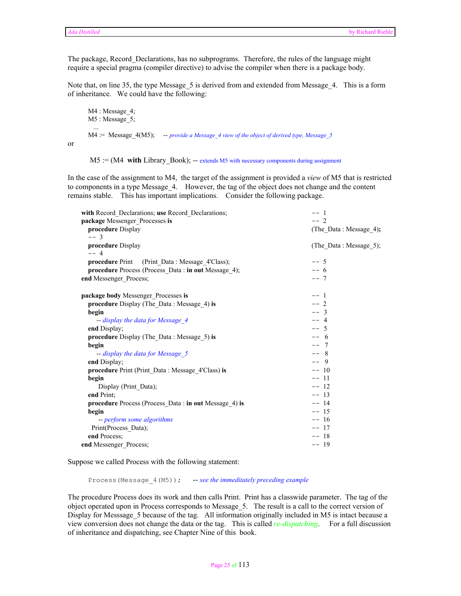or

The package, Record\_Declarations, has no subprograms. Therefore, the rules of the language might require a special pragma (compiler directive) to advise the compiler when there is a package body.

Note that, on line 35, the type Message 5 is derived from and extended from Message 4. This is a form of inheritance. We could have the following:

```
M4 : Message 4;
      M5 : Message 5;
 ...
      M4 := Message 4(M5); -- provide a Message 4 view of the object of derived type, Message 5
```
 $M5 := (M4$  with Library Book);  $-$  extends M5 with necessary components during assignment

In the case of the assignment to M4, the target of the assignment is provided a *view* of M5 that is restricted to components in a type Message 4. However, the tag of the object does not change and the content remains stable. This has important implications. Consider the following package.

| with Record Declarations; use Record Declarations;                   | $-- 1$                 |
|----------------------------------------------------------------------|------------------------|
| package Messenger Processes is                                       | $- - 2$                |
| procedure Display                                                    | (The_Data: Message_4); |
| $-- 3$                                                               |                        |
| procedure Display                                                    | (The Data: Message 5); |
| $- - 4$                                                              |                        |
| (Print Data: Message 4'Class);<br><b>procedure</b> Print             | $-- 5$                 |
| procedure Process (Process_Data: in out Message_4);                  | $-- 6$                 |
| end Messenger Process;                                               | $-- 7$                 |
|                                                                      |                        |
| package body Messenger Processes is                                  | $-- 1$                 |
| procedure Display (The_Data: Message_4) is                           | $-- 2$                 |
| begin                                                                | $-- 3$                 |
| -- display the data for Message 4                                    | $- - 4$                |
| end Display;                                                         | $-- 5$                 |
| <b>procedure</b> Display (The Data: Message 5) is                    | $-- 6$                 |
| begin                                                                | $- - 7$                |
| -- display the data for Message 5                                    | $-- 8$                 |
| end Display;                                                         | $- - 9$                |
| procedure Print (Print_Data: Message_4'Class) is                     | $-- 10$                |
| begin                                                                | $-- 11$                |
| Display (Print Data);                                                | $-- 12$                |
| end Print:                                                           | $-- 13$                |
| <b>procedure</b> Process (Process Data : <b>in out</b> Message 4) is | $-- 14$                |
| begin                                                                | $- - 15$               |
| -- perform some algorithms                                           | $- - 16$               |
| Print(Process Data);                                                 | $-- 17$                |
| end Process:                                                         | $-- 18$                |
| end Messenger Process;                                               | $- - 19$               |

Suppose we called Process with the following statement:

Process(Message\_4(M5)); -- *see the immeditately preceding example*

The procedure Process does its work and then calls Print. Print has a classwide parameter. The tag of the object operated upon in Process corresponds to Message\_5. The result is a call to the correct version of Display for Messsage\_5 because of the tag. All information originally included in M5 is intact because a view conversion does not change the data or the tag. This is called *re-dispatching*. For a full discussion of inheritance and dispatching, see Chapter Nine of this book.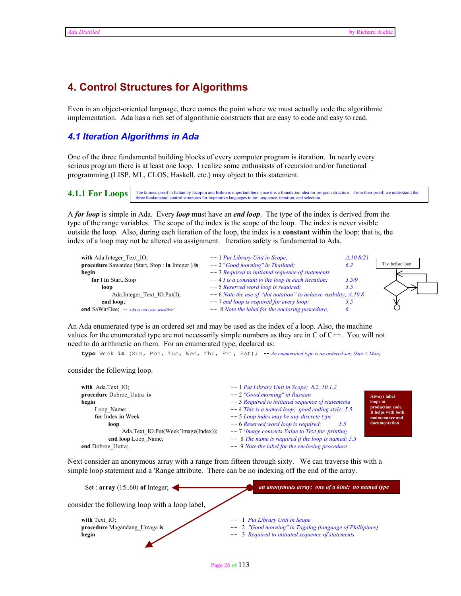# **4. Control Structures for Algorithms**

Even in an object-oriented language, there comes the point where we must actually code the algorithmic implementation. Ada has a rich set of algorithmic constructs that are easy to code and easy to read.

# *4.1 Iteration Algorithms in Ada*

One of the three fundamental building blocks of every computer program is iteration. In nearly every serious program there is at least one loop. I realize some enthusiasts of recursion and/or functional programming (LISP, ML, CLOS, Haskell, etc.) may object to this statement.

**4.1.1 For Loops** The famous proof in Italian by Jacopini and Bohm is important here since it is a foundation idea for program structure. From their proof, we understand the<br>three fundamental control structures for imperative languages to b

A *for loop* is simple in Ada. Every *loop* must have an *end loop*. The type of the index is derived from the type of the range variables. The scope of the index is the scope of the loop. The index is never visible outside the loop. Also, during each iteration of the loop, the index is a **constant** within the loop; that is, the index of a loop may not be altered via assignment. Iteration safety is fundamental to Ada.

| with Ada.Integer Text IO;                       | -- 1 Put Library Unit in Scope;                                    | A.10.8/21 |                  |
|-------------------------------------------------|--------------------------------------------------------------------|-----------|------------------|
| procedure Sawatdee (Start, Stop: in Integer) is | $-- 2$ "Good morning" in Thailand;                                 | 6.2       | Test before loop |
| begin                                           | $--$ 3 Required to initiated sequence of statements                |           |                  |
| for I in Start. Stop                            | $- - 4 I$ is a constant to the loop in each iteration;             | 5.5/9     |                  |
| loop                                            | $--$ 5 Reserved word loop is required;                             | 5.5       |                  |
| Ada.Integer Text $IO.Put(I);$                   | $-$ 6 Note the use of "dot notation" to achieve visibility; A.10.8 |           |                  |
| end loop;                                       | $-- 7$ end loop is required for every loop;                        |           |                  |
| end SaWatDee; -- Ada is not case sensitive!     | -- 8 Note the label for the enclosing procedure;                   |           |                  |

An Ada enumerated type is an ordered set and may be used as the index of a loop. Also, the machine values for the enumerated type are not necessarily simple numbers as they are in C of C++. You will not need to do arithmetic on them. For an enumerated type, declared as:

**type** Week **is** (Sun, Mon, Tue, Wed, Thu, Fri, Sat); -- *An enumerated type is an ordered set; (Sun < Mon)*

consider the following loop.

| with Ada.Text IO;                   | $-- 1$ Put Library Unit in Scope; 8.2, 10.1.2         |                                        |
|-------------------------------------|-------------------------------------------------------|----------------------------------------|
| procedure Dobroe Uutra is           | $-- 2$ "Good morning" in Russian                      | <b>Always</b> label                    |
| begin                               | $--$ 3 Required to initiated sequence of statements   | loops in                               |
| Loop Name:                          | $--$ 4 This is a named loop; good coding style; 5.5   | production code.<br>It helps with both |
| for Index in Week                   | $-- 5$ Loop index may be any discrete type            | maintenance and                        |
| loop                                | -- 6 Reserved word loop is required;<br>5.5           | documentation                          |
| Ada.Text IO.Put(Week'Image(Index)); | $-- 7$ 'Image converts Value to Text for printing     |                                        |
| end loop Loop Name;                 | $--$ 8 The name is required if the loop is named; 5.5 |                                        |
| end Dobroe Uutra;                   | -- 9 Note the label for the enclosing procedure       |                                        |

Next consider an anonymous array with a range from fifteen through sixty. We can traverse this with a simple loop statement and a 'Range attribute. There can be no indexing off the end of the array.

| Set : $array(1560)$ of Integer;                           | an anonymous array; one of a kind; no named type                                                                                                  |
|-----------------------------------------------------------|---------------------------------------------------------------------------------------------------------------------------------------------------|
| consider the following loop with a loop label,            |                                                                                                                                                   |
| with Text $IO$ :<br>procedure Magandang Umaga is<br>begin | $-- 1$ Put Library Unit in Scope<br>-- 2 "Good morning" in Tagalog (language of Phillipines)<br>-- 3 Required to initiated sequence of statements |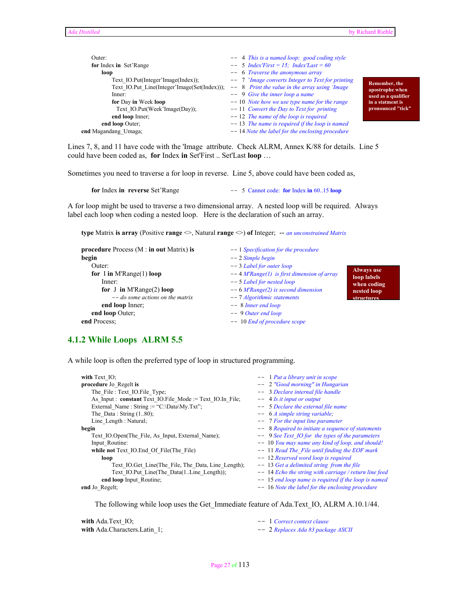| -- 4 This is a named loop; good coding style                                                       |                     |
|----------------------------------------------------------------------------------------------------|---------------------|
| $--$ 5 Index'First = 15; Index'Last = 60                                                           |                     |
| $-- 6$ Traverse the anonymous array                                                                |                     |
| -- 7 'Image converts Integer to Text for printing                                                  | Remember, the       |
| $--$ 8 Print the value in the array using 'Image'<br>Text IO. Put Line(Integer'Image(Set(Index))); | apostrophe when     |
| $--$ 9 Give the inner loop a name                                                                  | used as a qualifier |
| $-- 10$ Note how we use type name for the range                                                    | in a statment is    |
| $-- 11$ Convert the Day to Text for printing                                                       | pronounced "tick'   |
| $-- 12$ The name of the loop is required                                                           |                     |
| $-- 13$ The name is required if the loop is named                                                  |                     |
| -- 14 Note the label for the enclosing procedure                                                   |                     |
|                                                                                                    |                     |

Lines 7, 8, and 11 have code with the 'Image attribute. Check ALRM, Annex K/88 for details. Line 5 could have been coded as, **for** Index **in** Set'First .. Set'Last **loop** …

Sometimes you need to traverse a for loop in reverse. Line 5, above could have been coded as,

**for** Index **in** reverse Set'Range -- 5 Cannot code: **for** Index **in** 60..15 **loop** 

A for loop might be used to traverse a two dimensional array. A nested loop will be required. Always label each loop when coding a nested loop. Here is the declaration of such an array.

**type** Matrix **is array** (Positive **range** <>, Natural **range** <>) **of** Integer; -- *an unconstrained Matrix*

| procedure Process (M : in out Matrix) is | -- 1 Specification for the procedure          |                           |
|------------------------------------------|-----------------------------------------------|---------------------------|
| begin                                    | $-- 2$ Simple begin                           |                           |
| Outer:                                   | -- 3 Label for outer loop                     |                           |
| for $I$ in M'Range $(1)$ loop            | $--$ 4 M'Range(1) is first dimension of array | Always use<br>loop labels |
| Inner:                                   | $-- 5$ Label for nested loop                  | when coding               |
| for $J$ in M'Range $(2)$ loop            | $-- 6$ M'Range(2) is second dimension         | nested loop               |
| $--$ do some actions on the matrix       | $-- 7$ Algorithmic statements                 | structures                |
| end loop Inner;                          | $-- 8$ Inner end loop                         |                           |
| end loop Outer;                          | $--$ 9 Outer end loop                         |                           |
| end Process:                             | $-- 10$ End of procedure scope                |                           |

#### **4.1.2 While Loops ALRM 5.5**

A while loop is often the preferred type of loop in structured programming.

| with Text $IO$ :                                         | $-- 1$ Put a library unit in scope                     |
|----------------------------------------------------------|--------------------------------------------------------|
| procedure Jo Regelt is                                   | -- 2 "Good morning" in Hungarian                       |
| The File: Text IO.File Type;                             | -- 3 Declare internal file handle                      |
| As Input: constant Text_IO.File_Mode := Text_IO.In_File; | $-- 4 Is it input or output$                           |
| External Name: String := "C:\Data\My.Txt";               | $--$ 5 Declare the external file name                  |
| The Data: String $(180)$ ;                               | $-- 6 A simple string variable;$                       |
| Line Length : Natural;                                   | $--$ 7 For the input line parameter                    |
| begin                                                    | -- 8 Required to initiate a sequence of statements     |
| Text IO.Open(The File, As Input, External Name);         | $--$ 9 See Text 10 for the types of the parameters     |
| Input Routine:                                           | -- 10 You may name any kind of loop, and should!       |
| while not Text IO.End Of File(The File)                  | $--$ 11 Read The File until finding the EOF mark       |
| loop                                                     | -- 12 Reserved word loop is required                   |
| Text IO.Get Line (The File, The Data, Line Length);      | $--$ 13 Get a delimited string from the file           |
| Text IO.Put Line(The Data(1Line Length));                | -- 14 Echo the string with carriage / return line feed |
| end loop Input Routine;                                  | $--$ 15 end loop name is required if the loop is named |
| end Jo Regelt;                                           | -- 16 Note the label for the enclosing procedure       |

The following while loop uses the Get Immediate feature of Ada.Text IO, ALRM A.10.1/44.

| with Ada.Text IO;            | -- 1 Correct context clause        |
|------------------------------|------------------------------------|
| with Ada.Characters.Latin 1; | -- 2 Replaces Ada 83 package ASCII |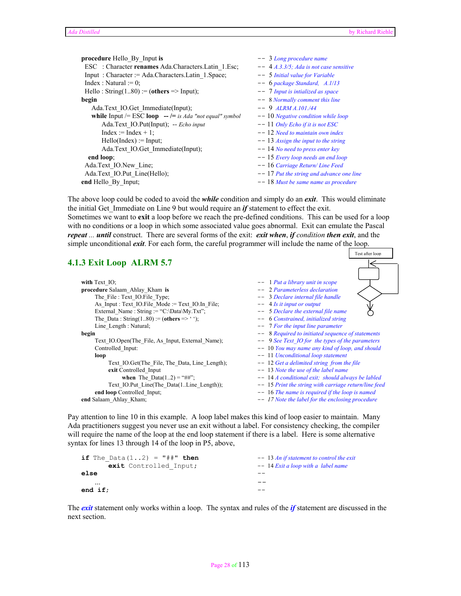Test after loop $\overline{\mathbb{K}}$ 

| procedure Hello By Input is                               | $--$ 3 Long procedure name                  |
|-----------------------------------------------------------|---------------------------------------------|
| ESC : Character renames Ada.Characters.Latin 1.Esc;       | $--$ 4 A.3.3/5; Ada is not case sensitive   |
| Input: Character := Ada.Characters.Latin $1.$ Space;      | -- 5 Initial value for Variable             |
| Index : Natural := 0;                                     | $--\,6$ package Standard, A.1/13            |
| Hello: String $(180)$ : = (others => Input);              | $--$ 7 Input is intialized as space         |
| begin                                                     | -- 8 Normally comment this line             |
| Ada.Text IO.Get Immediate(Input);                         | $-$ 9 ALRM A.101./44                        |
| while Input $/=$ ESC loop $ /=$ is Ada "not equal" symbol | $-- 10$ Negative condition while loop       |
| Ada.Text IO.Put(Input); -- Echo input                     | $-- 11$ Only Echo if it is not ESC          |
| $Index := Index + 1$ ;                                    | $-- 12$ Need to maintain own index          |
| $Hello(Index) := Input;$                                  | $-- 13$ Assign the input to the string      |
| Ada.Text IO.Get Immediate(Input);                         | $-- 14$ No need to press enter key          |
| end loop;                                                 | $-- 15$ Every loop needs an end loop        |
| Ada.Text IO.New Line;                                     | -- 16 Carriage Return/Line Feed             |
| Ada.Text IO.Put Line(Hello);                              | $-- 17$ Put the string and advance one line |
| end Hello By Input;                                       | $-- 18$ Must be same name as procedure      |

The above loop could be coded to avoid the *while* condition and simply do an *exit*. This would eliminate the initial Get\_Immediate on Line 9 but would require an *if* statement to effect the exit. Sometimes we want to **exit** a loop before we reach the pre-defined conditions. This can be used for a loop with no conditions or a loop in which some associated value goes abnormal. Exit can emulate the Pascal *repeat ... until* construct. There are several forms of the exit: *exit when*, *if condition then exit*, and the simple unconditional *exit*. For each form, the careful programmer will include the name of the loop.

# **4.1.3 Exit Loop ALRM 5.7**

| with Text $IO$ ;                                  | $-- 1$ Put a library unit in scope                    |
|---------------------------------------------------|-------------------------------------------------------|
| procedure Salaam_Ahlay_Kham is                    | -- 2 Parameterless declaration                        |
| The File: Text IO.File Type;                      | -- 3 Declare internal file handle                     |
| As Input: Text IO. File Mode := Text IO. In File; | $-- 4 Is it input or output$                          |
| External Name: String := "C:\Data\My.Txt";        | -- 5 Declare the external file name                   |
| The Data: String(180) := (others => '');          | -- 6 Constrained, initialized string                  |
| Line Length : Natural;                            | $--$ 7 For the input line parameter                   |
| begin                                             | -- 8 Required to initiated sequence of statements     |
| Text IO.Open(The File, As Input, External Name);  | $--$ 9 See Text 10 for the types of the parameters    |
| Controlled Input:                                 | $--$ 10 You may name any kind of loop, and should     |
| loop                                              | -- 11 Unconditional loop statement                    |
| Text IO.Get(The File, The Data, Line Length);     | -- 12 Get a delimited string from the file            |
| exit Controlled Input                             | $--$ 13 Note the use of the label name                |
| <b>when</b> The Data $(12) =$ "##";               | -- 14 A conditional exit; should always be labled     |
| Text IO.Put Line(The Data(1Line Length));         | -- 15 Print the string with carriage return/line feed |
| end loop Controlled Input;                        | $-- 16$ The name is required if the loop is named     |
| end Salaam Ahlay Kham;                            | -- 17 Note the label for the enclosing procedure      |

Pay attention to line 10 in this example. A loop label makes this kind of loop easier to maintain. Many Ada practitioners suggest you never use an exit without a label. For consistency checking, the compiler will require the name of the loop at the end loop statement if there is a label. Here is some alternative syntax for lines 13 through 14 of the loop in P5, above,

```
if The Data(1..2) = "##" then -- 13 An if statement to control the exit
    exit Controlled_Input; -- 14 Exit a loop with a label name
else --
  ... --
end if; \qquad \qquad --
```
The *exit* statement only works within a loop. The syntax and rules of the *if* statement are discussed in the next section.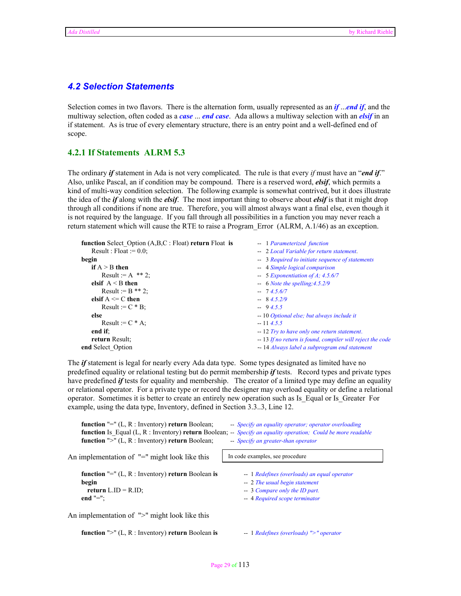#### *4.2 Selection Statements*

Selection comes in two flavors. There is the alternation form, usually represented as an *if* ...*end if*, and the multiway selection, often coded as a *case* ... *end case*. Ada allows a multiway selection with an *elsif* in an if statement. As is true of every elementary structure, there is an entry point and a well-defined end of scope.

#### **4.2.1 If Statements ALRM 5.3**

The ordinary *if* statement in Ada is not very complicated. The rule is that every *if* must have an "*end if*." Also, unlike Pascal, an if condition may be compound. There is a reserved word, *elsif*, which permits a kind of multi-way condition selection. The following example is somewhat contrived, but it does illustrate the idea of the *if* along with the *elsif*. The most important thing to observe about *elsif* is that it might drop through all conditions if none are true. Therefore, you will almost always want a final else, even though it is not required by the language. If you fall through all possibilities in a function you may never reach a return statement which will cause the RTE to raise a Program\_Error (ALRM, A.1/46) as an exception.

| <b>function</b> Select Option $(A,B,C : \text{Float})$ return Float is | -- 1 Parameterized function                                |
|------------------------------------------------------------------------|------------------------------------------------------------|
| Result : Float := $0.0$ ;                                              | - 2 Local Variable for return statement.                   |
| begin                                                                  | -- 3 Required to initiate sequence of statements           |
| if $A > B$ then                                                        | -- 4 Simple logical comparison                             |
| Result := $A$ ** 2;                                                    | $-5$ Exponentiation of A; 4.5.6/7                          |
| elsif $A \leq B$ then                                                  | $-6$ Note the spelling; 4.5.2/9                            |
| Result := $B ** 2$ ;                                                   | $-74.5.6/7$                                                |
| elsif $A \leq C$ then                                                  | $-84.5.2/9$                                                |
| Result := $C * B$ ;                                                    | $-94.5.5$                                                  |
| else                                                                   | -- 10 Optional else; but always include it                 |
| Result := $C^* A$ :                                                    | $-114.5.5$                                                 |
| end if:                                                                | -- 12 Try to have only one return statement.               |
| return Result:                                                         | -- 13 If no return is found, compiler will reject the code |
| end Select Option                                                      | -- 14 Always label a subprogram end statement              |

The *if* statement is legal for nearly every Ada data type. Some types designated as limited have no predefined equality or relational testing but do permit membership *if* tests. Record types and private types have predefined *if* tests for equality and membership. The creator of a limited type may define an equality or relational operator. For a private type or record the designer may overload equality or define a relational operator. Sometimes it is better to create an entirely new operation such as Is\_Equal or Is\_Greater For example, using the data type, Inventory, defined in Section 3.3..3, Line 12.

| <b>function</b> "=" $(L, R : Inventory)$ <b>return</b> Boolean;<br><b>function</b> ">" $(L, R : Inventory)$ <b>return</b> Boolean; | - Specify an equality operator; operator overloading<br><b>function</b> Is Equal $(L, R:$ Inventory) <b>return</b> Boolean; $-$ <i>Specify an equality operation; Could be more readable</i><br>-- Specify an greater-than operator |
|------------------------------------------------------------------------------------------------------------------------------------|-------------------------------------------------------------------------------------------------------------------------------------------------------------------------------------------------------------------------------------|
| An implementation of "=" might look like this                                                                                      | In code examples, see procedure                                                                                                                                                                                                     |
| <b>function</b> "=" $(L, R : Inventory)$ <b>return</b> Boolean is<br>begin<br>return $L.ID = R.ID$ ;<br>end $"="$ :                | -- 1 Redefines (overloads) an equal operator<br>-- 2 The usual begin statement<br>-- 3 Compare only the ID part.<br>-- 4 Required scope terminator                                                                                  |
| An implementation of ">" might look like this                                                                                      |                                                                                                                                                                                                                                     |
|                                                                                                                                    |                                                                                                                                                                                                                                     |

**function** ">" (L, R : Inventory) **return** Boolean **is** -- 1 *Redefines (overloads) ">" operator*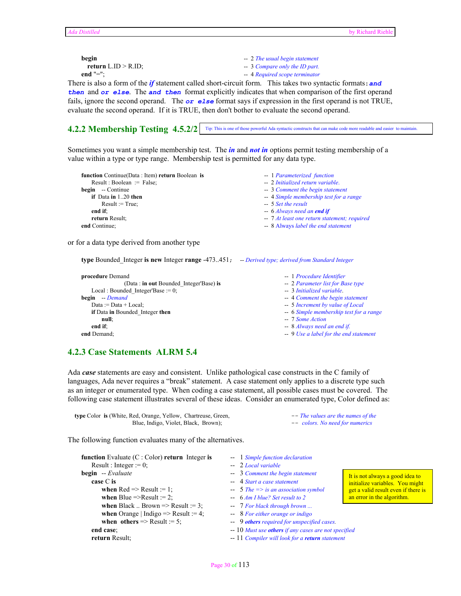| begin                  | -- 2 The usual begin statement                                                                                    |
|------------------------|-------------------------------------------------------------------------------------------------------------------|
| return $L.ID > R.ID$ ; | -- 3 Compare only the ID part.                                                                                    |
| end $"="$              | -- 4 Required scope terminator                                                                                    |
|                        | There is also a form of the <i>if</i> statement called short-circuit form. This takes two syntactic formats: and  |
|                        | then and or else. The and then format explicitly indicates that when comparison of the first operand              |
|                        | fails, ignore the second operand. The $\sigma r$ else format says if expression in the first operand is not TRUE, |

evaluate the second operand. If it is TRUE, then don't bother to evaluate the second operand.

**4.2.2 Membership Testing 4.5.2/2** Tip: This is one of those powerful Ada syntactic constructs that can make code more readable and easier to maintain.

Sometimes you want a simple membership test. The *in* and *not in* options permit testing membership of a value within a type or type range. Membership test is permitted for any data type.

```
function Continue(Data : Item) return Boolean is -- 1 Parameterized function
  Result : Boolean := False; -- 2 Initialized return variable.
begin -- Continue -- 3 Comment the begin statement
  if Data in 1..20 then \qquad \qquad -- 4 Simple membership test for a range
    Result := True; -- 5 Set the result
  end if; -- 6 Always need an end if
  return Result; -7 At least one return statement; required
end Continue; -8 Always label the end statement
```
or for a data type derived from another type

**type** Bounded\_Integer **is new** Integer **range** -473..451; -- *Derived type; derived from Standard Integer*

```
procedure Demand -- 1 Procedure Identifier
          (Data : in out Bounded_Integer'Base) is -- 2 Parameter list for Base type
  Local : Bounded_Integer'Base := 0; -- 3 Initialized variable.
begin -- Demand -- A Comment the begin statement
  Data := Data + Local; -5 Increment by value of Local
  if Data in Bounded Integer then -- 6 Simple membership test for a range
  null;<br>
end if: \qquad \qquad - 7 Some Action<br>
\qquad - 8 Always need
end Demand; -9 Use a label for the end statement
```
- 
- 
- 
- 
- 
- 
- 
- **example 3** *Always need an end if.*
- 

#### **4.2.3 Case Statements ALRM 5.4**

Ada *case* statements are easy and consistent. Unlike pathological case constructs in the C family of languages, Ada never requires a "break" statement. A case statement only applies to a discrete type such as an integer or enumerated type. When coding a case statement, all possible cases must be covered. The following case statement illustrates several of these ideas. Consider an enumerated type, Color defined as:

| <b>type Color is (White, Red, Orange, Yellow, Chartreuse, Green,</b> | $--$ The values are the names of the |
|----------------------------------------------------------------------|--------------------------------------|
| Blue, Indigo, Violet, Black, Brown);                                 | -- colors. No need for numerics      |

The following function evaluates many of the alternatives.

| function Evaluate $(C:Color)$ return Integer is    | -- 1 Simple function declaration                       |                                     |
|----------------------------------------------------|--------------------------------------------------------|-------------------------------------|
| Result : Integer := 0;                             | -- 2 Local variable                                    |                                     |
| <b>begin</b> $-$ <i>Evaluate</i>                   | -- 3 Comment the begin statement                       | It is not always a good idea to     |
| case $C$ is                                        | -- 4 Start a case statement                            | initialize variables. You might     |
| when $\text{Red} \Rightarrow \text{Result} := 1$ ; | $-5$ The $\Rightarrow$ is an association symbol        | get a valid result even if there is |
| when Blue =>Result := 2:                           | $-6$ Am I blue? Set result to 2                        | an error in the algorithm.          |
| when Black  Brown $\Rightarrow$ Result := 3;       | -- 7 For black through brown                           |                                     |
| when Orange   Indigo $\Rightarrow$ Result := 4;    | -- 8 For either orange or indigo                       |                                     |
| when others $\Rightarrow$ Result := 5;             | -- 9 others required for unspecified cases.            |                                     |
| end case:                                          | -- 10 Must use others if any cases are not specified   |                                     |
| return Result:                                     | -- 11 Compiler will look for a <b>return</b> statement |                                     |
|                                                    |                                                        |                                     |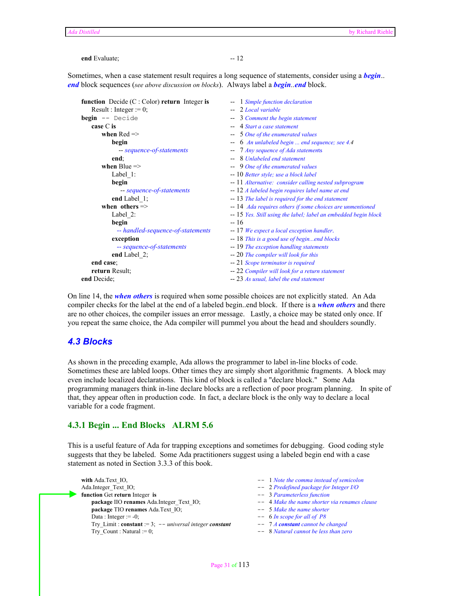| end Evaluate: | -- 12 |
|---------------|-------|
|               |       |

Sometimes, when a case statement result requires a long sequence of statements, consider using a *begin*.. *end* block sequences (*see above discussion on blocks*). Always label a *begin..end* block.

```
function Decide (C : Color) return Integer is -- 1 Simple function declaration
  Result: Integer := 0; -- 2 Local variable
begin -- Decide -- 3 Comment the begin statement
  case C is -- 4 Start a case statement
     when \text{Red} \equiv \text{?} -- 5 One of the enumerated values
       begin \qquad \qquad -6 An unlabeled begin ... end sequence; see 4.4
           -- sequence-of-statements -- 7 Any sequence of Ada statements
        end; \qquad \qquad -8 Unlabeled end statement
     when Blue \Rightarrow -- 9 One of the enumerated values
        Label 1: -10 Better style; use a block label
        begin \qquad \qquad \qquad \text{--} \quad 11 Alternative: consider calling nested subprogram
           -- sequence-of-statements -- 12 A labeled begin requires label name at end
        end Label 1; \qquad \qquad -13 The label is required for the end statement
     when others => \blacksquare -- 14 Ada requires others if some choices are unmentioned
        Label_2: -- 15 Yes. Still using the label; label an embedded begin block
        begin -16 -- handled-sequence-of-statements -- 17 We expect a local exception handler.
        exception -- 18 This is a good use of begin...end blocks
          -- sequence-of-statements -- 19 The exception handling statements
        end Label_2; -- 20 The compiler will look for this
  end case; \qquad \qquad -21 Scope terminator is required
  return Result; -- 22 Compiler will look for a return statement
end Decide; \qquad \qquad -23 As usual, label the end statement
```
On line 14, the *when others* is required when some possible choices are not explicitly stated. An Ada compiler checks for the label at the end of a labeled begin..end block. If there is a *when others* and there are no other choices, the compiler issues an error message. Lastly, a choice may be stated only once. If you repeat the same choice, the Ada compiler will pummel you about the head and shoulders soundly.

#### *4.3 Blocks*

As shown in the preceding example, Ada allows the programmer to label in-line blocks of code. Sometimes these are labled loops. Other times they are simply short algorithmic fragments. A block may even include localized declarations. This kind of block is called a "declare block." Some Ada programming managers think in-line declare blocks are a reflection of poor program planning. In spite of that, they appear often in production code. In fact, a declare block is the only way to declare a local variable for a code fragment.

#### **4.3.1 Begin ... End Blocks ALRM 5.6**

This is a useful feature of Ada for trapping exceptions and sometimes for debugging. Good coding style suggests that they be labeled. Some Ada practitioners suggest using a labeled begin end with a case statement as noted in Section 3.3.3 of this book.

| with Ada.Text IO,                                         | $--$ 1 Note the comma instead of semicolon    |  |
|-----------------------------------------------------------|-----------------------------------------------|--|
| Ada.Integer Text IO;                                      | -- 2 Predefined package for Integer I/O       |  |
| function Get return Integer is                            | -- 3 Parameterless function                   |  |
| package IIO renames Ada. Integer Text IO;                 | -- 4 Make the name shorter via renames clause |  |
| package TIO renames Ada.Text IO;                          | $--$ 5 Make the name shorter                  |  |
| Data : Integer := $-0$ ;                                  | $--\,6$ In scope for all of P8                |  |
| Try Limit: constant $= 3$ ; -- universal integer constant | $-- 7A constant cannot be changed$            |  |
| Try Count: Natural $:= 0$ ;                               | $--$ 8 Natural cannot be less than zero       |  |
|                                                           |                                               |  |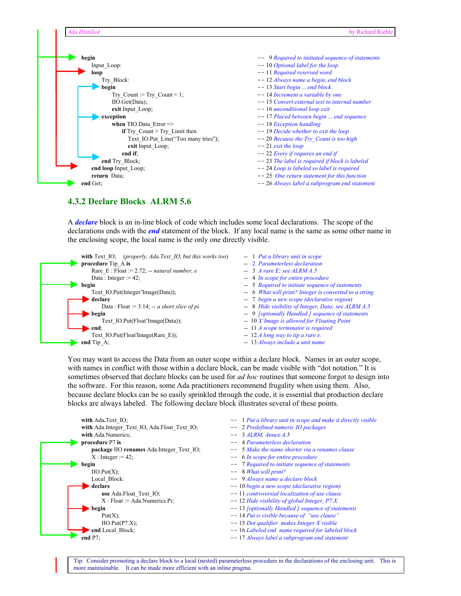

#### **4.3.2 Declare Blocks ALRM 5.6**

A *declare* block is an in-line block of code which includes some local declarations. The scope of the declarations ends with the *end* statement of the block. If any local name is the same as some other name in the enclosing scope, the local name is the only one directly visible.



You may want to access the Data from an outer scope within a declare block. Names in an outer scope, with names in conflict with those within a declare block, can be made visible with "dot notation." It is sometimes observed that declare blocks can be used for *ad hoc* routines that someone forgot to design into the software. For this reason, some Ada practitioners recommend frugality when using them. Also, because declare blocks can be so easily sprinkled through the code, it is essential that production declare blocks are always labeled. The following declare block illustrates several of these points.



Fig. Consider promoting a decided block to a local (liested) parameteriess<br>more maintainable. It can be made more efficient with an inline pragma. Tip: Consider promoting a declare block to a local (nested) parameterless procedure in the declarations of the enclosing unit. This is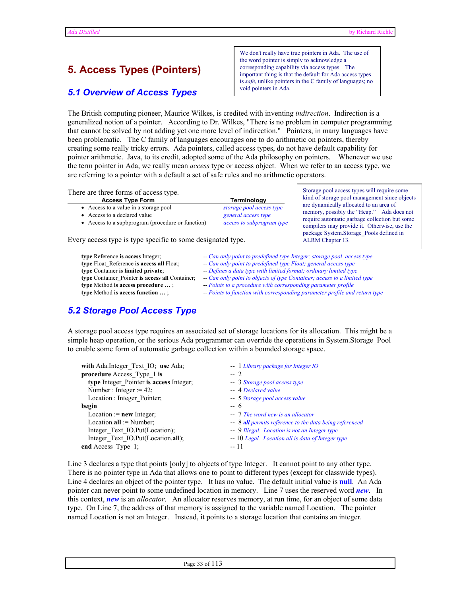Storage pool access types will require some

# **5. Access Types (Pointers)**

# *5.1 Overview of Access Types*

We don't really have true pointers in Ada. The use of the word pointer is simply to acknowledge a corresponding capability via access types. The important thing is that the default for Ada access types is *safe*, unlike pointers in the C family of languages; no void pointers in Ada.

The British computing pioneer, Maurice Wilkes, is credited with inventing *indirection*. Indirection is a generalized notion of a pointer. According to Dr. Wilkes, "There is no problem in computer programming that cannot be solved by not adding yet one more level of indirection." Pointers, in many languages have been problematic. The C family of languages encourages one to do arithmetic on pointers, thereby creating some really tricky errors. Ada pointers, called access types, do not have default capability for pointer arithmetic. Java, to its credit, adopted some of the Ada philosophy on pointers. Whenever we use the term pointer in Ada, we really mean *access* type or access object. When we refer to an access type, we are referring to a pointer with a default a set of safe rules and no arithmetic operators.

There are three forms of access type.

| <b>Access Type Form</b>                                                                                                   | Terminology                                                                  | kind of storage pool management since objects                                                                                                                                         |
|---------------------------------------------------------------------------------------------------------------------------|------------------------------------------------------------------------------|---------------------------------------------------------------------------------------------------------------------------------------------------------------------------------------|
| • Access to a value in a storage pool<br>• Access to a declared value<br>• Access to a supprogram (procedure or function) | storage pool access type<br>general access type<br>access to subprogram type | are dynamically allocated to an area of<br>memory, possibly the "Heap." Ada does not<br>require automatic garbage collection but some<br>compilers may provide it. Otherwise, use the |
| Every access type is type specific to some designated type.                                                               |                                                                              | package System.Storage Pools defined in<br>ALRM Chapter 13.                                                                                                                           |

**type** Reference **is access** Integer;  $\qquad \qquad - Can only point to predefined type Integer; storage pool access type$ **type** Float\_Reference **is access all** Float; -- *Can only point to predefined type Float; general access type* **type** Container **is limited private**;  $\qquad -\text{Defines a data type with limited format; ordinary limited type$ **type** Container\_Pointer **is access all** Container; -- *Can only point to objects of type Container; access to a limited type* **type** Method **is access procedure ...**; -- *Points to a procedure with corresponding parameter profile* **type** Method **is access function ...**; -- *Points to function with corresponding parameter profile and return type* 

# *5.2 Storage Pool Access Type*

A storage pool access type requires an associated set of storage locations for its allocation. This might be a simple heap operation, or the serious Ada programmer can override the operations in System.Storage Pool to enable some form of automatic garbage collection within a bounded storage space.

| with Ada.Integer Text IO; use Ada;      | -- 1 Library package for Integer IO                            |
|-----------------------------------------|----------------------------------------------------------------|
| procedure Access Type 1 is              | $-2$                                                           |
| type Integer Pointer is access Integer; | -- 3 Storage pool access type                                  |
| Number: Integer: $= 42$ ;               | -- 4 Declared value                                            |
| Location : Integer Pointer;             | -- 5 Storage pool access value                                 |
| begin                                   | $-6$                                                           |
| Location $:=$ <b>new</b> Integer;       | -- 7 The word new is an allocator                              |
| Location.all := $Number$ ;              | -- 8 <b>all</b> permits reference to the data being referenced |
| Integer Text IO.Put(Location);          | -- 9 Illegal. Location is not an Integer type                  |
| Integer Text IO.Put(Location.all);      | -- 10 Legal. Location all is data of Integer type              |
| end Access Type $1$ ;                   | -- 11                                                          |

Line 3 declares a type that points [only] to objects of type Integer. It cannot point to any other type. There is no pointer type in Ada that allows one to point to different types (except for classwide types). Line 4 declares an object of the pointer type. It has no value. The default initial value is **null**. An Ada pointer can never point to some undefined location in memory. Line 7 uses the reserved word *new*. In this context, *new* is an *allocator*. An allocator reserves memory, at run time, for an object of some data type. On Line 7, the address of that memory is assigned to the variable named Location. The pointer named Location is not an Integer. Instead, it points to a storage location that contains an integer.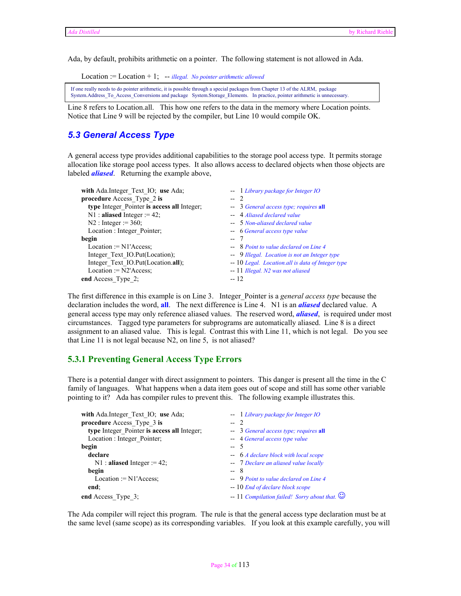Ada, by default, prohibits arithmetic on a pointer. The following statement is not allowed in Ada.

Location := Location + 1; -- *illegal. No pointer arithmetic allowed*

If one really needs to do pointer arithmetic, it is possible through a special packages from Chapter 13 of the ALRM, package System.Address\_To\_Access\_Conversions and package System.Storage\_Elements. In practice, pointer arithmetic is unnecessary.

Line 8 refers to Location.all. This how one refers to the data in the memory where Location points. Notice that Line 9 will be rejected by the compiler, but Line 10 would compile OK.

#### *5.3 General Access Type*

A general access type provides additional capabilities to the storage pool access type. It permits storage allocation like storage pool access types. It also allows access to declared objects when those objects are labeled *aliased*. Returning the example above,

| with Ada.Integer Text IO; use Ada;          | -- 1 Library package for Integer IO               |
|---------------------------------------------|---------------------------------------------------|
| procedure Access Type 2 is                  | $-2$                                              |
| type Integer Pointer is access all Integer; | -- 3 General access type; requires all            |
| N1 : aliased Integer := 42;                 | -- 4 Aliased declared value                       |
| $N2$ : Integer := 360;                      | -- 5 Non-aliased declared value                   |
| Location : Integer Pointer;                 | -- 6 General access type value                    |
| begin                                       | -- 7                                              |
| Location $:= N1'$ Access;                   | -- 8 Point to value declared on Line 4            |
| Integer Text IO.Put(Location);              | -- 9 Illegal. Location is not an Integer type     |
| Integer Text IO.Put(Location.all);          | -- 10 Legal. Location.all is data of Integer type |
| Location $=$ N2'Access:                     | -- 11 Illegal. N2 was not aliased                 |
| end Access Type 2;                          | $-12$                                             |

The first difference in this example is on Line 3. Integer\_Pointer is a *general access type* because the declaration includes the word, **all**. The next difference is Line 4. N1 is an *aliased* declared value. A general access type may only reference aliased values. The reserved word, *aliased*, is required under most circumstances. Tagged type parameters for subprograms are automatically aliased. Line 8 is a direct assignment to an aliased value. This is legal. Contrast this with Line 11, which is not legal. Do you see that Line 11 is not legal because N2, on line 5, is not aliased?

#### **5.3.1 Preventing General Access Type Errors**

There is a potential danger with direct assignment to pointers. This danger is present all the time in the C family of languages. What happens when a data item goes out of scope and still has some other variable pointing to it? Ada has compiler rules to prevent this. The following example illustrates this.

| with Ada.Integer Text IO; use Ada;          | -- 1 Library package for Integer IO                    |
|---------------------------------------------|--------------------------------------------------------|
| procedure Access Type 3 is                  | $-2$                                                   |
| type Integer Pointer is access all Integer; | -- 3 General access type; requires all                 |
| Location : Integer Pointer;                 | -- 4 General access type value                         |
| begin                                       | $-5$                                                   |
| declare                                     | -- 6 A declare block with local scope                  |
| $N1$ : aliased Integer := 42;               | -- 7 Declare an aliased value locally                  |
| begin                                       | -- 8                                                   |
| Location $:= N1'$ Access:                   | -- 9 Point to value declared on Line 4                 |
| end:                                        | -- 10 End of declare block scope                       |
| end Access Type 3;                          | -- 11 Compilation failed! Sorry about that. $\bigcirc$ |

The Ada compiler will reject this program. The rule is that the general access type declaration must be at the same level (same scope) as its corresponding variables. If you look at this example carefully, you will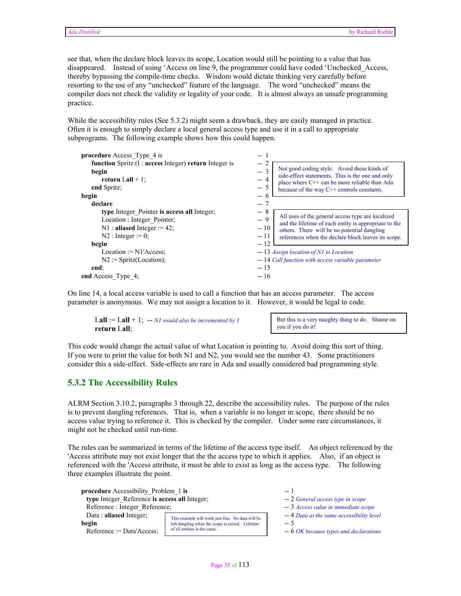see that, when the declare block leaves its scope, Location would still be pointing to a value that has disappeared. Instead of using 'Access on line 9, the programmer could have coded 'Unchecked\_Access, thereby bypassing the compile-time checks. Wisdom would dictate thinking very carefully before resorting to the use of any "unchecked" feature of the language. The word "unchecked" means the compiler does not check the validity or legality of your code. It is almost always an unsafe programming practice.

While the accessibility rules (See 5.3.2) might seem a drawback, they are easily managed in practice. Often it is enough to simply declare a local general access type and use it in a call to appropriate subprograms. The following example shows how this could happen.

| <b>procedure</b> Access Type 4 is<br><b>function</b> Spritz $(I : access Integer)$ <b>return</b> Integer is<br>begin<br>return I.all $+1$ ;<br>end Spritz;<br>begin<br>declare | -- 1<br>-- 2<br>Not good coding style. Avoid these kinds of<br>$-3$<br>side-effect statements. This is the one and only<br>$-4$<br>place where C++ can be more reliable than Ada<br>$-5$<br>because of the way C++ controls constants.<br>$-6$<br>$-7$      |
|--------------------------------------------------------------------------------------------------------------------------------------------------------------------------------|-------------------------------------------------------------------------------------------------------------------------------------------------------------------------------------------------------------------------------------------------------------|
| type Integer Pointer is access all Integer;<br>Location : Integer Pointer;<br>$N1$ : aliased Integer := 42;<br>$N2$ : Integer := 0;<br>begin                                   | -- 8<br>All uses of the general access type are localized<br>$-9$<br>and the lifetime of each entity is appropriate to the<br>$-10$<br>others. There will be no potential dangling<br>$-11$<br>references when the declare block leaves its scope.<br>$-12$ |
| Location $:= N1'$ Access:<br>$N2 :=$ Spritz(Location);<br>end:<br>end Access Type 4;                                                                                           | -- 13 Assign location of N1 to Location<br>-- 14 Call function with access variable parameter<br>$-15$<br>$-16$                                                                                                                                             |

On line 14, a local access variable is used to call a function that has an access parameter. The access parameter is anonymous. We may not assign a location to it. However, it would be legal to code.

 $I.$ **all** :=  $I.$ **all** + 1; -- *N1* would also be incremented by 1 **return** I.**all**;

But this is a very naughty thing to do. Shame on you if you do it!

This code would change the actual value of what Location is pointing to. Avoid doing this sort of thing. If you were to print the value for both N1 and N2, you would see the number 43. Some practitioners consider this a side-effect. Side-effects are rare in Ada and usually considered bad programming style.

#### **5.3.2 The Accessibility Rules**

ALRM Section 3.10.2, paragraphs 3 through 22, describe the accessibility rules. The purpose of the rules is to prevent dangling references. That is, when a variable is no longer in scope, there should be no access value trying to reference it. This is checked by the compiler. Under some rare circumstances, it might not be checked until run-time.

The rules can be summarized in terms of the lifetime of the access type itself. An object referenced by the 'Access attribute may not exist longer that the the access type to which it applies. Also, if an object is referenced with the 'Access attribute, it must be able to exist as long as the access type. The following three examples illustrate the point.

| <b>procedure</b> Accessibility Problem 1 is<br>type Integer Reference is access all Integer; |                                                   | -- I<br>-- 2 General access type in scope |
|----------------------------------------------------------------------------------------------|---------------------------------------------------|-------------------------------------------|
| Reference: Integer Reference;                                                                |                                                   | -- 3 Access value in immediate scope      |
| Data : <b>aliased</b> Integer:                                                               | This example will work just fine. No data will be | -- 4 Data at the same accessibility level |
| begin                                                                                        | left dangling when the scope is exited. Lifetime  | $-5$                                      |
| $Reference := Data'Access$ ;                                                                 | of all entities is the same.                      | -- 6 OK because types and declarations    |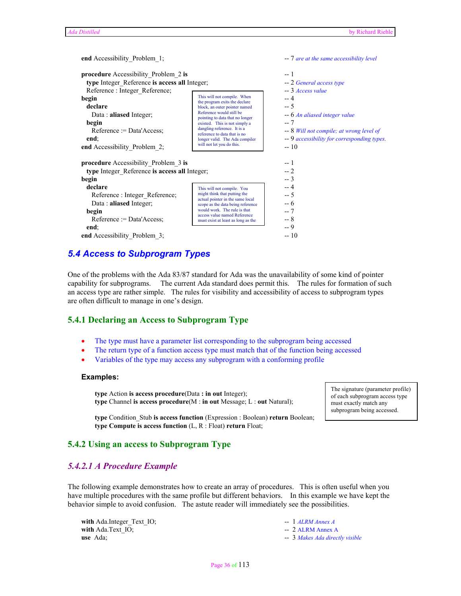| end Accessibility Problem 1;                                                                                                                                                                                                                                        |                                                                                                                                                                                                                                                                                                                             | -- 7 are at the same accessibility level                                                                                                                                                                           |
|---------------------------------------------------------------------------------------------------------------------------------------------------------------------------------------------------------------------------------------------------------------------|-----------------------------------------------------------------------------------------------------------------------------------------------------------------------------------------------------------------------------------------------------------------------------------------------------------------------------|--------------------------------------------------------------------------------------------------------------------------------------------------------------------------------------------------------------------|
| <b>procedure</b> Accessibility Problem 2 is<br>type Integer Reference is access all Integer;<br>Reference : Integer Reference;<br>begin<br>declare<br>Data : <b>aliased</b> Integer;<br>begin<br>$Reference := Data'Access$<br>end:<br>end Accessibility Problem 2; | This will not compile. When<br>the program exits the declare<br>block, an outer pointer named<br>Reference would still be<br>pointing to data that no longer<br>existed. This is not simply a<br>dangling reference. It is a<br>reference to data that is no<br>longer valid. The Ada compiler<br>will not let you do this. | -- 1<br>-- 2 General access type<br>$-3$ Access value<br>-- 4<br>$-5$<br>-- 6 An aliased integer value<br>$-7$<br>-- 8 Will not compile; at wrong level of<br>-- 9 accessibility for corresponding types.<br>$-10$ |
| procedure Accessibility_Problem_3 is                                                                                                                                                                                                                                |                                                                                                                                                                                                                                                                                                                             | -- 1                                                                                                                                                                                                               |
| type Integer Reference is access all Integer;                                                                                                                                                                                                                       |                                                                                                                                                                                                                                                                                                                             | $-2$                                                                                                                                                                                                               |
| begin                                                                                                                                                                                                                                                               |                                                                                                                                                                                                                                                                                                                             | $-3$                                                                                                                                                                                                               |
| declare                                                                                                                                                                                                                                                             | This will not compile. You                                                                                                                                                                                                                                                                                                  | $-4$                                                                                                                                                                                                               |
| Reference : Integer Reference;                                                                                                                                                                                                                                      | might think that putting the<br>actual pointer in the same local                                                                                                                                                                                                                                                            | $-5$                                                                                                                                                                                                               |
| Data : <b>aliased</b> Integer;                                                                                                                                                                                                                                      | scope as the data being reference                                                                                                                                                                                                                                                                                           | -- 6                                                                                                                                                                                                               |
| begin                                                                                                                                                                                                                                                               | would work. The rule is that<br>access value named Reference                                                                                                                                                                                                                                                                | -- 7                                                                                                                                                                                                               |
| $Reference := Data'Access$                                                                                                                                                                                                                                          | must exist at least as long as the                                                                                                                                                                                                                                                                                          | -- 8                                                                                                                                                                                                               |
| end:                                                                                                                                                                                                                                                                |                                                                                                                                                                                                                                                                                                                             | -- 9                                                                                                                                                                                                               |
| end Accessibility Problem 3;                                                                                                                                                                                                                                        |                                                                                                                                                                                                                                                                                                                             | $-10$                                                                                                                                                                                                              |

# *5.4 Access to Subprogram Types*

One of the problems with the Ada 83/87 standard for Ada was the unavailability of some kind of pointer capability for subprograms. The current Ada standard does permit this. The rules for formation of such an access type are rather simple. The rules for visibility and accessibility of access to subprogram types are often difficult to manage in one's design.

# **5.4.1 Declaring an Access to Subprogram Type**

- The type must have a parameter list corresponding to the subprogram being accessed
- The return type of a function access type must match that of the function being accessed
- Variables of the type may access any subprogram with a conforming profile

#### **Examples:**

**type** Action **is access procedure**(Data **: in out** Integer); **type** Channel **is access procedure**(M : **in out** Message; L : **out** Natural);

The signature (parameter profile) of each subprogram access type must exactly match any subprogram being accessed.

**type** Condition\_Stub **is access function** (Expression : Boolean) **return** Boolean; **type Compute is access function** (L, R : Float) **return** Float;

# **5.4.2 Using an access to Subprogram Type**

#### *5.4.2.1 A Procedure Example*

The following example demonstrates how to create an array of procedures. This is often useful when you have multiple procedures with the same profile but different behaviors. In this example we have kept the behavior simple to avoid confusion. The astute reader will immediately see the possibilities.

with Ada.Integer Text IO;  $- 1$  *ALRM Annex A* with Ada.Text IO;  $-2$  ALRM Annex A **use** Ada;  $\qquad \qquad -3$  *Makes Ada directly visible*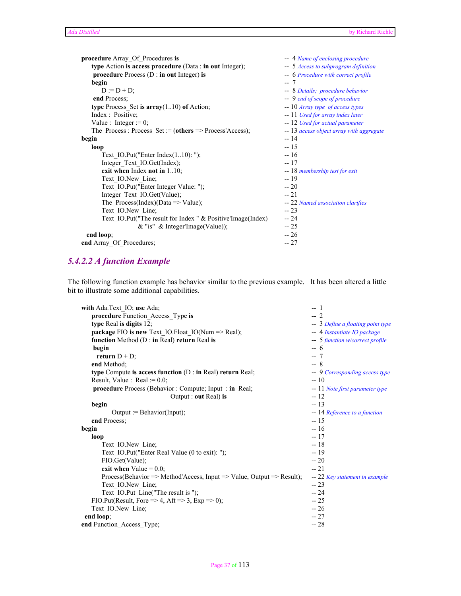| procedure Array Of Procedures is                            | -- 4 Name of enclosing procedure         |
|-------------------------------------------------------------|------------------------------------------|
| type Action is access procedure (Data : in out Integer);    | -- 5 Access to subprogram definition     |
| procedure Process $(D : in out Integer)$ is                 | -- 6 Procedure with correct profile      |
| begin                                                       | $-7$                                     |
| $D := D + D$ ;                                              | -- 8 Details; procedure behavior         |
| end Process:                                                | -- 9 end of scope of procedure           |
| type Process Set is $array(110)$ of Action;                 | -- 10 Array type of access types         |
| Index : Positive;                                           | -- 11 Used for array index later         |
| Value : Integer := 0;                                       | -- 12 Used for actual parameter          |
| The Process : Process Set := (others => Process'Access);    | -- 13 access object array with aggregate |
| begin                                                       | $-14$                                    |
| loop                                                        | $-15$                                    |
| Text IO. Put("Enter Index $(110)$ : ");                     | $-16$                                    |
| Integer Text IO.Get(Index);                                 | $-17$                                    |
| exit when Index not in $110$ ;                              | -- 18 membership test for exit           |
| Text IO.New Line;                                           | $-19$                                    |
| Text IO.Put("Enter Integer Value: ");                       | $-20$                                    |
| Integer Text IO.Get(Value);                                 | $-21$                                    |
| The Process(Index)(Data $\Rightarrow$ Value);               | -- 22 Named association clarifies        |
| Text IO.New Line;                                           | $-23$                                    |
| Text IO.Put("The result for Index " & Positive'Image(Index) | $-24$                                    |
| $\&$ "is" $\&$ Integer'Image(Value));                       | $-25$                                    |
| end loop;                                                   | $-26$                                    |
| end Array Of Procedures;                                    | $-27$                                    |

# *5.4.2.2 A function Example*

The following function example has behavior similar to the previous example. It has been altered a little bit to illustrate some additional capabilities.

| with Ada.Text IO; use Ada;                                            | $-1$                              |
|-----------------------------------------------------------------------|-----------------------------------|
| procedure Function_Access_Type is                                     | $-2$                              |
| type Real is digits 12;                                               | -- 3 Define a floating point type |
| package FIO is new Text IO.Float IO(Num $\Rightarrow$ Real);          | -- 4 Instantiate IO package       |
| function Method (D : in Real) return Real is                          | -- 5 function w/correct profile   |
| begin                                                                 | -- 6                              |
| return $D + D$ ;                                                      | $-7$                              |
| end Method;                                                           | -- 8                              |
| type Compute is access function (D : in Real) return Real;            | -- 9 Corresponding access type    |
| Result, Value : Real := $0.0$ ;                                       | $-10$                             |
| <b>procedure</b> Process (Behavior: Compute; Input: in Real;          | -- 11 Note first parameter type   |
| Output : out Real) is                                                 | $-12$                             |
| begin                                                                 | $-13$                             |
| Output := Behavior(Input);                                            | -- 14 Reference to a function     |
| end Process;                                                          | $-15$                             |
| begin                                                                 | $-16$                             |
| loop                                                                  | $-17$                             |
| Text IO.New Line;                                                     | $-18$                             |
| Text IO. Put ("Enter Real Value $(0 \text{ to exit})$ : ");           | $-19$                             |
| FIO.Get(Value);                                                       | $-20$                             |
| exit when Value = $0.0$ ;                                             | $-21$                             |
| Process(Behavior => Method'Access, Input => Value, Output => Result); | -- 22 Key statement in example    |
| Text IO.New Line;                                                     | $-23$                             |
| Text IO. Put Line ("The result is ");                                 | $-24$                             |
| FIO.Put(Result, Fore => 4, Aft => 3, Exp => 0);                       | $-25$                             |
| Text IO.New Line;                                                     | $-26$                             |
| end loop;                                                             | $-27$                             |
| end Function_Access_Type;                                             | $-28$                             |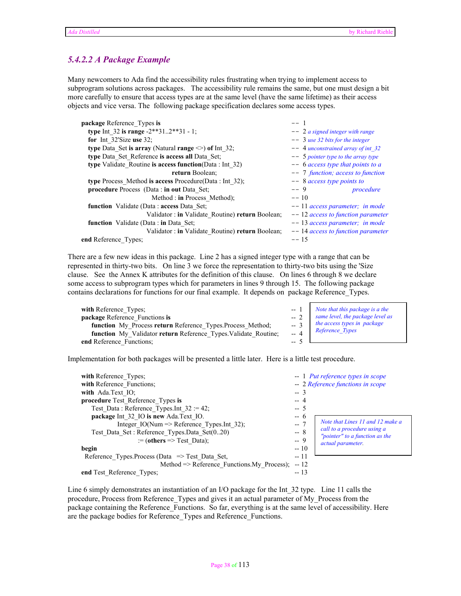# *5.4.2.2 A Package Example*

Many newcomers to Ada find the accessibility rules frustrating when trying to implement access to subprogram solutions across packages. The accessibility rule remains the same, but one must design a bit more carefully to ensure that access types are at the same level (have the same lifetime) as their access objects and vice versa. The following package specification declares some access types.

| package Reference Types is                                | $-- 1$                                |
|-----------------------------------------------------------|---------------------------------------|
| type Int 32 is range $-2**312**31-1$ ;                    | $--$ 2 a signed integer with range    |
| for Int $32$ 'Size use $32$ :                             | $--$ 3 use 32 bits for the integer    |
| type Data Set is array (Natural range $\leq$ ) of Int 32; | -- 4 unconstrained array of int 32    |
| type Data Set Reference is access all Data Set;           | $--$ 5 pointer type to the array type |
| type Validate Routine is access function(Data: Int 32)    | $-- 6$ access type that points to a   |
| return Boolean:                                           | -- 7 function; access to function     |
| type Process Method is access Procedure (Data : Int 32);  | $--$ 8 access type points to          |
| procedure Process (Data : in out Data Set;                | $-- 9$<br>procedure                   |
| Method : in Process Method);                              | $- - 10$                              |
| <b>function</b> Validate (Data : <b>access</b> Data Set;  | $-- 11$ access parameter; in mode     |
| Validator: in Validate Routine) return Boolean;           | $-- 12$ access to function parameter  |
| function Validate (Data : in Data Set;                    | -- 13 access parameter; in mode       |
| Validator: in Validate Routine) return Boolean;           | -- 14 access to function parameter    |
| end Reference Types;                                      | $-- 15$                               |

There are a few new ideas in this package. Line 2 has a signed integer type with a range that can be represented in thirty-two bits. On line 3 we force the representation to thirty-two bits using the 'Size clause. See the Annex K attributes for the definition of this clause. On lines 6 through 8 we declare some access to subprogram types which for parameters in lines 9 through 15. The following package contains declarations for functions for our final example. It depends on package Reference\_Types.

| with Reference Types;<br>package Reference Functions is<br><b>function</b> My Process return Reference Types. Process Method; | $-2$<br>$-3$ | $-1$ Note that this package is a the<br>same level, the package level as<br>the access types in package |
|-------------------------------------------------------------------------------------------------------------------------------|--------------|---------------------------------------------------------------------------------------------------------|
| function My Validator return Reference Types. Validate Routine;                                                               |              | - 4 Reference Types                                                                                     |
| end Reference Functions;                                                                                                      |              |                                                                                                         |

Implementation for both packages will be presented a little later. Here is a little test procedure.

| with Reference Types;<br>with Reference Functions;<br>with $Ada.Text IO;$<br><b>procedure</b> Test Reference Types is                                                                                                         | $-3$<br>-- 4                         | -- 1 <i>Put reference types in scope</i><br>-- 2 Reference functions in scope                                          |
|-------------------------------------------------------------------------------------------------------------------------------------------------------------------------------------------------------------------------------|--------------------------------------|------------------------------------------------------------------------------------------------------------------------|
| Test Data: Reference Types. Int $32 := 42$ ;<br>package Int 32 IO is new Ada.Text IO.<br>Integer IO(Num $\Rightarrow$ Reference Types.Int 32);<br>Test Data Set: Reference_Types.Data_Set(020)<br>$:=$ (others => Test Data); | $-5$<br>-- 6<br>$-7$<br>$-8$<br>$-9$ | Note that Lines 11 and 12 make a<br>call to a procedure using a<br>"pointer" to a function as the<br>actual parameter. |
| begin<br>Reference Types. Process (Data $\Rightarrow$ Test Data Set,<br>Method $\Rightarrow$ Reference Functions. My Process);<br>end Test Reference Types:                                                                   | $-10$<br>$-11$<br>$-12$<br>$-13$     |                                                                                                                        |

Line 6 simply demonstrates an instantiation of an I/O package for the Int 32 type. Line 11 calls the procedure, Process from Reference\_Types and gives it an actual parameter of My\_Process from the package containing the Reference\_Functions. So far, everything is at the same level of accessibility. Here are the package bodies for Reference\_Types and Reference\_Functions.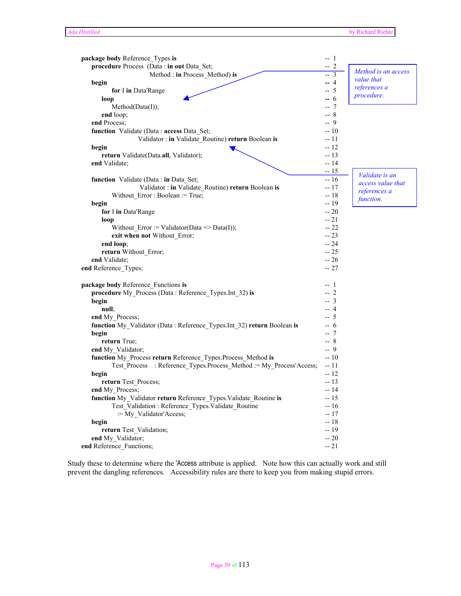| package body Reference_Types is                                        | $-1$   |                     |
|------------------------------------------------------------------------|--------|---------------------|
| procedure Process (Data : in out Data Set;                             | $-2$   |                     |
| Method : in Process Method) is                                         | $-3$   | Method is an access |
| begin                                                                  | $-4$   | value that          |
| for I in Data'Range                                                    | $-5$   | references a        |
| loop                                                                   | $-6$   | procedure.          |
| Method(Data(I));                                                       | $-- 7$ |                     |
| end loop;                                                              | $-8$   |                     |
| end Process;                                                           | $-9$   |                     |
| function Validate (Data : access Data Set;                             | $-10$  |                     |
| Validator: in Validate_Routine) return Boolean is                      | $-11$  |                     |
| begin                                                                  | $-12$  |                     |
| return Validate(Data.all, Validator);                                  | $-13$  |                     |
| end Validate;                                                          | $-14$  |                     |
|                                                                        | $-15$  | Validate is an      |
| function Validate (Data : in Data Set;                                 | $-16$  | access value that   |
| Validator : in Validate Routine) return Boolean is                     | -- 17  | references a        |
| Without Error: Boolean := True;                                        | $-18$  | function.           |
| begin                                                                  | $-19$  |                     |
| for I in Data'Range                                                    | $-20$  |                     |
| loop                                                                   | $-21$  |                     |
| Without Error := Validator(Data => Data(I));                           | $-22$  |                     |
| exit when not Without Error;                                           | $-23$  |                     |
| end loop;                                                              | $-24$  |                     |
| return Without_Error;                                                  | $-25$  |                     |
| end Validate;                                                          | $-26$  |                     |
| end Reference Types;                                                   | $-27$  |                     |
| package body Reference Functions is                                    | -- 1   |                     |
| procedure My Process (Data: Reference Types.Int 32) is                 | $-2$   |                     |
| begin                                                                  | $-3$   |                     |
| null;                                                                  | $-4$   |                     |
| end My Process;                                                        | $-5$   |                     |
| function My Validator (Data: Reference Types.Int 32) return Boolean is | $-6$   |                     |
| begin                                                                  | $-- 7$ |                     |
| return True;                                                           | $-8$   |                     |
| end My Validator;                                                      | $-9$   |                     |
| function My Process return Reference Types. Process Method is          | $-10$  |                     |
| Test Process : Reference Types. Process Method := My Process'Access;   | $-11$  |                     |
| begin                                                                  | $-12$  |                     |
| return Test Process;                                                   | $-13$  |                     |
| end My_Process;                                                        | $-14$  |                     |
| function My Validator return Reference Types. Validate Routine is      | $-15$  |                     |
| Test_Validation: Reference_Types.Validate_Routine                      | $-16$  |                     |
| := My_Validator'Access;                                                | $-17$  |                     |
| begin                                                                  | $-18$  |                     |
| return Test_Validation;                                                | $-19$  |                     |
| end My_Validator;                                                      | $-20$  |                     |
| end Reference_Functions;                                               | $-21$  |                     |

Study these to determine where the 'Access attribute is applied. Note how this can actually work and still prevent the dangling references. Accessibility rules are there to keep you from making stupid errors.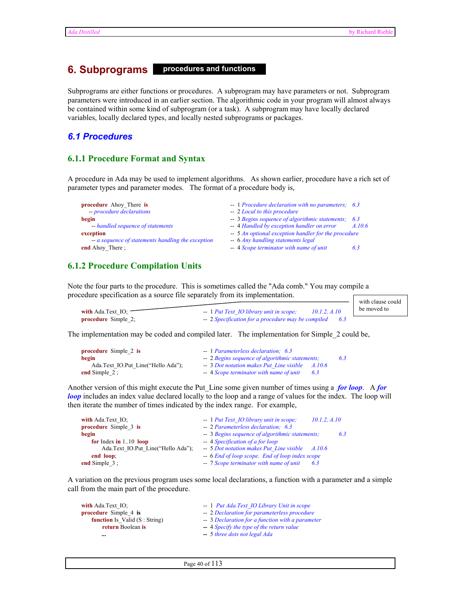#### **6. Subprograms procedures and functions**

Subprograms are either functions or procedures. A subprogram may have parameters or not. Subprogram parameters were introduced in an earlier section. The algorithmic code in your program will almost always be contained within some kind of subprogram (or a task). A subprogram may have locally declared variables, locally declared types, and locally nested subprograms or packages.

#### *6.1 Procedures*

#### **6.1.1 Procedure Format and Syntax**

A procedure in Ada may be used to implement algorithms. As shown earlier, procedure have a rich set of parameter types and parameter modes. The format of a procedure body is,

| procedure Ahoy There is                            |
|----------------------------------------------------|
| -- procedure declarations                          |
| begin                                              |
| -- handled sequence of statements                  |
| exception                                          |
| -- a sequence of statements handling the exception |
| end Ahoy There:                                    |
|                                                    |

- *procedure declaration with no parameters; 6.3*
- -- 2 *Local to this procedure*
- **begin** -- 3 *Begins sequence of algorithmic statements; 6.3*
- -- 4 *Handled by exception handler on error* A.10.6
- **exception** -- 5 *An optional exception handler for the procedure*
- -- *a sequence of statements handling the exception* -- 6 *Any handling statements legal*
- **example 2 + A** *Scope terminator with name of unit* 6.3

#### **6.1.2 Procedure Compilation Units**

Note the four parts to the procedure. This is sometimes called the "Ada comb." You may compile a procedure specification as a source file separately from its implementation. with clause could

| with Ada.Text IO: $\overline{\phantom{a}}$ | -- 1 Put Text IO library unit in scope;               | 10.1.2. A.10 | be moved to |
|--------------------------------------------|-------------------------------------------------------|--------------|-------------|
| <b>procedure</b> Simple $2$ ;              | - 2 Specification for a procedure may be compiled 6.3 |              |             |

The implementation may be coded and compiled later. The implementation for Simple\_2 could be,

| <b>procedure</b> Simple 2 is        | -- 1 Parameterless declaration; 6.3                |     |
|-------------------------------------|----------------------------------------------------|-----|
| begin                               | -- 2 Begins sequence of algorithmic statements;    | 6.3 |
| Ada.Text IO.Put Line ("Hello Ada"); | -- 3 Dot notation makes Put Line visible<br>A.10.6 |     |
| end Simple $2$ ;                    | -- 4 Scope terminator with name of unit<br>6.3     |     |

Another version of this might execute the Put\_Line some given number of times using a *for loop*. A *for loop* includes an index value declared locally to the loop and a range of values for the index. The loop will then iterate the number of times indicated by the index range. For example,

| with Ada.Text IO;                  | -- 1 Put Text IO library unit in scope;<br>10.1.2, A.10 |     |
|------------------------------------|---------------------------------------------------------|-----|
| procedure Simple 3 is              | -- 2 Parameterless declaration; 6.3                     |     |
| begin                              | -- 3 Begins sequence of algorithmic statements;         | 6.3 |
| for Index in $1.10$ loop           | -- 4 Specification of a for loop                        |     |
| Ada.Text IO.Put Line("Hello Ada"); | -- 5 Dot notation makes Put Line visible A.10.6         |     |
| end loop;                          | -- 6 End of loop scope. End of loop index scope         |     |
| end Simple $3:$                    | -- 7 Scope terminator with name of unit<br>6.3          |     |

A variation on the previous program uses some local declarations, a function with a parameter and a simple call from the main part of the procedure.

| with Ada.Text IO;                      | -- 1 Put Ada.Text IO Library Unit in scope      |
|----------------------------------------|-------------------------------------------------|
| <b>procedure</b> Simple 4 is           | -- 2 Declaration for parameterless procedure    |
| <b>function</b> Is Valid $(S: String)$ | - 3 Declaration for a function with a parameter |
| return Boolean is                      | - 4 Specify the type of the return value        |
| $\cdots$                               | -- 5 three dots not legal Ada                   |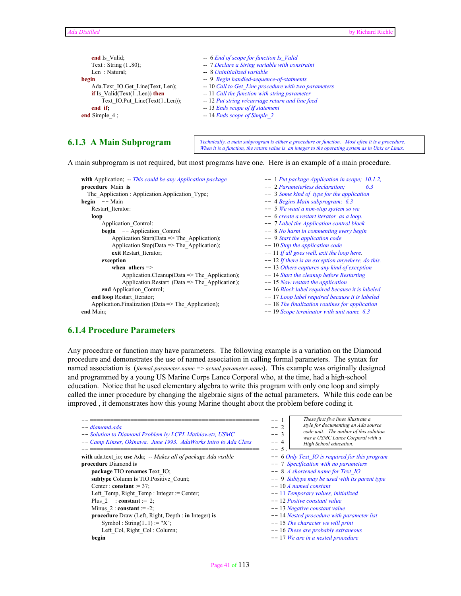| end Is Valid;                     | -- 6 End of scope for function Is Valid              |
|-----------------------------------|------------------------------------------------------|
| Text : String $(180)$ ;           | -- 7 Declare a String variable with constraint       |
| Len : Natural:                    | -- 8 Uninitialized variable                          |
| begin                             | -- 9 Begin handled-sequence-of-statments             |
| Ada.Text IO.Get Line(Text, Len);  | -- 10 Call to Get Line procedure with two parameters |
| if Is Valid(Text(1Len)) then      | --11 Call the function with string parameter         |
| Text IO. Put $Line(Text(1Len))$ ; | --12 Put string w/carriage return and line feed      |
| end if:                           | - 13 Ends scope of <b>if</b> statement               |
| end Simple $4$ ;                  | -- 14 <i>Ends scope of Simple 2</i>                  |
|                                   |                                                      |

#### **6.1.3 A Main Subprogram**

*Technically, a main subprogram is either a procedure or function. Most often it is a procedure. When it is a function, the return value is an integer to the operating system as in Unix or Linux.*

A main subprogram is not required, but most programs have one. Here is an example of a main procedure.

```
with Application; -- This could be any Application package -- 1 Put package Application in scope; 10.1.2,
procedure Main is -- 2 Parameterless declaration; 6.3
  The_Application : Application.Application_Type; -- 3 Some kind of type for the application
begin -- Main begin -- Main begins -- 4 Begins Main subprogram; 6.3
  Restart Iterator: -5 We want a non-stop system so we
  loop -- 6 create a restart iterator as a loop.
      Application_Control: -- 7 Label the Application control block<br>
begin -- \overline{F} Application control control block<br>
-- 8 No harm in commenting every begin
                                                      begin -- Application_Control -- 8 No harm in commenting every begin
         Application.Start(Data => The_Application); -- 9 Start the application code
         Application.Stop(Data => The_Application); -- 10 Stop the application code
        exit Restart_Iterator; -- 11 If all goes well, exit the loop here.
      exception -- 12 If there is an exception anywhere, do this.
         when others => -- 13 Others captures any kind of exception
            Application.Cleanup(Data => The_Application); -- 14 Start the cleanup before Restarting
            Application.Restart (Data => The_Application); -- 15 Now restart the application
      end Application_Control; -- 16 Block label required because it is labeled
   end loop Restart_Iterator; -17 Loop label required because it is labeled
   Application.Finalization (Data => The Application); -18 The finalization routines for application
end Main; \qquad -19 \text{ Scope termination with unit name } 6.3
```
#### **6.1.4 Procedure Parameters**

Any procedure or function may have parameters. The following example is a variation on the Diamond procedure and demonstrates the use of named association in calling formal parameters. The syntax for named association is (*formal-parameter-name => actual-parameter-name*). This example was originally designed and programmed by a young US Marine Corps Lance Corporal who, at the time, had a high-school education. Notice that he used elementary algebra to write this program with only one loop and simply called the inner procedure by changing the algebraic signs of the actual parameters. While this code can be improved , it demonstrates how this young Marine thought about the problem before coding it.

```
-- ================================================== -- 1
-- diamond.ada -- 2
-- Solution to Diamond Problem by LCPL Mathiowetz, USMC -- 3<br>-- Camp Kinser, Okinawa, June 1993, AdaWorks Intro to Ada Class -- 4
-- Camp Kinser, Okinawa. June 1993. AdaWorks Intro to Ada Class -- 4
-- ================================================== -- 5 .
with ada.text_io; use Ada; - Makes all of package Ada visible - 6 Only Text_IO is required for this program<br>procedure Diamond is - 7 Specification with no parameters
   package TIO renames Text_IO; -8 A shortened name for Text_IO
   subtype Column is TIO.Positive Count; -- 9 Subtype may be used with its parent type
   Center : constant := 37;<br>
Left Temp, Right_Temp : Integer := Center;<br>
-11 Temporary values, initialized
   Left_Temp, Right_Temp : Integer := Center;
   Plus_2 : constant := 2; -- 12 Positve constant value
   Minus_2 : constant := -2; -- 13 Negative constant value
   procedure Draw (Left, Right, Depth : in Integer) is -- 14 Nested procedure with parameter list<br>Symbol : String(1..1) := "X";<br>-15 The character we will print
      Left_Col, Right_Col : Column; -- 16 These are probably extraneous
   begin -- 17 We are in a nested procedure
```
- *These first five lines illustrate a*
- *style for documenting an Ada source*
- *code unit. The author of this solution*
- *was a USMC Lance Corporal with a High School education.*
- 
- 
- *procedureally Specification with no parameters*
- 
- 
- 
- 
- 
- 
- 
- -- 15 The character we will print
- 
-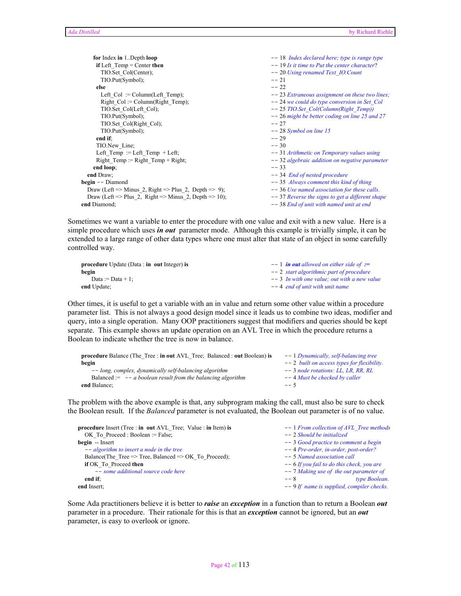| for Index in 1. Depth loop                                                            | $-- 18$ Index declared here; type is range type    |
|---------------------------------------------------------------------------------------|----------------------------------------------------|
| if Left $Temp = Center$ then                                                          | $-- 19$ Is it time to Put the center character?    |
| TIO.Set Col(Center);                                                                  | -- 20 Using renamed Text IO.Count                  |
| TIO.Put(Symbol);                                                                      | $-- 21$                                            |
| else                                                                                  | $-- 22$                                            |
| Left Col := Column(Left Temp);                                                        | -- 23 Extraneous assignment on these two lines;    |
| Right $Col := Column(Right Temp)$ ;                                                   | $--$ 24 we could do type conversion in Set Col     |
| TIO.Set Col(Left Col);                                                                | -- 25 TIO.Set Col(Column(Right Temp))              |
| TIO.Put(Symbol);                                                                      | $-- 26$ might be better coding on line 25 and 27   |
| TIO.Set Col(Right Col);                                                               | $-- 27$                                            |
| TIO.Put(Symbol);                                                                      | $-- 28$ Symbol on line 15                          |
| end if:                                                                               | $-- 29$                                            |
| TIO.New Line;                                                                         | $-- 30$                                            |
| Left Temp $:=$ Left Temp $+$ Left;                                                    | -- 31 Arithmetic on Temporary values using         |
| Right Temp := $Right$ Temp + Right;                                                   | -- 32 algebraic addition on negative parameter     |
| end loop;                                                                             | $--33$                                             |
| end Draw;                                                                             | -- 34 End of nested procedure                      |
| <b>begin</b> -- Diamond                                                               | $--$ 35 Always comment this kind of thing          |
| Draw (Left $\Rightarrow$ Minus 2, Right $\Rightarrow$ Plus 2, Depth $\Rightarrow$ 9); | -- 36 Use named association for these calls.       |
| Draw (Left => Plus 2, Right => Minus 2, Depth => 10);                                 | $--$ 37 Reverse the signs to get a different shape |
| end Diamond;                                                                          | -- 38 End of unit with named unit at end           |
|                                                                                       |                                                    |

Sometimes we want a variable to enter the procedure with one value and exit with a new value. Here is a simple procedure which uses *in out* parameter mode. Although this example is trivially simple, it can be extended to a large range of other data types where one must alter that state of an object in some carefully controlled way.

| <b>procedure</b> Update (Data : <b>in</b> out Integer) is | $-$ 1 in out allowed on either side of $:=$     |
|-----------------------------------------------------------|-------------------------------------------------|
| begin                                                     | $--$ 2 start algorithmic part of procedure      |
| Data := Data + 1:                                         | $-$ - 3 In with one value; out with a new value |
| end Update:                                               | $-$ - 4 end of unit with unit name              |

Other times, it is useful to get a variable with an in value and return some other value within a procedure parameter list. This is not always a good design model since it leads us to combine two ideas, modifier and query, into a single operation. Many OOP practitioners suggest that modifiers and queries should be kept separate. This example shows an update operation on an AVL Tree in which the procedure returns a Boolean to indicate whether the tree is now in balance.

| <b>procedure</b> Balance (The Tree: in out AVL Tree: Balanced: out Boolean) is | -- 1 Dynamically, self-balancing tree         |
|--------------------------------------------------------------------------------|-----------------------------------------------|
| begin                                                                          | $-- 2$ built on access types for flexibility. |
| -- long, complex, dynamically self-balancing algorithm                         | $-$ 3 node rotations: LL, LR, RR, RL          |
| Balanced $=-a$ boolean result from the balancing algorithm                     | --4 Must be checked by caller                 |
| end Balance:                                                                   | $-- 5$                                        |

The problem with the above example is that, any subprogram making the call, must also be sure to check the Boolean result. If the *Balanced* parameter is not evaluated, the Boolean out parameter is of no value.

| <b>procedure</b> Insert (Tree: in out AVL Tree; Value: in Item) is          | -- 1 From collection of AVL Tree methods      |
|-----------------------------------------------------------------------------|-----------------------------------------------|
| OK To Proceed: Boolean: $=$ False:                                          | $--$ 2 Should be initialized                  |
| begin -- Insert                                                             | $--$ 3 Good practice to comment a begin       |
| $-- algorithm$ to insert a node in the tree                                 | -- 4 Pre-order, in-order, post-order?         |
| Balance(The Tree $\Rightarrow$ Tree, Balanced $\Rightarrow$ OK To Proceed); | -- 5 Named association call                   |
| if OK To Proceed then                                                       | $-$ – 6 If you fail to do this check, you are |
| -- some additional source code here                                         | $-- 7$ Making use of the out parameter of     |
| end if:                                                                     | type Boolean.<br>$-- 8$                       |
| end Insert:                                                                 | $--$ 9 If name is supplied, compiler checks.  |

Some Ada practitioners believe it is better to *raise* an *exception* in a function than to return a Boolean *out* parameter in a procedure. Their rationale for this is that an *exception* cannot be ignored, but an *out* parameter, is easy to overlook or ignore.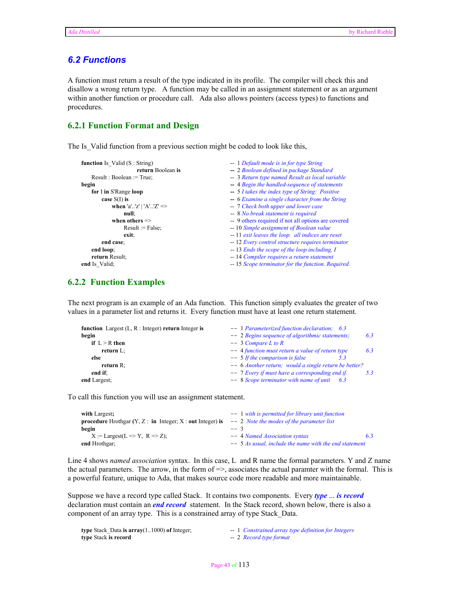# *6.2 Functions*

A function must return a result of the type indicated in its profile. The compiler will check this and disallow a wrong return type. A function may be called in an assignment statement or as an argument within another function or procedure call. Ada also allows pointers (access types) to functions and procedures.

#### **6.2.1 Function Format and Design**

The Is\_Valid function from a previous section might be coded to look like this,

| <b>function</b> Is Valid $(S: String)$ | -- 1 Default mode is in for type String             |
|----------------------------------------|-----------------------------------------------------|
| return Boolean is                      | -- 2 Boolean defined in package Standard            |
| $Result: Boolean := True;$             | - 3 Return type named Result as local variable      |
| begin                                  | -- 4 Begin the handled-sequence of statements       |
| for I in S'Range loop                  | - 5 I takes the index type of String: Positive      |
| case $S(I)$ is                         | -- 6 Examine a single character from the String     |
| when 'a''z'   'A''Z' =>                | -- 7 Check both upper and lower case                |
| null:                                  | -- 8 No break statement is required                 |
| when others $\Rightarrow$              | -- 9 others required if not all options are covered |
| $Result := False$                      | --10 Simple assignment of Boolean value             |
| exit:                                  | -- 11 exit leaves the loop. all indices are reset   |
| end case:                              | -- 12 Every control structure requires terminator   |
| end loop;                              | --13 Ends the scope of the loop including, I        |
| return Result:                         | -- 14 Compiler requires a return statement          |
| end Is Valid:                          | - 15 Scope terminator for the function. Required.   |

#### **6.2.2 Function Examples**

The next program is an example of an Ada function. This function simply evaluates the greater of two values in a parameter list and returns it. Every function must have at least one return statement.

| function Largest $(L, R: Integer)$ return Integer is | -- 1 Parameterized function declaration; 6.3          |     |
|------------------------------------------------------|-------------------------------------------------------|-----|
| begin                                                | -- 2 Begins sequence of algorithmic statements;       | 6.3 |
| if $L > R$ then                                      | $--$ 3 Compare L to R                                 |     |
| return $L$ ;                                         | $--$ 4 function must return a value of return type    | 6.3 |
| else                                                 | $-- 5$ If the comparison is false                     |     |
| return $R$ :                                         | -- 6 Another return; would a single return be better? |     |
| end if:                                              | $-- 7$ Every if must have a corresponding end if.     | 5.3 |
| end Largest:                                         | $--$ 8 Scope terminator with name of unit 6.3         |     |
|                                                      |                                                       |     |

To call this function you will use an assignment statement.

| with Largest;                                                                         | $--$ 1 with is permitted for library unit function       |     |
|---------------------------------------------------------------------------------------|----------------------------------------------------------|-----|
| <b>procedure</b> Hrothgar $(Y, Z : \textbf{in Integer}; X : \textbf{out Integer})$ is | $-- 2$ Note the modes of the parameter list              |     |
| begin                                                                                 | $- - 3$                                                  |     |
| $X := \text{Largest}(L \Longrightarrow Y, R \Longrightarrow Z);$                      | -- 4 Named Association syntax                            | 6.3 |
| end Hrothgar;                                                                         | $--$ 5 As usual, include the name with the end statement |     |

Line 4 shows *named association* syntax. In this case, L and R name the formal parameters. Y and Z name the actual parameters. The arrow, in the form of  $\Rightarrow$ , associates the actual paramter with the formal. This is a powerful feature, unique to Ada, that makes source code more readable and more maintainable.

Suppose we have a record type called Stack. It contains two components. Every *type* ... *is record* declaration must contain an *end record* statement. In the Stack record, shown below, there is also a component of an array type. This is a constrained array of type Stack\_Data.

| type Stack Data is array(11000) of Integer; | -- 1 Constrained array type definition for Integers |
|---------------------------------------------|-----------------------------------------------------|
| type Stack is record                        | -- 2 Record type format                             |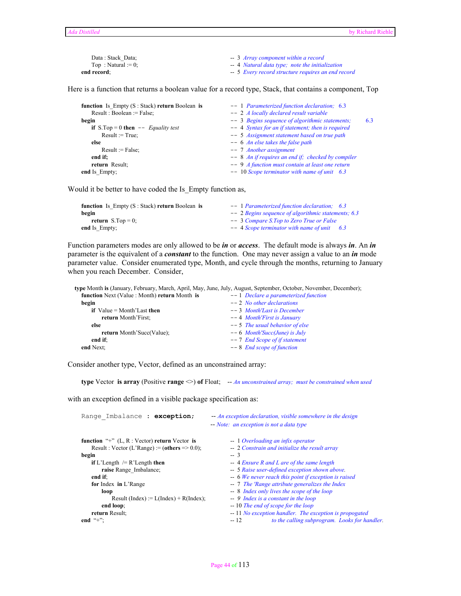| Data: Stack Data;     | -- 3 <i>Array component within a record</i>        |
|-----------------------|----------------------------------------------------|
| $Top : Natural := 0;$ | -- 4 Natural data type; note the initialization    |
| end record:           | -- 5 Every record structure requires an end record |

Here is a function that returns a boolean value for a record type, Stack, that contains a component, Top

| function Is Empty $(S : Stack)$ return Boolean is | -- 1 Parameterized function declaration; 6.3         |     |
|---------------------------------------------------|------------------------------------------------------|-----|
| $Result: Boolean := False;$                       | -- 2 A locally declared result variable              |     |
| begin                                             | -- 3 Begins sequence of algorithmic statements;      | 6.3 |
| if $S(Top = 0)$ then $--$ <i>Equality test</i>    | $--$ 4 Syntax for an if statement; then is required  |     |
| $Result := True$                                  | -- 5 Assignment statement based on true path         |     |
| else                                              | $-- 6$ An else takes the false path                  |     |
| $Result := False$                                 | $-- 7$ Another assignment                            |     |
| end if:                                           | $-- 8$ An if requires an end if; checked by compiler |     |
| return Result:                                    | $--$ 9 A function must contain at least one return   |     |
| end Is Empty;                                     | $--$ 10 Scope terminator with name of unit 6.3       |     |
|                                                   |                                                      |     |

Would it be better to have coded the Is\_Empty function as,

| <b>function</b> Is Empty $(S : Stack)$ <b>return</b> Boolean is | $-- 1$ Parameterized function declaration; 6.3        |
|-----------------------------------------------------------------|-------------------------------------------------------|
| begin                                                           | $--$ 2 Begins sequence of algorithmic statements; 6.3 |
| return $S.Top = 0$ ;                                            | -- 3 Compare S.Top to Zero True or False              |
| end Is Empty:                                                   | $--$ 4 Scope terminator with name of unit 6.3         |
|                                                                 |                                                       |

Function parameters modes are only allowed to be *in* or *access*. The default mode is always *in*. An *in* parameter is the equivalent of a *constant* to the function. One may never assign a value to an *in* mode parameter value. Consider enumerated type, Month, and cycle through the months, returning to January when you reach December. Consider,

**type** Month **is** (January, February, March, April, May, June, July, August, September, October, November, December); **function** Next (Value : Month) **return** Month **is** -- 1 *Declare a parameterized function*

| begin                            | $-- 2$ No other declarations      |
|----------------------------------|-----------------------------------|
| if Value $=$ Month'Last then     | -- 3 Month'Last is December       |
| return Month'First;              | $-- 4$ Month'First is January     |
| else                             | $-- 5$ The usual behavior of else |
| <b>return</b> Month'Succ(Value); | $-- 6$ Month'Succ(June) is July   |
| end if:                          | -- 7 End Scope of if statement    |
| end Next:                        | $-- 8$ End scope of function      |

Consider another type, Vector, defined as an unconstrained array:

**type** Vector **is array** (Positive **range** <>) **of** Float; -- *An unconstrained array; must be constrained when used*

with an exception defined in a visible package specification as:

| Range Imbalance : exception;<br>-- An exception declaration, visible somewhere in the design |                                                        |  |
|----------------------------------------------------------------------------------------------|--------------------------------------------------------|--|
|                                                                                              | -- Note: an exception is not a data type               |  |
| function "+" $(L, R : Vector)$ return Vector is                                              | -- 1 Overloading an infix operator                     |  |
| Result : Vector (L'Range) := (others => 0.0);                                                | -- 2 Constrain and initialize the result array         |  |
| begin                                                                                        | $-3$                                                   |  |
| if L'Length $/=$ R'Length then                                                               | -- 4 Ensure R and L are of the same length             |  |
| raise Range Imbalance;                                                                       | - 5 Raise user-defined exception shown above.          |  |
| end if:                                                                                      | -- 6 We never reach this point if exception is raised  |  |
| for Index in L'Range                                                                         | -- 7 The 'Range attribute generalizes the Index        |  |
| loop                                                                                         | -- 8 <i>Index only lives the scope of the loop</i>     |  |
| Result (Index) := $L(Index) + R(Index)$ ;                                                    | -- 9 Index is a constant in the loop                   |  |
| end loop;                                                                                    | -- 10 The end of scope for the loop                    |  |
| return Result:                                                                               | --11 No exception handler. The exception is propogated |  |
| end " $+$ ":                                                                                 | to the calling subprogram. Looks for handler.<br>$-12$ |  |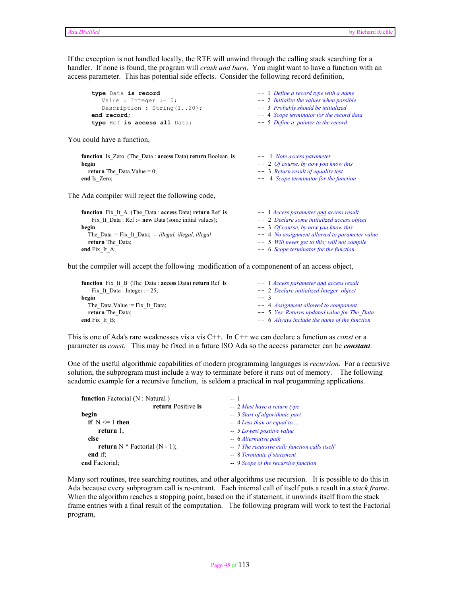You

If the exception is not handled locally, the RTE will unwind through the calling stack searching for a handler. If none is found, the program will *crash and burn*. You might want to have a function with an access parameter. This has potential side effects. Consider the following record definition,

| type Data is record                                                      | $-- 1$ Define a record type with a name    |
|--------------------------------------------------------------------------|--------------------------------------------|
| Value : Integer := $0$ ;                                                 | $-- 2$ Initialize the values when possible |
| Description : $String(1, .20)$ ;                                         | -- 3 Probably should be initialized        |
| end record;                                                              | -- 4 Scope terminator for the record data  |
| type Ref is access all Data;                                             | $-- 5$ Define a pointer to the record      |
| could have a function,                                                   |                                            |
| <b>function</b> Is Zero (The Data: <b>access</b> Data) return Boolean is | $--$ 1 <i>Note access parameter</i>        |
| begin                                                                    | $-- 2$ Of course, by now you know this     |
| <b>return</b> The Data. Value = $0$ ;                                    | -- 3 Return result of equality test        |
| end Is Zero:                                                             | -- 4 Scope terminator for the function     |
| Ada compiler will reject the following code,                             |                                            |

The Ada compiler will reject the following code,

| <b>function</b> Fix It A (The Data: access Data) return Ref is               | -- 1 Access parameter and access result              |
|------------------------------------------------------------------------------|------------------------------------------------------|
| Fix It Data : $Ref := new Data'(some initial values);$                       | -- 2 Declare some initialized access object          |
| begin                                                                        | $\leftarrow$ 3 Of course, by now you know this       |
| The Data := Fix It Data; -- <i>illegal</i> , <i>illegal</i> , <i>illegal</i> | -- 4 <i>No</i> assignment allowed to parameter value |
| return The Data;                                                             | $--$ 5 Will never get to this; will not compile      |
| end Fix It A;                                                                | $-- 6$ Scope terminator for the function             |

but the compiler will accept the following modification of a componenent of an access object,

| <b>function</b> Fix It B (The Data: access Data) return Ref is | $--$ 1 <i>Access parameter and access result</i> |
|----------------------------------------------------------------|--------------------------------------------------|
| Fix It Data : Integer $:= 25$ ;                                | -- 2 Declare initialized Integer object          |
| begin                                                          | $-- 3$                                           |
| The Data. Value $:=$ Fix It Data:                              | $--$ 4 Assignment allowed to component           |
| return The Data;                                               | -- 5 Yes. Returns updated value for The Data     |
| end Fix It B;                                                  | $-- 6$ Always include the name of the function   |

This is one of Ada's rare weaknesses vis a vis C++. In C++ we can declare a function as *const* or a parameter as *const*. This may be fixed in a future ISO Ada so the access parameter can be *constant*.

One of the useful algorithmic capabilities of modern programming languages is *recursion*. For a recursive solution, the subprogram must include a way to terminate before it runs out of memory. The following academic example for a recursive function, is seldom a practical in real progamming applications.

| <b>function</b> Factorial (N : Natural)   | $-1$                                           |
|-------------------------------------------|------------------------------------------------|
| return Positive is                        | -- 2 Must have a return type                   |
| begin                                     | -- 3 Start of algorithmic part                 |
| if $N \leq 1$ then                        | -- 4 Less than or equal to                     |
| return $1$ ;                              | -- 5 Lowest positive value                     |
| else                                      | -- 6 Alternative path                          |
| <b>return</b> $N^*$ Factorial $(N - 1)$ ; | -- 7 The recursive call; function calls itself |
| end if:                                   | -- 8 Terminate if statement                    |
| end Factorial;                            | -- 9 Scope of the recursive function           |

Many sort routines, tree searching routines, and other algorithms use recursion. It is possible to do this in Ada because every subprogram call is re-entrant. Each internal call of itself puts a result in a *stack frame*. When the algorithm reaches a stopping point, based on the if statement, it unwinds itself from the stack frame entries with a final result of the computation. The following program will work to test the Factorial program,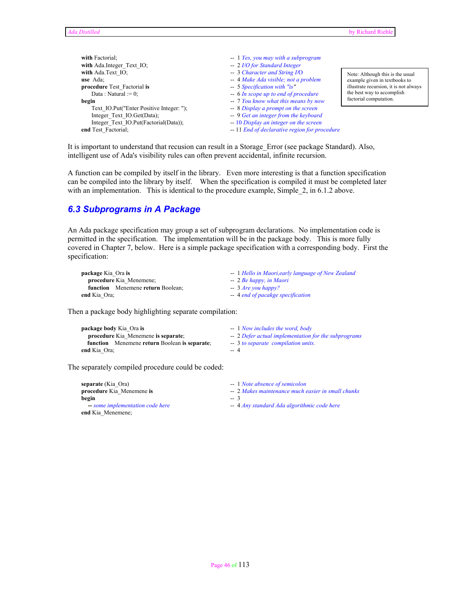| with Factorial:                           | -- 1 Yes, you may with a subprogram           |                                        |
|-------------------------------------------|-----------------------------------------------|----------------------------------------|
| with Ada.Integer Text IO;                 | -- 2 I/O for Standard Integer                 |                                        |
| with Ada.Text IO;                         | -- 3 Character and String I/O                 | Note: Although this is the usual       |
| use Ada:                                  | -- 4 Make Ada visible; not a problem          | example given in textbooks to          |
| procedure Test Factorial is               | -- 5 Specification with "is"                  | illustrate recursion, it is not always |
| Data : Natural := $0$ :                   | -- 6 In scope up to end of procedure          | the best way to accomplish             |
| begin                                     | -- 7 You know what this means by now          | factorial computation.                 |
| Text IO. Put("Enter Positive Integer: "); | -- 8 Display a prompt on the screen           |                                        |
| Integer Text IO.Get(Data);                | -- 9 Get an integer from the keyboard         |                                        |
| Integer Text IO.Put(Factorial(Data));     | --10 Display an integer on the screen         |                                        |
| end Test Factorial;                       | -- 11 End of declarative region for procedure |                                        |

It is important to understand that recusion can result in a Storage\_Error (see package Standard). Also, intelligent use of Ada's visibility rules can often prevent accidental, infinite recursion.

A function can be compiled by itself in the library. Even more interesting is that a function specification can be compiled into the library by itself. When the specification is compiled it must be completed later with an implementation. This is identical to the procedure example, Simple 2, in 6.1.2 above.

#### *6.3 Subprograms in A Package*

An Ada package specification may group a set of subprogram declarations. No implementation code is permitted in the specification. The implementation will be in the package body. This is more fully covered in Chapter 7, below. Here is a simple package specification with a corresponding body. First the specification:

| <b>package</b> Kia Ora is                | --1 Hello in Maori, early language of New Zealand |
|------------------------------------------|---------------------------------------------------|
| procedure Kia Menemene;                  | -- 2 Be happy, in Maori                           |
| <b>function</b> Menemene return Boolean: | $-3$ Are you happy?                               |
| end Kia Ora;                             | -- 4 end of pacakge specification                 |

Then a package body highlighting separate compilation:

| <b>package body</b> Kia Ora is                | -- 1 Now includes the word, body                    |
|-----------------------------------------------|-----------------------------------------------------|
| procedure Kia Menemene is separate:           | - 2 Defer actual implementation for the subprograms |
| function Menemene return Boolean is separate: | -- 3 to separate compilation units.                 |
| end Kia Ora;                                  | $-4$                                                |

The separately compiled procedure could be coded:

**separate** (Kia\_Ora) -- 1 *Note absence of semicolon* **procedure** Kia\_Menemene **is** -- 2 *Makes maintenance much easier in small chunks*<br> **begin begin** -- 3 **end** Kia\_Menemene;

- 
- 

-- *some implementation code here* --- 4 *Any standard Ada algorithmic code here*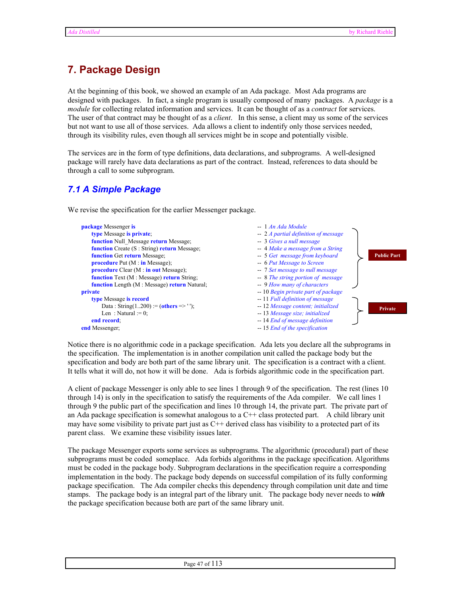# **7. Package Design**

At the beginning of this book, we showed an example of an Ada package. Most Ada programs are designed with packages. In fact, a single program is usually composed of many packages. A *package* is a *module* for collecting related information and services. It can be thought of as a *contract* for services. The user of that contract may be thought of as a *client*. In this sense, a client may us some of the services but not want to use all of those services. Ada allows a client to indentify only those services needed, through its visibility rules, even though all services might be in scope and potentially visible.

The services are in the form of type definitions, data declarations, and subprograms. A well-designed package will rarely have data declarations as part of the contract. Instead, references to data should be through a call to some subprogram.

# *7.1 A Simple Package*

We revise the specification for the earlier Messenger package.



Notice there is no algorithmic code in a package specification. Ada lets you declare all the subprograms in the specification. The implementation is in another compilation unit called the package body but the specification and body are both part of the same library unit. The specification is a contract with a client. It tells what it will do, not how it will be done. Ada is forbids algorithmic code in the specification part.

A client of package Messenger is only able to see lines 1 through 9 of the specification. The rest (lines 10 through 14) is only in the specification to satisfy the requirements of the Ada compiler. We call lines 1 through 9 the public part of the specification and lines 10 through 14, the private part. The private part of an Ada package specification is somewhat analogous to a  $C++$  class protected part. A child library unit may have some visibility to private part just as  $C++$  derived class has visibility to a protected part of its parent class. We examine these visibility issues later.

The package Messenger exports some services as subprograms. The algorithmic (procedural) part of these subprograms must be coded someplace. Ada forbids algorithms in the package specification. Algorithms must be coded in the package body. Subprogram declarations in the specification require a corresponding implementation in the body. The package body depends on successful compilation of its fully conforming package specification. The Ada compiler checks this dependency through compilation unit date and time stamps. The package body is an integral part of the library unit. The package body never needs to *with* the package specification because both are part of the same library unit.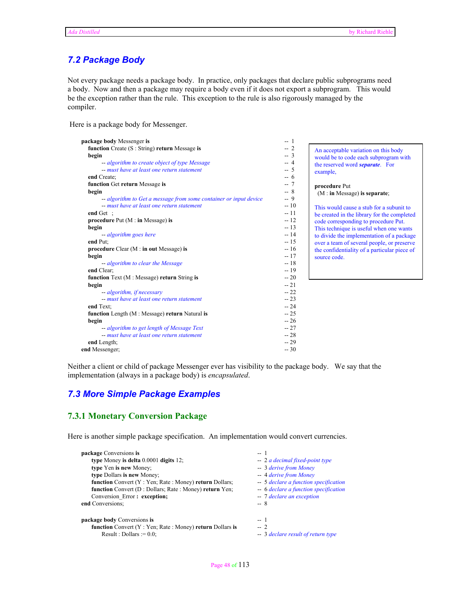# *7.2 Package Body*

Not every package needs a package body. In practice, only packages that declare public subprograms need a body. Now and then a package may require a body even if it does not export a subprogram. This would be the exception rather than the rule. This exception to the rule is also rigorously managed by the compiler.

Here is a package body for Messenger.

| package body Messenger is                                         | -- 1  |
|-------------------------------------------------------------------|-------|
| <b>function</b> Create $(S : String)$ <b>return</b> Message is    | $-2$  |
| begin                                                             | $-3$  |
| -- algorithm to create object of type Message                     | $-4$  |
| -- must have at least one return statement                        | $-5$  |
| end Create:                                                       | -- 6  |
| function Get return Message is                                    | -- 7  |
| begin                                                             | $-8$  |
| -- algorithm to Get a message from some container or input device | $-9$  |
| -- must have at least one return statement                        | $-10$ |
| end Get:                                                          | $-11$ |
| <b>procedure</b> Put $(M : in Message)$ is                        | -- 12 |
| begin                                                             | $-13$ |
| - algorithm goes here                                             | $-14$ |
| end Put;                                                          | $-15$ |
| procedure Clear (M : in out Message) is                           | $-16$ |
| begin                                                             | $-17$ |
| - algorithm to clear the Message                                  | $-18$ |
| end Clear:                                                        | $-19$ |
| function Text (M : Message) return String is                      | $-20$ |
| begin                                                             | $-21$ |
| -- algorithm, if necessary                                        | $-22$ |
| - must have at least one return statement                         | $-23$ |
| end Text:                                                         | $-24$ |
| function Length (M : Message) return Natural is                   | $-25$ |
| begin                                                             | $-26$ |
| -- algorithm to get length of Message Text                        | $-27$ |
| -- must have at least one return statement                        | $-28$ |
| end Length;                                                       | $-29$ |
| end Messenger;                                                    | $-30$ |

An acceptable variation on this body would be to code each subprogram with the reserved word *separate*. For example,

**procedure** Put (M : **in** Message) **is separate**;

This would cause a stub for a subunit to be created in the library for the completed code corresponding to procedure Put. This technique is useful when one wants to divide the implementation of a package over a team of several people, or preserve the confidentiality of a particular piece of source code.

Neither a client or child of package Messenger ever has visibility to the package body. We say that the implementation (always in a package body) is *encapsulated*.

# *7.3 More Simple Package Examples*

#### **7.3.1 Monetary Conversion Package**

Here is another simple package specification. An implementation would convert currencies.

| package Conversions is                                                     | $\overline{a}$                        |
|----------------------------------------------------------------------------|---------------------------------------|
| type Money is delta $0.0001$ digits 12;                                    | -- 2 a decimal fixed-point type       |
| type Yen is new Money;                                                     | -- 3 derive from Money                |
| type Dollars is new Money;                                                 | -- 4 derive from Money                |
| <b>function</b> Convert (Y : Yen; Rate : Money) return Dollars;            | -- 5 declare a function specification |
| function Convert (D : Dollars; Rate : Money) return Yen;                   | -- 6 declare a function specification |
| Conversion Error: exception;                                               | -- 7 declare an exception             |
| end Conversions:                                                           | $-8$                                  |
| package body Conversions is                                                | -- 1                                  |
| <b>function</b> Convert $(Y : Yen; Rate : Money)$ <b>return</b> Dollars is | $-2$                                  |
| Result : Dollars $:= 0.0$ ;                                                | -- 3 declare result of return type    |
|                                                                            |                                       |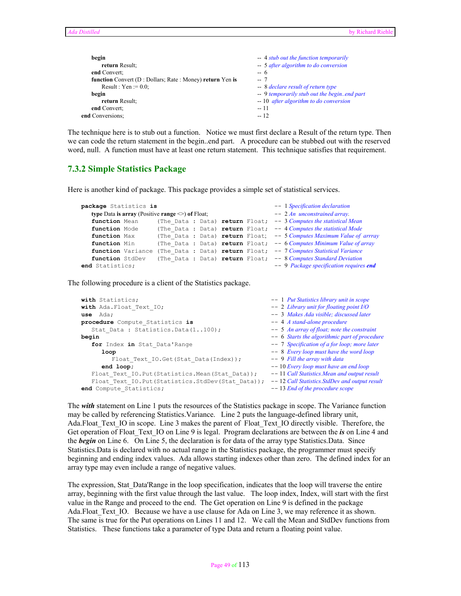| begin                                                             | -- 4 stub out the function temporarily      |
|-------------------------------------------------------------------|---------------------------------------------|
| return Result:                                                    | -- 5 after algorithm to do conversion       |
| end Convert:                                                      | $-6$                                        |
| <b>function</b> Convert (D : Dollars; Rate : Money) return Yen is | $-7$                                        |
| Result : Yen := $0.0$ ;                                           | -- 8 declare result of return type          |
| begin                                                             | -- 9 temporarily stub out the beginend part |
| return Result:                                                    | -- 10 after algorithm to do conversion      |
| end Convert:                                                      | $-11$                                       |
| end Conversions;                                                  | $-12$                                       |
|                                                                   |                                             |

The technique here is to stub out a function. Notice we must first declare a Result of the return type. Then we can code the return statement in the begin..end part. A procedure can be stubbed out with the reserved word, null. A function must have at least one return statement. This technique satisfies that requirement.

#### **7.3.2 Simple Statistics Package**

Here is another kind of package. This package provides a simple set of statistical services.

```
package Statistics is -- 1 Specification declaration
  type Data is array (Positive range <>) of Float; -- 2 An unconstrained array.
  function Mean (The_Data : Data) return Float; -- 3 Computes the statistical Mean
  function Mode (The_Data : Data) return Float; -- 4 Computes the statistical Mode
  function Max (The_Data : Data) return Float; -- 5 Computes Maximum Value of arrray
  function Min (The_Data : Data) return Float; -- 6 Computes Minimum Value of array
  function Variance (The_Data : Data) return Float; -- 7 Computes Statistical Variance
  function StdDev (The_Data : Data) return Float; -- 8 Computes Standard Deviation
end Statistics; -- 9 Package specification requires end
```
The following procedure is a client of the Statistics package.

```
with Statistics; -1 Put Statistics library unit in scope
with Ada.Float Text IO; -2 Library unit for floating point I/O
use Ada; -- 3 Makes Ada visible; discussed later
procedure Compute_Statistics is -- 4 A stand-alone procedure
  Stat Data : Statistics.Data(1..100); -- 5 An array of float; note the constraint
begin -- 6 Starts the algorithmic part of procedure
  for Index in Stat Data'Range -- 7 Specification of a for loop; more later
    loop -- 8 Every loop must have the word loop
       Float Text IO.Get(Stat Data(Index)); -- 9 Fill the array with data
     end loop; -- 10 Every loop must have an end loop
   Float_Text_IO.Put(Statistics.Mean(Stat_Data)); -- 11 Call Statistics.Mean and output result
   Float_Text_IO.Put(Statistics.StdDev(Stat_Data)); -- 12 Call Statistics.StdDev and output result
end Compute_Statistics; -- 13 End of the procedure scope
```
The *with* statement on Line 1 puts the resources of the Statistics package in scope. The Variance function may be called by referencing Statistics.Variance. Line 2 puts the language-defined library unit, Ada. Float Text IO in scope. Line 3 makes the parent of Float Text IO directly visible. Therefore, the Get operation of Float Text IO on Line 9 is legal. Program declarations are between the *is* on Line 4 and the *begin* on Line 6. On Line 5, the declaration is for data of the array type Statistics.Data. Since Statistics.Data is declared with no actual range in the Statistics package, the programmer must specify beginning and ending index values. Ada allows starting indexes other than zero. The defined index for an array type may even include a range of negative values.

The expression, Stat\_Data'Range in the loop specification, indicates that the loop will traverse the entire array, beginning with the first value through the last value. The loop index, Index, will start with the first value in the Range and proceed to the end. The Get operation on Line 9 is defined in the package Ada.Float Text IO. Because we have a use clause for Ada on Line 3, we may reference it as shown. The same is true for the Put operations on Lines 11 and 12. We call the Mean and StdDev functions from Statistics. These functions take a parameter of type Data and return a floating point value.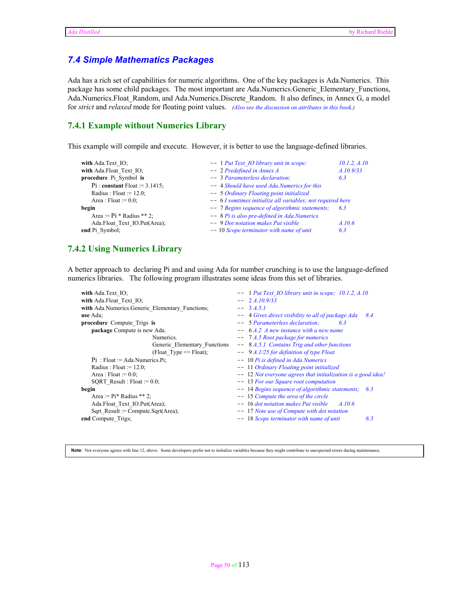# *7.4 Simple Mathematics Packages*

Ada has a rich set of capabilities for numeric algorithms. One of the key packages is Ada.Numerics. This package has some child packages. The most important are Ada.Numerics.Generic\_Elementary\_Functions, Ada.Numerics.Float\_Random, and Ada.Numerics.Discrete\_Random. It also defines, in Annex G, a model for *strict* and *relaxed* mode for floating point values. *(Also see the discussion on attributes in this book.)*

# **7.4.1 Example without Numerics Library**

This example will compile and execute. However, it is better to use the language-defined libraries.

| with Ada.Text IO;                 | -- 1 Put Text IO library unit in scope;                     | 10.1.2, A.10 |
|-----------------------------------|-------------------------------------------------------------|--------------|
| with Ada.Float Text IO;           | $--$ 2 Predefined in Annex A                                | A.10.9/33    |
| procedure Pi Symbol is            | -- 3 Parameterless declaration;                             | 6.3          |
| Pi : constant Float := $3.1415$ ; | -- 4 Should have used Ada. Numerics for this                |              |
| Radius : Float := $12.0$ ;        | -- 5 Ordinary Floating point initialized                    |              |
| Area : Float := $0.0$ ;           | -- 6 I somtimes initialize all variables; not required here |              |
| begin                             | -- 7 Begins sequence of algorithmic statements;             | 6.3          |
| Area := $Pi * Radius ** 2$ ;      | -- 8 Pi is also pre-defined in Ada.Numerics                 |              |
| Ada.Float Text IO.Put(Area);      | -- 9 Dot notation makes Put visible                         | A.10.6       |
| end Pi Symbol;                    | $-- 10$ Scope terminator with name of unit                  | 6.3          |

# **7.4.2 Using Numerics Library**

A better approach to declaring Pi and and using Ada for number crunching is to use the language-defined numerics libraries. The following program illustrates some ideas from this set of libraries.

```
with Ada.Text_IO; -- 1 Put Text_IO library unit in scope; 10.1.2, A.10
with Ada.Float Text IO; -2 A.10.9/33with Ada.Numerics.Generic_Elementary_Functions; - -- 3 A.5.1
use Ada; -- 4 Gives direct visibility to all of package Ada 8.4
procedure Compute_Trigs is -- 5 Parameterless declaration; 6.3
   package Compute is new Ada. -6 A.2 A new instance with a new nameNumerics. -- 7 A.5 Root package for numerics
                     Generic_Elementary_Functions -- 8 A.5.1 Contains Trig and other functions<br>(Float Type => Float); -- 9 A.1/25 for definition of type Float
                                               (Float_Type => Float); -- 9 A.1/25 for definition of type Float
   Pi : Float := Ada.Numerics.Pi; -- 10 Pi is defined in Ada.Numerics<br>Radius : Float := 12.0; -- 11 Ordinary Floating point initia
                                               -- 11 Ordinary Floating point initialized
   Area : Float := 0.0; -- 12 Not everyone agrees that initialization is a good idea!
  SQRT_Result : Float := 0.0; -- 13 For our Square root computation
begin -- 14 Begins sequence of algorithmic statements; 6.3
   Area := Pi* Radius ** 2; -- 15 Compute the area of the circle
   Ada.Float Text IO.Put(Area); -16 dot notation makes Put visible A.10.6
   Sqrt Result := Compute.Sqrt(Area); -- 17 Note use of Compute with dot notation
end Compute_Trigs; -- 18 Scope terminator with name of unit 6.3
```
**Note**: Not everyone agrees with line 12, above. Some developers prefer not to initialize variables because they might contribute to unexpected errors during maintenance.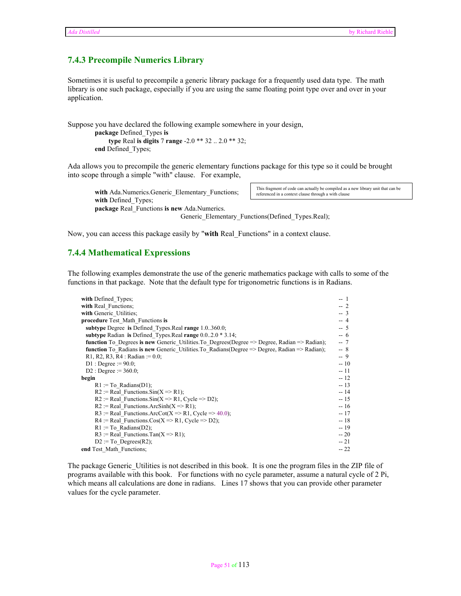### **7.4.3 Precompile Numerics Library**

Sometimes it is useful to precompile a generic library package for a frequently used data type. The math library is one such package, especially if you are using the same floating point type over and over in your application.

```
Suppose you have declared the following example somewhere in your design,
         package Defined_Types is
              type Real is digits 7 range -2.0 ** 32 .. 2.0 ** 32;
         end Defined_Types;
```
Ada allows you to precompile the generic elementary functions package for this type so it could be brought into scope through a simple "with" clause. For example,

with Ada.Numerics.Generic\_Elementary\_Functions; **with** Defined\_Types; **package** Real\_Functions **is new** Ada.Numerics.

This fragment of code can actually be compiled as a new library unit that can be referenced in a context clause through a with clause

Generic Elementary Functions(Defined Types.Real);

Now, you can access this package easily by "**with** Real\_Functions" in a context clause.

#### **7.4.4 Mathematical Expressions**

The following examples demonstrate the use of the generic mathematics package with calls to some of the functions in that package. Note that the default type for trigonometric functions is in Radians.

```
with Defined Types; -1with Real Functions; -2with Generic_Utilities; -3procedure Test Math Functions is -4 subtype Degree is Defined_Types.Real range 1.0..360.0; -- 5
subtype Radian is Defined_Types.Real range 0.0...2.0 * 3.14; -6function To Degrees is new Generic Utilities. To Degrees(Degree => Degree, Radian => Radian); -- 7
function To_Radians is new Generic_Utilities.To_Radians(Degree => Degree, Radian => Radian); -- 8
R1, R2, R3, R4 : Radian := 0.0; -9D1: Degree := 90.0; -- 10
D2 : Degree := 360.0; -- 11
begin -- 12
  R1 := To_R Radians(D1); --13
  R2 = Real Functions.Sin(X = R1); -14R2 = Real Functions.Sin(X \Rightarrow R1, Cycle \Rightarrow D2); -- 15
  R2 = Real\_Functions.ArcSinh(X \Rightarrow R1); -- 16
  R3 = Real Functions.ArCCot(X \Rightarrow R1, Cycle \Rightarrow 40.0); -- 17
  R4 := Real\_Functions.Cos(X \Rightarrow R1, Cycle \Rightarrow D2); -- 18
  R1 := To\,Radians(D2); -- 19
  R3 := Real\_Functions.Tan(X \Rightarrow R1); -- 20
  D2 := To \text{Degrees}(R2); -21end Test Math Functions; -22
```
The package Generic\_Utilities is not described in this book. It is one the program files in the ZIP file of programs available with this book. For functions with no cycle parameter, assume a natural cycle of 2 Pi, which means all calculations are done in radians. Lines 17 shows that you can provide other parameter values for the cycle parameter.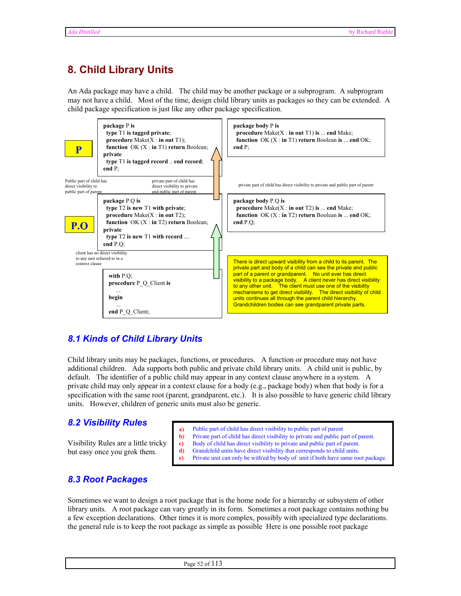# **8. Child Library Units**

An Ada package may have a child. The child may be another package or a subprogram. A subprogram may not have a child. Most of the time, design child library units as packages so they can be extended. A child package specification is just like any other package specification.



# *8.1 Kinds of Child Library Units*

Child library units may be packages, functions, or procedures. A function or procedure may not have additional children. Ada supports both public and private child library units. A child unit is public, by default. The identifier of a public child may appear in any context clause anywhere in a system. A private child may only appear in a context clause for a body  $(e.g., package body)$  when that body is for a specification with the same root (parent, grandparent, etc.). It is also possible to have generic child library units. However, children of generic units must also be generic.

### *8.2 Visibility Rules*

Visibility Rules are a little tricky but easy once you grok them.

- **a)** Public part of child has direct visibility to public part of parent
- **b)** Private part of child has direct visibility to private and public part of parent.
- **c)** Body of child has direct visibility to private and public part of parent.
- **d)** Grandchild units have direct visibility that corresponds to child units.
- **e)** Private unit can only be with'ed by body of unit if both have same root package.

# *8.3 Root Packages*

Sometimes we want to design a root package that is the home node for a hierarchy or subsystem of other library units. A root package can vary greatly in its form. Sometimes a root package contains nothing bu a few exception declarations. Other times it is more complex, possibly with specialized type declarations. the general rule is to keep the root package as simple as possible Here is one possible root package

| <b>Security</b><br>Page 52 of 113 |
|-----------------------------------|
|                                   |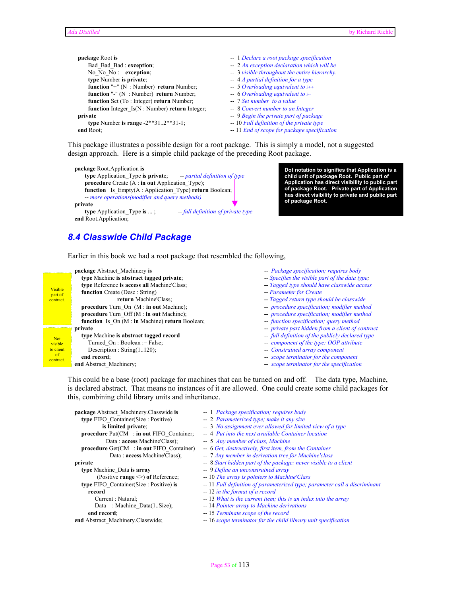| package Root is                                          | -- 1 Declare a root package specification     |
|----------------------------------------------------------|-----------------------------------------------|
| Bad Bad Bad : exception;                                 | -- 2 An exception declaration which will be   |
| No No No: exception;                                     | -- 3 visible throughout the entire hierarchy. |
| type Number is private;                                  | -- 4 A partial definition for a type          |
| <b>function</b> "+" $(N : Number)$ <b>return</b> Number; | $-5$ Overloading equivalent to $i++$          |
| function "-" (N: Number) return Number;                  | -- 6 Overloading equivalent to <i>i</i> --    |
| function Set (To: Integer) return Number;                | -- 7 Set number to a value                    |
| function Integer $Is(N : Number)$ return Integer;        | -- 8 Convert number to an Integer             |
| private                                                  | -- 9 Begin the private part of package        |
| type Number is range $-2**312**31-1$ ;                   | -- 10 Full definition of the private type     |
| end Root:                                                | -- 11 End of scope for package specification  |

This package illustrates a possible design for a root package. This is simply a model, not a suggested design approach. Here is a simple child package of the preceding Root package.

```
package Root.Application is
    type Application_Type is private; -- partial definition of type
    procedure Create (A : in out Application_Type);
    function Is_Empty(A : Application_Type) return Boolean;
    -- more operations(modifier and query methods)
private
    type Application_Type is ... ; -- full definition of private type
end Root.Application;
```
**Dot notation to signifies that Application is a child unit of package Root. Public part of Application has direct visibility to public part of package Root. Private part of Application has direct visibility to private and public part of package Root.**

### *8.4 Classwide Child Package*

Earlier in this book we had a root package that resembled the following,

|                            | package Abstract Machinery is                                        | -- Package specification; requires body      |
|----------------------------|----------------------------------------------------------------------|----------------------------------------------|
|                            | type Machine is abstract tagged private;                             | -- Specifies the visible part of the data ty |
|                            | type Reference is access all Machine'Class;                          | -- Tagged type should have classwide ac      |
| <b>Visible</b><br>part of  | function Create (Desc: String)                                       | - Parameter for Create                       |
| contract.                  | return Machine'Class:                                                | -- Tagged return type should be classwic     |
|                            | <b>procedure</b> Turn On $(M : in out Machine)$ ;                    | -- procedure specification; modifier met     |
|                            | <b>procedure</b> Turn Off $(M : in out Machine)$ ;                   | -- procedure specification; modifier met     |
|                            | <b>function</b> Is On (M : <b>in</b> Machine) <b>return</b> Boolean; | -- function specification; query method      |
|                            | private                                                              | -- private part hidden from a client of co   |
| <b>Not</b>                 | type Machine is abstract tagged record                               | -- full definition of the publicly declared  |
| visible                    | Turned On : Boolean := False:                                        | -- component of the type; OOP attribute      |
| to client                  | Description : $String(1120)$ ;                                       | -- Constrained array component               |
| <sup>of</sup><br>contract. | end record:                                                          | -- scope terminator for the component        |
|                            | end Abstract Machinery;                                              | - scope terminator for the specification     |

- *package specification; requires body*
- -- Specifies the visible part of the data type;
- $-$  *Tagged type should have classwide access*
- *function* Create -- *Parameter for Create*
- -- Tagged return type should be classwide
- *procedure specification; modifier method*
- **procedure** Turn\_Off (M : **in out** Machine); -- *procedure specification; modifier method*
- **--** function specification; query method
- **private** -- *private part hidden from a client of contract*
- -- *full definition of the publicly declared type*
- -- *component of the type; OOP attribute*
- Description : String(1..120); -- *Constrained array component*
- 
- 

This could be a base (root) package for machines that can be turned on and off. The data type, Machine, is declared abstract. That means no instances of it are allowed. One could create some child packages for this, combining child library units and inheritance.

| package Abstract Machinery.Classwide is                    | -- 1 Package specification; requires body                                  |
|------------------------------------------------------------|----------------------------------------------------------------------------|
| type FIFO Container (Size : Positive)                      | -- 2 Parameterized type; make it any size                                  |
| is limited private:                                        | -- 3 No assignment ever allowed for limited view of a type                 |
| <b>procedure</b> Put( $CM$ : <b>in out</b> FIFO Container; | -- 4 Put into the next available Container location                        |
| Data: access Machine'Class);                               | -- 5 Any member of class, Machine                                          |
| procedure $Get(CM : in out FIFO \tContainer)$              | -- 6 Get, destructively, first item, from the Container                    |
| Data: access Machine'Class);                               | -- 7 Any member in derivation tree for Machine'class                       |
| private                                                    | -- 8 Start hidden part of the package; never visible to a client           |
| type Machine Data is array                                 | -- 9 Define an unconstrained array                                         |
| (Positive range $\Diamond$ ) of Reference;                 | -- 10 The array is pointers to Machine'Class                               |
| type FIFO Container (Size : Positive) is                   | -- 11 Full definition of parameterized type; parameter call a discriminant |
| record                                                     | -- 12 in the format of a record                                            |
| Current : Natural:                                         | --13 What is the current item; this is an index into the array             |
| Data : Machine Data(1Size);                                | -- 14 Pointer array to Machine derivations                                 |
| end record:                                                | -- 15 Terminate scope of the record                                        |
| end Abstract Machinery.Classwide;                          | -- 16 scope terminator for the child library unit specification            |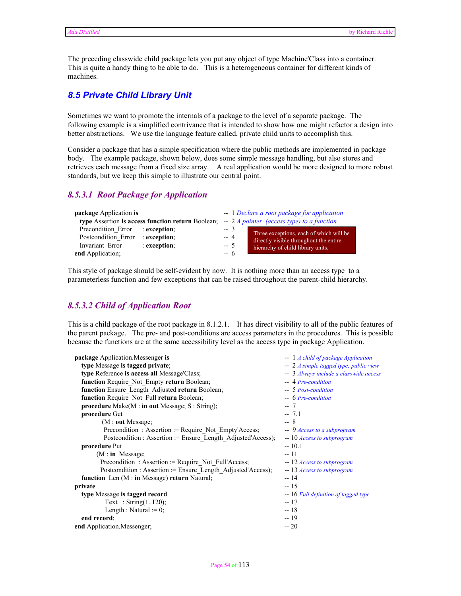The preceding classwide child package lets you put any object of type Machine'Class into a container. This is quite a handy thing to be able to do. This is a heterogeneous container for different kinds of machines.

#### *8.5 Private Child Library Unit*

Sometimes we want to promote the internals of a package to the level of a separate package. The following example is a simplified contrivance that is intended to show how one might refactor a design into better abstractions. We use the language feature called, private child units to accomplish this.

Consider a package that has a simple specification where the public methods are implemented in package body. The example package, shown below, does some simple message handling, but also stores and retrieves each message from a fixed size array. A real application would be more designed to more robust standards, but we keep this simple to illustrate our central point.

#### *8.5.3.1 Root Package for Application*

| package Application is                            |                         |                                            | -- 1 Declare a root package for application |  |
|---------------------------------------------------|-------------------------|--------------------------------------------|---------------------------------------------|--|
| type Assertion is access function return Boolean; |                         | -- 2 A pointer (access type) to a function |                                             |  |
| Precondition Error                                | $:$ exception:          | $-3$                                       | Three exceptions, each of which will be     |  |
| Postcondition Error                               | $\therefore$ exception: | $-4$                                       | directly visible throughout the entire      |  |
| Invariant Error                                   | $:$ exception:          | $-5$                                       | hierarchy of child library units.           |  |
| end Application;                                  |                         | -- 6                                       |                                             |  |

This style of package should be self-evident by now. It is nothing more than an access type to a parameterless function and few exceptions that can be raised throughout the parent-child hierarchy.

#### *8.5.3.2 Child of Application Root*

This is a child package of the root package in 8.1.2.1. It has direct visibility to all of the public features of the parent package. The pre- and post-conditions are access parameters in the procedures. This is possible because the functions are at the same accessibility level as the access type in package Application.

| <b>package</b> Application. Messenger is                      | -- 1 A child of package Application    |
|---------------------------------------------------------------|----------------------------------------|
| type Message is tagged private;                               | -- 2 A simple tagged type; public view |
| type Reference is access all Message'Class;                   | -- 3 Always include a classwide access |
| function Require Not Empty return Boolean;                    | -- 4 Pre-condition                     |
| function Ensure_Length_Adjusted return Boolean;               | -- 5 Post-condition                    |
| function Require_Not_Full return Boolean;                     | -- 6 Pre-condition                     |
| <b>procedure</b> Make(M : <b>in out</b> Message; S : String); | -- 7                                   |
| procedure Get                                                 | $-7.1$                                 |
| $(M:$ out Message;                                            | $-8$                                   |
| Precondition : Assertion := Require Not Empty'Access;         | -- 9 Access to a subprogram            |
| Postcondition : Assertion := Ensure Length Adjusted'Access);  | -- 10 Access to subprogram             |
| procedure Put                                                 | $-10.1$                                |
| $(M : in$ Message;                                            | $-11$                                  |
| Precondition : Assertion := Require Not Full'Access;          | -- 12 Access to subprogram             |
| Postcondition : Assertion := Ensure Length Adjusted'Access);  | -- 13 Access to subprogram             |
| <b>function</b> Len $(M : in Message)$ <b>return</b> Natural; | $-14$                                  |
| private                                                       | $-15$                                  |
| type Message is tagged record                                 | -- 16 Full definition of tagged type   |
| Text: $String(1120)$ ;                                        | $-17$                                  |
| Length : Natural $:= 0$ ;                                     | $-18$                                  |
| end record;                                                   | $-19$                                  |
| end Application.Messenger;                                    | $-20$                                  |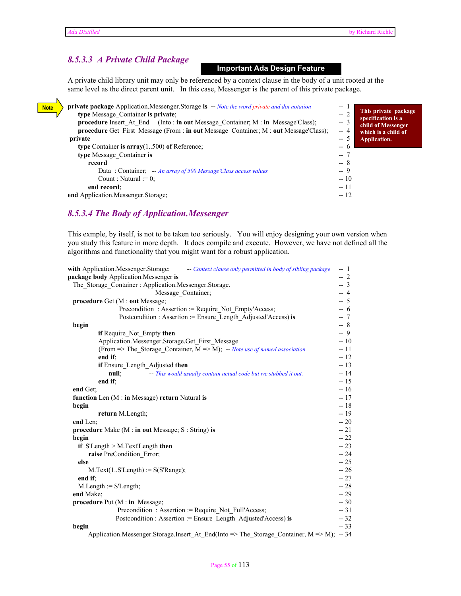#### *8.5.3.3 A Private Child Package*

#### **Important Ada Design Feature**

A private child library unit may only be referenced by a context clause in the body of a unit rooted at the same level as the direct parent unit. In this case, Messenger is the parent of this private package.

| <b>private package</b> Application. Messenger. Storage is -- Note the word private and dot notation<br><b>Note</b><br>type Message Container is private;<br>procedure Insert At End (Into: in out Message Container; M: in Message'Class);<br>procedure Get First Message (From : in out Message Container; M : out Message'Class);<br>private<br>type Container is $array(1500)$ of Reference; | $\overline{\phantom{a}}$<br>-- 2<br>-- 3<br>$-4$<br>-- 5<br>-- 6 | This private package<br>specification is a<br>child of Messenger<br>which is a child of<br>Application. |
|-------------------------------------------------------------------------------------------------------------------------------------------------------------------------------------------------------------------------------------------------------------------------------------------------------------------------------------------------------------------------------------------------|------------------------------------------------------------------|---------------------------------------------------------------------------------------------------------|
| type Message Container is                                                                                                                                                                                                                                                                                                                                                                       | $-7$                                                             |                                                                                                         |
| record                                                                                                                                                                                                                                                                                                                                                                                          | -- 8                                                             |                                                                                                         |
| Data: Container, -- An array of 500 Message'Class access values                                                                                                                                                                                                                                                                                                                                 | -- 9                                                             |                                                                                                         |
| Count : Natural := 0;                                                                                                                                                                                                                                                                                                                                                                           | $-10$                                                            |                                                                                                         |
| end record:                                                                                                                                                                                                                                                                                                                                                                                     | $-11$                                                            |                                                                                                         |
| end Application. Messenger. Storage;                                                                                                                                                                                                                                                                                                                                                            | $-12$                                                            |                                                                                                         |

### *8.5.3.4 The Body of Application.Messenger*

This exmple, by itself, is not to be taken too seriously. You will enjoy designing your own version when you study this feature in more depth. It does compile and execute. However, we have not defined all the algorithms and functionality that you might want for a robust application.

| with Application.Messenger.Storage;<br>-- Context clause only permitted in body of sibling package | -- 1  |
|----------------------------------------------------------------------------------------------------|-------|
| package body Application. Messenger is                                                             | $-2$  |
| The Storage Container: Application.Messenger.Storage.                                              | $-3$  |
| Message Container;                                                                                 | $-4$  |
| procedure Get (M : out Message;                                                                    | $-5$  |
| Precondition: Assertion: = Require Not Empty'Access;                                               | $-6$  |
| Postcondition : Assertion := Ensure Length Adjusted'Access) is                                     | $-7$  |
| begin                                                                                              | $-8$  |
| if Require Not Empty then                                                                          | $-9$  |
| Application.Messenger.Storage.Get First Message                                                    | $-10$ |
| (From $\Rightarrow$ The Storage Container, M $\Rightarrow$ M); -- Note use of named association    | $-11$ |
| end if;                                                                                            | $-12$ |
| if Ensure_Length_Adjusted then                                                                     | $-13$ |
| null:<br>-- This would usually contain actual code but we stubbed it out.                          | $-14$ |
| end if;                                                                                            | $-15$ |
| end Get;                                                                                           | $-16$ |
| function Len $(M : in Message)$ return Natural is                                                  | $-17$ |
| begin                                                                                              | $-18$ |
| return M.Length;                                                                                   | $-19$ |
| end Len:                                                                                           | $-20$ |
| <b>procedure</b> Make $(M : in out Message; S : String)$ is                                        | $-21$ |
| begin                                                                                              | $-22$ |
| if $S'Length > M.Text'Length$ then                                                                 | $-23$ |
| raise PreCondition Error;                                                                          | $-24$ |
| else                                                                                               | $-25$ |
| $M.Text(1S'Length) := S(S'Range);$                                                                 | $-26$ |
| end if:                                                                                            | $-27$ |
| $M.Length := S'Length;$                                                                            | $-28$ |
| end Make;                                                                                          | $-29$ |
| procedure Put $(M : in$ Message;                                                                   | $-30$ |
| Precondition: Assertion: = Require Not Full'Access;                                                | $-31$ |
| Postcondition : Assertion := Ensure Length Adjusted'Access) is                                     | $-32$ |
| begin                                                                                              | $-33$ |
| Application. Messenger. Storage. Insert At End(Into => The Storage Container, $M = > M$ ); --34    |       |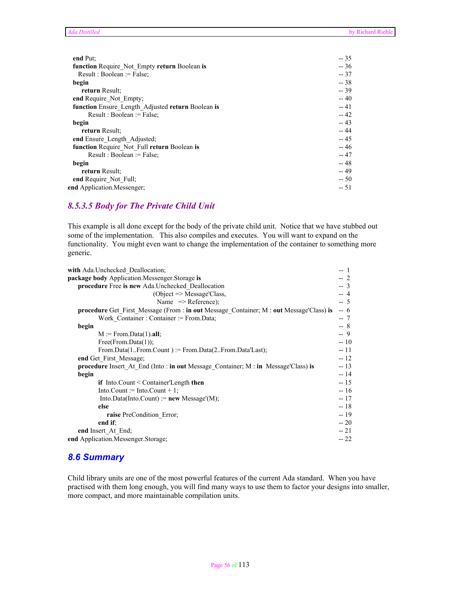| end Put:                                            | $-35$ |
|-----------------------------------------------------|-------|
| <b>function</b> Require Not Empty return Boolean is | $-36$ |
| Result: Boolean := False;                           | $-37$ |
| begin                                               | $-38$ |
| return Result:                                      | $-39$ |
| end Require Not Empty;                              | $-40$ |
| function Ensure Length Adjusted return Boolean is   | $-41$ |
| Result : Boolean := False:                          | $-42$ |
| begin                                               | $-43$ |
| return Result:                                      | $-44$ |
| end Ensure Length Adjusted;                         | $-45$ |
| function Require Not Full return Boolean is         | $-46$ |
| $Result: Boolean := False;$                         | $-47$ |
| begin                                               | $-48$ |
| return Result:                                      | $-49$ |
| end Require Not Full;                               | $-50$ |
| end Application.Messenger;                          | $-51$ |
|                                                     |       |

#### *8.5.3.5 Body for The Private Child Unit*

This example is all done except for the body of the private child unit. Notice that we have stubbed out some of the implementation. This also compiles and executes. You will want to expand on the functionality. You might even want to change the implementation of the container to something more generic.

| with Ada.Unchecked Deallocation;                                                               | $-1$  |
|------------------------------------------------------------------------------------------------|-------|
| package body Application. Messenger. Storage is                                                | $-2$  |
| procedure Free is new Ada.Unchecked Deallocation                                               | $-3$  |
| (Object $\Rightarrow$ Message Class,                                                           | $-4$  |
| Name $\Rightarrow$ Reference);                                                                 | $-5$  |
| <b>procedure</b> Get First Message (From : in out Message Container; M : out Message'Class) is | $-6$  |
| Work Container: Container: = From.Data;                                                        | -- 7  |
| begin                                                                                          | -- 8  |
| $M :=$ From Data(1) all;                                                                       | $-9$  |
| Free(From.Data(1));                                                                            | $-10$ |
| From.Data $(1$ From.Count $) :=$ From.Data $(2$ From.Data $'$ Last $);$                        | $-11$ |
| end Get First Message;                                                                         | $-12$ |
| procedure Insert_At_End (Into: in out Message_Container; M: in Message'Class) is               | $-13$ |
| begin                                                                                          | $-14$ |
| if Into.Count $\leq$ Container'Length then                                                     | $-15$ |
| $Into. Count := Into. Count + 1;$                                                              | $-16$ |
| $Into. Data(Into. Count) := new Message'(M);$                                                  | -- 17 |
| else                                                                                           | $-18$ |
| raise PreCondition Error;                                                                      | $-19$ |
| end if:                                                                                        | $-20$ |
| end Insert At End;                                                                             | $-21$ |
| end Application. Messenger. Storage;                                                           | $-22$ |

### *8.6 Summary*

Child library units are one of the most powerful features of the current Ada standard. When you have practised with them long enough, you will find many ways to use them to factor your designs into smaller, more compact, and more maintainable compilation units.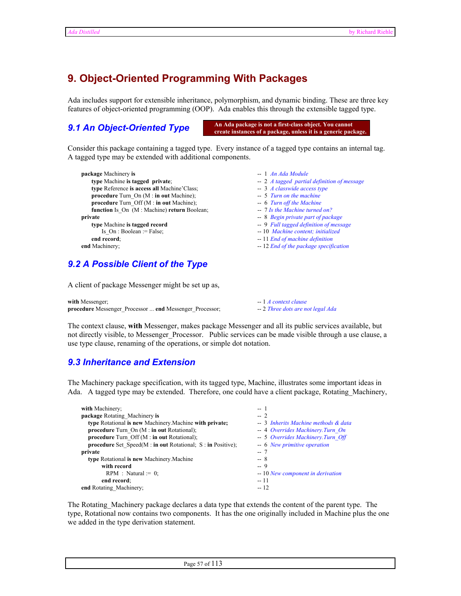# **9. Object-Oriented Programming With Packages**

Ada includes support for extensible inheritance, polymorphism, and dynamic binding. These are three key features of object-oriented programming (OOP). Ada enables this through the extensible tagged type.

# *9.1 An Object-Oriented Type*

**An Ada package is not a first-class object. You cannot create instances of a package, unless it is a generic package.**

**type** Machine **is tagged private**; -- 2 *A tagged partial definition of message*

Consider this package containing a tagged type. Every instance of a tagged type contains an internal tag. A tagged type may be extended with additional components.

| package Machinery is                              | $-1$ An Ada Module                     |
|---------------------------------------------------|----------------------------------------|
| type Machine is tagged private;                   | -- 2 A tagged partial definition of me |
| type Reference is access all Machine'Class;       | -- 3 A classwide access type           |
| <b>procedure</b> Turn On $(M : in out Machine)$ ; | -- 5 Turn on the machine               |
| procedure Turn Off (M : in out Machine);          | -- 6 Turn off the Machine              |
| function Is On (M : Machine) return Boolean;      | -- 7 Is the Machine turned on?         |
| private                                           | -- 8 Begin private part of package     |
| type Machine is tagged record                     | -- 9 Full tagged definition of message |
| Is On : Boolean := False;                         | -- 10 Machine content; initialized     |
| end record:                                       | --11 End of machine definition         |
| end Machinery;                                    | -- 12 End of the package specification |

# *9.2 A Possible Client of the Type*

A client of package Messenger might be set up as,

| with Messenger; |                                                                      |  |
|-----------------|----------------------------------------------------------------------|--|
|                 | <b>procedure</b> Messenger Processor <b>end</b> Messenger Processor; |  |

 $-1$  *A context clause procedure 2 Three dots are not legal Ada* 

The context clause, **with** Messenger, makes package Messenger and all its public services available, but not directly visible, to Messenger\_Processor. Public services can be made visible through a use clause, a use type clause, renaming of the operations, or simple dot notation.

### *9.3 Inheritance and Extension*

The Machinery package specification, with its tagged type, Machine, illustrates some important ideas in Ada. A tagged type may be extended. Therefore, one could have a client package, Rotating\_Machinery,

| with Machinery;                                                               | -- 1                                 |
|-------------------------------------------------------------------------------|--------------------------------------|
| package Rotating Machinery is                                                 | $-2$                                 |
| type Rotational is new Machinery. Machine with private;                       | -- 3 Inherits Machine methods & data |
| <b>procedure</b> Turn On $(M : in out Rotational)$ ;                          | -- 4 Overrides Machinery. Turn On    |
| <b>procedure</b> Turn Off $(M : in out Rotational)$ ;                         | -- 5 Overrides Machinery. Turn Off   |
| <b>procedure</b> Set Speed( $M : \text{in out Rotational}$ ; S: in Positive); | -- 6 New primitive operation         |
| private                                                                       | $-7$                                 |
| type Rotational is new Machinery. Machine                                     | -- 8                                 |
| with record                                                                   | $-9$                                 |
| $RPM$ : Natural := 0;                                                         | -- 10 New component in derivation    |
| end record:                                                                   | $-11$                                |
| end Rotating Machinery;                                                       | $-12$                                |

The Rotating\_Machinery package declares a data type that extends the content of the parent type. The type, Rotational now contains two components. It has the one originally included in Machine plus the one we added in the type derivation statement.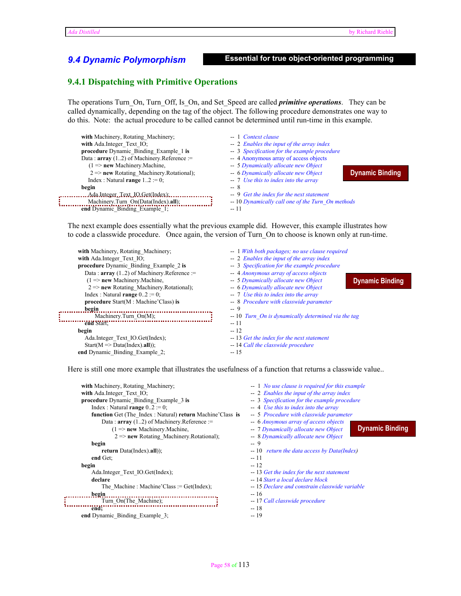f.

**Dynamic Binding**

### *9.4 Dynamic Polymorphism*

#### **Essential for true object-oriented programming**

#### **9.4.1 Dispatching with Primitive Operations**

The operations Turn\_On, Turn\_Off, Is\_On, and Set\_Speed are called *primitive operations*. They can be called dynamically, depending on the tag of the object. The following procedure demonstrates one way to do this. Note: the actual procedure to be called cannot be determined until run-time in this example.

| with Machinery, Rotating Machinery;<br>with Ada.Integer Text IO;<br>procedure Dynamic Binding Example 1 is<br>Data: $array (12)$ of Machinery.Reference :=<br>$(1 \Rightarrow$ new Machinery. Machine,<br>$2 \Rightarrow$ new Rotating Machinery. Rotational);<br>Index : Natural <b>range</b> $12 := 0$ ;<br>begin<br>Ada Integer Text IO Get(Index); | -- 1 Context clause<br>-- 2 Enables the input of the array index<br>-- 3 Specification for the example procedure<br>-- 4 Anonymous array of access objects<br>-- 5 Dynamically allocate new Object<br>-- 6 Dynamically allocate new Object<br>-- 7 Use this to index into the array<br>$-8$<br>-- 9 Get the index for the next statement | <b>Dynamic Binding</b> |
|--------------------------------------------------------------------------------------------------------------------------------------------------------------------------------------------------------------------------------------------------------------------------------------------------------------------------------------------------------|------------------------------------------------------------------------------------------------------------------------------------------------------------------------------------------------------------------------------------------------------------------------------------------------------------------------------------------|------------------------|
| Machinery.Turn On(Data(Index).all);                                                                                                                                                                                                                                                                                                                    | -- 10 Dynamically call one of the Turn On methods                                                                                                                                                                                                                                                                                        |                        |
| end Dynamic Binding Example 1;                                                                                                                                                                                                                                                                                                                         | $-11$                                                                                                                                                                                                                                                                                                                                    |                        |

The next example does essentially what the previous example did. However, this example illustrates how to code a classwide procedure. Once again, the version of Turn\_On to choose is known only at run-time.

with Machinery, Rotating\_Machinery;  $-1$  *With both packages; no use clause required* **with** Ada.Integer Text IO;  $-2$  *Enables the input of the array index* **procedure** Dynamic\_Binding\_Example\_2 **is** -- 3 *Specification for the example procedure* Data : **array** (1..2) of Machinery.Reference := --- 4 *Anonymous array of access objects*  (1 => **new** Machinery.Machine, -- 5 *Dynamically allocate new Object* **Dynamic Binding** 2 => **new** Rotating\_Machinery.Rotational); -- 6 *Dynamically allocate new Object* Index : Natural **range**  $0.2 := 0$ ;  $-7$  *Use this to index into the array* **procedure** Start(M : Machine'Class) **is** -- 8 *Procedure with classwide parameter*<br> **hegin begin** begin and the proposition of the proposition of the proposition of the proposition of the proposition of the proposition of the proposition of the proposition of the proposition of the proposition of the propositio **end** Start; -- 11 -- 10 *Turn On is dynamically determined via the tag* 1. . . . . . . . . **. begin** -- 12 Ada.Integer\_Text\_IO.Get(Index); -- 13 *Get the index for the next statement* Start(M => Data(Index).**all**)); -- 14 *Call the classwide procedure* **end** Dynamic\_Binding\_Example\_2; -- 15

Here is still one more example that illustrates the usefulness of a function that returns a classwide value..

| with Machinery, Rotating Machinery;                       | -- 1 <i>No use clause is required for this example</i>     |
|-----------------------------------------------------------|------------------------------------------------------------|
| with Ada.Integer Text IO;                                 | -- 2 Enables the input of the array index                  |
| procedure Dynamic_Binding_Example_3 is                    | -- 3 Specification for the example procedure               |
| Index : Natural <b>range</b> $0.2 := 0$ ;                 | -- 4 Use this to index into the array                      |
| function Get (The Index: Natural) return Machine'Class is | -- 5 Procedure with classwide parameter                    |
| Data: $array(12)$ of Machinery. Reference :=              | -- 6 Anoymous array of access objects                      |
| $(1 \Rightarrow$ new Machinery. Machine,                  | <b>Dynamic Bin</b><br>-- 7 Dynamically allocate new Object |
| $2 \Rightarrow$ new Rotating Machinery. Rotational);      | -- 8 Dynamically allocate new Object                       |
| begin                                                     | $-9$                                                       |
| return Data(Index).all));                                 | -- 10 return the data access by Data(Index)                |
| end Get:                                                  | $-11$                                                      |
| begin                                                     | $-12$                                                      |
| Ada.Integer Text IO.Get(Index);                           | --13 Get the index for the next statement                  |
| declare                                                   | -- 14 Start a local declare block                          |
| The Machine: Machine'Class := $Get(Index)$ ;              | --15 Declare and constrain classwide variable              |
| begin                                                     | $-16$                                                      |
| Turn On(The Machine);                                     | -- 17 Call classwide procedure                             |
| end;                                                      | $-18$                                                      |
| end Dynamic Binding Example 3;                            | $-19$                                                      |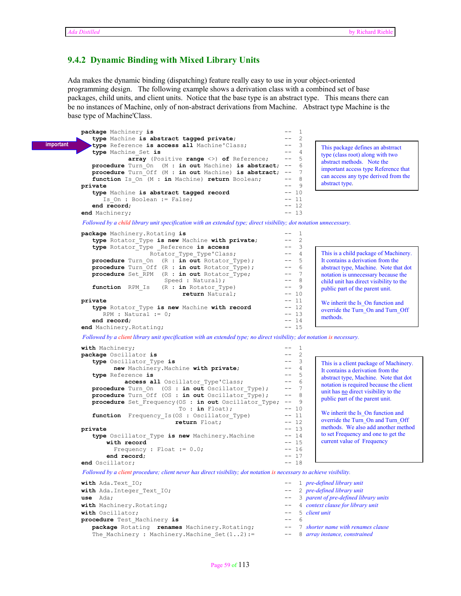#### **9.4.2 Dynamic Binding with Mixed Library Units**

Ada makes the dynamic binding (dispatching) feature really easy to use in your object-oriented programming design. The following example shows a derivation class with a combined set of base packages, child units, and client units. Notice that the base type is an abstract type. This means there can be no instances of Machine, only of non-abstract derivations from Machine. Abstract type Machine is the base type of Machine'Class.

**package** Machinery **is** -- 1 **type** Machine **is abstract tagged private**; -- 2 **type** Reference **is access all** Machine'Class; -- 3  $type$  Machine Set is **array** (Positive **range** <>) **of** Reference; -- 5 **procedure** Turn\_On (M : **in out** Machine) **is abstract**; -- 6 **procedure** Turn<sup>off</sup> (M : **in** out Machine) **is abstract**; -- 7<br>**function** Is On (M : **in** Machine) **return** Boolean: -- 8 **function** Is\_On (M : **in** Machine) **return** Boolean; -- 8<br> **v**<sub>1</sub>- 9 **private** -- 9  **type** Machine **is abstract tagged record** -- 10 Is\_On : Boolean := False;  $-11$ <br> **I** record:  $-12$ **end record;**  $-12$ <br> **l** Machinery;  $-13$ **end** Machinery; **package** Machinery.Rotating **is** -- 1<br> **type** Rotator Type **is new** Machine with private; -- 2 **type** Rotator\_Type **is new** Machine **with private**; -- 2  **type** Rotator\_Type \_Reference **is access** -- 3  $Rotator_Type_Type'Class;$  -- 4<br>  $On \t(R: in out Rotation Twoe):$  -- 5 **procedure** Turn\_On (R : **in out** Rotator\_Type); -- 5<br>**procedure** Turn Off (R : **in out** Rotator Type); -- 6 **procedure** Turn\_Off (R : **in out** Rotator\_Type); -- 6<br>**procedure** Set RPM (R : **in out** Rotator\_Type; -- 7 **procedure** Set\_RPM (R : **in out** Rotator\_Type; -- 7<br>Speed : Natural): -- 8 Speed : Natural);  $-$  -- 8<br>
(R : in Rotator Type) -- 9 **function** RPM\_Is (R : **in** Rotator\_Type) -- 9<br>**return** Natural; -- 10 **return** Natural;  $-10$ <br>-- 11 **private** -- 11 **type** Rotator\_Type **is new** Machine **with record** -- 12 RPM : Natural := 0;  $-13$ <br> **d** record:  $-14$ **end record;**  $-14$ <br> **l** Machinery.Rotating;  $-15$ **end** Machinery. Rotating; **with** Machinery;  $-1$ <br>**package** Oscillator is  $-2$ **package** Oscillator **is**  $-2$ <br> **type** Oscillator Type **is**  $-3$ **type** Oscillator\_Type **is** -- 3<br>**new** Machinery Machine **with private**: -- 4  $new$  Machinery. Machine with private; **type** Reference **is**  $-5$ **access all** Oscillator\_Type'Class; -- 6<br>**e** Turn On (OS : **in out** Oscillator Type): -- 7 **procedure** Turn On (OS : in out Oscillator Type); **procedure** Turn\_Off (OS : **in out** Oscillator\_Type); -- 8 **procedure** Set\_Frequency(OS : **in out** Oscillator\_Type; -- 9 To : **in** Float); -- 10 function Frequency\_Is(OS : Oscillator\_Type) **return** Float;  $-12$ <br>-- 13 **private**  $-13$ **type** Oscillator\_Type is new Machinery.Machine -- 14 with record **with record**  $-15$ <br>Frequency: Float  $:= 0.0$ :  $-16$ Frequency : Float  $:= 0.0$ ; -- 16<br>
nd record:  $-17$ **end record;**  $-17$ <br>iillator:  $-18$ **end** Oscillator; with Ada.Text IO;  $-$  1 *pre-defined library unit* with Ada.Integer Text IO;  $-2$  *pre-defined library unit* **use** Ada;  $\qquad \qquad -5$  3 *parent of pre-defined library units* **with** Machinery.Rotating; -- 4 *context clause for library unit* **with** Oscillator; -- 5 *client unit* **procedure** Test\_Machinery **is** -- 6 **package** Rotating **renames** Machinery.Rotating; -- 7 *shorter name with renames clause*<br>The Machinery: Machinery.Machine Set(1..2):= -- 8 *array instance, constrained* This package defines an abstrract type (class root) along with two abstract methods. Note the important access type Reference that can access any type derived from the abstract type. This is a child package of Machinery. It contains a derivation from the abstract type, Machine. Note that dot notation is unnecessary because the child unit has direct visibility to the public part of the parent unit. We inherit the Is\_On function and override the Turn\_On and Turn\_Off methods. This is a client package of Machinery. It contains a derivation from the abstract type, Machine. Note that dot notation is required because the client unit has no direct visibility to the public part of the parent unit. We inherit the Is On function and override the Turn\_On and Turn\_Off methods. We also add another method to set Frequency and one to get the current value of Frequency *Followed by a child library unit specification with an extended type; direct visibility; dot notation unnecessary. Followed by a client library unit specification with an extended type; no direct visibility; dot notation is necessary. Followed by a client procedure; client never has direct visibility; dot notation is necessary to achieve visibility.* **important**

The Machinery : Machinery.Machine Set(1..2):=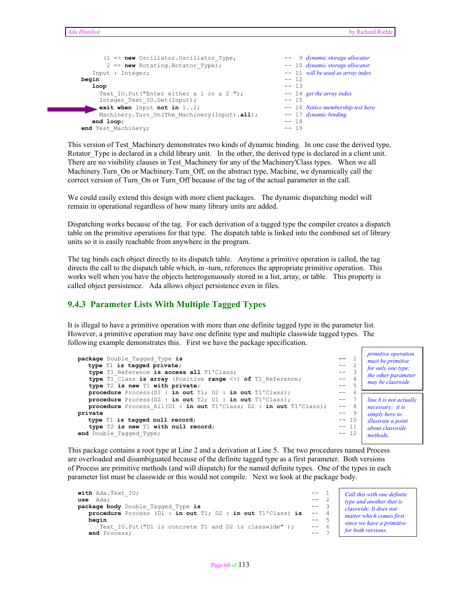| $(1 \Rightarrow new Oscillator. Oscillator Type,$ | -- 9 dynamic storage allocator      |
|---------------------------------------------------|-------------------------------------|
| $2 \Rightarrow$ new Rotating. Rotator Type);      | $-- 10$ dynamic storage allocator   |
| Input : Integer;                                  | $-- 11$ will be used as array index |
| begin                                             | $-- 12$                             |
| loop                                              | $-- 13$                             |
| Text IO. Put ("Enter either a 1 or a 2");         | $--$ 14 get the array index         |
| Integer Text IO.Get (Input) ;                     | $-- 15$                             |
| exit when Input not in $12$ ;                     | $-- 16$ Notice membership test here |
| Machinery. Turn On (The Machinery (Input).all);   | $-- 17$ dynamic binding             |
| end loop;                                         | $-- 18$                             |
| end Test Machinery;                               | $-- 19$                             |

This version of Test\_Machinery demonstrates two kinds of dynamic binding. In one case the derived type, Rotator Type is declared in a child library unit. In the other, the derived type is declared in a client unit. There are no visibility clauses in Test\_Machinery for any of the Machinery'Class types. When we all Machinery.Turn On or Machinery.Turn Off, on the abstract type, Machine, we dynamically call the correct version of Turn\_On or Turn\_Off because of the tag of the actual parameter in the call.

We could easily extend this design with more client packages. The dynamic dispatching model will remain in operational regardless of how many library units are added.

Dispatching works because of the tag. For each derivation of a tagged type the compiler creates a dispatch table on the primitive operations for that type. The dispatch table is linked into the combined set of library units so it is easily reachable from anywhere in the program.

The tag binds each object directly to its dispatch table. Anytime a primitive operation is called, the tag directs the call to the dispatch table which, in -turn, references the appropriate primitive operation. This works well when you have the objects heterogenuously stored in a list, array, or table. This property is called object persistence. Ada allows object persistence even in files.

#### **9.4.3 Parameter Lists With Multiple Tagged Types**

It is illegal to have a primitive operation with more than one definite tagged type in the parameter list. However, a primitive operation may have one definite type and multiple classwide tagged types. The following example demonstrates this. First we have the package specification.

```
package Double_Tagged_Type is -- 1<br>
type T1 is tagged private; -- 2
   type T1 is tagged private; -- 2
   type T1_Reference is access all T1'Class; --<br>
type T1 Class is array (Positive range <>) of T1 Reference: --
   type T1_Class is array (Positive range \langle \rangle) of T1_Reference; -- 4<br>type T2<sup>-</sup>is new T1 with private; -- 5
   type T2 is new T1 with private; \overline{ }<br>procedure Process (D1 : in out T1; D2 : in out T1!\text{ Class}) .
   procedure Process(D1 : in out T1; D2 : in out T1'Class); -- 6<br>procedure Process(D2 : in out T2: D1 : in out T1'Class): -- 7
   procedure Process(D2 : in out T2; D1 : in out T1'Class); -- 7<br>procedure Process All(D1 : in out T1'Class: D2 : in out T1'Class): -- 8
   procedure Process_All(D1 : in out T1'Class; D2 : in out T1'Class); --
private - 9
   type T1 is tagged null record; -10type T2 is new T1 with null record; -- 11<br>
Double Tagged Type: -- 12end Double Tagged Type;
                                                                                            primitive operation
                                                                                             must be primitive
                                                                                            for only one type;
                                                                                             the other parameter
                                                                                            may be classwide
                                                                                            line 8 is not actually
                                                                                            necessary; it is
                                                                                            simply here to
                                                                                            illustrate a point
                                                                                            about classwide
                                                                                            methods.
```
This package contains a root type at Line 2 and a derivation at Line 5. The two procedures named Process are overloaded and disambiguated because of the definite tagged type as a first parameter. Both versions of Process are primitive methods (and will dispatch) for the named definite types. One of the types in each parameter list must be classwide or this would not compile. Next we look at the package body.

| with Ada. Text IO;                                          | $\frac{1}{2} \frac{1}{2} \left( \frac{1}{2} \right) \left( \frac{1}{2} \right)$ | Call this with one definite |
|-------------------------------------------------------------|---------------------------------------------------------------------------------|-----------------------------|
| use Ada;                                                    | $--$ 2                                                                          | type and another that is    |
| package body Double Tagged Type is                          | $--$ 3                                                                          | classwide. It does not      |
| procedure Process (D1 : in out T1; D2 : in out T1'Class) is | $--- 4$                                                                         | matter which comes first    |
| begin                                                       | $-- 5$                                                                          | since we have a primitive   |
| Text IO. Put ("D1 is concrete T1 and D2 is classwide");     | $-- 6$                                                                          | for both versions.          |
| end Process:                                                | $\sim$ $ \sim$ $\sim$                                                           |                             |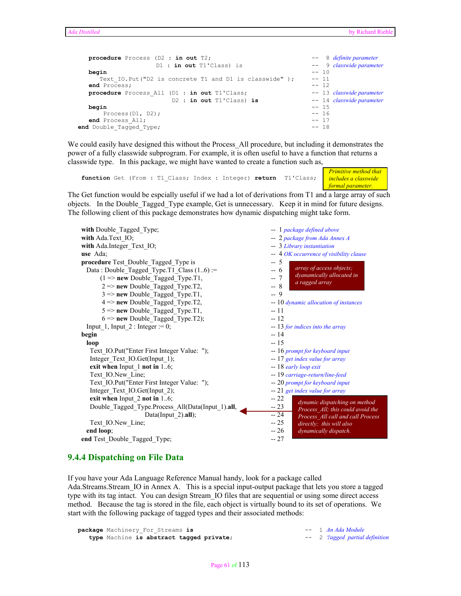| procedure Process (D2 : in out T2;                      |         | -- 8 definite parameter   |
|---------------------------------------------------------|---------|---------------------------|
| $DI$ : in out $T1'Class$ is                             |         | -- 9 classwide parameter  |
| begin                                                   | $-- 10$ |                           |
| Text IO. Put ("D2 is concrete T1 and D1 is classwide"); | $-- 11$ |                           |
| end Process;                                            | $-- 12$ |                           |
| procedure Process All (D1 : in out T1'Class;            |         | -- 13 classwide parameter |
| $D2$ : in out $T1'Class$ is                             |         | -- 14 classwide parameter |
| begin                                                   | $-- 15$ |                           |
| Process $(D1, D2)$ ;                                    | $-- 16$ |                           |
| end Process All;                                        | $-- 17$ |                           |
| end Double Tagged Type;                                 | $-- 18$ |                           |

We could easily have designed this without the Process All procedure, but including it demonstrates the power of a fully classwide subprogram. For example, it is often useful to have a function that returns a classwide type. In this package, we might have wanted to create a function such as,

```
function Get (From : T1_Class; Index : Integer) return T1'Class;
```
*Primitive method that includes a classwide formal parameter.*

The Get function would be espcially useful if we had a lot of derivations from T1 and a large array of such objects. In the Double\_Tagged\_Type example, Get is unnecessary. Keep it in mind for future designs. The following client of this package demonstrates how dynamic dispatching might take form.

```
with Double_Tagged_Type; \qquad \qquad -1 package defined above
with Ada.Text IO; \qquad \qquad -2 package from Ada Annex A
with Ada.Integer Text IO; -3 Library instantiation
use Ada; \qquad \qquad -4 OK occurrence of visibility clause
procedure Test Double Tagged Type is -- 5
 Data : Double Tagged Type.T1 Class (1..6) := -6(1 \Rightarrow new Double Tagged Type.T1, -72 \implies new Double Tagged Type.T2, -- 8
    3 \Rightarrow new Double_Tagged_Type.T1, -9 4 => new Double_Tagged_Type.T2, -- 10 dynamic allocation of instances
    5 => new Double_Tagged_Type.T1, -- 11
    6 \Rightarrow new Double_Tagged_Type.T2); -- 12
 Input 1, Input 2: Integer := 0; -- 13 for indices into the array
begin -- 14
loop -- 15
 Text IO.Put("Enter First Integer Value: "); -- 16 prompt for keyboard input
 Integer Text IO.Get(Input 1); -- 17 get index value for array
 exit when Input_1 not in 1..6; -- 18 early loop exit
 Text IO.New Line; -19 carriage-return/line-feed
 Text IO.Put("Enter First Integer Value: "); -- 20 prompt for keyboard input
 Integer Text IO.Get(Input 2); -- 21 get index value for array
 exit when Input 2 not in 1..6; -- 22
 Double Tagged Type.Process All(Data(Input 1).all, -- 23
              Data(Input 2).all); -24Text IO.New Line; -25end loop; -26
end Test_Double_Tagged_Type; -- 27
                                                array of access objects;
                                                dyanamically allocated in
                                                a ragged array
                                                 dynamic dispatching on method
                                                 Process_All; this could avoid the
                                                 Process_All call and call Process
                                                 directly; this will also
                                                 dynamically dispatch.
```
#### **9.4.4 Dispatching on File Data**

If you have your Ada Language Reference Manual handy, look for a package called Ada.Streams.Stream\_IO in Annex A. This is a special input-output package that lets you store a tagged type with its tag intact. You can design Stream\_IO files that are sequential or using some direct access method. Because the tag is stored in the file, each object is virtually bound to its set of operations. We start with the following package of tagged types and their associated methods:

| package Machinery For Streams is         | $-- 1$ An Ada Module |                                |
|------------------------------------------|----------------------|--------------------------------|
| type Machine is abstract tagged private; |                      | -- 2 Tagged partial definition |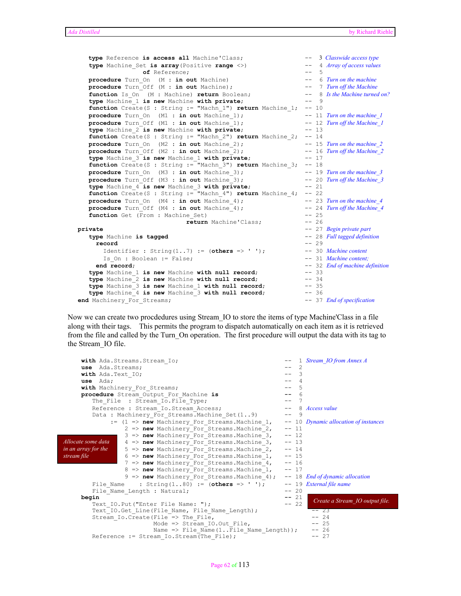```
 type Reference is access all Machine'Class; -- 3 Classwide access type
   type Machine_Set is array(Positive range <>) -- 4 Array of access values<br>
of Reference:
                    of Reference;
    procedure Turn_On (M : in out Machine) -- 6 Turn on the machine
   procedure Turn_Off (M : in out Machine); -- 7 Turn off the Machine<br>
function Is On (M : Machine) return Boolean; -- 8 Is the Machine turned on?
   function Is_On (M : Machine) return Boolean; -- 8<br>
tvoe Machine 1 is new Machine with private; -- 9
   \tt type Machine 1 is new Machine with private;function Create(S : String := "Machn_1") return Machine_1; -- 10<br>procedure Turn On (M1 : in out Machine 1); -- 11 Turn on the machine 1
   procedure Turn On (M1 : in out Machine 1);
   procedure Turn_Off (M1 : in out Machine<sup>1</sup>); -- 12 Turn off the Machine<sup>1</sup><br>
type Machine 2 is new Machine with private; -- 13
   type Machine 2 is new Machine with private;
   function Create(S : String := "Machn_2") return Machine_2; -- 14<br>procedure Turn On (M2 : in out Machine 2); -- 15 Turn on the machine 2
   procedure Turn On (M2 : in out Machine 2);
    procedure Turn_Off (M2 : in out Machine_2); -- 16 Turn off the Machine_2
    type Machine_3 is new Machine_1 with private; -- 17
   function Create(S : String := "Machn<sup>3</sup>") return Machine 3; -- 18
    procedure Turn_On (M3 : in out Machine_3); -- 19 Turn on the machine_3
   procedure Turn_Off (M3 : in out Machine_3); -- 20 Turn off the Machine_3<br>
type Machine 4 is new Machine 3 with private; -- 21
   type Machine 4^{-} is new Machine 3 with private;
   function Create(S : String := "Machn<sup>4</sup>") return Machine 4; -- 22
   procedure Turn_On (M4 : in out Machine_4); -- 23 Turn on the machine_4<br>procedure Turn Off (M4 : in out Machine 4); -- 24 Turn off the Machine 4
   procedure Turn_Off (M4 : in out Machine_4); -- 24<br>function Get. (From : Machine Set) -- 25
   function Get (From : Machine_Set) -- 25<br>return Machine'Class; -- 26
                                    return Machine'Class;
private -- 27 Begin private part<br>
type Machine is tagged \qquad -28 Full tagged definition
   type Machine is tagged -- 28 Full tagged -- 29 Full tagged -- 29
record -29 Identifier : String(1..7) := (others => ' '); -- 30 Machine content
         Is_On : Boolean := False; -- 31 Machine content;
       end record; -- 32 End of machine definition
   type Machine<sup>1</sup> is new Machine with null record; -- 33<br>
type Machine<sup>2</sup> is new Machine with null record; -- 34
   type Machine_2 is new Machine with null record; -- 34<br>type Machine 3 is new Machine 1 with null record; -- 35
   type Machine<sup>1</sup> is new Machine<sup>1</sup> with null record; -35<br>type Machine<sup>4</sup> is new Machine<sup>3</sup> with null record; -36type Machine<sup>1</sup> is new Machine<sup>3</sup> with null record;
end Machinery_For_Streams; -- 37 End of specification
```
Now we can create two procdedures using Stream\_IO to store the items of type Machine'Class in a file along with their tags. This permits the program to dispatch automatically on each item as it is retrieved from the file and called by the Turn\_On operation. The first procedure will output the data with its tag to the Stream\_IO file.

```
with Ada.Streams.Stream_Io; -1 Stream_IO from Annex A use Ada.Streams; -2use Ada.Streams; \overline{\phantom{a}} with Ada.Text IO; \overline{\phantom{a}} 3
     with Ada.Text_IO; -- 3
     use Ada; -4<br>with Machinery For Streams; -5with Machinery_For_Streams; -- 5<br>
procedure Stream Output For Machine is -- 6
     procedure Stream_Output_For_Machine is -- 6<br>The File : Stream To File Type: -- 7
         The File : Stream Io.File Type;
          Reference : Stream_Io.Stream_Access; -- 8 Access value
         Data : Machinery_For_Streams.Machine_Set(1..9) -- 9<br>
:= (1 => new Machinery For Streams.Machine 1, -- 10 Dynamic allocation of instances
               := (1 \Rightarrow new Machinery_For_Streams.Machine_1)2 => new Machinery_For_Streams.Machine_2, -- 11<br>3 => new Machinery For Streams.Machine 3, -- 12
                    3 => new Machinery_For_Streams.Machine_3, -- 12<br>4 => new Machinery For Streams.Machine 3, -- 13
                    4 => new Machinery_For_Streams.Machine_3,
                    5 => new Machinery_For_Streams.Machine_2, -- 14<br>6 => new Machinery For Streams.Machine 1, -- 15
                    6 => new Machinery<sup>For</sup>Streams.Machine<sup>-1</sup>, -- 15<br>7 => new Machinery For Streams.Machine<sup>-4</sup>, -- 16
                    7 => new Machinery For Streams.Machine 4,
                    8 => new Machinery_For_Streams.Machine_1, -- 17
                   9 => new Machinery_For_Streams.Machine_4); -- 18 End of dynamic allocation<br>e : String(1..80) := (others => ''); -- 19 External file name
         File_Name : String(1..80) := \text{(others} => ' '); -- 19<br>File_Name_Length : Natural; -- 20
         File\_Name\_Length : Natural; -20<br>
A = 20begin -- 21
         Text IO.Put("Enter File Name: "); -- 22
         Text<sup>-IO.Get_Line(File_Name, File_Name_Length); -- 23<br>Stream Io.Create(File => The File, -- 24</sup>
      Stream Io.Create(File \Rightarrow The File, -24Mode \Rightarrow Stream IO.Out File, -- 25
                              Name => File_Name(1..File_Name_Length)); -- 26<br>
Pam Io Stream (The File): -- 27
         Reference := Stream Io.Stream(The File);
Allocate some data
in an array for the
stream file.
                                                                                    Create a Stream_IO output file.
```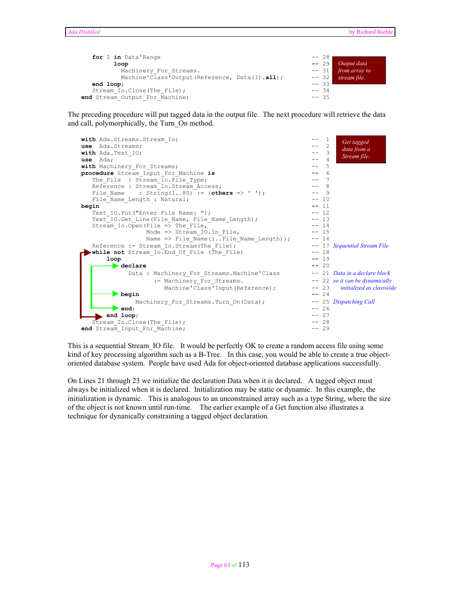|                                                | $-- 28$  |               |
|------------------------------------------------|----------|---------------|
| for I in Data'Range                            |          |               |
| loop                                           | $-- 29$  | Output data   |
| Machinery For Streams.                         | $-- 31$  | from array to |
| Machine'Class'Output (Reference, Data(I).all); | $-- 32$  | stream file.  |
| end loop;                                      | $-- 331$ |               |
| Stream Io. Close (The File);                   | $-- 34$  |               |
| end Stream Output For Machine;                 | $-- 35$  |               |

The preceding procedure will put tagged data in the output file. The next procedure will retrieve the data and call, polymorphically, the Turn\_On method.

| use Ada. Streams;<br>data from a<br>3<br>with Ada. Text IO;<br>Stream file.<br>use Ada;<br>4<br>5<br>with Machinery For Streams;<br>procedure Stream Input For Machine is<br>6<br>The File : Stream Io. File Type;<br>Reference : Stream Io.Stream Access;<br>-8<br>File Name : String(180) := (others => '');<br>9<br>File Name Length : Natural;<br>$-- 10$<br>$-- 11$<br>begin<br>$-- 12$<br>Text IO. Put ("Enter File Name: ");<br>$-- 13$<br>Text IO. Get Line (File Name, File Name Length);<br>Stream Io. Open (File $\Rightarrow$ The File,<br>$-- 14$<br>Mode => Stream IO. In File,<br>$-- 15$<br>Name => File Name $(1$ File Name Length) );<br>$-- 16$<br>-- 17 Sequential Stream File<br>Reference := Stream Io.Stream (The File);<br>while not Stream Io.End Of File (The File)<br>$-- 18$<br>$-- 19$<br>loop<br>$\blacktriangleright$ declare<br>$-- 20$<br>$--$ 21 Data in a declare block<br>Data : Machinery For Streams. Machine 'Class<br>$--$ 22 so it can be dynamically<br>:= Machinery For Streams.<br>-- 23 <i>initialized as classwide</i><br>Machine'Class'Input(Reference);<br>$-- 24$<br>$\blacktriangleright$ begin<br>-- 25 Dispatching Call<br>Machinery For Streams. Turn On (Data);<br>$-- 26$<br>end:<br>$-- 27$<br>end loop;<br>$-- 28$<br>Stream Io. Close (The File);<br>$-- 29$ | with Ada.Streams.Stream Io;   |  | Get tagged |
|------------------------------------------------------------------------------------------------------------------------------------------------------------------------------------------------------------------------------------------------------------------------------------------------------------------------------------------------------------------------------------------------------------------------------------------------------------------------------------------------------------------------------------------------------------------------------------------------------------------------------------------------------------------------------------------------------------------------------------------------------------------------------------------------------------------------------------------------------------------------------------------------------------------------------------------------------------------------------------------------------------------------------------------------------------------------------------------------------------------------------------------------------------------------------------------------------------------------------------------------------------------------------------------------------------------------|-------------------------------|--|------------|
|                                                                                                                                                                                                                                                                                                                                                                                                                                                                                                                                                                                                                                                                                                                                                                                                                                                                                                                                                                                                                                                                                                                                                                                                                                                                                                                        |                               |  |            |
|                                                                                                                                                                                                                                                                                                                                                                                                                                                                                                                                                                                                                                                                                                                                                                                                                                                                                                                                                                                                                                                                                                                                                                                                                                                                                                                        |                               |  |            |
|                                                                                                                                                                                                                                                                                                                                                                                                                                                                                                                                                                                                                                                                                                                                                                                                                                                                                                                                                                                                                                                                                                                                                                                                                                                                                                                        |                               |  |            |
|                                                                                                                                                                                                                                                                                                                                                                                                                                                                                                                                                                                                                                                                                                                                                                                                                                                                                                                                                                                                                                                                                                                                                                                                                                                                                                                        |                               |  |            |
|                                                                                                                                                                                                                                                                                                                                                                                                                                                                                                                                                                                                                                                                                                                                                                                                                                                                                                                                                                                                                                                                                                                                                                                                                                                                                                                        |                               |  |            |
|                                                                                                                                                                                                                                                                                                                                                                                                                                                                                                                                                                                                                                                                                                                                                                                                                                                                                                                                                                                                                                                                                                                                                                                                                                                                                                                        |                               |  |            |
|                                                                                                                                                                                                                                                                                                                                                                                                                                                                                                                                                                                                                                                                                                                                                                                                                                                                                                                                                                                                                                                                                                                                                                                                                                                                                                                        |                               |  |            |
|                                                                                                                                                                                                                                                                                                                                                                                                                                                                                                                                                                                                                                                                                                                                                                                                                                                                                                                                                                                                                                                                                                                                                                                                                                                                                                                        |                               |  |            |
|                                                                                                                                                                                                                                                                                                                                                                                                                                                                                                                                                                                                                                                                                                                                                                                                                                                                                                                                                                                                                                                                                                                                                                                                                                                                                                                        |                               |  |            |
|                                                                                                                                                                                                                                                                                                                                                                                                                                                                                                                                                                                                                                                                                                                                                                                                                                                                                                                                                                                                                                                                                                                                                                                                                                                                                                                        |                               |  |            |
|                                                                                                                                                                                                                                                                                                                                                                                                                                                                                                                                                                                                                                                                                                                                                                                                                                                                                                                                                                                                                                                                                                                                                                                                                                                                                                                        |                               |  |            |
|                                                                                                                                                                                                                                                                                                                                                                                                                                                                                                                                                                                                                                                                                                                                                                                                                                                                                                                                                                                                                                                                                                                                                                                                                                                                                                                        |                               |  |            |
|                                                                                                                                                                                                                                                                                                                                                                                                                                                                                                                                                                                                                                                                                                                                                                                                                                                                                                                                                                                                                                                                                                                                                                                                                                                                                                                        |                               |  |            |
|                                                                                                                                                                                                                                                                                                                                                                                                                                                                                                                                                                                                                                                                                                                                                                                                                                                                                                                                                                                                                                                                                                                                                                                                                                                                                                                        |                               |  |            |
|                                                                                                                                                                                                                                                                                                                                                                                                                                                                                                                                                                                                                                                                                                                                                                                                                                                                                                                                                                                                                                                                                                                                                                                                                                                                                                                        |                               |  |            |
|                                                                                                                                                                                                                                                                                                                                                                                                                                                                                                                                                                                                                                                                                                                                                                                                                                                                                                                                                                                                                                                                                                                                                                                                                                                                                                                        |                               |  |            |
|                                                                                                                                                                                                                                                                                                                                                                                                                                                                                                                                                                                                                                                                                                                                                                                                                                                                                                                                                                                                                                                                                                                                                                                                                                                                                                                        |                               |  |            |
|                                                                                                                                                                                                                                                                                                                                                                                                                                                                                                                                                                                                                                                                                                                                                                                                                                                                                                                                                                                                                                                                                                                                                                                                                                                                                                                        |                               |  |            |
|                                                                                                                                                                                                                                                                                                                                                                                                                                                                                                                                                                                                                                                                                                                                                                                                                                                                                                                                                                                                                                                                                                                                                                                                                                                                                                                        |                               |  |            |
|                                                                                                                                                                                                                                                                                                                                                                                                                                                                                                                                                                                                                                                                                                                                                                                                                                                                                                                                                                                                                                                                                                                                                                                                                                                                                                                        |                               |  |            |
|                                                                                                                                                                                                                                                                                                                                                                                                                                                                                                                                                                                                                                                                                                                                                                                                                                                                                                                                                                                                                                                                                                                                                                                                                                                                                                                        |                               |  |            |
|                                                                                                                                                                                                                                                                                                                                                                                                                                                                                                                                                                                                                                                                                                                                                                                                                                                                                                                                                                                                                                                                                                                                                                                                                                                                                                                        |                               |  |            |
|                                                                                                                                                                                                                                                                                                                                                                                                                                                                                                                                                                                                                                                                                                                                                                                                                                                                                                                                                                                                                                                                                                                                                                                                                                                                                                                        |                               |  |            |
|                                                                                                                                                                                                                                                                                                                                                                                                                                                                                                                                                                                                                                                                                                                                                                                                                                                                                                                                                                                                                                                                                                                                                                                                                                                                                                                        |                               |  |            |
|                                                                                                                                                                                                                                                                                                                                                                                                                                                                                                                                                                                                                                                                                                                                                                                                                                                                                                                                                                                                                                                                                                                                                                                                                                                                                                                        |                               |  |            |
|                                                                                                                                                                                                                                                                                                                                                                                                                                                                                                                                                                                                                                                                                                                                                                                                                                                                                                                                                                                                                                                                                                                                                                                                                                                                                                                        |                               |  |            |
|                                                                                                                                                                                                                                                                                                                                                                                                                                                                                                                                                                                                                                                                                                                                                                                                                                                                                                                                                                                                                                                                                                                                                                                                                                                                                                                        |                               |  |            |
|                                                                                                                                                                                                                                                                                                                                                                                                                                                                                                                                                                                                                                                                                                                                                                                                                                                                                                                                                                                                                                                                                                                                                                                                                                                                                                                        | end Stream Input For Machine; |  |            |

This is a sequential Stream\_IO file. It would be perfectly OK to create a random access file using some kind of key processing algorithm such as a B-Tree. In this case, you would be able to create a true objectoriented database system. People have used Ada for object-oriented database applications successfully.

On Lines 21 through 23 we initialize the declaration Data when it is declared. A tagged object must always be initialized when it is declared. Initialization may be static or dynamic. In this example, the initialization is dynamic. This is analogous to an unconstrained array such as a type String, where the size of the object is not known until run-time. The earlier example of a Get function also illustrates a technique for dynanically constraining a tagged object declaration.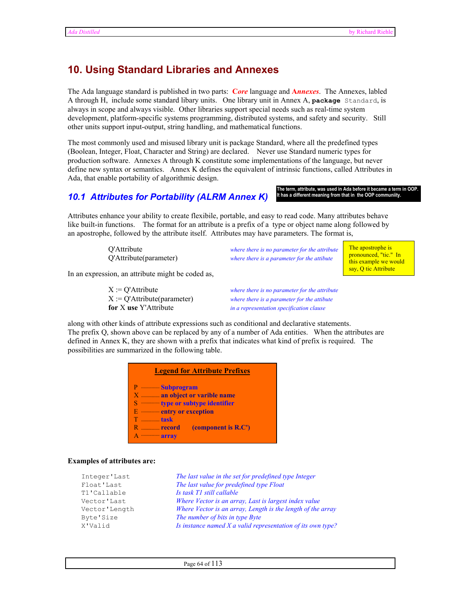# **10. Using Standard Libraries and Annexes**

The Ada language standard is published in two parts: **C***ore* language and **A***nnexes*. The Annexes, labled A through H, include some standard libary units. One library unit in Annex A, **package** Standard, is always in scope and always visible. Other libraries support special needs such as real-time system development, platform-specific systems programming, distributed systems, and safety and security. Still other units support input-output, string handling, and mathematical functions.

The most commonly used and misused library unit is package Standard, where all the predefined types (Boolean, Integer, Float, Character and String) are declared. Never use Standard numeric types for production software. Annexes A through K constitute some implementations of the language, but never define new syntax or semantics. Annex K defines the equivalent of intrinsic functions, called Attributes in Ada, that enable portability of algorithmic design.

# *10.1 Attributes for Portability (ALRM Annex K)*

Attributes enhance your ability to create flexibile, portable, and easy to read code. Many attributes behave like built-in functions. The format for an attribute is a prefix of a type or object name along followed by an apostrophe, followed by the attribute itself. Attributes may have parameters. The format is,

 Q'Attribute *where there is no parameter for the attribute* Q'Attribute(parameter) *where there is a parameter for the attibute*

The apostrophe is pronounced, "tic." In this example we would say, Q tic Attribute

**The term, attribute, was used in Ada before it became a term in OOP. It has a different meaning from that in the OOP communiity.**

In an expression, an attribute might be coded as,

X := Q'Attribute *where there is no parameter for the attribute* X := Q'Attribute(parameter) *where there is a parameter for the attibute* **for** X **use** Y'Attribute *in a representation specification clause*

along with other kinds of attribute expressions such as conditional and declarative statements. The prefix Q, shown above can be replaced by any of a number of Ada entities. When the attributes are defined in Annex K, they are shown with a prefix that indicates what kind of prefix is required. The possibilities are summarized in the following table.

| <b>Legend for Attribute Prefixes</b>                                                                                                                                                                                            |  |
|---------------------------------------------------------------------------------------------------------------------------------------------------------------------------------------------------------------------------------|--|
| P <u>---------- Subprogram</u><br>S <b>Summary Expenditure or subtype identifier</b><br>E <b>EXCEPTION</b> EXCEPTION<br>$T$ $\ldots$ $\ldots$ $\qquad$ task<br>R <u> record</u><br>(component is R.C')<br>A <b>manufacturer</b> |  |

#### **Examples of attributes are:**

| Integer'Last  | The last value in the set for predefined type Integer         |
|---------------|---------------------------------------------------------------|
| Float'Last    | The last value for predefined type Float                      |
| T1'Callable   | Is task T1 still callable                                     |
| Vector'Last   | Where Vector is an array, Last is largest index value         |
| Vector'Length | Where Vector is an array, Length is the length of the array   |
| Byte'Size     | The number of bits in type Byte                               |
| X'Valid       | Is instance named $X$ a valid representation of its own type? |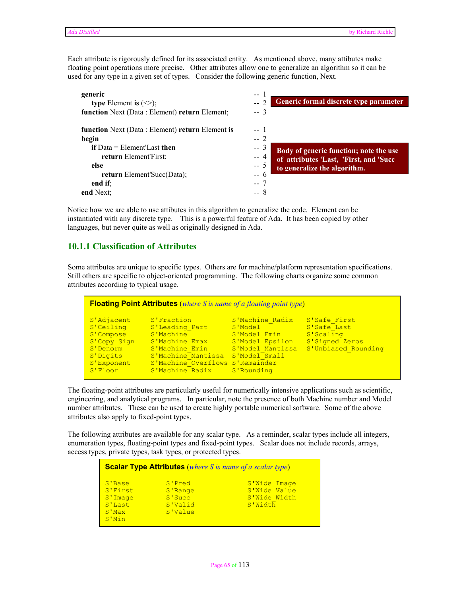Each attribute is rigorously defined for its associated entity. As mentioned above, many attibutes make floating point operations more precise. Other attributes allow one to generalize an algorithm so it can be used for any type in a given set of types. Consider the following generic function, Next.

| generic<br><b>type</b> Element is $(\leq)$ ;                     | $\overline{a}$<br>Generic formal discrete type parameter<br>$-2$                                                                         |
|------------------------------------------------------------------|------------------------------------------------------------------------------------------------------------------------------------------|
| function Next (Data: Element) return Element;                    | $-3$                                                                                                                                     |
| <b>function</b> Next (Data : Element) return Element is<br>begin | -- 1<br>$-2$                                                                                                                             |
| if Data $=$ Element'Last then<br>return Element'First;<br>else   | $-3$<br>Body of generic function; note the use<br>$-4$<br>of attributes 'Last, 'First, and 'Succ<br>$-5$<br>to generalize the algorithm. |
| return Element'Succ(Data);<br>end if:<br>end Next:               | $-6$<br>$-7$<br>-- 8                                                                                                                     |

Notice how we are able to use attibutes in this algorithm to generalize the code. Element can be instantiated with any discrete type. This is a powerful feature of Ada. It has been copied by other languages, but never quite as well as originally designed in Ada.

#### **10.1.1 Classification of Attributes**

Some attributes are unique to specific types. Others are for machine/platform representation specifications. Still others are specific to object-oriented programming. The following charts organize some common attributes according to typical usage.

```
Floating Point Attributes (where S is name of a floating point type)
S'Adjacent S'Fraction S'Machine_Radix S'Safe_First<br>S'Ceiling S'Leading_Part S'Model S'Safe_Last
S'Ceiling S'Leading_Part S'Model S'Safe_Last S'Compose S'Machine S'Scaling
S'Compose S'Machine S'Model_Emin S'Scaling
S'Copy_Sign S'Machine_Emax S'Model_Epsilon S'Signed_Zeros
S'Denorm S'Machine_Emin S'Model_Mantissa S'Unbiased_Rounding
S'Digits S'Machine<sup>-</sup>Mantissa S'Model<sup>-</sup>Small<br>S'Exponent S'Machine<sup>-</sup>Overflows-S'Remainder
S'Exponent S'Machine<sup>_</sup>Overflows S'Remainder<br>S'Floor S'Machine<sup>_</sup>Radix S'Rounding
                    S'Machine<sup>Radix</sup>
```
The floating-point attributes are particularly useful for numerically intensive applications such as scientific, engineering, and analytical programs. In particular, note the presence of both Machine number and Model number attributes. These can be used to create highly portable numerical software. Some of the above attributes also apply to fixed-point types.

The following attributes are available for any scalar type. As a reminder, scalar types include all integers, enumeration types, floating-point types and fixed-point types. Scalar does not include records, arrays, access types, private types, task types, or protected types.

| <b>Scalar Type Attributes</b> (where S is name of a scalar type) |                                                   |                                                         |  |
|------------------------------------------------------------------|---------------------------------------------------|---------------------------------------------------------|--|
| S'Base<br>S'First<br>S'Image<br>S'Last<br>S'Max<br>S'Min         | S'Pred<br>S'Range<br>S'Succ<br>S'Valid<br>S'Value | S'Wide Image<br>S'Wide Value<br>S'Wide Width<br>S'Width |  |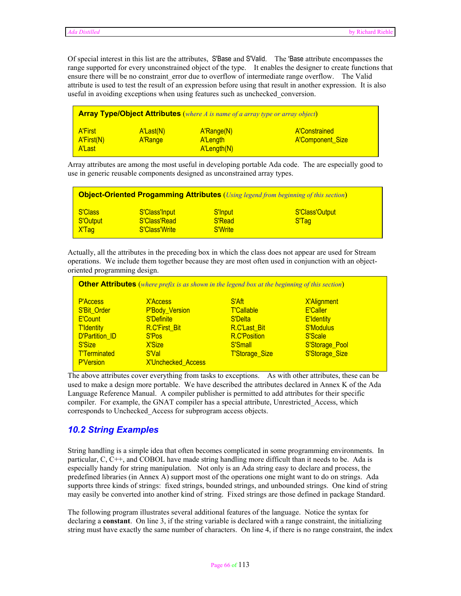Of special interest in this list are the attributes, S'Base and S'Valid. The 'Base attribute encompasses the range supported for every unconstrained object of the type. It enables the designer to create functions that ensure there will be no constraint error due to overflow of intermediate range overflow. The Valid attribute is used to test the result of an expression before using that result in another expression. It is also useful in avoiding exceptions when using features such as unchecked\_conversion.

| <b>Array Type/Object Attributes</b> (where A is name of a array type or array object) |                      |                                       |                                                 |  |
|---------------------------------------------------------------------------------------|----------------------|---------------------------------------|-------------------------------------------------|--|
| <b>A'First</b><br><b>A'First(N)</b><br>A'Last                                         | A'Last(N)<br>A'Range | A'Range(N)<br>A'Length<br>A'Length(N) | <b>A'Constrained</b><br><b>A'Component_Size</b> |  |

Array attributes are among the most useful in developing portable Ada code. The are especially good to use in generic reusable components designed as unconstrained array types.

| <b>Object-Oriented Progamming Attributes</b> (Using legend from beginning of this section) |                                                |                              |                         |  |
|--------------------------------------------------------------------------------------------|------------------------------------------------|------------------------------|-------------------------|--|
| S'Class<br>S'Output<br>X'Tag                                                               | S'Class'Input<br>S'Class'Read<br>S'Class'Write | S'Input<br>S'Read<br>S'Write | S'Class'Output<br>S'Tag |  |

Actually, all the attributes in the preceding box in which the class does not appear are used for Stream operations. We include them together because they are most often used in conjunction with an objectoriented programming design.

| <b>Other Attributes</b> (where prefix is as shown in the legend box at the beginning of this section) |                           |                       |                    |  |
|-------------------------------------------------------------------------------------------------------|---------------------------|-----------------------|--------------------|--|
| P'Access                                                                                              | <b>X'Access</b>           | S'Aft                 | <b>X'Alignment</b> |  |
| S'Bit Order                                                                                           | <b>P'Body_Version</b>     | <b>T'Callable</b>     | <b>E'Caller</b>    |  |
| E'Count                                                                                               | S'Definite                | S'Delta               | <b>E'Identity</b>  |  |
| <b>T'Identity</b>                                                                                     | <b>R.C'First Bit</b>      | R.C'Last Bit          | <b>S'Modulus</b>   |  |
| D'Partition ID                                                                                        | S'Pos                     | <b>R.C'Position</b>   | S'Scale            |  |
| S'Size                                                                                                | X'Size                    | S'Small               | S'Storage_Pool     |  |
| T'Terminated                                                                                          | S'Val                     | <b>T'Storage Size</b> | S'Storage_Size     |  |
| <b>P'Version</b>                                                                                      | <b>X'Unchecked Access</b> |                       |                    |  |

The above attributes cover everything from tasks to exceptions. As with other attributes, these can be used to make a design more portable. We have described the attributes declared in Annex K of the Ada Language Reference Manual. A compiler publisher is permitted to add attributes for their specific compiler. For example, the GNAT compiler has a special attribute, Unrestricted Access, which corresponds to Unchecked\_Access for subprogram access objects.

# *10.2 String Examples*

String handling is a simple idea that often becomes complicated in some programming environments. In particular, C, C++, and COBOL have made string handling more difficult than it needs to be. Ada is especially handy for string manipulation. Not only is an Ada string easy to declare and process, the predefined libraries (in Annex A) support most of the operations one might want to do on strings. Ada supports three kinds of strings: fixed strings, bounded strings, and unbounded strings. One kind of string may easily be converted into another kind of string. Fixed strings are those defined in package Standard.

The following program illustrates several additional features of the language. Notice the syntax for declaring a **constant**. On line 3, if the string variable is declared with a range constraint, the initializing string must have exactly the same number of characters. On line 4, if there is no range constraint, the index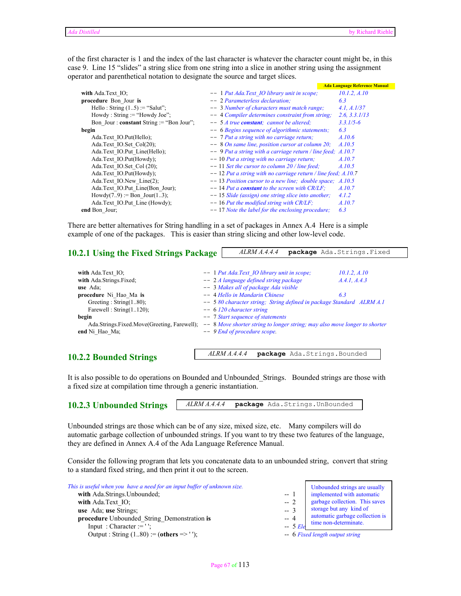of the first character is 1 and the index of the last character is whatever the character count might be, in this case 9. Line 15 "slides" a string slice from one string into a slice in another string using the assignment operator and parenthetical notation to designate the source and target slices.

|                                            |                                                                  | <b>Ada Language Reference Manual</b> |
|--------------------------------------------|------------------------------------------------------------------|--------------------------------------|
| with Ada.Text IO;                          | -- 1 Put Ada. Text IO library unit in scope;                     | 10.1.2, A.10                         |
| procedure Bon Jour is                      | -- 2 Parameterless declaration:                                  | 6.3                                  |
| Hello: String $(15)$ := "Salut";           | -- 3 Number of characters must match range;                      | 4.1, A.1/37                          |
| Howdy : String $:=$ "Howdy Joe";           | -- 4 Compiler determines constraint from string;                 | 2.6, 3.3.1/13                        |
| Bon Jour: constant String $:=$ "Bon Jour"; | $-- 5A$ true constant; cannot be altered;                        | $3.3.1/5 - 6$                        |
| begin                                      | -- 6 Begins sequence of algorithmic statements;                  | 6.3                                  |
| Ada.Text IO.Put(Hello);                    | $-- 7 Put a string with no carriage return;$                     | A.10.6                               |
| Ada.Text IO.Set Col(20);                   | $-- 8$ On same line, position cursor at column 20;               | A.10.5                               |
| Ada.Text IO.Put Line(Hello);               | $-$ 9 Put a string with a carriage return / line feed; A.10.7    |                                      |
| Ada.Text IO.Put(Howdy);                    | $-- 10$ Put a string with no carriage return;                    | A.10.7                               |
| Ada.Text IO.Set Col (20);                  | $-- 11$ Set the cursor to column 20 / line feed;                 | A.10.5                               |
| Ada.Text IO.Put(Howdy);                    | $-- 12$ Put a string with no carriage return / line feed; A.10.7 |                                      |
| Ada.Text IO.New Line(2);                   | -- 13 Position cursor to a new line; double space; A.10.5        |                                      |
| Ada.Text IO.Put Line(Bon Jour);            | $-- 14 Put a constant to the screen with CRLF$ ;                 | A.10.7                               |
| Howdy(79) := Bon Jour(13);                 | -- 15 Slide (assign) one string slice into another;              | 4.1.2                                |
| Ada.Text IO.Put Line (Howdy);              | $-- 16$ Put the modified string with CR/LF;                      | A.10.7                               |
| end Bon Jour;                              | $-- 17$ Note the label for the enclosing procedure;              | 6.3                                  |

There are better alternatives for String handling in a set of packages in Annex A.4 Here is a simple example of one of the packages. This is easier than string slicing and other low-level code.

| 10.2.1 Using the Fixed Strings Package      | <i>ALRM A.4.4.4</i>                          | package Ada. Strings. Fixed                                                |
|---------------------------------------------|----------------------------------------------|----------------------------------------------------------------------------|
| with Ada.Text IO;                           | -- 1 Put Ada. Text IO library unit in scope; | 10.1.2. A.10                                                               |
| with Ada.Strings.Fixed;                     | $-- 2$ A language defined string package     | A.4.1, A.4.3                                                               |
| use Ada:                                    | -- 3 Makes all of package Ada visible        |                                                                            |
| procedure Ni Hao Ma is                      | -- 4 Hello in Mandarin Chinese               | 6.3                                                                        |
| Greeting: $String(180)$ ;                   |                                              | -- 5 80 character string; String defined in package Standard ALRM A.1      |
| Farewell: $String(1120)$ ;                  | $-- 6120$ character string                   |                                                                            |
| begin                                       | -- 7 Start sequence of statements            |                                                                            |
| Ada.Strings.Fixed.Move(Greeting, Farewell); |                                              | -- 8 Move shorter string to longer string; may also move longer to shorter |
| end Ni Hao Ma;                              | -- 9 End of procedure scope.                 |                                                                            |

#### **10.2.2 Bounded Strings**

*ALRM A.4.4.4* **package** Ada.Strings.Bounded

It is also possible to do operations on Bounded and Unbounded\_Strings. Bounded strings are those with a fixed size at compilation time through a generic instantiation.

*ALRM A.4.4.4* **package** Ada.Strings.UnBounded

Unbounded strings are those which can be of any size, mixed size, etc. Many compilers will do automatic garbage collection of unbounded strings. If you want to try these two features of the language, they are defined in Annex A.4 of the Ada Language Reference Manual.

Consider the following program that lets you concatenate data to an unbounded string, convert that string to a standard fixed string, and then print it out to the screen.

| This is useful when you have a need for an input buffer of unknown size.<br>with Ada.Strings.Unbounded;<br>with Ada.Text IO;<br>use Ada; use Strings;<br>procedure Unbounded String Demonstration is<br>Input : Character := $'$ : | $-1$<br>$-2$<br>$-3$<br>$-4$<br>$-5$ Ele | Unbounded strings are usually<br>implemented with automatic<br>garbage collection. This saves<br>storage but any kind of<br>automatic garbage collection is<br>time non-determinate. |
|------------------------------------------------------------------------------------------------------------------------------------------------------------------------------------------------------------------------------------|------------------------------------------|--------------------------------------------------------------------------------------------------------------------------------------------------------------------------------------|
| Output : String $(180)$ := (others => '');                                                                                                                                                                                         |                                          | -- 6 Fixed length output string                                                                                                                                                      |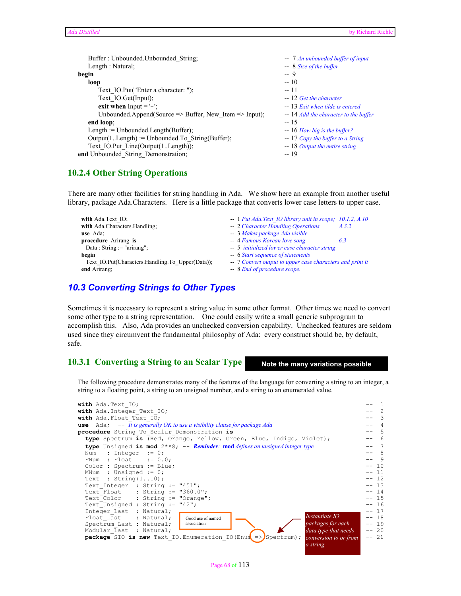| Buffer: Unbounded Unbounded String;                                          | -- 7 An unbounded buffer of input     |
|------------------------------------------------------------------------------|---------------------------------------|
| Length : Natural;                                                            | -- 8 Size of the buffer               |
| begin                                                                        | $-9$                                  |
| loop                                                                         | $-10$                                 |
| Text IO. Put ("Enter a character: ");                                        | $-11$                                 |
| Text IO.Get(Input);                                                          | -- 12 Get the character               |
| exit when Input = $\sim$ ;                                                   | -- 13 Exit when tilde is entered      |
| Unbounded.Append(Source $\Rightarrow$ Buffer, New Item $\Rightarrow$ Input); | -- 14 Add the character to the buffer |
| end loop;                                                                    | $-15$                                 |
| Length $:=$ Unbounded. Length $(Buffer)$ ;                                   | $-16$ How big is the buffer?          |
| $Output(1Length) := Unbounded.To String(Buffer);$                            | -- 17 Copy the buffer to a String     |
| Text IO. Put $Line(Output(1Length))$ ;                                       | -- 18 Output the entire string        |
| end Unbounded String Demonstration;                                          | $-19$                                 |

#### **10.2.4 Other String Operations**

There are many other facilities for string handling in Ada. We show here an example from another useful library, package Ada.Characters. Here is a little package that converts lower case letters to upper case.

**with** Ada.Text\_IO; **--** 1 *Put Ada.Text\_IO library unit in scope; 10.1.2, A.10* **with Ada.Characters.Handling;**  $\qquad \qquad -2$  *Character Handling Operations A.3.2* **use** Ada;<br>**procedure** Arizang **is**  $\qquad \qquad -3$  *Makes package Ada visible*<br> $\qquad \qquad -4$  *Famous Korean love song* **procedure** Arirang **is** -- 4 *Famous Korean love song 6.3* Data : String := "arirang";  $\qquad \qquad -5$  *initialized lower case character string* **begin** -- 6 *Start sequence of statements* Text IO.Put(Characters.Handling.To Upper(Data)); -- 7 *Convert output to upper case characters and print it* end Arirang;  $- 8$  *End of procedure scope.* 

### *10.3 Converting Strings to Other Types*

Sometimes it is necessary to represent a string value in some other format. Other times we need to convert some other type to a string representation. One could easily write a small generic subprogram to accomplish this. Also, Ada provides an unchecked conversion capability. Unchecked features are seldom used since they circumvent the fundamental philosophy of Ada: every construct should be, by default, safe.

#### **10.3.1 Converting a String to an Scalar Type**

**Note the many variations possible**

The following procedure demonstrates many of the features of the language for converting a string to an integer, a string to a floating point, a string to an unsigned number, and a string to an enumerated value.

| with Ada. Text IO;                                                                                        |         |                |
|-----------------------------------------------------------------------------------------------------------|---------|----------------|
| with Ada. Integer Text IO;                                                                                |         | $\mathcal{P}$  |
| with Ada. Float Text IO;                                                                                  |         | -3             |
| <b>use</b> Ada; $\frac{-1}{\pi}$ is generally <i>OK</i> to use a visibility clause for package Ada        |         |                |
|                                                                                                           |         |                |
| procedure String To Scalar Demonstration is                                                               |         | .5             |
| type Spectrum is (Red, Orange, Yellow, Green, Blue, Indigo, Violet);                                      |         | 6              |
| <b>type</b> Unsigned is mod $2**8$ ; -- <b>Reminder</b> : mod <i>defines an unsigned integer type</i>     |         | 7              |
| : Integer $:= 0$ ;<br>Num                                                                                 |         | - 8            |
| FNum : Float $:= 0.0$ ;                                                                                   |         | $\overline{9}$ |
| Color : Spectrum := Blue;                                                                                 | $-- 10$ |                |
| MNum : Unsigned $:= 0;$                                                                                   | $-- 11$ |                |
| Text : String $(110)$ ;                                                                                   | $-- 12$ |                |
|                                                                                                           |         | $-- 13$        |
| Text Integer : String := "451";                                                                           |         |                |
| Text Float : String $:=$ "360.0";                                                                         | $-- 14$ |                |
| Text Color : String := "Orange";                                                                          | $-- 15$ |                |
| Text Unsigned : String $:=$ "42";                                                                         | $-- 16$ |                |
| Integer Last : Natural;                                                                                   |         | $-- 17$        |
| <i>Instantiate IO</i><br>Float Last : Natural;<br>Good use of named                                       | $-- 18$ |                |
| <i>packages for each</i><br>association<br>Spectrum Last : Natural;                                       | $-- 19$ |                |
|                                                                                                           |         |                |
| Modular Last : Natural;<br>data type that needs                                                           | $-- 20$ |                |
| <b>package</b> SIO is new Text IO. Enumeration IO (Enum $\Rightarrow$ Spectrum);<br>conversion to or from | $-- 21$ |                |
| a string.                                                                                                 |         |                |
|                                                                                                           |         |                |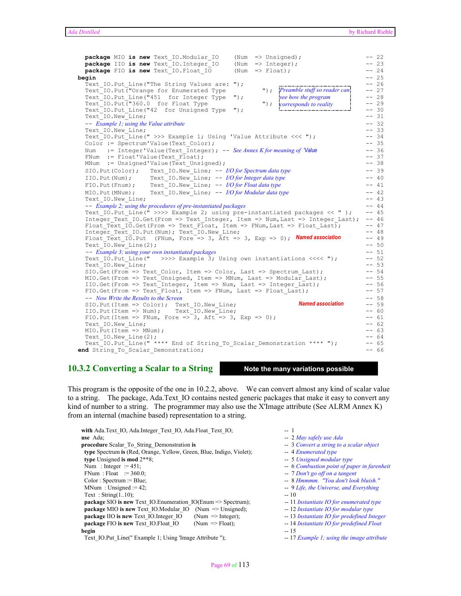| package MIO is new Text_IO.Modular IO<br>(Num $\Rightarrow$ Unsigned);                                                                                      | $-- 22$            |
|-------------------------------------------------------------------------------------------------------------------------------------------------------------|--------------------|
| package IIO is new Text IO. Integer IO<br>(Num $\Rightarrow$ Integer);                                                                                      | $-- 23$            |
| package FIO is new Text IO. Float IO<br>$\Rightarrow$ Float);<br>(Num                                                                                       | $-- 24$            |
| begin                                                                                                                                                       | $-- 25$            |
| Text IO. Put Line ("The String Values are:<br>$"$ );                                                                                                        | $-- 26$            |
| Preamble stuff so reader can<br>Text IO. Put ("Orange for Enumerated Type<br>$"$ );                                                                         | $-- 27$            |
| Text IO. Put Line ("451 for Integer Type<br>$"$ );<br>see how the program                                                                                   | $-- 28$            |
| Text IO. Put ("360.0 for Float Type<br>$"$ );<br>corresponds to reality                                                                                     | $-- 29$            |
| Text IO. Put Line ("42 for Unsigned Type<br>$"$ );                                                                                                          | $-- 30$            |
| Text IO. New Line;                                                                                                                                          | $-- 31$            |
| $--$ Example 1; using the Value attribute                                                                                                                   | $-- 32$            |
| Text IO. New Line;                                                                                                                                          | $-- 33$            |
| Text IO. Put Line (" >>> Example 1; Using 'Value Attribute <<< ");                                                                                          | $-- 34$            |
| Color := Spectrum'Value(Text Color);                                                                                                                        | $-- 35$            |
| Num := Integer'Value (Text Integer); -- See Annex K for meaning of 'Value                                                                                   | $-- 36$            |
| FNum $:=$ Float'Value (Text Float);                                                                                                                         | $-- 37$            |
| $MNum$ := Unsigned'Value (Text Unsigned);                                                                                                                   | $-- 38$<br>$-- 39$ |
| Text IO. New Line; -- I/O for Spectrum data type<br>SIO. Put (Color);                                                                                       |                    |
| Text IO. New Line; -- I/O for Integer data type<br>IIO. Put (Num) ;                                                                                         | $--40$             |
| Text IO. New Line; -- <i>I/O for Float data type</i><br>FIO. Put (Fnum) ;                                                                                   | $-- 41$            |
| Text IO. New Line; -- I/O for Modular data type<br>MIO. Put (MNum) ;                                                                                        | $-- 42$            |
| Text IO. New Line;                                                                                                                                          | $-- 43$            |
| -- <i>Example 2; using the procedures of pre-instantiated packages</i>                                                                                      | $-- 44$            |
| Text IO. Put Line (" >>>> Example 2; using pre-instantiated packages << " );                                                                                | $-- 45$            |
| Integer Text IO.Get (From => Text Integer, Item => Num, Last => Integer Last);<br>Float Text IO.Get (From => Text Float, Item => FNum, Last => Float Last); | $-- 46$<br>$-- 47$ |
| Integer Text IO. Put (Num) ; Text IO. New Line;                                                                                                             | $-- 48$            |
| Float_Text_IO.Put (FNum, Fore => 3, Aft => 3, Exp => 0); Named association                                                                                  | $-- 49$            |
| $Text\_IO.New\_Line(2);$                                                                                                                                    | $-- 50$            |
| -- Example 3; using your own instantiated packages                                                                                                          | $-- 51$            |
| >>>> Example 3; Using own instantiations <<<< ");<br>Text IO. Put Line ("                                                                                   | $-- 52$            |
| Text IO. New Line;                                                                                                                                          | $-- 53$            |
| SIO.Get (From => Text Color, Item => Color, Last => Spectrum Last);                                                                                         | $-- 54$            |
| MIO.Get (From => Text Unsigned, Item => MNum, Last => Modular Last);                                                                                        | $-- 55$            |
| IIO.Get (From => Text Integer, Item => Num, Last => Integer Last);                                                                                          | $-- 56$            |
| FIO.Get (From => Text Float, Item => FNum, Last => Float Last);                                                                                             | $-- 57$            |
| -- Now Write the Results to the Screen                                                                                                                      | $-- 58$            |
| <b>Named association</b><br>$SIO.Put(Item => Color);$<br>Text IO. New Line;                                                                                 | $-- 59$            |
| $\text{IIO.Put}$ (Item => Num);<br>Text IO. New Line;                                                                                                       | $-- 60$            |
| FIO. Put (Item => FNum, Fore => 3, Aft => 3, Exp => 0);                                                                                                     | $-- 61$            |
| Text IO. New Line;                                                                                                                                          | $-- 62$<br>$-- 63$ |
| $MIO.Put(Item \implies MNum);$                                                                                                                              | $-- 64$            |
| Text IO. New Line (2);<br>Text IO. Put Line (" **** End of String To Scalar Demonstration **** ");                                                          | $-- 65$            |
| end String To Scalar Demonstration;                                                                                                                         | $-- 66$            |
|                                                                                                                                                             |                    |

#### **10.3.2 Converting a Scalar to a String**

**Note the many variations possible**

This program is the opposite of the one in 10.2.2, above. We can convert almost any kind of scalar value to a string. The package, Ada.Text\_IO contains nested generic packages that make it easy to convert any kind of number to a string. The programmer may also use the X'Image attribute (See ALRM Annex K) from an internal (machine based) representation to a string.

| with Ada.Text IO, Ada.Integer Text IO, Ada.Float Text IO;                   | -- 1                                            |
|-----------------------------------------------------------------------------|-------------------------------------------------|
| use Ada:                                                                    | -- 2 May safely use Ada                         |
| procedure Scalar To String Demonstration is                                 | -- 3 Convert a string to a scalar object        |
| type Spectrum is (Red, Orange, Yellow, Green, Blue, Indigo, Violet);        | -- 4 <i>Enumerated type</i>                     |
| type Unsigned is mod $2**8$ ;                                               | -- 5 Unsigned modular type                      |
| Num : Integer := $451$ ;                                                    | -- 6 Combustion point of paper in farenheit     |
| FNum: Float: $= 360.0$ ;                                                    | -- 7 Don't go off on a tangent                  |
| $Color: Spectrum := Blue;$                                                  | -- 8 Hmmmm. "You don't look bluish."            |
| MNum : Unsigned := 42;                                                      | -- 9 Life, the Universe, and Everything         |
| Text: $String(110)$ ;                                                       | $-10$                                           |
| package SIO is new Text IO. Enumeration IO(Enum $\Rightarrow$ Spectrum);    | -- 11 <i>Instantiate IO for enumerated type</i> |
| <b>package</b> MIO is new Text IO. Modular IO (Num $\Rightarrow$ Unsigned); | -- 12 <i>Instantiate IO for modular type</i>    |
| package IIO is new Text IO. Integer IO<br>(Num $\Rightarrow$ Integer);      | -- 13 Instantiate IO for predefined Integer     |
| package FIO is new Text IO. Float IO<br>(Num $\Rightarrow$ Float);          | -- 14 Instantiate IO for predefined Float       |
| begin                                                                       | $-15$                                           |
| Text IO. Put Line(" Example 1; Using 'Image Attribute ");                   | --17 Example 1; using the image attribute       |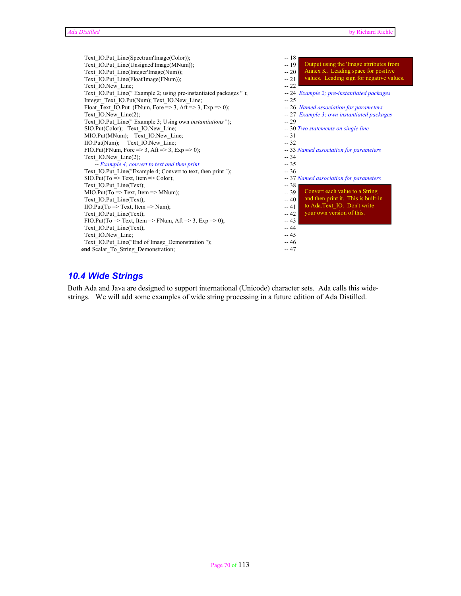| $-18$                                              |
|----------------------------------------------------|
| Output using the 'Image attributes from<br>$-19$   |
| Annex K. Leading space for positive<br>$-20$       |
| values. Leading sign for negative values.<br>$-21$ |
| $-22$                                              |
| -- 24 Example 2; pre-instantiated packages         |
| $-25$                                              |
| -- 26 Named association for parameters             |
| -- 27 Example 3; own instantiated packages         |
| $-29$                                              |
| -- 30 Two statements on single line                |
| $-31$                                              |
| $-32$                                              |
| -- 33 Named association for parameters             |
| $-34$                                              |
| $-35$                                              |
| $-36$                                              |
| -- 37 Named association for parameters             |
| $-38$                                              |
| Convert each value to a String<br>$-39$            |
| and then print it. This is built-in<br>$-40$       |
| to Ada.Text IO. Don't write<br>$-41$               |
| your own version of this.<br>$-42$                 |
| $-43$                                              |
| $-44$                                              |
| $-45$                                              |
| $-46$                                              |
| $-47$                                              |
|                                                    |

# *10.4 Wide Strings*

Both Ada and Java are designed to support international (Unicode) character sets. Ada calls this widestrings. We will add some examples of wide string processing in a future edition of Ada Distilled.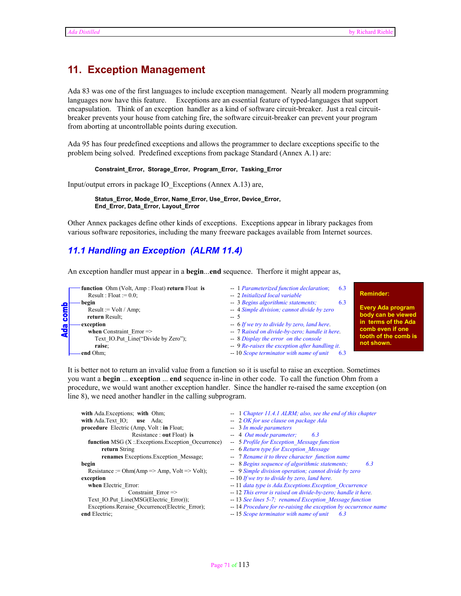rogram **b ihe Ada f** one **tomb** is

# **11. Exception Management**

Ada 83 was one of the first languages to include exception management. Nearly all modern programming languages now have this feature. Exceptions are an essential feature of typed-languages that support encapsulation. Think of an exception handler as a kind of software circuit-breaker. Just a real circuitbreaker prevents your house from catching fire, the software circuit-breaker can prevent your program from aborting at uncontrollable points during execution.

Ada 95 has four predefined exceptions and allows the programmer to declare exceptions specific to the problem being solved. Predefined exceptions from package Standard (Annex A.1) are:

#### **Constraint\_Error, Storage\_Error, Program\_Error, Tasking\_Error**

Input/output errors in package IO\_Exceptions (Annex A.13) are,

**Status\_Error, Mode\_Error, Name\_Error, Use\_Error, Device\_Error, End\_Error, Data\_Error, Layout\_Error**

Other Annex packages define other kinds of exceptions. Exceptions appear in library packages from various software repositories, including the many freeware packages available from Internet sources.

### *11.1 Handling an Exception (ALRM 11.4)*

An exception handler must appear in a **begin**...**end** sequence. Therfore it might appear as,

| function Ohm (Volt, Amp : Float) return Float is<br>Result : Float := $0.0$ ;<br>begin<br>Result := $Volt / Amp$ ;<br>return Result:<br>•exception<br>when Constraint Error $\Rightarrow$<br>Text IO.Put Line ("Divide by Zero");<br>raise: | - 1 Parameterized function declaration;<br>6.3<br>-- 2 Initialized local variable<br>-- 3 Begins algorithmic statements;<br>6.3<br>-- 4 Simple division; cannot divide by zero<br>$-5$<br>-- 6 If we try to divide by zero, land here.<br>-- 7 Raised on divide-by-zero; handle it here.<br>-- 8 Display the error on the console<br>-- 9 Re-raises the exception after handling it. | <b>Reminder:</b><br>Every Ada<br>body can b<br>in terms of<br>comb even<br>tooth of the<br>not shown. |
|---------------------------------------------------------------------------------------------------------------------------------------------------------------------------------------------------------------------------------------------|--------------------------------------------------------------------------------------------------------------------------------------------------------------------------------------------------------------------------------------------------------------------------------------------------------------------------------------------------------------------------------------|-------------------------------------------------------------------------------------------------------|
| end Ohm:                                                                                                                                                                                                                                    | -- 10 Scope terminator with name of unit<br>6.3                                                                                                                                                                                                                                                                                                                                      |                                                                                                       |

It is better not to return an invalid value from a function so it is useful to raise an exception. Sometimes you want a **begin** ... **exception** ... **end** sequence in-line in other code. To call the function Ohm from a procedure, we would want another exception handler. Since the handler re-raised the same exception (on line 8), we need another handler in the calling subprogram.

```
with Ada.Exceptions; with Ohm; -- 1 Chapter 11.4.1 ALRM; also, see the end of this chapter
with Ada.Text_IO; use Ada; \qquad \qquad -2 OK for use clause on package Adaprocedure Electric (Amp, Volt : in Float; -- 3 In mode parameters
                Resistance : out Float) is -- 4 Out mode parameter; 6.3
  function MSG (X :.Exceptions.Exception_Occurrence) -- 5 Profile for Exception_Message function
      return String -6 Return type for Exception_Message
      renames Exceptions.Exception Message; -- 7 Rename it to three character function name
begin -- 8 Begins sequence of algorithmic statements; 6.3
  Resistance := Ohm(Amp => Amp, Volt => Volt); -- 9 Simple division operation; cannot divide by zero
exception \qquad \qquad -10 If we try to divide by zero, land here.
  Text_IO.Put_Line(MSG(Electric_Error)); -- 13 See lines 5-7; renamed Exception_Message function
  Exceptions.Reraise_Occurrence(Electric_Error); -- 14 Procedure for re-raising the exception by occurrence name
```
- 
- 
- 
- 
- 
- 
- 
- 
- 
- 
- **when** Electric Error: -- 11 *data type is Ada.Exceptions.Exception Occurrence* 
	- Constraint\_Error => -- 12 *This error is raised on divide-by-zero; handle it here.*
		-
		-
- **end** Electric; **are set of the example of the set of the set of the set of the set of the set of the set of the set of the set of the set of the set of the set of the set of the set of the set of the set of the set of the**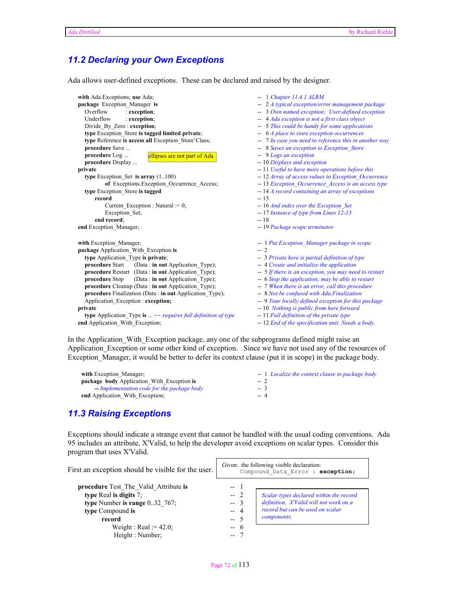### *11.2 Declaring your Own Exceptions*

Ada allows user-defined exceptions. These can be declared and raised by the designer.

```
with Ada.Exceptions; use Ada; \qquad \qquad -1 Chapter 11.4.1 ALRM
package Exception_Manager is -- 2 A typical exception/error management package
  Overflow : exception; \qquad \qquad -3 Own named exception; User-defined exception
  Underflow : exception; \qquad \qquad -4 Ada exception is not a first class object
  Divide_By_Zero : exception; -5 This could be handy for some applications
  type Exception_Store is tagged limited private; -- 6 A place to store exception occurrences
  type Reference is access all Exception_Store'Class; \qquad - 7 In case you need to reference this in another way
  procedure Save ... by Saves and Exception Store and Store Store and Store and Store and Store and Store and Store and Store and Store and Store and Store and Store and Store and Store and S
  procedure Log ... igllipses are not part of Ada ellipses -- 9 Logs an exception
  procedure Display ... \frac{1}{2} ... \frac{1}{2} ... \frac{1}{2} ... \frac{1}{2} ... \frac{1}{2} ... \frac{1}{2} ... \frac{1}{2} ... \frac{1}{2} ... \frac{1}{2} ... \frac{1}{2} ... \frac{1}{2} ... \frac{1}{2} ... \frac{1}{private \qquad \qquad -11 Useful to have more operations before this
  type Exception_Set is array (1..100) -- 12 Array of access values to Exception_Occurrence
        of Exceptions.Exception Occurrence Access; -13 Exception Occurrence Access is an access type
  type Exception_Store is tagged -- 14 A record containing an array of exceptions
     record -- 15
        Current_Exception : Natural := 0; -- 16 And index over the Exception_Set
        Exception_Set; -17 Instance of type from Lines 12-13
end record; -18<br>end Exception_Manager; -19enda Exception 2019 Package scope terminator
with Exception_Manager; \qquad \qquad -1 Put Exception_Manager package in scope
package Application With Exception is -- 2
  type Application_Type is private; \qquad \qquad -3 Private here is partial definition of type
  procedure Start (Data : in out Application_Type); -- 4 Create and initialize the application
  procedure Restart (Data : in out Application_Type); -- 5 If there is an exception, you may need to restart
  procedure Stop (Data : in out Application_Type); -- 6 Stop the application; may be able to restart
  procedure Cleanup (Data : in out Application_Type); -- 7 When there is an error, call this procedure
  procedure Finalization (Data : in out Application_Type); -- 8 Not be confused with Ada.Finalization
  Application_Exception : exception; -- 9 Your locally defined exception for this package
private -10 Nothing is public from here forward
   type Application_Type is ... -- requires full definition of type -- 11 Full definition of the private type
end Application With Exception; -12 End of the specification unit. Needs a body.
```
In the Application With Exception package, any one of the subprograms defined might raise an Application Exception or some other kind of exception. Since we have not used any of the resources of Exception Manager, it would be better to defer its context clause (put it in scope) in the package body.

| with Exception Manager;                    | -- 1 Localize the context clause to package body |
|--------------------------------------------|--------------------------------------------------|
| package body Application With Exception is | $-2$                                             |
| - Implementation code for the package body | $-3$                                             |
| end Application With Exception;            | $-4$                                             |

#### *11.3 Raising Exceptions*

Exceptions should indicate a strange event that cannot be handled with the usual coding conventions. Ada 95 includes an attribute, X'Valid, to help the developer avoid exceptions on scalar types. Consider this program that uses X'Valid.

| First an exception should be visible for the user. | Given: the following visible declaration:<br>Compound Data Error : exception; |  |
|----------------------------------------------------|-------------------------------------------------------------------------------|--|
| procedure Test The Valid Attribute is              | $-$                                                                           |  |
| type Real is digits 7;                             | $-2$<br>Scalar types declared within the record                               |  |
| type Number is range $0.32$ 767;                   | definition. X'Valid will not work on a<br>$-3$                                |  |
| type Compound is                                   | record but can be used on scalar<br>$-4$                                      |  |
| record                                             | components.<br>$-5$                                                           |  |
| Weight : Real := $42.0$ ;                          | -- 6                                                                          |  |
| Height: Number;                                    | --                                                                            |  |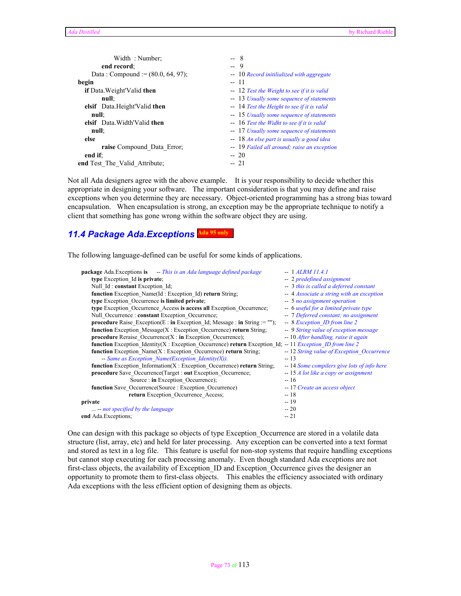| -- 8                                        |
|---------------------------------------------|
| -- 9                                        |
| -- 10 Record initilialized with aggregate   |
| -- 11                                       |
| -- 12 Test the Weight to see if it is valid |
| -- 13 Usually some sequence of statements   |
| -- 14 Test the Height to see if it is valid |
| -- 15 Usually some sequence of statements   |
| -- 16 Test the Widht to see if it is valid  |
| -- 17 Usually some sequence of statements   |
| -- 18 An else part is usually a good idea   |
| -- 19 Failed all around; raise an exception |
| $-20$                                       |
| -- 21                                       |
|                                             |

Not all Ada designers agree with the above example. It is your responsibility to decide whether this appropriate in designing your software. The important consideration is that you may define and raise exceptions when you determine they are necessary. Object-oriented programming has a strong bias toward encapsulation. When encapsulation is strong, an exception may be the appropriate technique to notify a client that something has gone wrong within the software object they are using.

## *11.4 Package Ada.Exceptions* **Ada 95 only**

The following language-defined can be useful for some kinds of applications.

| <b>package</b> Ada. Exceptions is - This is an Ada language defined package                                            | $-1 ALRM 11.4.1$                            |
|------------------------------------------------------------------------------------------------------------------------|---------------------------------------------|
| type Exception Id is private;                                                                                          | -- 2 predefined assignment                  |
| Null Id: constant Exception Id;                                                                                        | -- 3 this is called a deferred constant     |
| function Exception Name(Id: Exception Id) return String;                                                               | -- 4 Associate a string with an exception   |
| type Exception Occurrence is limited private;                                                                          | -- 5 no assignment operation                |
| type Exception Occurrence Access is access all Exception Occurrence;                                                   | -- 6 useful for a limited private type      |
| Null Occurrence: constant Exception Occurrence;                                                                        | -- 7 Deferred constant; no assignment       |
| <b>procedure</b> Raise Exception(E: <b>in</b> Exception Id; Message: <b>in</b> String:="");                            | -- 8 Exception ID from line 2               |
| function Exception_Message(X: Exception_Occurrence) return String;                                                     | - 9 String value of exception message       |
| <b>procedure</b> Reraise Occurrence $(X : in Exception Occurrence)$ ;                                                  | -- 10 After handling, raise it again        |
| <b>function</b> Exception Identity(X : Exception Occurrence) return Exception Id; --11 <i>Exception ID from line 2</i> |                                             |
| <b>function</b> Exception Name $(X : Exception$ Occurrence) return String;                                             | -- 12 String value of Exception Occurrence  |
| -- Same as Exception Name(Exception Identity(X)).                                                                      | $-13$                                       |
| <b>function</b> Exception Information $(X : Exception$ Occurrence) return String;                                      | -- 14 Some compilers give lots of info here |
| procedure Save_Occurrence(Target : out Exception_Occurrence;                                                           | -- 15 A lot like a copy or assignment       |
| Source : in Exception Occurrence);                                                                                     | $-16$                                       |
| <b>function</b> Save Occurrence(Source: Exception Occurrence)                                                          | -- 17 Create an access object               |
| return Exception Occurrence Access;                                                                                    | $-18$                                       |
| private                                                                                                                | $-19$                                       |
| $\ldots$ - not specified by the language                                                                               | $-20$                                       |
| end Ada.Exceptions;                                                                                                    | $-21$                                       |
|                                                                                                                        |                                             |

One can design with this package so objects of type Exception\_Occurrence are stored in a volatile data structure (list, array, etc) and held for later processing. Any exception can be converted into a text format and stored as text in a log file. This feature is useful for non-stop systems that require handling exceptions but cannot stop executing for each processing anomaly. Even though standard Ada exceptions are not first-class objects, the availability of Exception ID and Exception Occurrence gives the designer an opportunity to promote them to first-class objects. This enables the efficiency associated with ordinary Ada exceptions with the less efficient option of designing them as objects.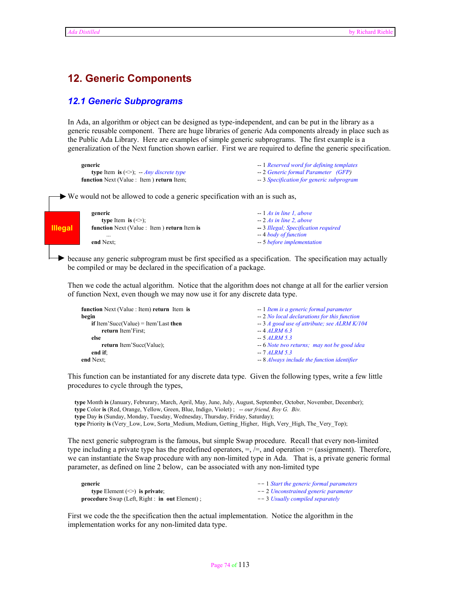**Illeg** 

## **12. Generic Components**

## *12.1 Generic Subprograms*

In Ada, an algorithm or object can be designed as type-independent, and can be put in the library as a generic reusable component. There are huge libraries of generic Ada components already in place such as the Public Ada Library. Here are examples of simple generic subprograms. The first example is a generalization of the Next function shown earlier. First we are required to define the generic specification.

| generic                                                           | --1 Reserved word for defining templates |
|-------------------------------------------------------------------|------------------------------------------|
| <b>type</b> Item is $(\heartsuit)$ ; $-$ <i>Any discrete type</i> | -- 2 Generic formal Parameter (GFP)      |
| <b>function</b> Next (Value : Item) return Item;                  | --3 Specification for generic subprogram |

 $\blacktriangleright$  We would not be allowed to code a generic specification with an is such as,

|     | generic                                                   | $-1$ As in line 1, above             |
|-----|-----------------------------------------------------------|--------------------------------------|
|     | <b>type</b> Item is $(\le)$ ;                             | $-2$ As in line 2, above             |
| all | <b>function</b> Next (Value : Item) <b>return</b> Item is | -- 3 Illegal; Specification required |
|     | $\ddotsc$                                                 | --4 body of function                 |
|     | end Next:                                                 | -- 5 before implementation           |
|     |                                                           |                                      |

because any generic subprogram must be first specified as a specification. The specification may actually be compiled or may be declared in the specification of a package.

Then we code the actual algorithm. Notice that the algorithm does not change at all for the earlier version of function Next, even though we may now use it for any discrete data type.

| <b>function</b> Next (Value : Item) <b>return</b> Item is | --1 Item is a generic formal parameter       |
|-----------------------------------------------------------|----------------------------------------------|
| begin                                                     | -- 2 No local declarations for this function |
| if Item'Succ(Value) = Item'Last then                      | $-3$ A good use of attribute; see ALRM K/104 |
| return Item'First;                                        | $-4 ALRM 6.3$                                |
| else                                                      | $-5 ALRM 5.3$                                |
| <b>return</b> Item'Succ(Value);                           | -- 6 Note two returns; may not be good idea  |
| end if:                                                   | $-7$ ALRM 5.3                                |
| end Next:                                                 | -- 8 Always include the function identifier  |
|                                                           |                                              |

This function can be instantiated for any discrete data type. Given the following types, write a few little procedures to cycle through the types,

**type** Month **is** (January, Februrary, March, April, May, June, July, August, September, October, November, December); **type** Color **is** (Red, Orange, Yellow, Green, Blue, Indigo, Violet) ; -- *our friend, Roy G. Biv.* **type** Day **is** (Sunday, Monday, Tuesday, Wednesday, Thursday, Friday, Saturday); **type** Priority **is** (Very\_Low, Low, Sorta\_Medium, Medium, Getting\_Higher, High, Very\_High, The\_Very\_Top);

The next generic subprogram is the famous, but simple Swap procedure. Recall that every non-limited type including a private type has the predefined operators,  $=$ ,  $/=$ , and operation := (assignment). Therefore, we can instantiate the Swap procedure with any non-limited type in Ada. That is, a private generic formal parameter, as defined on line 2 below, can be associated with any non-limited type

| generic                                                      | $-- 1$ Start the generic formal parameters |
|--------------------------------------------------------------|--------------------------------------------|
| type Element $(\le)$ is private:                             | $-$ - 2 Unconstrained generic parameter    |
| <b>procedure</b> Swap (Left, Right : <b>in</b> out Element); | --3 Usually compiled separately            |

First we code the the specification then the actual implementation. Notice the algorithm in the implementation works for any non-limited data type.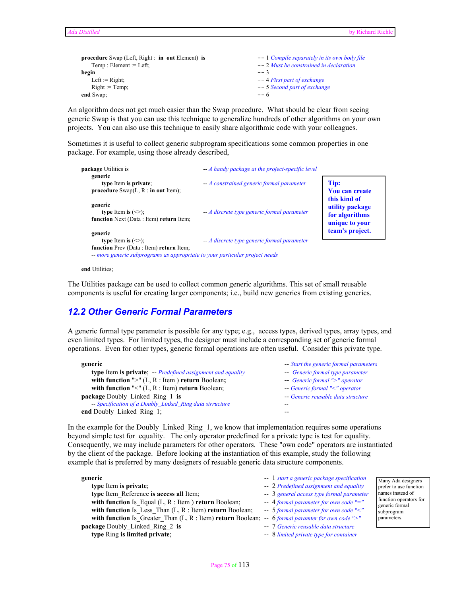```
procedure Swap (Left, Right : in out Element) is -- 1 Compile separately in its own body file<br>
-- 2 Must be constrained in declaration
                                         -- 2 Must be constrained in declaration
begin -- 3Left := Right;<br>-4 First part of exchange
  Right := Temp; -5 Second part of exchange
end Swap; \qquad -6
```
An algorithm does not get much easier than the Swap procedure. What should be clear from seeing generic Swap is that you can use this technique to generalize hundreds of other algorithms on your own projects. You can also use this technique to easily share algorithmic code with your colleagues.

Sometimes it is useful to collect generic subprogram specifications some common properties in one package. For example, using those already described,

| package Utilities is                                                        | -- A handy package at the project-specific level |                                   |
|-----------------------------------------------------------------------------|--------------------------------------------------|-----------------------------------|
| generic                                                                     |                                                  |                                   |
| type Item is private;                                                       | -- A constrained generic formal parameter        | Tip:                              |
| procedure $Swap(L, R : in out Item);$                                       |                                                  | <b>You can create</b>             |
| generic<br><b>type</b> Item is $(\leq)$ ;                                   | -- A discrete type generic formal parameter      | this kind of<br>utility package   |
| function Next (Data : Item) return Item;                                    |                                                  | for algorithms                    |
| generic                                                                     |                                                  | unique to your<br>team's project. |
| <b>type</b> Item is $(\leq)$ ;                                              | -- A discrete type generic formal parameter      |                                   |
| function Prev (Data : Item) return Item;                                    |                                                  |                                   |
| -- more generic subprograms as appropriate to your particular project needs |                                                  |                                   |

The Utilities package can be used to collect common generic algorithms. This set of small reusable components is useful for creating larger components; i.e., build new generics from existing generics.

#### *12.2 Other Generic Formal Parameters*

A generic formal type parameter is possible for any type; e.g., access types, derived types, array types, and even limited types. For limited types, the designer must include a corresponding set of generic formal operations. Even for other types, generic formal operations are often useful. Consider this private type.

| generic                                                                    | -- Start the generic formal parameters |
|----------------------------------------------------------------------------|----------------------------------------|
| <b>type Item is private</b> ; -- <i>Predefined assignment and equality</i> | -- Generic formal type parameter       |
| with function ">" $(L, R : Item)$ return Boolean;                          | - Generic formal ">" operator          |
| with function "<" $(L, R : Item)$ return Boolean;                          | -- Generic formal "<" operator         |
| <b>package</b> Doubly Linked Ring 1 is                                     | -- Generic reusable data structure     |
| -- Specification of a Doubly Linked Ring data strructure                   |                                        |
| end Doubly Linked Ring 1;                                                  |                                        |

In the example for the Doubly-Linked-Ring-1, we know that implementation requires some operations beyond simple test for equality. The only operator predefined for a private type is test for equality. Consequently, we may include parameters for other operators. These "own code" operators are instantiated by the client of the package. Before looking at the instantiation of this example, study the following example that is preferred by many designers of resuable generic data structure components.

| generic                                                                                           | -- 1 start a generic package specification<br>Many Ad                |  |
|---------------------------------------------------------------------------------------------------|----------------------------------------------------------------------|--|
| type Item is private;                                                                             | -- 2 Predefined assignment and equality<br>prefer to u               |  |
| type Item Reference is access all Item;                                                           | names ins<br>-- 3 general access type formal parameter               |  |
| with function Is Equal $(L, R : Item)$ return Boolean;                                            | function o<br>-- 4 formal parameter for own code $"="$<br>generic fo |  |
| with function Is Less Than $(L, R : Item)$ return Boolean;                                        | -- 5 formal parameter for own code "<"<br>subprogra                  |  |
| with function Is Greater Than (L, R : Item) return Boolean; -- 6 formal paramter for own code ">" | parameter                                                            |  |
| package Doubly_Linked_Ring 2 is                                                                   | -- 7 Generic reusable data structure                                 |  |
| type Ring is limited private;                                                                     | -- 8 limited private type for container                              |  |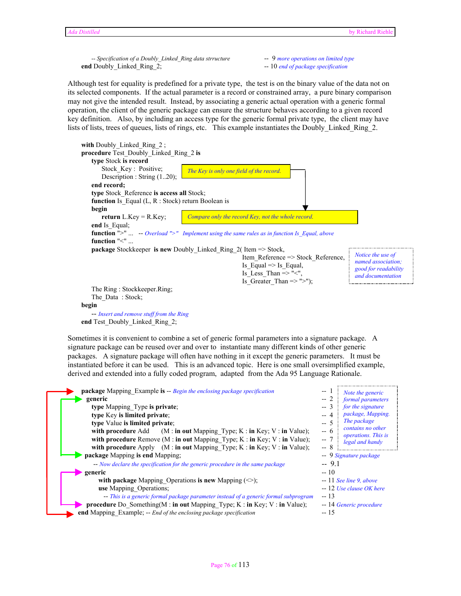-- *Specification of a Doubly\_Linked\_Ring data strructure* -- 9 *more operations on limited type* **end** Doubly\_Linked\_Ring\_2;  $-10$  *end of package specification* Although test for equality is predefined for a private type, the test is on the binary value of the data not on its selected components. If the actual parameter is a record or constrained array, a pure binary comparison may not give the intended result. Instead, by associating a generic actual operation with a generic formal operation, the client of the generic package can ensure the structure behaves according to a given record key definition. Also, by including an access type for the generic formal private type, the client may have lists of lists, trees of queues, lists of rings, etc. This example instantiates the Doubly\_Linked\_Ring\_2. with Doubly Linked Ring 2; **procedure** Test\_Doubly\_Linked\_Ring\_2 **is type** Stock **is record** Stock Key : Positive; Description : String  $(1..20)$ ; **end record; type** Stock\_Reference **is access all** Stock; **function** Is Equal (L, R : Stock) return Boolean is **begin return** L.Key = R.Key; **end** Is\_Equal; *The Key is only one field of the record. Compare only the record Key, not the whole record.*

**function** ">" ... -- *Overload ">" Implement using the same rules as in function Is\_Equal, above* **function** "<" ...

**package** Stockkeeper **is new** Doubly\_Linked\_Ring\_2( Item => Stock,

Item\_Reference => Stock\_Reference, Is Equal  $\Rightarrow$  Is Equal,  $Is\_Less\_ Than$  => "<". Is Greater Than  $\Rightarrow$  ">");

*Notice the use of named association; good for readability and documentation*

The Ring : Stockkeeper.Ring;

The Data: Stock;

#### **begin**

-- *Insert and remove stuff from the Ring* **end** Test\_Doubly\_Linked\_Ring\_2;

Sometimes it is convenient to combine a set of generic formal parameters into a signature package. A signature package can be reused over and over to instantiate many different kinds of other generic packages. A signature package will often have nothing in it except the generic parameters. It must be instantiated before it can be used. This is an advanced topic. Here is one small oversimplified example, derived and extended into a fully coded program, adapted from the Ada 95 Language Rationale.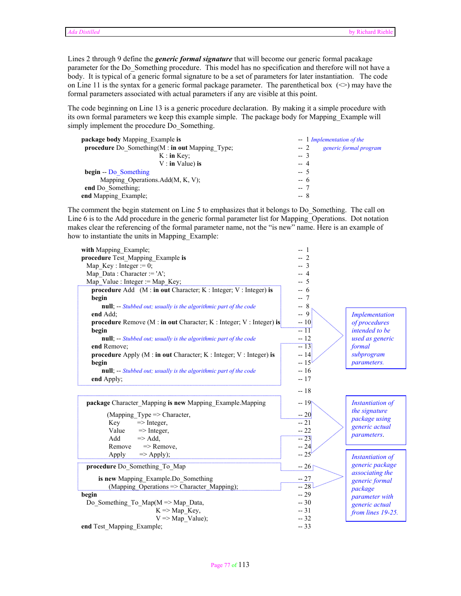Lines 2 through 9 define the *generic formal signature* that will become our generic formal pacakage parameter for the Do\_Something procedure. This model has no specification and therefore will not have a body. It is typical of a generic formal signature to be a set of parameters for later instantiation. The code on Line 11 is the syntax for a generic formal package parameter. The parenthetical box  $(\le)$  may have the formal parameters associated with actual parameters if any are visible at this point.

The code beginning on Line 13 is a generic procedure declaration. By making it a simple procedure with its own formal parameters we keep this example simple. The package body for Mapping\_Example will simply implement the procedure Do\_Something.

| package body Mapping Example is                             | -- 1 <i>Implementation</i> of the |
|-------------------------------------------------------------|-----------------------------------|
| <b>procedure</b> Do Something $(M : in out Mapping Type)$ ; | generic formal program<br>$-2$    |
| $K : \text{in Key}$                                         | $-3$                              |
| $V : in Value$ ) is                                         | $-4$                              |
| <b>begin</b> -- Do Something                                | $-5$                              |
| Mapping Operations. $Add(M, K, V)$ ;                        | -- 6                              |
| end Do Something;                                           | $-7$                              |
| end Mapping Example;                                        | -- 8                              |

The comment the begin statement on Line 5 to emphasizes that it belongs to Do\_Something. The call on Line 6 is to the Add procedure in the generic formal parameter list for Mapping\_Operations. Dot notation makes clear the referencing of the formal parameter name, not the "is new" name. Here is an example of how to instantiate the units in Mapping Example:

| with Mapping Example;<br>-- 1<br>procedure Test Mapping Example is<br>$\mathcal{D}$<br>Map Key : Integer := 0;<br>$\mathcal{E}$<br>Map Data: Character := 'A';<br>- 4<br>Map Value : Integer := Map Key;<br>-- 5<br>procedure Add (M: in out Character; K: Integer; V: Integer) is<br>-- 6<br>begin<br>7<br><b>null</b> ; -- Stubbed out; usually is the algorithmic part of the code<br>end Add:<br>-9<br>procedure Remove (M : in out Character; K : Integer; V : Integer) is<br>-- 10<br>begin<br>$-12$<br><b>null</b> ; -- Stubbed out; usually is the algorithmic part of the code<br>$-13$<br>end Remove:<br>procedure Apply (M: in out Character; K: Integer; V: Integer) is<br>$-14$<br>$-15$<br>begin<br>$-16$<br>null; -- Stubbed out; usually is the algorithmic part of the code<br>$-17$<br>end Apply;<br>$-18$ | Implementation<br>of procedures<br>intended to be<br>used as generic<br>formal<br>subprogram<br>parameters. |
|------------------------------------------------------------------------------------------------------------------------------------------------------------------------------------------------------------------------------------------------------------------------------------------------------------------------------------------------------------------------------------------------------------------------------------------------------------------------------------------------------------------------------------------------------------------------------------------------------------------------------------------------------------------------------------------------------------------------------------------------------------------------------------------------------------------------------|-------------------------------------------------------------------------------------------------------------|
| package Character Mapping is new Mapping Example. Mapping<br>-- 19:<br>(Mapping Type $\Rightarrow$ Character,<br>$-20$<br>$-21$<br>Key<br>$\Rightarrow$ Integer,<br>$-22$<br>Value<br>$\Rightarrow$ Integer,<br>$-23$<br>Add<br>$\Rightarrow$ Add.                                                                                                                                                                                                                                                                                                                                                                                                                                                                                                                                                                           | Instantiation of<br>the signature<br>package using<br>generic actual<br>parameters.                         |
| $\Rightarrow$ Remove,<br>$-24$<br>Remove<br>$-25$ <sup>i</sup><br>Apply<br>$\Rightarrow$ Apply);<br>procedure Do Something To Map<br>$-26$                                                                                                                                                                                                                                                                                                                                                                                                                                                                                                                                                                                                                                                                                   | Instantiation of<br>generic package<br>associating the                                                      |
| is new Mapping Example.Do Something<br>$-27$<br>$-28$<br>(Mapping Operations => Character Mapping);<br>$-29$<br>begin<br>Do Something To Map( $M \Rightarrow$ Map Data,<br>$-30$<br>$K \Rightarrow Map$ Key,<br>$-31$                                                                                                                                                                                                                                                                                                                                                                                                                                                                                                                                                                                                        | generic formal<br>package<br><i>parameter with</i><br>generic actual                                        |
| $V \Rightarrow Map Value);$<br>$-32$<br>$-33$<br>end Test Mapping Example;                                                                                                                                                                                                                                                                                                                                                                                                                                                                                                                                                                                                                                                                                                                                                   | from lines 19-25.                                                                                           |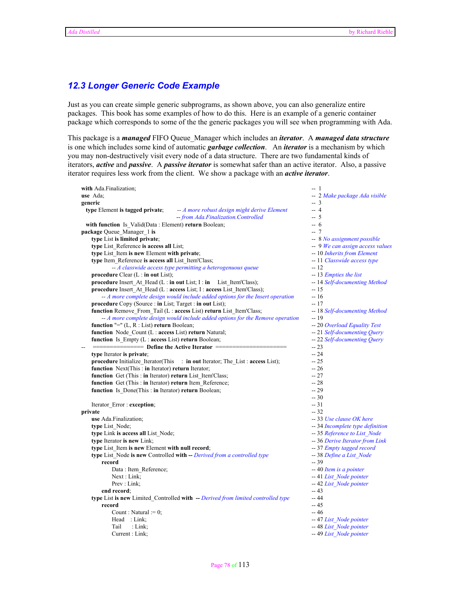## *12.3 Longer Generic Code Example*

Just as you can create simple generic subprograms, as shown above, you can also generalize entire packages. This book has some examples of how to do this. Here is an example of a generic container package which corresponds to some of the the generic packages you will see when programming with Ada.

This package is a *managed* FIFO Queue\_Manager which includes an *iterator*. A *managed data structure* is one which includes some kind of automatic *garbage collection*. An *iterator* is a mechanism by which you may non-destructively visit every node of a data structure. There are two fundamental kinds of iterators, *active* and *passive*. A *passive iterator* is somewhat safer than an active iterator. Also, a passive iterator requires less work from the client. We show a package with an *active iterator*.

| with Ada.Finalization;                                                     |                                                                                         | $-1$                             |
|----------------------------------------------------------------------------|-----------------------------------------------------------------------------------------|----------------------------------|
| use Ada;                                                                   |                                                                                         | -- 2 Make package Ada visible    |
| generic                                                                    |                                                                                         | $-3$                             |
| type Element is tagged private;                                            | -- A more robust design might derive Element                                            | $-4$                             |
|                                                                            | -- from Ada.Finalization.Controlled                                                     | $-5$                             |
| with function Is Valid(Data: Element) return Boolean;                      |                                                                                         | $-6$                             |
| package Queue Manager 1 is                                                 |                                                                                         | $-7$                             |
| type List is limited private;                                              |                                                                                         | -- 8 No assignment possible      |
| type List Reference is access all List;                                    |                                                                                         | -- 9 We can assign access values |
| type List Item is new Element with private;                                |                                                                                         | -- 10 Inherits from Element      |
| type Item Reference is access all List Item'Class;                         |                                                                                         | -- 11 Classwide access type      |
|                                                                            | -- A classwide access type permitting a heterogenuous queue                             | $-12$                            |
| procedure Clear $(L : in out List);$                                       |                                                                                         | -- 13 <i>Empties the list</i>    |
|                                                                            | <b>procedure</b> Insert At Head $(L : in out List; I : in List Item'Class);$            | -- 14 Self-documenting Method    |
|                                                                            | procedure Insert_At_Head (L: access List; I: access List_Item'Class);                   | $-15$                            |
|                                                                            | -- A more complete design would include added options for the Insert operation          | $-16$                            |
| procedure Copy (Source : in List; Target : in out List);                   |                                                                                         | $-17$                            |
|                                                                            | function Remove_From_Tail (L: access List) return List_Item'Class;                      | -- 18 Self-documenting Method    |
|                                                                            | -- A more complete design would include added options for the Remove operation          | $-19$                            |
| function "=" $(L, R : List)$ return Boolean;                               |                                                                                         | -- 20 Overload Equality Test     |
| function Node_Count (L: access List) return Natural;                       |                                                                                         | -- 21 Self-documenting Query     |
| function Is_Empty (L: access List) return Boolean;                         |                                                                                         | -- 22 Self-documenting Query     |
| $=$ $=$ $=$ $=$ $=$ $=$ $=$ $=$ $=$ $=$ $=$ $Define the Active Iterator =$ |                                                                                         | $-23$                            |
| type Iterator is private;                                                  |                                                                                         | $-24$                            |
|                                                                            | procedure Initialize_Iterator(This : in out Iterator; The_List : access List);          | $-25$                            |
| function Next(This: in Iterator) return Iterator;                          |                                                                                         | $-26$                            |
| function Get (This: in Iterator) return List_Item'Class;                   |                                                                                         | $-27$                            |
| function Get (This: in Iterator) return Item_Reference;                    |                                                                                         | $-28$                            |
| function Is Done(This: in Iterator) return Boolean;                        |                                                                                         | $-29$                            |
|                                                                            |                                                                                         | $-30$                            |
| Iterator Error: exception;                                                 |                                                                                         | $-31$                            |
| private                                                                    |                                                                                         | $-32$                            |
| use Ada.Finalization;                                                      |                                                                                         | -- 33 Use clause OK here         |
| type List Node;                                                            |                                                                                         | -- 34 Incomplete type definition |
| type Link is access all List_Node;                                         |                                                                                         | -- 35 Reference to List Node     |
| type Iterator is new Link;                                                 |                                                                                         | -- 36 Derive Iterator from Link  |
| type List Item is new Element with null record;                            |                                                                                         | -- 37 Empty tagged record        |
|                                                                            | type List_Node is new Controlled with -- Derived from a controlled type                 | -- 38 Define a List Node         |
| record                                                                     |                                                                                         | $-39$                            |
| Data : Item Reference;                                                     |                                                                                         | -- 40 Item is a pointer          |
| Next: Link;                                                                |                                                                                         | -- 41 List Node pointer          |
| Prev: Link;                                                                |                                                                                         | -- 42 List Node pointer          |
| end record:                                                                |                                                                                         | $-43$                            |
|                                                                            | <b>type</b> List is new Limited Controlled with -- Derived from limited controlled type | $-44$                            |
| record                                                                     |                                                                                         | $-45$                            |
| Count: Natural $:= 0;$                                                     |                                                                                         | $-46$                            |
| Head : Link;                                                               |                                                                                         | -- 47 List_Node pointer          |
| Tail<br>: Link:                                                            |                                                                                         | -- 48 List Node pointer          |
| Current : Link;                                                            |                                                                                         | -- 49 List Node pointer          |
|                                                                            |                                                                                         |                                  |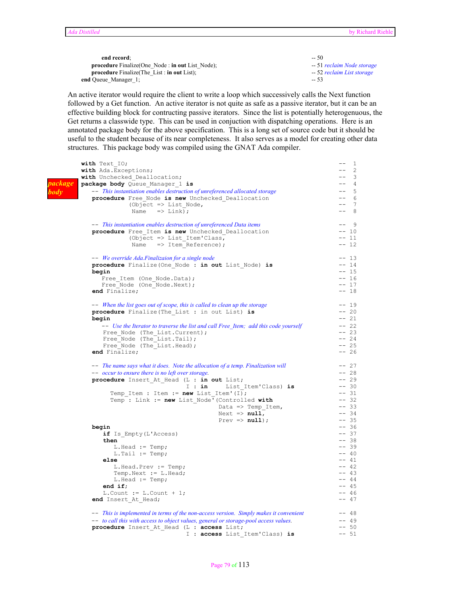| end record:                                                    | $-50$                      |
|----------------------------------------------------------------|----------------------------|
| <b>procedure</b> Finalize(One Node : <b>in out</b> List Node); | -- 51 reclaim Node storage |
| <b>procedure</b> Finalize (The List: <b>in out</b> List):      | -- 52 reclaim List storage |
| end Oueue Manager 1:                                           | $-53$                      |

An active iterator would require the client to write a loop which successively calls the Next function followed by a Get function. An active iterator is not quite as safe as a passive iterator, but it can be an effective building block for contructing passive iterators. Since the list is potentially heterogenuous, the Get returns a classwide type. This can be used in conjuction with dispatching operations. Here is an annotated package body for the above specification. This is a long set of source code but it should be useful to the student because of its near completeness. It also serves as a model for creating other data structures. This package body was compiled using the GNAT Ada compiler.

|             | with Text IO;                                                                         | 1<br>$- -$              |
|-------------|---------------------------------------------------------------------------------------|-------------------------|
|             | with Ada. Exceptions;                                                                 | 2<br>$- -$              |
|             | with Unchecked_Deallocation;                                                          | 3                       |
| package     | package body Queue Manager 1 is                                                       | $\overline{4}$<br>$- -$ |
| <b>body</b> | -- This instantiation enables destruction of unreferenced allocated storage           | 5<br>$- -$              |
|             | procedure Free Node is new Unchecked Deallocation                                     | - 6<br>$- -$            |
|             | (Object => List_Node,                                                                 | 7<br>$- -$              |
|             | Name $\Rightarrow$ Link);                                                             | -- 8                    |
|             | -- This instantiation enables destruction of unreferenced Data items                  | $--$ 9                  |
|             | procedure Free Item is new Unchecked Deallocation                                     | $-- 10$                 |
|             | (Object => List Item'Class,                                                           | $-- 11$                 |
|             | Name $\Rightarrow$ Item Reference);                                                   | $-- 12$                 |
|             | -- We override Ada. Finalizaion for a single node                                     | $-- 13$                 |
|             | procedure Finalize (One Node : in out List Node) is<br>begin                          | $-- 14$<br>$-- 15$      |
|             | Free Item (One Node.Data);                                                            | $-- 16$                 |
|             | Free Node (One Node.Next);                                                            | $-- 17$                 |
|             | end Finalize;                                                                         | $-- 18$                 |
|             | -- When the list goes out of scope, this is called to clean up the storage            | $-- 19$                 |
|             | procedure Finalize (The_List : in out List) is                                        | $-- 20$                 |
|             | begin                                                                                 | $-- 21$                 |
|             | -- Use the Iterator to traverse the list and call Free Item; add this code yourself   | $-- 22$                 |
|             | Free Node (The List.Current);                                                         | $-- 23$                 |
|             | Free Node (The_List.Tail);                                                            | $-- 24$                 |
|             | Free Node (The List. Head);                                                           | $-- 25$                 |
|             | end Finalize;                                                                         | $-- 26$                 |
|             | -- The name says what it does. Note the allocation of a temp. Finalization will       | $-- 27$                 |
|             | -- occur to ensure there is no left over storage.                                     | $-- 28$                 |
|             | procedure Insert At Head (L : in out List;                                            | $-- 29$                 |
|             | I : in List Item'Class) is                                                            | $-- 30$                 |
|             | Temp Item : Item := $new$ List Item'(I);                                              | $-- 31$                 |
|             | Temp : Link := new List Node'(Controlled with                                         | $-- 32$                 |
|             | Data => Temp Item,                                                                    | $-- 33$                 |
|             | Next $\Rightarrow$ null,                                                              | $-- 34$                 |
|             | Prev $\Rightarrow$ null);                                                             | $-- 35$                 |
|             | begin                                                                                 | $-- 36$                 |
|             | if Is Empty(L'Access)                                                                 | $-- 37$                 |
|             | then                                                                                  | $-- 38$                 |
|             | $L.Head := Temp;$                                                                     | $-- 39$                 |
|             | $L.Tail := Temp;$                                                                     | $-- 40$                 |
|             | else                                                                                  | $-- 41$                 |
|             | $L.Head.Prev := Temp;$                                                                | $-- 42$                 |
|             | Temp. Next $:=$ L. Head;                                                              | $-- 43$                 |
|             | $L.Head := Temp;$                                                                     | $-- 44$                 |
|             | end if;                                                                               | $-- 45$                 |
|             | $L.$ Count := $L.$ Count + 1;                                                         | $-- 46$                 |
|             | end Insert At Head;                                                                   | $-- 47$                 |
|             | -- This is implemented in terms of the non-access version. Simply makes it convenient | $-- 48$                 |
|             | -- to call this with access to object values, general or storage-pool access values.  | $-- 49$                 |
|             | procedure Insert At Head (L : access List;                                            | $-- 50$                 |
|             | I : access List Item'Class) is                                                        | $-- 51$                 |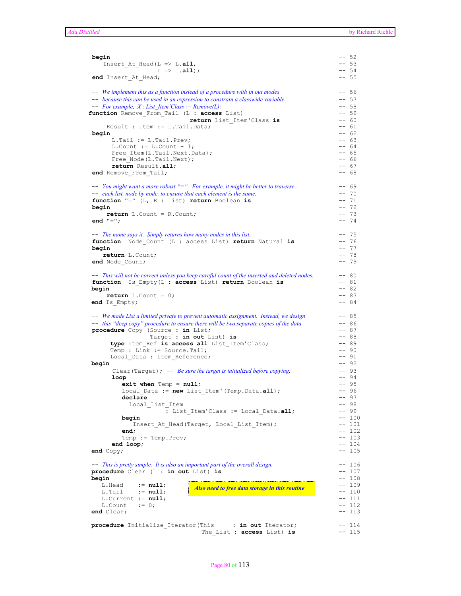| begin                                                                                        | $-- 52$            |
|----------------------------------------------------------------------------------------------|--------------------|
| Insert At Head(L => L. <b>all,</b>                                                           | $-- 53$            |
| $I \Rightarrow I$ .all);                                                                     | $-- 54$            |
| end Insert At Head;                                                                          | $-- 55$            |
|                                                                                              |                    |
| $--$ We implement this as a function instead of a procedure with in out modes                | $-- 56$            |
| -- because this can be used in an expression to constrain a classwide variable               | $-- 57$            |
| $--$ For example, X: List Item'Class := Remove(L);                                           | $-- 58$            |
| function Remove From Tail (L : access List)                                                  | $-- 59$            |
| return List Item'Class is                                                                    | $-- 60$            |
| Result : Item := L.Tail.Data;                                                                | $-- 61$            |
| begin                                                                                        | $-- 62$            |
| $L.Tail := L.Tail.Prev;$                                                                     | $-- 63$            |
| L. Count := L. Count - 1;<br>Free Item(L.Tail.Next.Data);                                    | $-- 64$<br>$-- 65$ |
| Free Node (L.Tail.Next);                                                                     | $-- 66$            |
| return Result.all;                                                                           | $-- 67$            |
| end Remove From Tail;                                                                        | $-- 68$            |
|                                                                                              |                    |
| -- You might want a more robust "=". For example, it might be better to traverse             | $-- 69$            |
| -- each list, node by node, to ensure that each element is the same.                         | $-- 70$            |
| function "=" (L, R : List) return Boolean is                                                 | $-- 71$            |
| begin                                                                                        | $-- 72$            |
| $return L.Count = R.Count;$                                                                  | $-- 73$            |
| end $"="$ :                                                                                  | $-- 74$            |
|                                                                                              |                    |
| -- The name says it. Simply returns how many nodes in this list.                             | $-- 75$            |
| function Node Count (L : access List) return Natural is                                      | $-- 76$            |
| begin                                                                                        | $-- 77$            |
| return L.Count;                                                                              | $-- 78$            |
| end Node Count;                                                                              | $-- 79$            |
| -- This will not be correct unless you keep careful count of the inserted and deleted nodes. | $-- 80$            |
| function Is Empty(L : access List) return Boolean is                                         | $-- 81$            |
| begin                                                                                        | $-- 82$            |
| $return L. Count = 0;$                                                                       | $-- 83$            |
| end Is Empty;                                                                                | $-- 84$            |
|                                                                                              |                    |
| -- We made List a limited private to prevent automatic assignment. Instead, we design        | $-- 85$            |
| -- this "deep copy" procedure to ensure there will be two separate copies of the data        | $-- 86$            |
| procedure Copy (Source : in List;                                                            | $-- 87$            |
| Target : in out List) is                                                                     | $-- 88$            |
| type Item Ref is access all List Item'Class;                                                 | $-- 89$            |
| Temp : Link := Source. Tail;                                                                 | $-- 90$            |
| Local Data : Item Reference;                                                                 | $-- 91$            |
| begin                                                                                        | $-- 92$            |
| Clear (Target) ; $-$ Be sure the target is initialized before copying.                       | $-- 93$            |
| loop                                                                                         | $-- 94$            |
| exit when $Temp = null;$                                                                     | $-- 95$            |
| Local_Data := new List_Item' (Temp.Data.all) ;                                               | $-- 96$            |
| declare                                                                                      | $-- 97$            |
| Local List Item                                                                              | -- 98              |
| : List Item'Class := Local Data.all;                                                         | -- 99              |
| begin                                                                                        | $-- 100$           |
| Insert At Head(Target, Local List Item);                                                     | $-- 101$           |
| end;                                                                                         | $-- 102$           |
| Temp := Temp. Prev;                                                                          | $-- 103$           |
| end loop;                                                                                    | $-- 104$           |
| end Copy;                                                                                    | $-- 105$           |
|                                                                                              |                    |
| -- This is pretty simple. It is also an important part of the overall design.                | $-- 106$           |
| procedure Clear (L : in out List) is                                                         | $-- 107$           |
| begin                                                                                        | $-- 108$           |
| $L.Head$ := $null;$<br>Also need to free data storage in this routine                        | $-- 109$           |
| $L.Tail$ := $null;$                                                                          | $-- 110$           |
| L. Current $:= \text{null}$ ;                                                                | $-- 111$           |
| $L.$ Count := 0;                                                                             | -- 112             |
| end Clear;                                                                                   | $-- 113$           |
| procedure Initialize Iterator (This : in out Iterator;                                       | $-- 114$           |
| The List : access List) is                                                                   | -- 115             |
|                                                                                              |                    |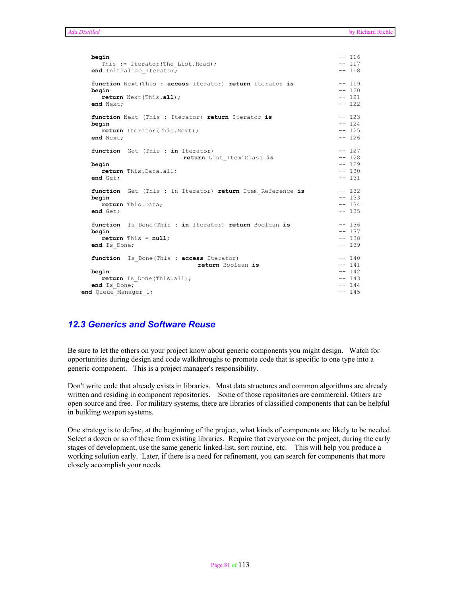| begin<br>This := Iterator (The List. Head);<br>end Initialize Iterator;                                             | $-- 116$<br>$-- 117$<br>$-- 118$                         |
|---------------------------------------------------------------------------------------------------------------------|----------------------------------------------------------|
| function Next (This : access Iterator) return Iterator is<br>begin<br>return Next (This.all);<br>end Next;          | $-- 119$<br>$-- 120$<br>$-- 121$<br>$-- 122$             |
| function Next (This : Iterator) return Iterator is<br>begin<br>return Iterator (This. Next);<br>end Next;           | $-- 123$<br>$-- 124$<br>$-- 125$<br>$-- 126$             |
| function Get (This : in Iterator)<br>return List Item'Class is<br>begin<br>return This. Data.all;<br>end Get;       | $-- 127$<br>$-- 128$<br>$-- 129$<br>$-- 130$<br>$-- 131$ |
| function Get (This : in Iterator) return Item Reference is<br>begin<br>return This. Data;<br>end Get;               | $-- 132$<br>$-- 133$<br>$-- 134$<br>$-- 135$             |
| function Is Done(This : in Iterator) return Boolean is<br>begin<br>$return$ This = $null;$<br>end Is Done;          | $-- 136$<br>$-- 137$<br>$-- 138$<br>$-- 139$             |
| function Is Done(This : access Iterator)<br>return Boolean is<br>begin<br>return Is Done(This.all);<br>end Is Done; | $-- 140$<br>$-- 141$<br>$-- 142$<br>$-- 143$<br>$-- 144$ |
| end Queue Manager 1;                                                                                                | $-- 145$                                                 |

## *12.3 Generics and Software Reuse*

Be sure to let the others on your project know about generic components you might design. Watch for opportunities during design and code walkthroughs to promote code that is specific to one type into a generic component. This is a project manager's responsibility.

Don't write code that already exists in libraries. Most data structures and common algorithms are already written and residing in component repositories. Some of those repositories are commercial. Others are open source and free. For military systems, there are libraries of classified components that can be helpful in building weapon systems.

One strategy is to define, at the beginning of the project, what kinds of components are likely to be needed. Select a dozen or so of these from existing libraries. Require that everyone on the project, during the early stages of development, use the same generic linked-list, sort routine, etc. This will help you produce a working solution early. Later, if there is a need for refinement, you can search for components that more closely accomplish your needs.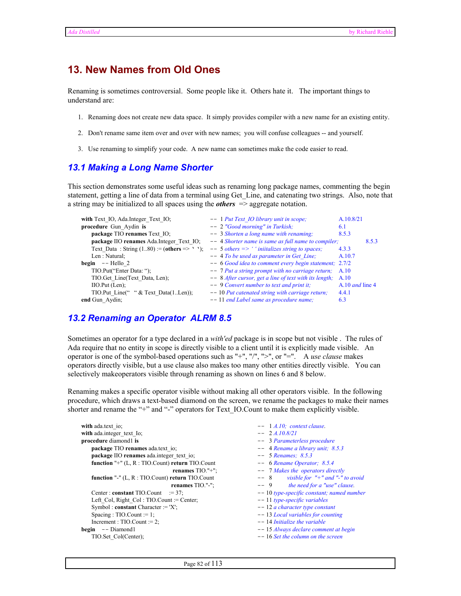# **13. New Names from Old Ones**

Renaming is sometimes controversial. Some people like it. Others hate it. The important things to understand are:

- 1. Renaming does not create new data space. It simply provides compiler with a new name for an existing entity.
- 2. Don't rename same item over and over with new names; you will confuse colleagues -- and yourself.
- 3. Use renaming to simplify your code. A new name can sometimes make the code easier to read.

## *13.1 Making a Long Name Shorter*

This section demonstrates some useful ideas such as renaming long package names, commenting the begin statement, getting a line of data from a terminal using Get Line, and catenating two strings. Also, note that a string may be initialized to all spaces using the *others* => aggregate notation.

| with Text IO, Ada.Integer Text IO;                                 | -- 1 Put Text IO library unit in scope;                    | A.10.8/21         |
|--------------------------------------------------------------------|------------------------------------------------------------|-------------------|
| procedure Gun Aydin is                                             | $-- 2$ "Good morning" in Turkish;                          | 6.1               |
| package TIO renames Text IO;                                       | -- 3 Shorten a long name with renaming;                    | 8.5.3             |
| package IIO renames Ada. Integer Text IO;                          | -- 4 Shorter name is same as full name to compiler;        | 8.5.3             |
| Text Data: String $(180) := (\text{others} = \cdot \cdot \cdot)$ ; | $--$ 5 others $\Rightarrow$ "initializes string to spaces; | 4.3.3             |
| Len : Natural:                                                     | $--$ 4 To be used as parameter in Get Line;                | A.10.7            |
| <b>begin</b> $--$ Hello 2                                          | $-$ 6 Good idea to comment every begin statement; 2.7/2    |                   |
| TIO.Put("Enter Data: ");                                           | $--$ 7 Put a string prompt with no carriage return;        | A.10              |
| TIO.Get_Line(Text_Data, Len);                                      | -- 8 After cursor, get a line of text with its length;     | A.10              |
| IO.Put (Len);                                                      | -- 9 Convert number to text and print it;                  | A.10 and line $4$ |
| TIO.Put Line(" " $\&$ Text Data(1Len));                            | -- 10 Put catenated string with carriage return;           | 4.4.1             |
| end Gun Aydin;                                                     | -- 11 end Label same as procedure name;                    | 6.3               |

## *13.2 Renaming an Operator ALRM 8.5*

Sometimes an operator for a type declared in a *with'ed* package is in scope but not visible . The rules of Ada require that no entity in scope is directly visible to a client until it is explicitly made visible. An operator is one of the symbol-based operations such as "+", "/", ">", or "=". A *use clause* makes operators directly visible, but a use clause also makes too many other entities directly visible. You can selectively makeoperators visible through renaming as shown on lines 6 and 8 below.

Renaming makes a specific operator visible without making all other operators visible. In the following procedure, which draws a text-based diamond on the screen, we rename the packages to make their names shorter and rename the "+" and "-" operators for Text\_IO.Count to make them explicitly visible.

```
with ada.text io;
with ada.integer_text_Io;
procedure diamond1 is
   package TIO renames ada.text io;
   package IIO renames ada.integer_text_io;
   function "+" (L, R : TIO.Count) return TIO.Count
                                    renames TIO."+";
   function "-" (L, R : TIO.Count) return TIO.Count
                                  renames TIO."-":
   Center : constant TIO.Count := 37;
   Left Col, Right Col : TIO.Count := Center;
   Symbol : constant Character := 'X';
   Spaceing : TIO. Count := 1;Increment : TIO.Count := 2;begin -- Diamond1
   TIO.Set Col(Center);
```

| -- 1 A.10; context clause.                 |
|--------------------------------------------|
| $-2A.10.8/21$                              |
| -- 3 Parameterless procedure               |
| -- 4 Rename a library unit; 8.5.3          |
| $-- 5$ Renames; 8.5.3                      |
| -- 6 Rename Operator; 8.5.4                |
| -- 7 Makes the operators directly          |
| $-- 8$ visible for "+" and "-" to avoid    |
| $- - 9$<br>the need for a "use" clause.    |
| -- 10 type-specific constant; named number |
| -- 11 type-specific variables              |
| -- 12 a character type constant            |
| -- 13 Local variables for counting         |
| -- 14 <i>Initialize the variable</i>       |
| -- 15 Always declare comment at begin      |
| -- 16 Set the column on the screen         |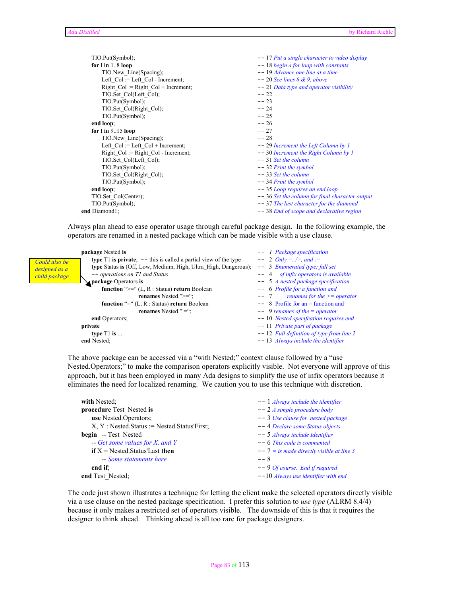| TIO.Put(Symbol);                      | -- 17 Put a single character to video display   |
|---------------------------------------|-------------------------------------------------|
| for $I$ in $18$ loop                  | -- 18 begin a for loop with constants           |
| TIO.New Line(Spacing);                | -- 19 Advance one line at a time                |
| Left $Col := Left$ Col - Increment;   | $-- 20$ See lines 8 & 9, above                  |
| Right $Col := Right Col + Increment;$ | $--$ 21 Data type and operator visibility       |
| TIO.Set Col(Left Col);                | $-- 22$                                         |
| TIO.Put(Symbol);                      | $-- 23$                                         |
| TIO.Set Col(Right Col);               | $-- 24$                                         |
| TIO.Put(Symbol);                      | $-- 25$                                         |
| end loop;                             | $-- 26$                                         |
| for $I$ in $9.15$ loop                | $-- 27$                                         |
| TIO.New Line(Spacing);                | $-- 28$                                         |
| Left $Col := Left$ $Col + Increment;$ | -- 29 Increment the Left Column by 1            |
| Right $Col = Right Col$ - Increment;  | -- 30 Increment the Right Column by 1           |
| TIO.Set Col(Left Col);                | $--$ 31 Set the column                          |
| TIO.Put(Symbol);                      | $--$ 32 Print the symbol                        |
| TIO.Set Col(Right Col);               | $--$ 33 Set the column                          |
| TIO.Put(Symbol);                      | $--$ 34 <i>Print the symbol</i>                 |
| end loop;                             | -- 35 Loop requires an end loop                 |
| TIO.Set Col(Center);                  | -- 36 Set the column for final character output |
| TIO.Put(Symbol);                      | -- 37 The last character for the diamond        |
| end Diamond1;                         | -- 38 End of scope and declarative region       |
|                                       |                                                 |

Always plan ahead to ease operator usage through careful package design. In the following example, the operators are renamed in a nested package which can be made visible with a use clause.

| package Nested is                                                                    | -- 1 Package specification                             |
|--------------------------------------------------------------------------------------|--------------------------------------------------------|
| type $T1$ is private; $-$ this is called a partial view of the type<br>Could also be | $-- 2$ Only =, /=, and :=                              |
| type Status is (Off, Low, Medium, High, Ultra High, Dangerous);<br>designed as a     | -- 3 Enumerated type; full set                         |
| -- operations on T1 and Status<br>child package                                      | $-- 4$ of infix operators is available                 |
| package Operators is                                                                 | $-- 5$ A nested package specification                  |
| <b>function</b> " $>=$ " (L, R : Status) <b>return</b> Boolean                       | -- 6 Profile for a function and                        |
| renames Nested.">=":                                                                 | <i>renames for the</i> $> =$ <i>operator</i><br>$-- 7$ |
| <b>function</b> "=" $(L, R : \text{Status})$ <b>return</b> Boolean                   | $--$ 8 Profile for an $=$ function and                 |
| renames Nested." $=$ ":                                                              | $--$ 9 renames of the $=$ operator                     |
| end Operators;                                                                       | -- 10 Nested specification requires end                |
| private                                                                              | $-- 11$ Private part of package                        |
| type $T1$ is                                                                         | $-- 12$ Full definition of type from line 2            |
| end Nested:                                                                          | $-- 13$ Always include the identifier                  |

The above package can be accessed via a "with Nested;" context clause followed by a "use Nested.Operators;" to make the comparison operators explicitly visible. Not everyone will approve of this approach, but it has been employed in many Ada designs to simplify the use of infix operators because it eliminates the need for localized renaming. We caution you to use this technique with discretion.

| with Nested:                                        | $-- 1$ Always include the identifier         |
|-----------------------------------------------------|----------------------------------------------|
| procedure Test Nested is                            | $-- 2$ A simple procedure body               |
| use Nested.Operators;                               | $--$ 3 Use clause for nested package         |
| $X, Y$ : Nested. Status := Nested. Status 'First;   | -- 4 Declare some Status objects             |
| begin -- Test Nested                                | $-- 5$ Always include Identifier             |
| $-$ Get some values for X, and Y                    | $-- 6$ This code is commented                |
| $\mathbf{if} \mathbf{X} =$ Nested Status' Last then | $-$ - 7 = is made directly visible at line 3 |
| -- Some statements here                             | $-- 8$                                       |
| end if:                                             | $-- 9$ Of course. End if required            |
| end Test Nested:                                    | $-$ -10 Always use identifier with end       |

The code just shown illustrates a technique for letting the client make the selected operators directly visible via a use clause on the nested package specification. I prefer this solution to *use type* (ALRM 8.4/4) because it only makes a restricted set of operators visible. The downside of this is that it requires the designer to think ahead. Thinking ahead is all too rare for package designers.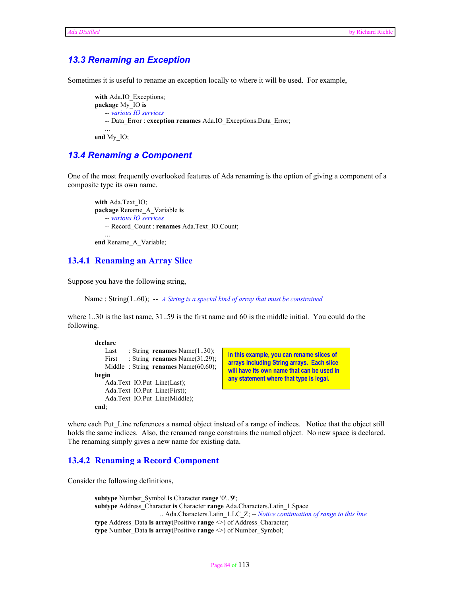#### *13.3 Renaming an Exception*

Sometimes it is useful to rename an exception locally to where it will be used. For example,

```
with Ada.IO Exceptions;
package My_IO is
   -- various IO services
   -- Data_Error : exception renames Ada.IO_Exceptions.Data_Error;
   ...
end My_IO;
```
#### *13.4 Renaming a Component*

One of the most frequently overlooked features of Ada renaming is the option of giving a component of a composite type its own name.

**with** Ada.Text\_IO; **package** Rename\_A\_Variable **is** -- *various IO services* -- Record\_Count : **renames** Ada.Text\_IO.Count; ...

**end** Rename\_A\_Variable;

## **13.4.1 Renaming an Array Slice**

Suppose you have the following string,

Name : String(1..60); -- *A String is a special kind of array that must be constrained*

where 1..30 is the last name, 31..59 is the first name and 60 is the middle initial. You could do the following.

```
declare
   Last : String renames Name(1..30);
   First : String renames Name(31.29);
   Middle : String renames Name(60.60);
begin
   Ada.Text_IO.Put_Line(Last);
   Ada.Text_IO.Put_Line(First);
   Ada.Text_IO.Put_Line(Middle);
end;
```
**In this example, you can rename slices of arrays including String arrays. Each slice will have its own name that can be used in any statement where that type is legal.**

where each Put\_Line references a named object instead of a range of indices. Notice that the object still holds the same indices. Also, the renamed range constrains the named object. No new space is declared. The renaming simply gives a new name for existing data.

#### **13.4.2 Renaming a Record Component**

Consider the following definitions,

**subtype** Number\_Symbol **is** Character **range** '0'..'9'; **subtype** Address\_Character **is** Character **range** Ada.Characters.Latin\_1.Space .. Ada.Characters.Latin\_1.LC\_Z; -- *Notice continuation of range to this line* **type** Address\_Data **is array**(Positive **range** <>) of Address\_Character; **type** Number\_Data **is array**(Positive **range** <>) of Number\_Symbol;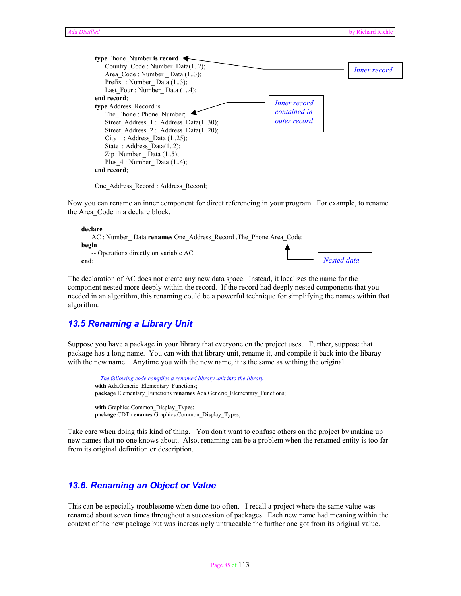| type Phone Number is record                |                     |              |
|--------------------------------------------|---------------------|--------------|
| Country Code : Number Data $(12)$ ;        |                     | Inner record |
| Area Code : Number Data $(13)$ ;           |                     |              |
| Prefix: Number Data $(13)$ ;               |                     |              |
| Last Four: Number Data $(14)$ ;            |                     |              |
| end record:                                |                     |              |
| type Address Record is                     | Inner record        |              |
| The Phone: Phone Number;                   | contained in        |              |
| Street Address 1: Address Data(130);       | <i>outer record</i> |              |
| Street Address $2:$ Address Data $(120)$ ; |                     |              |
| City: Address Data $(125)$ ;               |                     |              |
| State: Address Data $(12)$ ;               |                     |              |
| Zip: Number Data $(15)$ ;                  |                     |              |
| Plus $4:$ Number Data $(14)$ ;             |                     |              |
| end record:                                |                     |              |

One Address Record : Address Record;

Now you can rename an inner component for direct referencing in your program. For example, to rename the Area\_Code in a declare block,

#### **declare** AC : Number\_ Data **renames** One\_Address\_Record .The\_Phone.Area\_Code; **begin** -- Operations directly on variable AC **end**; *Nested data*

The declaration of AC does not create any new data space. Instead, it localizes the name for the component nested more deeply within the record. If the record had deeply nested components that you needed in an algorithm, this renaming could be a powerful technique for simplifying the names within that algorithm.

## *13.5 Renaming a Library Unit*

Suppose you have a package in your library that everyone on the project uses. Further, suppose that package has a long name. You can with that library unit, rename it, and compile it back into the libaray with the new name. Anytime you with the new name, it is the same as withing the original.

```
-- The following code compiles a renamed library unit into the library
with Ada.Generic_Elementary_Functions;
package Elementary_Functions renames Ada.Generic_Elementary_Functions;
with Graphics.Common_Display_Types;
package CDT renames Graphics.Common_Display_Types;
```
Take care when doing this kind of thing. You don't want to confuse others on the project by making up new names that no one knows about. Also, renaming can be a problem when the renamed entity is too far from its original definition or description.

## *13.6. Renaming an Object or Value*

This can be especially troublesome when done too often. I recall a project where the same value was renamed about seven times throughout a succession of packages. Each new name had meaning within the context of the new package but was increasingly untraceable the further one got from its original value.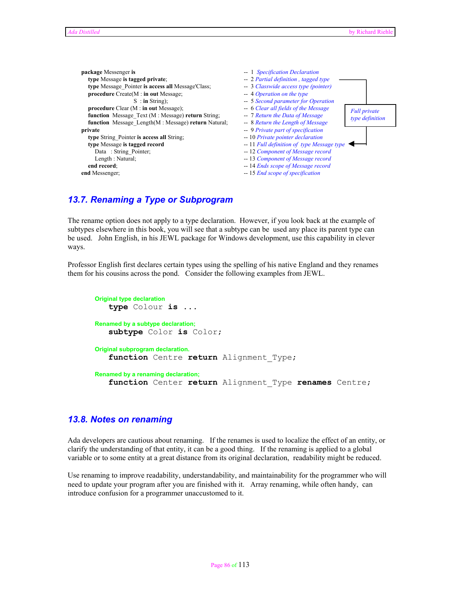| package Messenger is<br>type Message is tagged private;<br>type Message Pointer is access all Message Class;<br>procedure Create(M : in out Message;<br>$S$ : in String);                                          | -- 1 Specification Declaration<br>-- 2 Partial definition, tagged type<br>-- 3 Classwide access type (pointer)<br>-- 4 Operation on the type<br>-- 5 Second parameter for Operation           |                                        |
|--------------------------------------------------------------------------------------------------------------------------------------------------------------------------------------------------------------------|-----------------------------------------------------------------------------------------------------------------------------------------------------------------------------------------------|----------------------------------------|
| procedure Clear (M : in out Message);<br><b>function</b> Message Text (M : Message) return String;<br>function Message Length(M : Message) return Natural;<br>private<br>type String Pointer is access all String; | -- 6 Clear all fields of the Message<br>-- 7 Return the Data of Message<br>-- 8 Return the Length of Message<br>-- 9 Private part of specification<br>-- 10 Private pointer declaration       | <b>Full private</b><br>type definition |
| type Message is tagged record<br>Data : String Pointer;<br>Length : Natural:<br>end record:<br>end Messenger;                                                                                                      | --11 Full definition of type Message type<br>-- 12 Component of Message record<br>-- 13 Component of Message record<br>-- 14 Ends scope of Message record<br>-- 15 End scope of specification |                                        |

#### *13.7. Renaming a Type or Subprogram*

The rename option does not apply to a type declaration. However, if you look back at the example of subtypes elsewhere in this book, you will see that a subtype can be used any place its parent type can be used. John English, in his JEWL package for Windows development, use this capability in clever ways.

Professor English first declares certain types using the spelling of his native England and they renames them for his cousins across the pond. Consider the following examples from JEWL.

```
Original type declaration
   type Colour is ...
Renamed by a subtype declaration;
   subtype Color is Color;
Original subprogram declaration.
   function Centre return Alignment_Type;
Renamed by a renaming declaration;
   function Center return Alignment_Type renames Centre;
```
#### *13.8. Notes on renaming*

Ada developers are cautious about renaming. If the renames is used to localize the effect of an entity, or clarify the understanding of that entity, it can be a good thing. If the renaming is applied to a global variable or to some entity at a great distance from its original declaration, readability might be reduced.

Use renaming to improve readability, understandability, and maintainability for the programmer who will need to update your program after you are finished with it. Array renaming, while often handy, can introduce confusion for a programmer unaccustomed to it.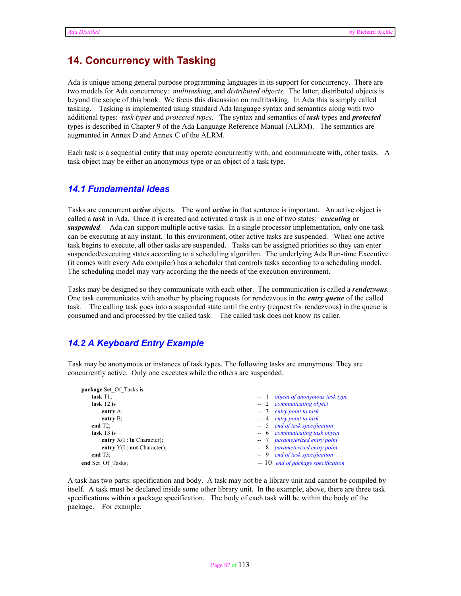# **14. Concurrency with Tasking**

Ada is unique among general purpose programming languages in its support for concurrency. There are two models for Ada concurrency: *multitasking*, and *distributed objects*. The latter, distributed objects is beyond the scope of this book. We focus this discussion on multitasking. In Ada this is simply called tasking. Tasking is implemented using standard Ada language syntax and semantics along with two additional types: *task types* and *protected types*. The syntax and semantics of *task* types and *protected* types is described in Chapter 9 of the Ada Language Reference Manual (ALRM). The semantics are augmented in Annex D and Annex C of the ALRM.

Each task is a sequential entity that may operate concurrently with, and communicate with, other tasks. A task object may be either an anonymous type or an object of a task type.

## *14.1 Fundamental Ideas*

Tasks are concurrent *active* objects. The word *active* in that sentence is important. An active object is called a *task* in Ada. Once it is created and activated a task is in one of two states: *executing* or *suspended*. Ada can support multiple active tasks. In a single processor implementation, only one task can be executing at any instant. In this environment, other active tasks are suspended. When one active task begins to execute, all other tasks are suspended. Tasks can be assigned priorities so they can enter suspended/executing states according to a scheduling algorithm. The underlying Ada Run-time Executive (it comes with every Ada compiler) has a scheduler that controls tasks according to a scheduling model. The scheduling model may vary according the the needs of the execution environment.

Tasks may be designed so they communicate with each other. The communication is called a *rendezvous*. One task communicates with another by placing requests for rendezvous in the *entry queue* of the called task. The calling task goes into a suspended state until the entry (request for rendezvous) in the queue is consumed and and processed by the called task. The called task does not know its caller.

## *14.2 A Keyboard Entry Example*

Task may be anonymous or instances of task types. The following tasks are anonymous. They are concurrently active. Only one executes while the others are suspended.

| <b>package</b> Set Of Tasks is |      |                                    |
|--------------------------------|------|------------------------------------|
| $task T1$ :                    | $-1$ | object of anonymous task type      |
| task T <sub>2</sub> is         |      | -- 2 communicating object          |
| entry $A$ ;                    |      | -- 3 entry point to task           |
| entry $B$ :                    |      | -- 4 entry point to task           |
| end $T2$ ;                     |      | -- 5 end of task specification     |
| $taskT3$ is                    |      | -- 6 communicating task object     |
| entry $X(I : in Character)$ ;  |      | -- 7 parameterized entry point     |
| entry $Y(I : out Character)$ ; |      | -- 8 parameterized entry point     |
| end $T3$ :                     |      | -- 9 end of task specification     |
| end Set Of Tasks:              |      | $-10$ end of package specification |
|                                |      |                                    |

A task has two parts: specification and body. A task may not be a library unit and cannot be compiled by itself. A task must be declared inside some other library unit. In the example, above, there are three task specifications within a package specification. The body of each task will be within the body of the package. For example,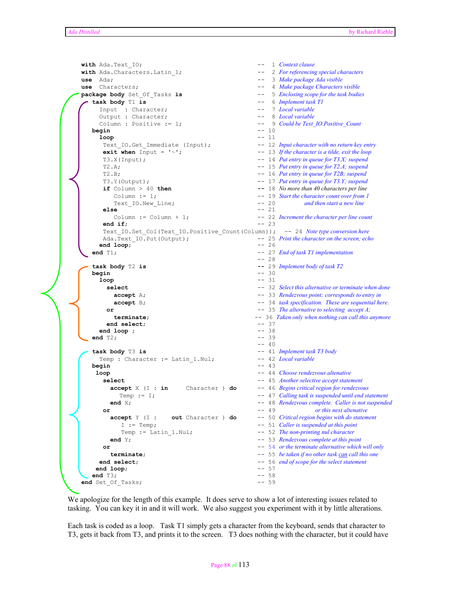```
with Ada.Text_IO; -- 1 Context clause
with Ada.Characters.Latin_1; -- 2 For referencing special characters
use Ada; -- 3 Make package Ada visible
use Characters; -- 4 Make package Characters visible
package body Set_Of_Tasks is -- 5 Enclosing scope for the task bodies
   task body T1 is -- 6 Implement task T1
    Input : Character; -- 7 Local variable
   Output : Character; -8 Local variable
   Column : Positive := 1; -- 9 Could be Text_IO.Positive_Count<br>
-- 10
begin -10loop -- 11
     Text_IO.Get_Immediate (Input); -- 12 Input character with no return key entry
    exit when Input = '\sim'; \qquad -- 13 If the character is a tilde, exit the loop<br>T3. X (Input); \qquad -- 14 Put entry in queue for T3. X; suspend
                                    -- 14 Put entry in queue for T3.X; suspend
     T2.A; -- 15 Put entry in queue for T2.A; suspend
     T2.B; -- 16 Put entry in queue for T2B; suspend
     T3.Y(Output); -- 17 Put entry in queue for T3.Y; suspend
    if Column > 40 then - 18 No more than 40 characters per line
      Column := 1; - 19 Start the character count over from 1
     Text_IO.New_Line; -- 20 and then start a new line
 else -- 21
    Column := Column + 1;<br>
end if: -- 22 Increment the character per line count<br>
-- 23 end if; -- 23
    Text IO.Set Col(Text IO.Positive Count(Column)); -- 24 Note type conversion here
    Ada. Text_IO. Put (Output); <sup>-</sup> -- 25 Print the character on the screen; echo<br>
-- 26 -- 26
   end loop;
  end T1; \begin{array}{r} -27 \text{ } End \text{ } of task \text{ } TI \text{ } implementation \ -28 \end{array}- 28
  task body T2 is -- 29 Implement body of task T2<br>begin -- 30
begin -- 30
loop -- 31
      select -- 32 Select this alternative or terminate when done
      accept A; \qquad -33 Rendezvous point; corresponds to entry in
      accept B; \qquad \qquad -34 task specification. These are sequential here.
      or -- 35 The alternative to selecting accept A;
      terminate; -- 36 Taken only when nothing can call this anymore<br>
-- 37end select; -37<br>d loop : -38end loop ; -38<br>
d T2; -39end T2; -39--\ 40 task body T3 is -- 41 Implement task T3 body
  Temp : Character := Latin_1.Nul; -- 42 Local variable<br>begin -- 43
begin -43 loop -- 44 Choose rendezvous altenative
     select -- 45 Another selective accept statement
      accept X (I : in Character ) do -- 46 Begins critical region for rendezvous
       Temp := I; -- 47 Calling task is suspended until end statement
       end X; -- 48 Rendezvous complete. Caller is not suspended
     or -- 49 or this next altenative
       accept Y (I : out Character ) do -- 50 Critical region begins with do statement
         I := Temp; -- 51 Caller is suspended at this point
         Temp := Latin_1.Nul; -- 52 The non-printing nul character
       end Y; -- 53 Rendezvous complete at this point
    or -- 54 or the terminate alternative which will only
       terminate; -- 55 be taken if no other task can call this one
   end select;<br>
end loop:<br>
\frac{1}{2} 57
   end loop; -57<br>and T3; -58end T3; -58end Set Of Tasks; - 59
```
We apologize for the length of this example. It does serve to show a lot of interesting issues related to tasking. You can key it in and it will work. We also suggest you experiment with it by little alterations.

Each task is coded as a loop. Task T1 simply gets a character from the keyboard, sends that character to T3, gets it back from T3, and prints it to the screen. T3 does nothing with the character, but it could have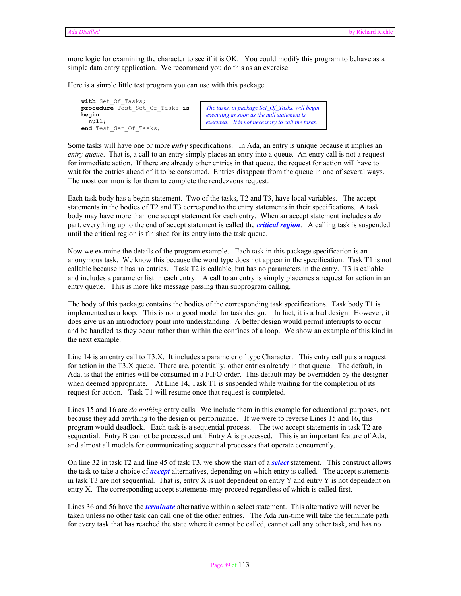more logic for examining the character to see if it is OK. You could modify this program to behave as a simple data entry application. We recommend you do this as an exercise.

Here is a simple little test program you can use with this package.

with Set Of Tasks; **procedure** Test\_Set\_Of\_Tasks **is begin null**; **end** Test Set Of Tasks;

*The tasks, in package Set\_Of\_Tasks, will begin executing as soon as the null statement is executed. It is not necessary to call the tasks.*

Some tasks will have one or more *entry* specifications. In Ada, an entry is unique because it implies an *entry queue*. That is, a call to an entry simply places an entry into a queue. An entry call is not a request for immediate action. If there are already other entries in that queue, the request for action will have to wait for the entries ahead of it to be consumed. Entries disappear from the queue in one of several ways. The most common is for them to complete the rendezvous request.

Each task body has a begin statement. Two of the tasks, T2 and T3, have local variables. The accept statements in the bodies of T2 and T3 correspond to the entry statements in their specifications. A task body may have more than one accept statement for each entry. When an accept statement includes a *do* part, everything up to the end of accept statement is called the *critical region*. A calling task is suspended until the critical region is finished for its entry into the task queue.

Now we examine the details of the program example. Each task in this package specification is an anonymous task. We know this because the word type does not appear in the specification. Task T1 is not callable because it has no entries. Task T2 is callable, but has no parameters in the entry. T3 is callable and includes a parameter list in each entry. A call to an entry is simply placemes a request for action in an entry queue. This is more like message passing than subprogram calling.

The body of this package contains the bodies of the corresponding task specifications. Task body T1 is implemented as a loop. This is not a good model for task design. In fact, it is a bad design. However, it does give us an introductory point into understanding. A better design would permit interrupts to occur and be handled as they occur rather than within the confines of a loop. We show an example of this kind in the next example.

Line 14 is an entry call to T3.X. It includes a parameter of type Character. This entry call puts a request for action in the T3.X queue. There are, potentially, other entries already in that queue. The default, in Ada, is that the entries will be consumed in a FIFO order. This default may be overridden by the designer when deemed appropriate. At Line 14, Task T1 is suspended while waiting for the completion of its request for action. Task T1 will resume once that request is completed.

Lines 15 and 16 are *do nothing* entry calls. We include them in this example for educational purposes, not because they add anything to the design or performance. If we were to reverse Lines 15 and 16, this program would deadlock. Each task is a sequential process. The two accept statements in task T2 are sequential. Entry B cannot be processed until Entry A is processed. This is an important feature of Ada, and almost all models for communicating sequential processes that operate concurrently.

On line 32 in task T2 and line 45 of task T3, we show the start of a *select* statement. This construct allows the task to take a choice of *accept* alternatives, depending on which entry is called. The accept statements in task T3 are not sequential. That is, entry X is not dependent on entry Y and entry Y is not dependent on entry X. The corresponding accept statements may proceed regardless of which is called first.

Lines 36 and 56 have the *terminate* alternative within a select statement. This alternative will never be taken unless no other task can call one of the other entries. The Ada run-time will take the terminate path for every task that has reached the state where it cannot be called, cannot call any other task, and has no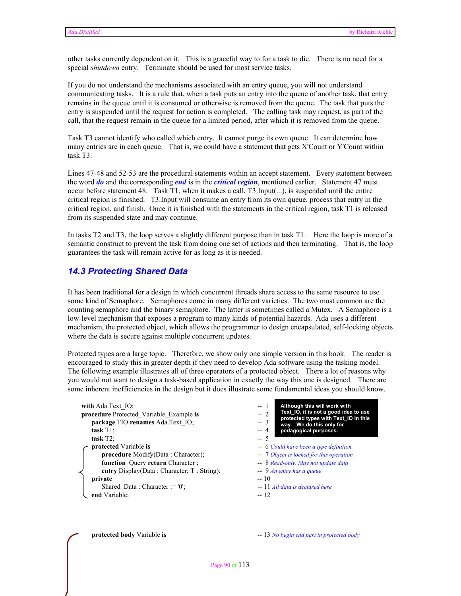other tasks currently dependent on it. This is a graceful way to for a task to die. There is no need for a special *shutdown* entry. Terminate should be used for most service tasks.

If you do not understand the mechanisms associated with an entry queue, you will not understand communicating tasks. It is a rule that, when a task puts an entry into the queue of another task, that entry remains in the queue until it is consumed or otherwise is removed from the queue. The task that puts the entry is suspended until the request for action is completed. The calling task may request, as part of the call, that the request remain in the queue for a limited period, after which it is removed from the queue.

Task T3 cannot identify who called which entry. It cannot purge its own queue. It can determine how many entries are in each queue. That is, we could have a statement that gets X'Count or Y'Count within task T3.

Lines 47-48 and 52-53 are the procedural statements within an accept statement. Every statement between the word *do* and the corresponding *end* is in the *critical region*, mentioned earlier. Statement 47 must occur before statement 48. Task T1, when it makes a call, T3.Input(...), is suspended until the entire critical region is finished. T3.Input will consume an entry from its own queue, process that entry in the critical region, and finish. Once it is finished with the statements in the critical region, task T1 is released from its suspended state and may continue.

In tasks T2 and T3, the loop serves a slightly different purpose than in task T1. Here the loop is more of a semantic construct to prevent the task from doing one set of actions and then terminating. That is, the loop guarantees the task will remain active for as long as it is needed.

#### *14.3 Protecting Shared Data*

It has been traditional for a design in which concurrent threads share access to the same resource to use some kind of Semaphore. Semaphores come in many different varieties. The two most common are the counting semaphore and the binary semaphore. The latter is sometimes called a Mutex. A Semaphore is a low-level mechanism that exposes a program to many kinds of potential hazards. Ada uses a different mechanism, the protected object, which allows the programmer to design encapsulated, self-locking objects where the data is secure against multiple concurrent updates.

Protected types are a large topic. Therefore, we show only one simple version in this book. The reader is encouraged to study this in greater depth if they need to develop Ada software using the tasking model. The following example illustrates all of three operators of a protected object. There a lot of reasons why you would not want to design a task-based application in exactly the way this one is designed. There are some inherent inefficiencies in the design but it does illustrate some fundamental ideas you should know.

```
with Ada.Text IO; -- 1
procedure Protected_Variable_Example is -- 2
  package TIO renames Ada.Text IO; -- 3
 task T1; -4\textbf{task } T2; \quad -5 protected Variable is -- 6 Could have been a type definition
    procedure Modify(Data : Character); -- 7 Object is locked for this operation
    function Query return Character ; \qquad \qquad -8 Read-only. May not update data
    entry Display(Data : Character; T : String); -- 9 An entry has a queue
  private -10Shared Data : Character := '0'; -- 11 All data is declared here
  end Variable; -12
```
**Although this will work with Text\_IO, it is not a good idea to use protected types with Text\_IO in this way. We do this only for pedagogical purposes.**

**protected body** Variable **is**  $-13$  *No begin end part in protected body*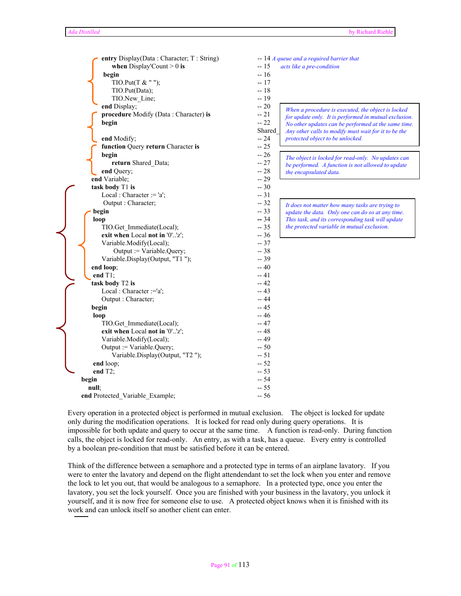| entry Display(Data: Character; T: String) | -- 14 A queue and a required barrier that                                                                       |
|-------------------------------------------|-----------------------------------------------------------------------------------------------------------------|
| when Display'Count $> 0$ is               | -- 15<br>acts like a pre-condition                                                                              |
| begin                                     | $-16$                                                                                                           |
| TIO.Put(T $\&$ "");                       | $-17$                                                                                                           |
| TIO.Put(Data);                            | $-18$                                                                                                           |
| TIO.New Line;                             | $-19$                                                                                                           |
| end Display;                              | $-20$<br>When a procedure is executed, the object is locked                                                     |
| procedure Modify (Data: Character) is     | $-21$<br>for update only. It is performed in mutual exclusi                                                     |
| begin                                     | $-22$<br>No other updates can be performed at the same tir                                                      |
|                                           | Shared<br>Any other calls to modify must wait for it to be the                                                  |
| end Modify;                               | $-24$<br>protected object to be unlocked.                                                                       |
| function Query return Character is        | $-25$                                                                                                           |
| begin                                     | $-26$                                                                                                           |
| return Shared Data;                       | The object is locked for read-only. No updates ca<br>$-27$<br>be performed. A function is not allowed to update |
| end Query;                                | $-28$<br>the encapsulated data.                                                                                 |
| end Variable;                             | $-29$                                                                                                           |
| task body T1 is                           | $-30$                                                                                                           |
| Local: Character := $'a$ ;                | $-31$                                                                                                           |
| Output : Character;                       | $-32$<br>It does not matter how many tasks are trying to                                                        |
| begin                                     | $-33$<br>update the data. Only one can do so at any time.                                                       |
| loop                                      | $-34$<br>This task, and its corresponding task will update                                                      |
| TIO.Get Immediate(Local);                 | $-35$<br>the protected variable in mutual exclusion.                                                            |
| exit when Local not in '0''z';            | $-36$                                                                                                           |
| Variable.Modify(Local);                   | $-37$                                                                                                           |
| Output := Variable.Query;                 | $-38$                                                                                                           |
| Variable.Display(Output, "T1");           | $-39$                                                                                                           |
| end loop;                                 | $-40$                                                                                                           |
| end $T1$ ;                                | $-41$                                                                                                           |
| task body T2 is                           | $-42$                                                                                                           |
| Local : Character := $a$ ';               | $-43$                                                                                                           |
| Output : Character;                       | $-44$                                                                                                           |
| begin                                     | $-45$                                                                                                           |
| loop                                      | $-46$                                                                                                           |
| TIO.Get Immediate(Local);                 | $-47$                                                                                                           |
| exit when Local not in '0''z';            | $-48$                                                                                                           |
| Variable.Modify(Local);                   | $-49$                                                                                                           |
| Output := Variable.Query;                 | $-50$                                                                                                           |
| Variable.Display(Output, "T2");           | $-51$                                                                                                           |
| end loop;                                 | $-52$                                                                                                           |
| end $T2$ ;                                | $-53$                                                                                                           |
| begin                                     | $-54$                                                                                                           |
| null;                                     | $-55$                                                                                                           |
| end Protected Variable Example;           | $-56$                                                                                                           |

Every operation in a protected object is performed in mutual exclusion. The object is locked for update only during the modification operations. It is locked for read only during query operations. It is impossible for both update and query to occur at the same time. A function is read-only. During function calls, the object is locked for read-only. An entry, as with a task, has a queue. Every entry is controlled by a boolean pre-condition that must be satisfied before it can be entered.

Think of the difference between a semaphore and a protected type in terms of an airplane lavatory. If you were to enter the lavatory and depend on the flight attendendant to set the lock when you enter and remove the lock to let you out, that would be analogous to a semaphore. In a protected type, once you enter the lavatory, you set the lock yourself. Once you are finished with your business in the lavatory, you unlock it yourself, and it is now free for someone else to use. A protected object knows when it is finished with its work and can unlock itself so another client can enter.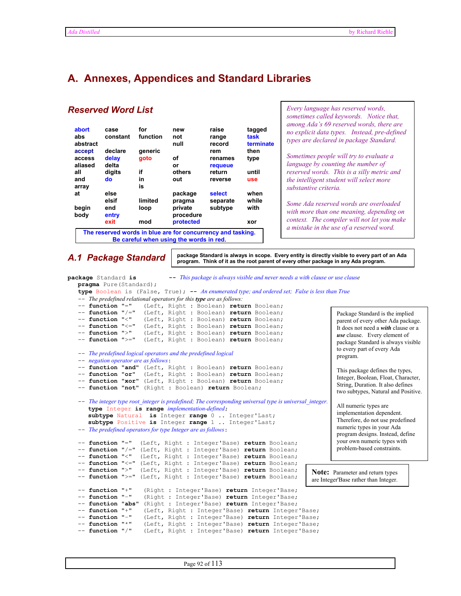# **A. Annexes, Appendices and Standard Libraries**

| abort    | case     | for      | new       | raise    | tagged    |
|----------|----------|----------|-----------|----------|-----------|
| abs      | constant | function | not       | range    | task      |
| abstract |          |          | null      | record   | terminate |
| accept   | declare  | generic  |           | rem      | then      |
| access   | delay    | goto     | οf        | renames  | type      |
| aliased  | delta    |          | or        | requeue  |           |
| all      | digits   | if       | others    | return   | until     |
| and      | do       | in       | out       | reverse  | use       |
| array    |          | is       |           |          |           |
| at       | else     |          | package   | select   | when      |
|          | elsif    | limited  | pragma    | separate | while     |
| begin    | end      | loop     | private   | subtype  | with      |
| body     | entry    |          | procedure |          |           |
|          | exit     | mod      | protected |          | xor       |

**Be careful when using the words in red.**

*Every language has reserved words, sometimes called keywords. Notice that, among Ada's 69 reserved words, there are no explicit data types. Instead, pre-defined types are declared in package Standard.*

*Sometimes people will try to evaluate a language by counting the number of reserved words. This is a silly metric and the intelligent student will select more substantive criteria.*

*Some Ada reserved words are overloaded with more than one meaning, depending on context. The compiler will not let you make a mistake in the use of a reserved word.*

## *A.1 Package Standard*

**package Standard is always in scope. Every entity is directly visible to every part of an Ada program. Think of it as the root parent of every other package in any Ada program.**

```
package Standard is -- This package is always visible and never needs a with clause or use clause
   pragma Pure(Standard);
   type Boolean is (False, True); -- An enumerated type; and ordered set; False is less than True
   -- The predefined relational operators for this type are as follows:<br>-- function "=" (Left, Right : Boolean) retu
   -- function "=" (Left, Right : Boolean) return Boolean;
   -- function "/=" (Left, Right : Boolean) return Boolean;<br>-- function "<" (Left, Right : Boolean) return Boolean;
    -- function "<" (Left, Right : Boolean) return Boolean;
   -- function "<=" (Left, Right : Boolean) return Boolean;<br>-- function ">" (Left, Right : Boolean) return Boolean;
   -- function ">" (Left, Right : Boolean) return Boolean;<br>-- function ">=" (Left, Right : Boolean) return Boolean;
                           (Left, Right : Boolean) return Boolean;
   -- The predefined logical operators and the predefined logical
   -- negation operator are as follows:
   -- function "and" (Left, Right : Boolean) return Boolean;<br>-- function "or" (Left, Right : Boolean) return Boolean;
                           -- function "or" (Left, Right : Boolean) return Boolean;
   -- function "xor" (Left, Right : Boolean) return Boolean;
   -- function "not" (Right : Boolean) return Boolean;
   -- The integer type root integer is predefined; The corresponding universal type is universal integer.
       type Integer is range implementation-defined;
       subtype Natural is Integer range 0 .. Integer'Last;
       subtype Positive is Integer range 1 .. Integer'Last;
   -- The predefined operators for type Integer are as follows:
   -- function "=" (Left, Right : Integer'Base) return Boolean;
   -- function "/=" (Left, Right : Integer'Base) return Boolean;
   -- function "<" (Left, Right : Integer'Base) return Boolean;
    -- function "<=" (Left, Right : Integer'Base) return Boolean;
   -- function ">" (Left, Right : Integer'Base) return Boolean;
    -- function ">=" (Left, Right : Integer'Base) return Boolean;
   -- function "+" (Right : Integer'Base) return Integer'Base;<br>-- function "-" (Right : Integer'Base) return Integer'Base;
                            (Right : Integer'Base) return Integer'Base;
   -- function "abs" (Right : Integer'Base) return Integer'Base;
   -- function "+" (Left, Right : Integer'Base) return Integer'Base;
   -- function "–" (Left, Right : Integer'Base) return Integer'Base;
   -- function "*" (Left, Right : Integer'Base) return Integer'Base;<br>-- function "/" (Left, Right : Integer'Base) return Integer'Base;
                          (Left, Right : Integer'Base) return Integer'Base;
                                                                                                   Package Standard is the implied
                                                                                                   parent of every other Ada package.
                                                                                                   It does not need a with clause or a
                                                                                                   use clause. Every element of
                                                                                                   package Standard is always visible
                                                                                                   to every part of every Ada
                                                                                                   program.
                                                                                                   This package defines the types,
                                                                                                   Integer, Boolean, Float, Character,
                                                                                                   String, Duration. It also defines
                                                                                                   two subtypes, Natural and Positive.
                                                                                                   All numeric types are
                                                                                                   implementation dependent.
                                                                                                   Therefore, do not use predefined
                                                                                                   numeric types in your Ada
                                                                                                   program designs. Instead, define
                                                                                                   your own numeric types with
                                                                                                   problem-based constraints.
                                                                                          Note: Parameter and return types
                                                                                          are Integer'Base rather than Integer.
```
Page 92 of 113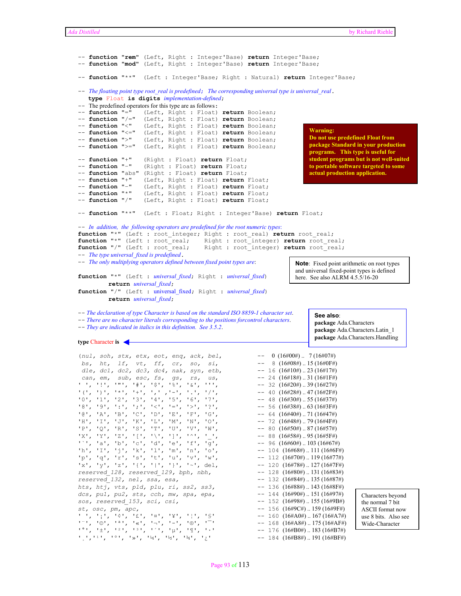```
-- function "rem" (Left, Right : Integer'Base) return Integer'Base;
-- function "mod" (Left, Right : Integer'Base) return Integer'Base;
-- function "**" (Left : Integer'Base; Right : Natural) return Integer'Base;
-- The floating point type root real is predefined; The corresponding universal type is universal real.
   type Float is digits implementation-defined;
-- The predefined operators for this type are as follows:
-- function "=" (Left, Right : Float) return Boolean;<br>-- function "/=" (Left, Right : Float) return Boolean;
-- function "/=" (Left, Right : Float) return Boolean;<br>-- function "<" (Left, Right : Float) return Boolean;
-- function "<" (Left, Right : Float) return Boolean;
-- function "<=" (Left, Right : Float) return Boolean;<br>-- function ">" (Left, Right : Float) return Boolean;
-- function ">" (Left, Right : Float) return Boolean;<br>-- function ">=" (Left, Right : Float) return Boolean;
                       (Left, Right : Float) return Boolean;
-- function "+" (Right : Float) return Float;
                        (Right : Float) return Float;
-- function "abs" (Right : Float) return Float;
-- function "+" (Left, Right : Float) return Float;
-- function "–" (Left, Right : Float) return Float;
-- function "*" (Left, Right : Float) return Float;<br>-- function "/" (Left, Right : Float) return Float;
                       (Left, Right : Float) return Float;
-- function "**" (Left : Float; Right : Integer'Base) return Float;
-- In addition, the following operators are predefined for the root numeric types:
function "*" (Left : root_integer; Right : root_real) return root_real; function "*" (Left : root real; Right : root_integer) return root_re
function "*" (Left : root_real; Right : root_integer) return root_real; function "/" (Left : root real; Right : root integer) return root real;
                                              Right : root integer) return root real;
-- The type universal_fixed is predefined.
-- The only multiplying operators defined between fixed point types are:
function "*" (Left : universal_fixed; Right : universal_fixed)
          return universal_fixed;
function "/" (Left : universal_fixed; Right : universal_fixed)
           return universal_fixed;
-- The declaration of type Character is based on the standard ISO 8859-1 character set.
-- There are no character literals corresponding to the positions forcontrol characters.
-- They are indicated in italics in this definition. See 3.5.2.
type Character is
(nul, soh, stx, etx, eot, enq, ack, bel, -- 0 (16#00#) .. 7 (16#07#)
 bs, ht, lf, vt, ff, cr, so, si, -- 8 (16#08#) .. 15 (16#0F#)
 dle, dc1, dc2, dc3, dc4, nak, syn, etb, -- 16 (16#10#)..23 (16#17#)
 can, em, sub, esc, fs, gs, rs, us, -- 24 (16#18#) .. 31 (16#1F#)
' ', '!', '"', '#', '$', '%', '&', ''', -- 32 (16#20#) .. 39 (16#27#)
'(', ')', '*', '+', ',' ,'-', '.', '/', -- 40 (16#28#) .. 47 (16#2F#)
'0', '1', '2', '3', '4', '5', '6', '7', -- 48 (16#30#) .. 55 (16#37#)
'8', '9', ':', ';', '<', '=', '>', '?', -- 56 (16#38#) .. 63 (16#3F#)
'@', 'A', 'B', 'C', 'D', 'E', 'F', 'G', -- 64 (16#40#) .. 71 (16#47#)
'H', 'I', 'J', 'K', 'L', 'M', 'N', 'O',
'P', 'Q', 'R', 'S', 'T', 'U', 'V', 'W', -- 80 (16#50#) .. 87 (16#57#)
'X', 'Y', 'Z', '[', '\', ']', '^', '_', --- 88 (16#58#)...95 (16#5F#)<br>'`', 'a', 'b', 'c', 'd', 'e', 'f', 'g', -- 96 (16#60#)...103 (16#67#)
''', 'a', 'b', 'c', 'd', 'e', 'f', 'g',
'h', 'I', 'j', 'k', 'l', 'm', 'n', 'o', --- 104 (16#68#)...111 (16#6F#)<br>'p', 'q', 'r', 's', 't', 'u', 'v', 'w', --- 112 (16#70#)...119 (16#77#)'
'p', 'q', 'r', 's', 't', 'u', 'v', 'w', -- 112 (16#70#) .. 119 (16#77#)
'x', 'y', 'z', '('', '|', ')}', '~'', 'del, -- 120 (16#78#).127 (16#7F#) respectively. 128, reserved 128, reserved 129, bph, nbh, -- 128 (16#80#).131 (16#83#)reserved_128, reserved_129, bph, nbh, -- 128 (16#80#)..131 (16#83#)<br>
reserved_132, nel, ssa, esa, -- 132 (16#84#)..135 (16#87#)
reserved_132, nel, ssa, esa, -- 132 (16#84#) .. 135 (16#87#)
hts, htj, vts, pld, plu, ri, ss2, ss3,
dcs, pu1, pu2, sts, cch, mw, spa, epa, -- 144 (16#90#) .. 151 (16#97#)
sos, reserved_153, sci, csi, -- 152 (16#98#)..155 (16#9B#)<br>st, osc, pm, apc, -- 156 (16#9C#)..159 (16#9F#)
                                                                  st, osc, pm, apc, -- 156 (16#9C#) .. 159 (16#9F#)
' ', '¡', '¢', '£', '¤', '¥', '¦', '§' -- 160 (16#A0#) .. 167 (16#A7#)
'¨', '©', 'ª', '≪', '¬', '−', '©', ' ̄'       −− 168 (16#A8#).. 175 (16#AF#)
'°', '±', '²', '³', '´', 'µ', '¶', '·' -- 176 (16#B0#) .. 183 (16#B7#)
\frac{1}{2}, \frac{1}{2}, \frac{1}{2}, \frac{1}{2}, \frac{1}{2}, \frac{1}{2}, \frac{1}{2}, \frac{1}{2}, \frac{1}{2}, \frac{1}{2}, \frac{1}{2}, \frac{1}{2}, \frac{1}{2}, \frac{1}{2}, \frac{1}{2}, \frac{1}{2}, \frac{1}{2}, \frac{1}{2}, \frac{1}{2}, \frac{1}{2}, Warning:
                                                                                     Do not use predefined Float from
                                                                                     package Standard in your production
                                                                                     programs. This type is useful for
                                                                                      student programs but is not well-suited
                                                                                      to portable software targeted to some
                                                                                     actual production application.
                                                                                       See also:
                                                                                       package Ada.Characters
                                                                                       package Ada.Characters.Latin_1
                                                                                       package Ada.Characters.Handling
                                                                                Note: Fixed point arithmetic on root types
                                                                                and universal fixed-point types is defined
                                                                                here. See also ALRM 4.5.5/16-20
                                                                                                        Characters beyond
                                                                                                         the normal 7 bit
                                                                                                         ASCII format now
                                                                                                        use 8 bits. Also see
                                                                                                        Wide-Character
```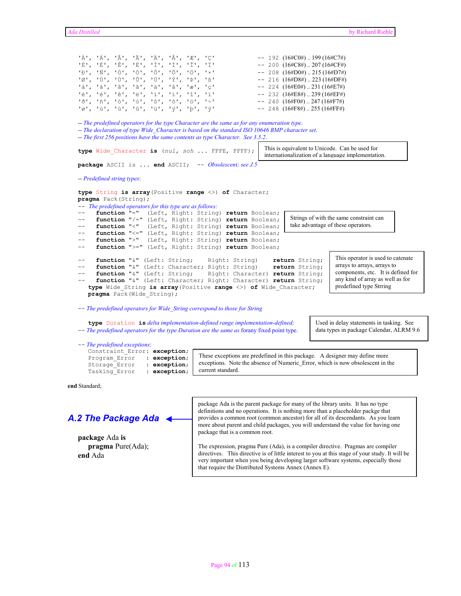| 'À', 'Á', 'Â', 'Ã', 'Ä', 'Å', 'Æ', 'C'                                                                                                                                                                                                                                                                                                                                                                                                                                                                                        | $-- 192 (16\#C0\#)$ 199 (16#C7#)                                                                                                                                                                                                              |
|-------------------------------------------------------------------------------------------------------------------------------------------------------------------------------------------------------------------------------------------------------------------------------------------------------------------------------------------------------------------------------------------------------------------------------------------------------------------------------------------------------------------------------|-----------------------------------------------------------------------------------------------------------------------------------------------------------------------------------------------------------------------------------------------|
| 'È', 'É', 'Ê', 'Ë', 'Ì', 'Í', 'Î', 'Ï'                                                                                                                                                                                                                                                                                                                                                                                                                                                                                        | $--$ 200 (16#C8#)207 (16#CF#)                                                                                                                                                                                                                 |
| 'Đ', 'Ñ', 'Ò', 'Ó', 'Ô', 'Õ', 'Ö', 'x'                                                                                                                                                                                                                                                                                                                                                                                                                                                                                        | $--$ 208 (16#D0#)  215 (16#D7#)                                                                                                                                                                                                               |
| 'Ø', 'Ú', 'Ú', 'Û', 'Ü', 'Ý', 'Þ', 'ß'                                                                                                                                                                                                                                                                                                                                                                                                                                                                                        | $--$ 216 (16#D8#)223 (16#DF#)                                                                                                                                                                                                                 |
| 'à', 'á', 'â', 'ã', 'ä', 'å', 'æ', 'ç'                                                                                                                                                                                                                                                                                                                                                                                                                                                                                        | $--$ 224 (16#E0#)  231 (16#E7#)                                                                                                                                                                                                               |
| 'è', 'é', 'ê', 'ë', 'ì', 'í', 'î', 'ï'                                                                                                                                                                                                                                                                                                                                                                                                                                                                                        | $--$ 232 (16#E8#)239 (16#EF#)                                                                                                                                                                                                                 |
| 'ð', 'ñ', 'ò', 'ó', 'ô', 'õ', 'ö', '÷'                                                                                                                                                                                                                                                                                                                                                                                                                                                                                        | $--$ 240 (16#F0#)247 (16#F7#)                                                                                                                                                                                                                 |
| 'ø', 'ù', 'ú', 'û', 'ü', 'ý', 'þ', 'ÿ'                                                                                                                                                                                                                                                                                                                                                                                                                                                                                        | $--$ 248 (16#F8#)255 (16#FF#)                                                                                                                                                                                                                 |
| -- The predefined operators for the type Character are the same as for any enumeration type.<br>-- The declaration of type Wide Character is based on the standard ISO 10646 BMP character set.<br>-- The first 256 positions have the same contents as type Character. See 3.5.2.<br>type Wide_Character is (nul, soh  FFFE, FFFF);<br>package ASCII is  end ASCII; -- Obsolescent; see J.5<br>- Predefined string types:<br>type String is array (Positive range $\langle \rangle$ ) of Character;<br>pragma Pack (String); | This is equivalent to Unicode. Can be used for<br>internationalization of a language implementation.                                                                                                                                          |
|                                                                                                                                                                                                                                                                                                                                                                                                                                                                                                                               |                                                                                                                                                                                                                                               |
| -- The predefined operators for this type are as follows:<br>function "=" (Left, Right: String) return Boolean;<br>$- \, -$                                                                                                                                                                                                                                                                                                                                                                                                   |                                                                                                                                                                                                                                               |
| function "/=" (Left, Right: String) return Boolean;<br>$ -$                                                                                                                                                                                                                                                                                                                                                                                                                                                                   | Strings of with the same constraint can                                                                                                                                                                                                       |
| function "<" (Left, Right: String) return Boolean;<br>$- -$                                                                                                                                                                                                                                                                                                                                                                                                                                                                   | take advantage of these operators.                                                                                                                                                                                                            |
| function "<=" (Left, Right: String) return Boolean;<br>$\qquad \qquad -$                                                                                                                                                                                                                                                                                                                                                                                                                                                      |                                                                                                                                                                                                                                               |
| function ">" (Left, Right: String) return Boolean;<br>$- -$                                                                                                                                                                                                                                                                                                                                                                                                                                                                   |                                                                                                                                                                                                                                               |
| function ">=" (Left, Right: String) return Boolean;<br>$- \, -$                                                                                                                                                                                                                                                                                                                                                                                                                                                               |                                                                                                                                                                                                                                               |
| function "&" (Left: String;<br>Right: String)<br>$\qquad \qquad -$<br>function "&" (Left: Character; Right: String)<br>$\qquad \qquad -$<br>function "&" (Left: String;<br>$- -$<br>function "&" (Left: Character; Right: Character) return String;<br>$\qquad \qquad -$<br>type Wide String is array (Positive range <> ) of Wide Character;                                                                                                                                                                                 | This operator is used to catenate<br>return String;<br>arrays to arrays, arrays to<br>return String;<br>components, etc. It is defined for<br>Right: Character) return String;<br>any kind of array as well as for<br>predefined type Strring |
| pragma Pack (Wide String);                                                                                                                                                                                                                                                                                                                                                                                                                                                                                                    |                                                                                                                                                                                                                                               |
| -- The predefined operators for Wide_String correspond to those for String                                                                                                                                                                                                                                                                                                                                                                                                                                                    |                                                                                                                                                                                                                                               |
| type Duration is delta implementation-defined range implementation-defined;<br>-- The predefined operators for the type Duration are the same as formally fixed point type.                                                                                                                                                                                                                                                                                                                                                   | Used in delay statements in tasking. See<br>data types in package Calendar, ALRM 9.6                                                                                                                                                          |
| -- The predefined exceptions:                                                                                                                                                                                                                                                                                                                                                                                                                                                                                                 |                                                                                                                                                                                                                                               |

```
Constraint_Error: exception;
Program_Error : exception;
Storage_Error : exception;<br>Tasking Error : exception;
Tasking_Error
                                          These exceptions are predefined in this package. A designer may define more
                                          exceptions. Note the absence of Numeric_Error, which is now obsolescent in the
                                         current standard.
```
**end** Standard;

# *A.2 The Package Ada*

**package** Ada **is pragma** Pure(Ada); **end** Ada

package Ada is the parent package for many of the library units. It has no type definitions and no operations. It is nothing more than a placeholder packge that provides a common root (common ancestor) for all of its descendants. As you learn more about parent and child packages, you will understand the value for having one package that is a common root.

The expression, pragma Pure (Ada), is a compiler directive. Pragmas are compiler directives. This directive is of little interest to you at this stage of your study. It will be very important when you being developing larger software systems, especially those that require the Distributed Systems Annex (Annex E).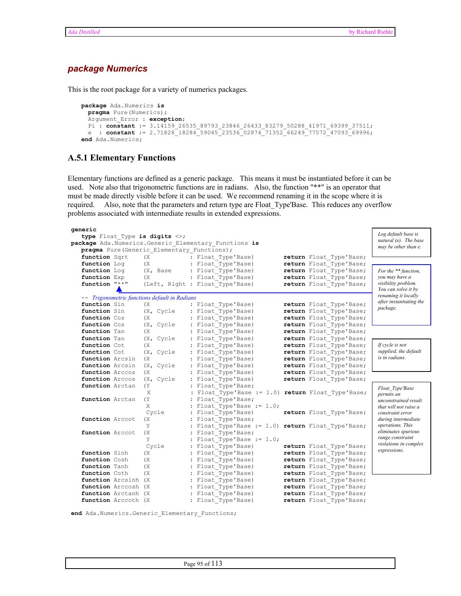## *package Numerics*

This is the root package for a variety of numerics packages.

```
package Ada.Numerics is
  pragma Pure(Numerics);
  Argument_Error : exception;
  Pi : constant := 3.14159 26535 89793 23846 26433 83279 50288 41971 69399 37511;
  e : constant := 2.71828<sup>-18284-59045<sup>-23536-02874<sup>-71352-66249-77572-47093-69996;</sup></sup></sup>
end Ada.Numerics;
```
#### **A.5.1 Elementary Functions**

Elementary functions are defined as a generic package. This means it must be instantiated before it can be used. Note also that trigonometric functions are in radians. Also, the function "\*\*" is an operator that must be made directly visible before it can be used. We recommend renaming it in the scope where it is required. Also, note that the parameters and return type are Float Type'Base. This reduces any overflow problems associated with intermediate results in extended expressions.

```
generic
   type Float_Type is digits <>;
package Ada.Numerics.Generic_Elementary_Functions is
   pragma Pure(Generic Elementary Functions);
   function Sqrt (X \overline{X} : Float Type'Base) return Float Type'Base;<br>
function Log (X : Float Type'Base) return Float Type'Base;
   function Log (X : Float_Type'Base) return Float_Type'Base;<br>
function Log (X, Base : Float_Type'Base) return Float_Type'Base;<br>
function Exp (X : Float Type'Base) return Float Type'Base;
   function Log (X, Base : Float_Type'Base) return Float_Type'Base;<br>
function Exp (X : Float_Type'Base) return Float_Type'Base;
   function Exp (X : Float_Type'Base) return Float_Type'Base;<br>
function "**" (Left, Right : Float Type'Base) return Float Type'Base;
                 f**" (Left, Right : Float_Type'Base)
   -- Trigonometric functions default in Radians
                          (X \check{\phantom{a}} : Float Type'Base) return Float_Type'Base;
   function Sin (X, Cycle : Float_Type'Base) return Float_Type'Base;<br>
function Cos (X : Float_Type'Base) return Float_Type'Base;<br>
function Cos (X, Cycle : Float_Type'Base) return Float_Type'Base;
                                                                                 function Cos (X : Float_Type'Base) return Float_Type'Base;
   function Cos (X, Cycle : Float_Type'Base) return Float_Type'Base;<br>
function Tan (X : Float_Type'Base) return Float_Type'Base;
   function Tan (X : Float_Type'Base) return Float_Type'Base;<br>
function Tan (X, Cycle : Float_Type'Base) return Float_Type'Base;<br>
function Cot (X : Float Type'Base) return Float Type'Base;
                                                                                 function Float_Type'Base;
   function Cot (X : Float_Type'Base) return Float_Type'Base;<br>
function Cot (X, Cycle : Float Type'Base) return Float Type'Base;
                           X, Cycle : Float_Type'Base) return Float_Type'Base;<br>
(X : Float_Type'Base) return Float_Type'Base;<br>
(X, Cycle : Float_Type'Base) return Float_Type'Base;<br>
(X : Float_Type'Base) return Float_Type'Base;
   function Arcsin (X : Float Type'Base) return Float Type'Base;
   function Arcsin (X, Cycle : Float_Type'Base) return Float_Type'Base;<br>
function Arccos (X : Float_Type'Base) return Float_Type'Base;
                                                                                 fuller Float Type'Base;
   function Arccos (X, Cycle : Float_Type'Base) return Float_Type'Base;<br>function Arctan (Y : Float Type'Base;
    function Arctan (Y : Float Type'Base;
X : Float Type'Base := 1.0) return Float Type'Base;
   function Arctan (Y : Float Type'Base;
    X : Float Type'Base := 1.0;
     Cycle : Float_Type'Base) return Float_Type'Base;
    function Arccot (X : Float Type'Base;
     Y : Float_Type'Base := 1.0) return Float_Type'Base;
    function Arccot (X : Float Type'Base;
                            \gamma : Float Type'Base := 1.0;
                           Cycle : Float_Type'Base) return Float_Type'Base;<br>(X : Float_Type'Base) return Float_Type'Base;<br>(X : Float_Type'Base) return Float_Type'Base;
   function Sinh (X : Float Type'Base) return Float Type'Base;
   function Cosh (X : Float_Type'Base) return Float_Type'Base;<br>
function Tanh (X : Float Type'Base) return Float Type'Base;
                          function function function function function function function function function <b>function function function function function <b>function function function function fun
   function Coth (X : Float_Type'Base) return Float_Type'Base;
   function Arcsinh (X : Float_Type'Base) return Float_Type'Base;<br>
function Arccosh (X : Float Type'Base) return Float Type'Base;
   function Arccosh (X : Float Type'Base) return Float Type'Base;
   function Arctanh (X : Float_Type'Base) return Float_Type'Base;
   function Arccoth (X : Float Type'Base) return Float Type'Base;
                                                                                                                     For the ** function,
                                                                                                                     you may have a
                                                                                                                      visibility problem.
                                                                                                                      You can solve it by
                                                                                                                      renaming it locally
                                                                                                                     after instantiating the
                                                                                                                     package.
                                                                                                                      If cycle is not
                                                                                                                     supplied, the default
                                                                                                                      is in radians.
                                                                                                                      Log default base is
                                                                                                                      natural (e). The base
                                                                                                                      may be other than e.
                                                                                                                     Float_Type'Base
                                                                                                                     permits an
                                                                                                                      unconstrained result
                                                                                                                      that will not raise a
                                                                                                                      constraint error
                                                                                                                     during intermediate
                                                                                                                     operations. This
                                                                                                                     eliminates spurious
                                                                                                                      range constraint
                                                                                                                     violations in complex
                                                                                                                     expressions.
```
**end** Ada.Numerics.Generic\_Elementary\_Functions;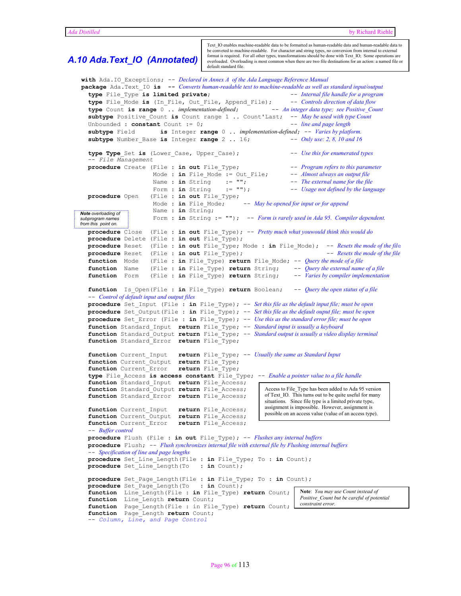#### *A.10 Ada.Text\_IO (Annotated)* **with** Ada.IO\_Exceptions; -- *Declared in Annex A of the Ada Language Reference Manual* **package** Ada.Text\_IO **is --** *Converts human-readable text to machine-readable as well as standard input/output* **type** File\_Type **is limited private;** -- *Internal file handle for a program*<br> **type** File Mode **is** (In File, Out File, Append File); -- *Controls direction of data flow* **type** File Mode **is** (In File, Out\_File, Append\_File); **type** Count **is range** 0 .. *implementation-defined*; -- *An integer data type; see Positive\_Count* **subtype** Positive\_Count **is** Count range 1 .. Count'Last; -- *May be used with type Count* Unbounded : **constant** Count := 0; -- *line and page length* **subtype** Field **is** Integer **range** 0 .. *implementation-defined*; -- *Varies by platform.* **subtype** Number\_Base **is** Integer **range** 2 .. 16; -- *Only use: 2, 8, 10 and 16* **type Type**\_Set **is** (Lower\_Case, Upper\_Case); -- *Use this for enumerated types* -- *File Management* **procedure** Create (File : **in out** File\_Type; -- *Program refers to this parameter* Mode : in File Mode := Out File; -- *Almost always an output file* Name : **in** String :=  $^{\text{m}}$ ;  $^{\text{m}}$  -- *The external name for the file*<br>Form : **in** String :=  $^{\text{m}}$ ); -- *Usage not defined by the lang* Form : **in** String := ""); -- *Usage not defined by the language* **procedure** Open (File : **in out** File\_Type; Mode : in File\_Mode; -- *May be opened for input or for append*  Name : **in** String; Form: **in** String := ""); -- *Form is rarely used in Ada 95. Compiler dependent.* **procedure** Close (File : **in out** File\_Type); -- *Pretty much what youwould think this would do* **procedure** Delete (File : **in out** File\_Type); **procedure** Reset (File : **in out** File\_Type; Mode : **in** File\_Mode); -- *Resets the mode of the file*<br>**procedure** Reset (File : **in out** File Type); -- *Resets the mode of the file* **procedure** Reset (File : in out File Type); **function** Mode (File : **in** File\_Type) **return** File\_Mode; -- *Query the mode of a file* **function** Name (File : **in** File\_Type) **return** String; -- *Query the external name of a file* **function** Form (File : **in** File\_Type) **return** String; -- *Varies by compiler implementation* **function** Is\_Open(File : **in** File\_Type) **return** Boolean; -- *Query the open status of a file* -- *Control of default input and output files* **procedure** Set\_Input (File : **in** File\_Type); -- *Set this file as the default input file; must be open* **procedure** Set\_Output(File : **in** File\_Type); -- *Set this file as the default ouput file; must be open* **procedure** Set\_Error (File : **in** File\_Type); -- *Use this as the standard error file; must be open* **function** Standard\_Input **return** File\_Type; -- *Standard input is usually a keyboard* **function** Standard\_Output **return** File\_Type; -- *Standard output is usually a video display terminal* **function** Standard\_Error **return** File\_Type; **function** Current\_Input **return** File\_Type; -- *Usually the same as Standard Input* **function** Current\_Output **return** File\_Type; **function** Current\_Error **return** File\_Type; **type** File\_Access **is access constant** File\_Type; -- *Enable a pointer value to a file handle* **function** Standard\_Input **return** File\_Access; **function** Standard\_Output **return** File\_Access; function Standard Error **return** File Access; **function** Current\_Input **return** File\_Access; function Current Output return File Access; **function** Current\_Error **return** File\_Access; -- *Buffer control* **procedure** Flush (File : **in out** File\_Type); -- *Flushes any internal buffers* **procedure** Flush; -- *Flush synchronizes internal file with external file by Flushing internal buffers* -- *Specification of line and page lengths* **procedure** Set\_Line\_Length(File : **in** File\_Type; To : **in** Count); **procedure** Set\_Line\_Length(To : **in** Count); **procedure** Set\_Page\_Length(File : **in** File\_Type; To : **in** Count); **procedure** Set\_Page\_Length(To : **in** Count); function Line Length(File : in File Type) return Count; **function** Line\_Length **return** Count; function Page Length(File : in File Type) return Count; **function** Page\_Length **return** Count; -- *Column, Line, and Page Control* Text\_IO enables machine-readable data to be formatted as human-readable data and human-readable data to be conveted to machine-readable. For character and string types, no conversion from internal to external format is required. For all other types, transformations should be done with Text IO; Some operations are overloaded. Overloading is most common when there are two file destinations for an action: a named file or default standard file. Access to File\_Type has been added to Ada 95 version of Text\_IO. This turns out to be quite useful for many situations. Since file type is a limited private type, assignment is impossible. However, assignment is possible on an access value (value of an access type). **Note**: *You may use Count instead of Positive\_Count but be careful of potential constraint error. Note overloading of subprogram names from this point on.*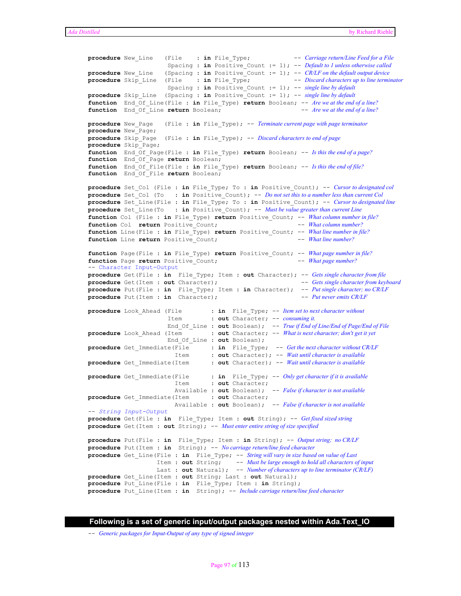```
procedure New_Line (File : in File_Type; -- Carriage return/Line Feed for a File
                        Spacing : in Positive Count := 1); -- Default to 1 unless otherwise called
procedure New_Line (Spacing : in Positive_Count := 1); -- CR/LF on the default output device
procedure Skip_Line (File : in File_Type; -- Discard characters up to line terminator
                        Spacing : in Positive Count := 1); -- single line by default
procedure Skip_Line (Spacing : in Positive_Count := 1); -- single line by default
function End_Of_Line(File : in File_Type) return Boolean; -- Are we at the end of a line?<br>function End Of Line return Boolean; -- Are we at the end of a line?
function End Of Line return Boolean;
procedure New_Page (File : in File_Type); -- Terminate current page with page terminator
procedure New_Page;
procedure Skip_Page (File : in File_Type); -- Discard characters to end of page
procedure Skip_Page;
function End_Of_Page(File : in File_Type) return Boolean; -- Is this the end of a page?
function End Of Page return Boolean;
function End_Of_File(File : in File_Type) return Boolean; -- Is this the end of file?
function End_Of_File return Boolean;
procedure Set_Col (File : in File_Type; To : in Positive_Count); -- Cursor to designated col
procedure Set_Col (To : in Positive_Count); -- Do not set this to a number less than current Col
procedure Set_Line(File : in File_Type; To : in Positive_Count); -- Cursor to designated line
procedure Set_Line(To : in Positive_Count); -- Must be value greater than current Line
function Col (File : in File_Type) return Positive_Count; -- What column number in file?
function Col return Positive_Count; -- What column number?
function Line(File : in File_Type) return Positive_Count; -- What line number in file?
function Line return Positive_Count; -- What line number?
function Page(File : in File_Type) return Positive_Count; -- What page number in file?
function Page return Positive_Count; -- What page number?
 -- Character Input-Output
procedure Get(File : in File_Type; Item : out Character); -- Gets single character from file<br>procedure Get(Item : out Character); -- Gets single character from keyboard
procedure Get(Item : out Character);
procedure Put(File : in File_Type; Item : in Character); -- Put single character; no CR/LF<br>procedure Put(Item : in Character); -- Put never emits CR/LF
procedure Put (Item : in Character);
procedure Look_Ahead (File : in File_Type; -- Item set to next character without
                          Item : out Character; -- consuming it.
                          End_Of_Line : out Boolean); -- True if End of Line/End of Page/End of File
procedure Look_Ahead (Item : out Character; -- What is next character; don't get it yet
                         End Of Line : out Boolean);
procedure Get_Immediate(File : in File_Type; -- Get the next character without CR/LF<br>Item : out Character); -- Wait until character is available
                                     : out Character); -- Wait until character is available
procedure Get_Immediate(Item : out Character); -- Wait until character is available
procedure Get_Immediate(File : in File_Type; -- Only get character if it is available
Item : out Character;
                           Available : out Boolean); -- False if character is not available (Item : out Character;
procedure Get Immediate(Item
                            Available : out Boolean); -- False if character is not available
-- String Input-Output
procedure Get(File : in File_Type; Item : out String); -- Get fixed sized string
procedure Get(Item : out String); -- Must enter entire string of size specified
procedure Put(File : in File_Type; Item : in String); -- Output string; no CR/LF
procedure Put(Item : in String); -- No carriage return/line feed character
procedure Get_Line(File : in File_Type; -- String will vary in size based on value of Last
 Item : out String; -- Must be large enough to hold all characters of input
Last : out Natural); -- Number of characters up to line terminator (CR/LF)
procedure Get_Line(Item : out String; Last : out Natural);
procedure Put_Line(File : in File_Type; Item : in String);
procedure Put_Line(Item : in String); -- Include carriage return/line feed character
```
**Following is a set of generic input/output packages nested within Ada.Text\_IO**

-- *Generic packages for Input-Output of any type of signed integer*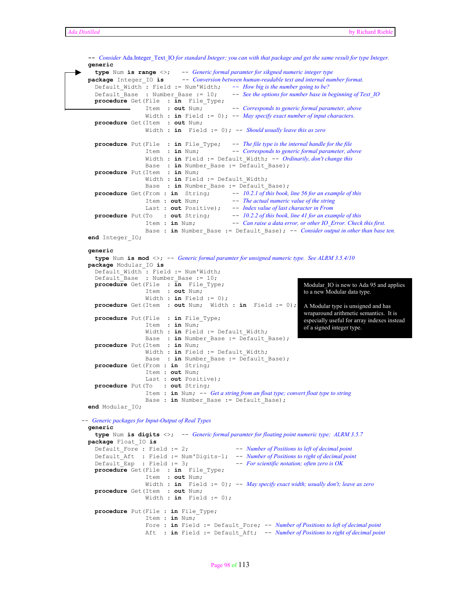```
-- Consider Ada.Integer_Text_IO for standard Integer; you can with that package and get the same result for type Integer.
  generic
    type Num is range \langle \rangle; -- Generic formal paramter for sikgned numeric integer type
 package Integer_IO is -- Conversion between human-readable text and internal number format.
   Default_Width : Field := Num'Width; -- How big is the number going to be?
                                                 -- See the options for number base in beginning of Text_IO
   procedure Get(File : in File_Type;
                    Item : out Num; -- Corresponds to generic formal parameter, above
                    Width : in Field := 0); -- May specify exact number of input characters.
   procedure Get(Item : out Num;
                     Width : in Field := 0); -- Should usually leave this as zero
   procedure Put (File : in File Type; -- The file type is the internal handle for the file
                    Item : in Num; -- Corresponds to generic formal parameter, above
                    Width : in Field := Default Width; -- Ordinarily, don't change this
                     Base : in Number_Base := Default_Base);
   procedure Put(Item : in Num;
                    Width : in Field := Default Width;
   Base : in Number_Base := Default_Base);<br>procedure Get(From : in String; -- 10.2.1 of this book,
                                                process -- 10.2.1 of this book, line 56 for an example of this
                    Item : out Num; -- The actual numeric value of the string
                     Last : out Positive); -- Index value of last character in From
   procedure Put (To : out String; -- 10.2.2 of this book, line 41 for an example of this
                    Item : in Num; -- Can raise a data error, or other IO_Error. Check this first.
                     Base : in Number_Base := Default_Base); -- Consider output in other than base ten.
 end Integer_IO;
 generic
    type Num is mod <>; -- Generic formal paramter for unsigned numeric type. See ALRM 3.5.4/10
 package Modular_IO is
    Default Width: Field := Num'Width;
   Default Base : Number Base := 10;
   procedure Get(File : in File_Type;
                     Item : out Num;
                     Width : in Field := 0);
   procedure Get(Item : out Num; Width : in Field := 0);
   procedure Put(File : in File_Type;
                     Item : in Num;
                    Width : in Field := Default Width;
                     Base : in Number_Base := Default_Base);
   procedure Put(Item : in Num;
                    Width : in Field := Default Width;
                    Base : in Number Base := Default Base);
   procedure Get(From : in String;
                     Item : out Num;
                     Last : out Positive);
   procedure Put(To : out String;
                     Item : in Num; -- Get a string from an float type; convert float type to string
                    Base : in Number Base := Default Base);
 end Modular_IO;
-- Generic packages for Input-Output of Real Types
 generic
    type Num is digits <>; -- Generic formal paramter for floating point numeric type; ALRM 3.5.7
 package Float_IO is
   Default_Fore : Field := 2; -- Number of Positions to left of decimal point
   Default_Aft : Field := Num'Digits–1; -- Number of Positions to right of decimal point
                                                  -- For scientific notation; often zero is OK
   procedure Get(File : in File_Type;
                     Item : out Num;
                    Width : in Field := 0); -- May specify exact width; usually don't; leave as zero
   procedure Get(Item : out Num;
                    Width : in Field := 0);
   procedure Put(File : in File_Type;
                     Item : in Num;
                     Fore : in Field := Default_Fore; -- Number of Positions to left of decimal point
                     Aft : in Field := Default_Aft; -- Number of Positions to right of decimal point
                                                                        Modular<sub>IO</sub> is new to Ada 95 and applies
                                                                        to a new Modular data type.
                                                                        A Modular type is unsigned and has
                                                                        wraparound arithmetic semantics. It is
                                                                        especially useful for array indexes instead
                                                                        of a signed integer type.
```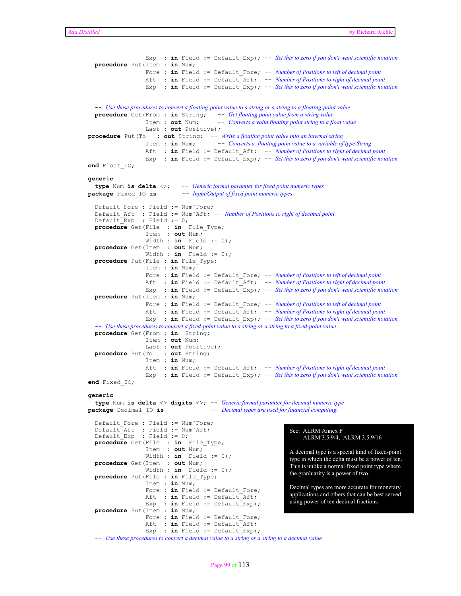```
Exp : in Field := Default Exp); -- Set this to zero if you don't want scientific notation
  procedure Put(Item : in Num;
                   Fore : in Field := Default_Fore; -- Number of Positions to left of decimal point
                    Aft : in Field := Default_Aft; -- Number of Positions to right of decimal point
                   Exp : in Field := Default Exp); -- Set this to zero if you don't want scientific notation
  -- Use these procedures to convert a floating-point value to a string or a string to a floating-point value
  procedure Get(From : in String; -- Get floating point value from a string value
                   Item : out Num; -- Converts a valid floating point string to a float value
                    Last : out Positive);
procedure Put(To : out String; -- Write a floating point value into an internal string
                    Item : in Num; -- Converts a floating point value to a variable of type String
                   Aft : in Field := Default_Aft; -- Number of Positions to right of decimal point
                   Exp : in Field := Default Exp); -- Set this to zero if you don't want scientific notation
end Float_IO;
generic
  type Num is delta <>; -- Generic formal paramter for fixed point numeric types
package Fixed_IO is -- Input/Output of fixed point numeric types
  Default Fore : Field := Num'Fore;
  Default_Aft : Field := Num'Aft; -- Number of Positions to right of decimal point
  Default Exp : Field := 0;
  procedure Get(File : in File_Type;
                    Item : out Num;
                   Width : in Field := 0);
  procedure Get(Item : out Num;
                   Width : in Field := 0);
  procedure Put(File : in File_Type;
                    Item : in Num;
                    Fore : in Field := Default_Fore; -- Number of Positions to left of decimal point
                    Aft : in Field := Default_Aft; -- Number of Positions to right of decimal point
                   Exp : in Field := Default Exp); -- Set this to zero if you don't want scientific notation
  procedure Put(Item : in Num;
                   Fore : in Field := Default Fore; -- Number of Positions to left of decimal point
                   Aft : in Field := Default_Aft; -- Number of Positions to right of decimal point
                   Exp : in Field := Default Exp); -- Set this to zero if you don't want scientific notation
  -- Use these procedures to convert a fixed-point value to a string or a string to a fixed-point value
  procedure Get(From : in String;
                    Item : out Num;
                    Last : out Positive);
  procedure Put(To : out String;
                    Item : in Num;
                    Aft : in Field := Default_Aft; -- Number of Positions to right of decimal point
                   Exp : in Field := Default Exp); -- Set this to zero if you don't want scientific notation
end Fixed_IO;
generic
  type Num is delta <> digits <>; -- Generic formal paramter for decimal numeric type
package Decimal_IO is -- Decimal types are used for financial computing.
  Default Fore : Field := Num'Fore;
  Default_Aft : Field := Num'Aft;
  Default Exp : Field := 0;
  procedure Get(File : in File_Type;
                   Item : out Num;
                    Width : in Field := 0);
  procedure Get(Item : out Num;
                  Width : in Field := 0);procedure Put(File : in File_Type;
                    Item : in Num;
                                                                  See: ALRM Annex F
                                                                        ALRM 3.5.9/4, ALRM 3.5.9/16
                                                                  A decimal type is a special kind of fixed-point
                                                                  type in which the delta must be a power of ten.
                                                                  This is unlike a normal fixed point type where
                                                                  the granluarity is a power of two.
```
Decimal types are more accurate for monetary applications and others that can be best served using power of ten decimal fractions.

Exp :  $\text{in Field} := \text{Default} \overline{\text{Exp}}$ ; -- *Use these procedures to convert a decimal value to a string or a string to a decimal value*

Fore : in Field := Default Fore; Aft : in Field := Default\_Aft; Exp : in Field := Default Exp);

 Fore : **in** Field := Default\_Fore; Aft : in Field := Default Aft;

**procedure** Put(Item : **in** Num;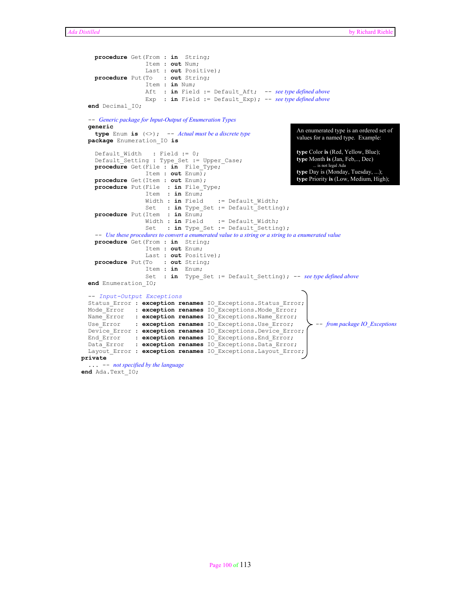```
procedure Get(From : in String;
                    Item : out Num;
                    Last : out Positive);
    procedure Put(To : out String;
                    Item : in Num;
                   Aft : in Field := Default_Aft; -- see type defined above
                   Exp : in Field := Default Exp); -- see type defined above
  end Decimal_IO;
  -- Generic package for Input-Output of Enumeration Types
  generic
    type Enum is (<>); -- Actual must be a discrete type
  package Enumeration_IO is
    Default Width : Field := 0;
    Default_Setting : Type_Set := Upper_Case;
    procedure Get(File : in File_Type;
                   Item : out Enum);
    procedure Get(Item : out Enum);
    procedure Put(File : in File_Type;
                   Item : in Enum;<br>Width : in Field
                                         := Default Width;
    Set : in Type Set := Default Setting);
    procedure Put(Item : in Enum;
                   Width : in Field := Default Width;
                   Set : in Type_Set := Default_Setting);
    -- Use these procedures to convert a enumerated value to a string or a string to a enumerated value
    procedure Get(From : in String;
                    Item : out Enum;
                    Last : out Positive);
    procedure Put(To : out String;
                    Item : in Enum;
                   Set : in Type Set := Default Setting); -- see type defined above
  end Enumeration_IO;
  -- Input-Output Exceptions
  Status_Error : exception renames IO_Exceptions.Status_Error;
  Mode_Error : exception renames IO_Exceptions.Mode_Error;
  Name_Error : exception renames IO_Exceptions.Name_Error;
  Use \frac{p}{p} exception renames IO Exceptions.Use \frac{p}{p} =- from package IO Exceptions
  Device_Error : exception renames IO_Exceptions.Device_Error;
  End_Error : exception renames IO_Exceptions.End_Error;
  Data Error : exception renames IO Exceptions.Data Error;
  Layout Error : exception renames IO Exceptions. Layout Error;
private
  ... -- not specified by the language
                                                                  An enumerated type is an ordered set of
                                                                  values for a named type. Example:
                                                                  type Color is (Red, Yellow, Blue);
                                                                  type Month is (Jan, Feb,.., Dec) ... is not legal Ada
                                                                  type Day is (Monday, Tuesday, ...);
                                                                  type Priority is (Low, Medium, High);
```
**end** Ada.Text\_IO;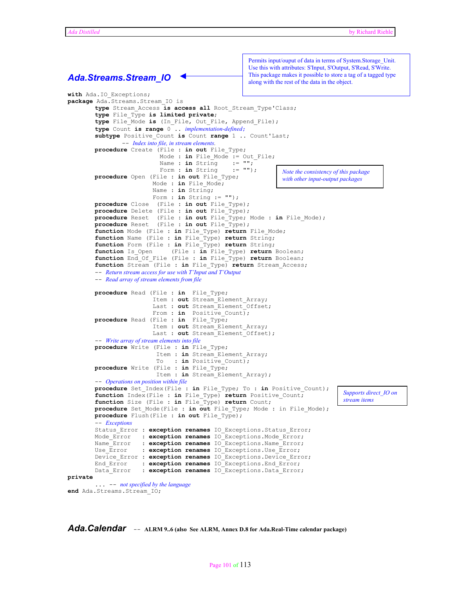```
Ada.Streams.Stream_IO
with Ada.IO_Exceptions;
package Ada.Streams.Stream_IO is
        type Stream_Access is access all Root_Stream_Type'Class;
        type File_Type is limited private;
        type File_Mode is (In_File, Out_File, Append_File);
        type Count is range 0 .. implementation-defined;
        subtype Positive_Count is Count range 1 .. Count'Last;
                 -- Index into file, in stream elements.
        procedure Create (File : in out File_Type;
                            Mode : in File_Mode := Out_File;<br>Name : in String := "";
                            Name : in String := "";<br>Form : in String := "");
                            Form : in String
        procedure Open (File : in out File_Type;
                          Mode : in File_Mode;
                          Name : in String;
                          Form : in String := "");
        procedure Close (File : in out File_Type);
        procedure Delete (File : in out File_Type);
        procedure Reset (File : in out File_Type; Mode : in File_Mode);
        procedure Reset (File : in out File_Type);
        function Mode (File : in File_Type) return File_Mode;
        function Name (File : in File_Type) return String;
        function Form (File : in File_Type) return String;
        function Is_Open (File : in File_Type) return Boolean;
        function End_Of_File (File : in File_Type) return Boolean;
        function Stream (File : in File_Type) return Stream_Access;
        -- Return stream access for use with T'Input and T'Output
        -- Read array of stream elements from file
        procedure Read (File : in File_Type;
                           Item : out Stream_Element_Array;
                          Last : out Stream_Element_Offset;
                         From : in Positive Count);
        procedure Read (File : in File_Type;
                           Item : out Stream_Element_Array;
                         Last : out Stream Element Offset);
        -- Write array of stream elements into file
        procedure Write (File : in File_Type;
                            Item : in Stream_Element_Array;
                           To : in Positive Count);
        procedure Write (File : in File_Type;
                           Item : in Stream Element Array);
        -- Operations on position within file
        procedure Set_Index(File : in File_Type; To : in Positive_Count);
        function Index(File : in File_Type) return Positive_Count;
        function Size (File : in File_Type) return Count;
        procedure Set Mode(File : in out File Type; Mode : in File Mode);
        procedure Flush(File : in out File_Type);
        -- Exceptions
        Status_Error : exception renames IO_Exceptions.Status_Error;
        Mode_Error : exception renames IO_Exceptions.Mode_Error;
        Name_Error : exception renames IO_Exceptions.Name_Error;
        Use_Error : exception renames IO_Exceptions.Use_Error;
        Device_Error : exception renames IO_Exceptions.Device_Error;
        End_Error : exception renames IO_Exceptions.End_Error;
        Data Error : exception renames IO Exceptions.Data Error;
private
         ... -- not specified by the language
end Ada.Streams.Stream_IO;
                                                       Permits input/ouput of data in terms of System.Storage_Unit.
                                                       Use this with attributes: S'Input, S'Output, S'Read, S'Write.
                                                       This package makes it possible to store a tag of a tagged type
                                                       along with the rest of the data in the object.
                                                                 Note the consistency of this package
                                                                 with other input-output packages
                                                                                    Supports direct_IO on
                                                                                    stream items
```
*Ada.Calendar* -- **ALRM 9..6 (also See ALRM, Annex D.8 for Ada.Real-Time calendar package)**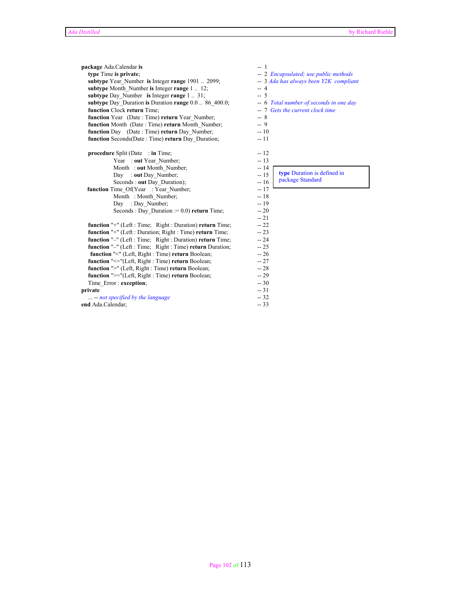**package** Ada.Calendar **is**  $-1$ **type** Time **is private**;  $\qquad \qquad -2$  *Encapsulated; use public methods* **subtype** Year\_Number **is** Integer **range** 1901 .. 2099; -- 3 *Ada has always been Y2K compliant* **subtype** Month\_Number **is** Integer **range** 1 .. 12; -- 4 **subtype** Day\_Number **is** Integer **range** 1 .. 31; -- 5<br> **subtype** Day\_Duration **is** Duration **range** 0.0 .. 86\_400.0; -- 6 Total number of seconds in one day **subtype** Day\_Duration **is** Duration **range** 0.0 .. 86\_400.0; **function** Clock **return** Time;  $-7$  *Gets the current clock time* **function** Year (Date : Time) **return** Year\_Number; -- 8<br>**function** Month (Date : Time) **return** Month\_Number; -- 9 **function** Month (Date : Time) **return** Month\_Number; -- 9<br>**function** Dav (Date : Time) **return** Dav Number: -- 10 **function** Day (Date : Time) **return** Day\_Number; **function** Seconds(Date : Time) **return** Day\_Duration; -- 11 **procedure** Split (Date : **in** Time; -- 12 Year : **out** Year\_Number; -- 13 Month : **out** Month\_Number; -- 14 Day : **out** Day\_Number; -- 15<br>Seconds : **out** Day Duration); -- 16 Seconds : **out** Day\_Duration); -- 16<br>
Fime OffYear : Year Number: -- 17 **function** Time\_Of(Year : Year\_Number; Month: Month Number; -- 18 Day : Day\_Number;  $-19$ <br>Seconds : Day Duration := 0.0) return Time;  $-20$ Seconds : Day\_Duration :=  $0.0$ ) **return** Time;

**function** "+" (Left : Time; Right : Duration) **return** Time; -- 22 **function** "+" (Left : Duration; Right : Time) **return** Time; -- 23 **function** "-" (Left : Time; Right : Duration) **return** Time; -- 24 **function** "-" (Left : Time; Right : Time) **return** Duration; -- 25 **function** "<" (Left, Right : Time) **return** Boolean;  $-26$ <br>**function** "<="(Left, Right : Time) **return** Boolean:  $-27$ **function** "<="(Left, Right : Time) **return** Boolean; -- 27<br>**function** ">" (Left, Right : Time) **return** Boolean; -- 28 **function** ">" (Left, Right : Time) **return** Boolean; **function** ">="(Left, Right : Time) **return** Boolean; -- 29 Time\_Error : **exception**; -- 30 **private**  $-- 31$ <br>
... -- *not specified by the language*  $-- 32$ ...  $-$  *not specified by the language*  $-32$ <br>**d** Ada.Calendar:  $-33$ 

**end** Ada.Calendar:

- 
- 

- 
- 
- 
- 
- 
- 
- 

- 
- **type** Duration is defined in package Standard
- 
- 
- 
- 
- -- 21
- 
- 
- 
- 

- 
- 
-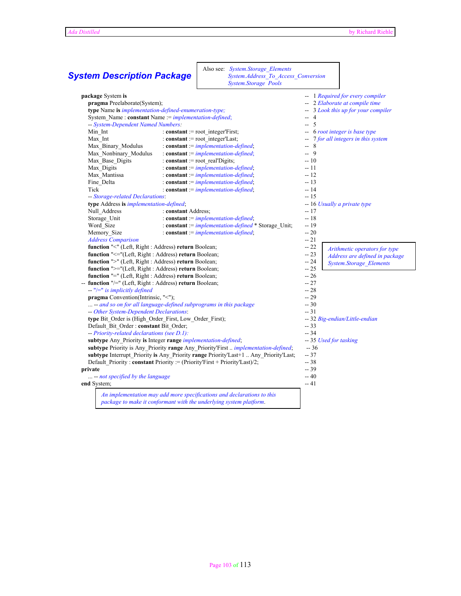⅂

| <b>System Description Package</b>                                                                                                                                                                                                                                                                                                                                                                                          |                                                                                                                                                                                                                                                                                                                                                                                                                                                                                                                                     | Also see: System.Storage Elements<br>System.Address To Access Conversion<br><b>System.Storage Pools</b> |                                                                                                                   |                                                                                                                                                                                                                     |
|----------------------------------------------------------------------------------------------------------------------------------------------------------------------------------------------------------------------------------------------------------------------------------------------------------------------------------------------------------------------------------------------------------------------------|-------------------------------------------------------------------------------------------------------------------------------------------------------------------------------------------------------------------------------------------------------------------------------------------------------------------------------------------------------------------------------------------------------------------------------------------------------------------------------------------------------------------------------------|---------------------------------------------------------------------------------------------------------|-------------------------------------------------------------------------------------------------------------------|---------------------------------------------------------------------------------------------------------------------------------------------------------------------------------------------------------------------|
| package System is<br>pragma Preelaborate(System);<br>type Name is <i>implementation-defined-enumeration-type</i> ;<br>-- System-Dependent Named Numbers:<br>Min Int<br>Max Int<br>Max Binary Modulus<br>Max_Nonbinary_Modulus<br>Max Base Digits<br>Max_Digits<br>Max_Mantissa<br>Fine_Delta<br>Tick<br>- Storage-related Declarations:<br>type Address is <i>implementation-defined</i> ,<br>Null_Address<br>Storage Unit | System_Name: constant Name := implementation-defined;<br>: constant := root integer First;<br>: constant := root integer'Last;<br>$: constant := implementation\text{-}defined;$<br>$: constant := implementation\text{-}defined;$<br>: constant := $root$ real'Digits;<br>$: constant := implementation\text{-}defined;$<br>$: constant := implementation-defined;$<br>$: constant := implementation\text{-}defined;$<br>$: constant := implementation-defined;$<br>: constant Address;<br>$: constant := implementation-defined;$ |                                                                                                         |                                                                                                                   | -- 1 Required for every compiler<br>-- 2 Elaborate at compile time<br>-- 3 Look this up for your compiler<br>-- 6 root integer is base type<br>-- 7 for all integers in this system<br>-- 16 Usually a private type |
| Word_Size<br>Memory Size<br><b>Address Comparison</b><br>function "<" (Left, Right : Address) return Boolean;<br>function "<="(Left, Right : Address) return Boolean;<br>function ">" (Left, Right : Address) return Boolean;<br>function ">="(Left, Right : Address) return Boolean;<br>function "=" (Left, Right : Address) return Boolean;                                                                              | : constant := <i>implementation-defined</i> * Storage_Unit;<br>$: constant := implementation-defined;$                                                                                                                                                                                                                                                                                                                                                                                                                              |                                                                                                         | $-18$<br>$-19$<br>$-20$<br>$-21$<br>$-22$<br>$-23$<br>$-24$<br>$-25$<br>$-26$                                     | Arithmetic operators for type<br>Address are defined in package<br><b>System.Storage Elements</b>                                                                                                                   |
| -- function "/=" (Left, Right : Address) return Boolean;<br>$-$ "/=" is implicitly defined<br>pragma Convention(Intrinsic, "<");<br>-- Other System-Dependent Declarations:<br>type Bit_Order is (High_Order_First, Low_Order_First);<br>Default Bit Order: constant Bit Order;<br>-- Priority-related declarations (see D.1):<br>private<br>-- not specified by the language<br>end System;                               | -- and so on for all language-defined subprograms in this package<br>subtype Any_Priority is Integer range <i>implementation-defined</i> ,<br>subtype Priority is Any_Priority range Any_Priority'First  implementation-defined,<br>subtype Interrupt Priority is Any Priority range Priority'Last+1  Any Priority'Last;<br>Default_Priority: constant Priority:= (Priority'First + Priority'Last)/2;                                                                                                                               |                                                                                                         | $-27$<br>$-28$<br>$-29$<br>$-30$<br>$-31$<br>$-33$<br>$-34$<br>$-36$<br>$-37$<br>$-38$<br>$-39$<br>$-40$<br>$-41$ | -- 32 Big-endian/Little-endian<br>-- 35 Used for tasking                                                                                                                                                            |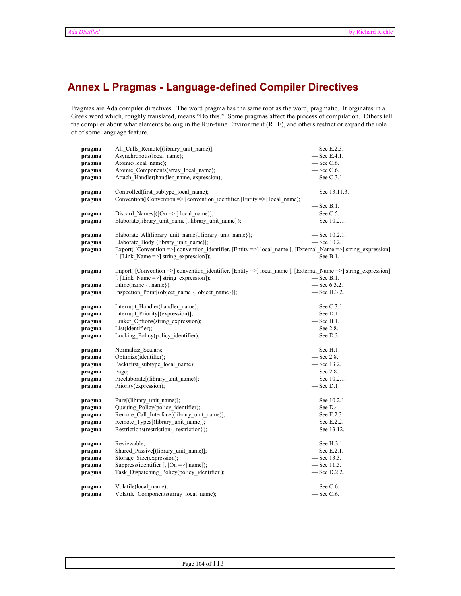# **Annex L Pragmas - Language-defined Compiler Directives**

Pragmas are Ada compiler directives. The word pragma has the same root as the word, pragmatic. It orginates in a Greek word which, roughly translated, means "Do this." Some pragmas affect the process of compilation. Others tell the compiler about what elements belong in the Run-time Environment (RTE), and others restrict or expand the role of of some language feature.

| pragma | All_Calls_Remote[(library_unit_name)];                                                                         | $-$ See E.2.3.   |
|--------|----------------------------------------------------------------------------------------------------------------|------------------|
| pragma | Asynchronous(local name);                                                                                      | — See E.4.1.     |
| pragma | Atomic(local name);                                                                                            | $-$ See C.6.     |
| pragma | Atomic Components(array local name);                                                                           | $-$ See C.6.     |
| pragma | Attach_Handler(handler_name, expression);                                                                      | $-$ See C.3.1.   |
| pragma | Controlled (first subtype local name);                                                                         | $-$ See 13.11.3. |
| pragma | Convention( $[Convention \implies]$ convention identifier, $[Entity \implies]$ local name);                    |                  |
|        |                                                                                                                | $-$ See B.1.     |
| pragma | Discard_Names[ $([On \Rightarrow] local_name)$ ];                                                              | $-$ See C.5.     |
| pragma | Elaborate(library unit name{, library unit name});                                                             | $-$ See 10.2.1.  |
| pragma | Elaborate_All(library_unit_name{, library_unit_name});                                                         | $-$ See 10.2.1.  |
| pragma | Elaborate_Body[(library_unit_name)];                                                                           | $-$ See 10.2.1.  |
| pragma | Export( [Convention =>] convention_identifier, [Entity =>] local_name [, [External_Name =>] string_expression] |                  |
|        | [, [Link Name $\Rightarrow$ ] string expression]);                                                             | $-$ See B.1.     |
| pragma | Import( [Convention =>] convention_identifier, [Entity =>] local_name [, [External_Name =>] string_expression] |                  |
|        | [, [Link_Name =>] string_expression]);                                                                         | $-$ See B.1.     |
| pragma | Inline(name $\{$ , name $\})$ ;                                                                                | $-$ See 6.3.2.   |
| pragma | Inspection Point[(object name {, object name})];                                                               | $-$ See H.3.2.   |
| pragma | Interrupt Handler(handler name);                                                                               | $-$ See C.3.1.   |
| pragma | Interrupt Priority[(expression)];                                                                              | $-$ See D.1.     |
| pragma | Linker Options(string expression);                                                                             | $-$ See B.1.     |
| pragma | List(identifier);                                                                                              | $-$ See 2.8.     |
| pragma | Locking Policy(policy identifier);                                                                             | $-$ See D.3.     |
| pragma | Normalize Scalars;                                                                                             | $-$ See H.1.     |
| pragma | Optimize(identifier);                                                                                          | $-$ See 2.8.     |
| pragma | Pack(first subtype local name);                                                                                | $-$ See 13.2.    |
| pragma | Page;                                                                                                          | $-$ See 2.8.     |
| pragma | Preelaborate[(library_unit_name)];                                                                             | $-$ See 10.2.1.  |
| pragma | Priority(expression);                                                                                          | $-$ See D.1.     |
| pragma | Pure[(library unit name)];                                                                                     | $-$ See 10.2.1.  |
| pragma | Queuing_Policy(policy_identifier);                                                                             | $-$ See D.4.     |
| pragma | Remote Call Interface[(library unit name)];                                                                    | $-$ See E.2.3.   |
| pragma | Remote_Types[(library_unit_name)];                                                                             | $-$ See E.2.2.   |
| pragma | Restrictions(restriction {, restriction});                                                                     | $-$ See 13.12.   |
| pragma | Reviewable;                                                                                                    | — See H.3.1.     |
| pragma | Shared_Passive[(library_unit_name)];                                                                           | $-$ See E.2.1.   |
| pragma | Storage_Size(expression);                                                                                      | $-$ See 13.3.    |
| pragma | Suppress(identifier [, [On =>] name]);                                                                         | $-$ See 11.5.    |
| pragma | Task Dispatching Policy(policy identifier);                                                                    | $-$ See D.2.2.   |
| pragma | Volatile(local name);                                                                                          | $-$ See C.6.     |
| pragma | Volatile Components(array local name);                                                                         | — See C.6.       |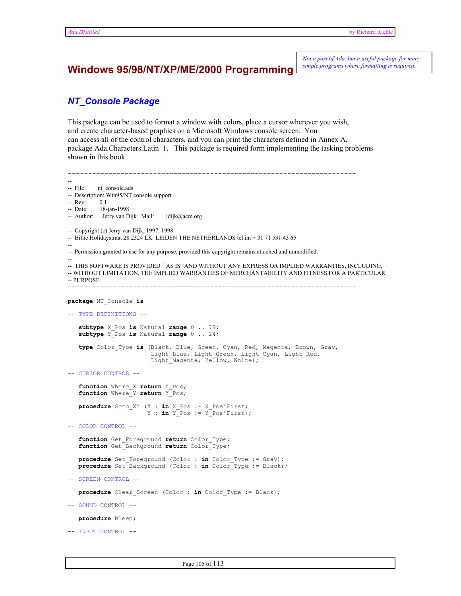# **Windows 95/98/NT/XP/ME/2000 Programming**

*Not a part of Ada, but a useful package for many simple programs where formatting is required.*

## *NT\_Console Package*

This package can be used to format a window with colors, place a cursor wherever you wish, and create character-based graphics on a Microsoft Windows console screen. You can access all of the control characters, and you can print the characters defined in Annex A, package Ada.Characters.Latin 1. This package is required form implementing the tasking problems shown in this book.

-----------------------------------------------------------------------

```
--
-- File: nt console.ads
-- Description: Win95/NT console support
-- Rev: 0.1
-- Date: 18-jan-1998
-- Author: Jerry van Dijk Mail: jdijk@acm.org
--
-- Copyright (c) Jerry van Dijk, 1997, 1998
-- Billie Holidaystraat 28 2324 LK LEIDEN THE NETHERLANDS tel int + 31 71 531 43 65
--
-- Permission granted to use for any purpose, provided this copyright remains attached and unmodified.
--
-- THIS SOFTWARE IS PROVIDED ``AS IS'' AND WITHOUT ANY EXPRESS OR IMPLIED WARRANTIES, INCLUDING,
-- WITHOUT LIMITATION, THE IMPLIED WARRANTIES OF MERCHANTABILITY AND FITNESS FOR A PARTICULAR
-- PURPOSE.
-----------------------------------------------------------------------
package NT_Console is
-- TYPE DEFINITIONS --
    subtype X_Pos is Natural range 0 .. 79;
    subtype Y_Pos is Natural range 0 .. 24;
 type Color_Type is (Black, Blue, Green, Cyan, Red, Magenta, Brown, Gray,
Light Blue, Light Green, Light Cyan, Light Red,
                         Light_Magenta, Yellow, White);
-- CURSOR CONTROL --
    function Where_X return X_Pos;
    function Where_Y return Y_Pos;
    procedure Goto_XY (X : in X_Pos := X_Pos'First;
                       Y : in YPos := Y Pos'First);
-- COLOR CONTROL --
    function Get_Foreground return Color_Type;
    function Get_Background return Color_Type;
    procedure Set_Foreground (Color : in Color_Type := Gray);
    procedure Set_Background (Color : in Color_Type := Black);
-- SCREEN CONTROL --
    procedure Clear_Screen (Color : in Color_Type := Black);
-- SOUND CONTROL --
    procedure Bleep;
```
-- INPUT CONTROL --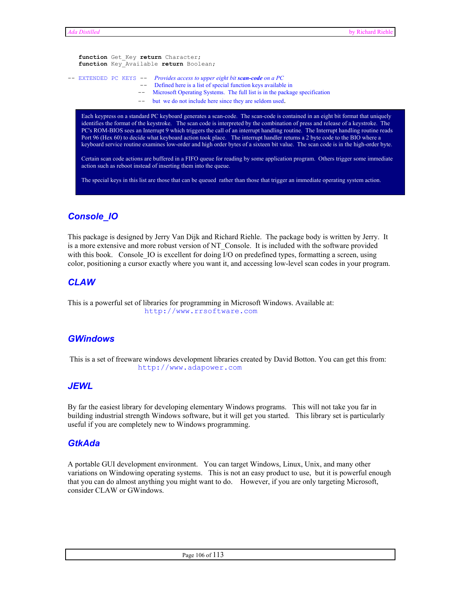```
function Get Key return Character;
 function Key_Available return Boolean;
```

```
-- EXTENDED PC KEYS -- Provides access to upper eight bit scan-code on a PC
                            -- Defined here is a list of special function keys available in
                            -- Microsoft Operating Systems. The full list is in the package specification
                            -- but we do not include here since they are seldom used.
```
Each keypress on a standard PC keyboard generates a scan-code. The scan-code is contained in an eight bit format that uniquely identifies the format of the keystroke. The scan code is interpreted by the combination of press and release of a keystroke. The PC's ROM-BIOS sees an Interrupt 9 which triggers the call of an interrupt handling routine. The Interrupt handling routine reads Port 96 (Hex 60) to decide what keyboard action took place. The interrupt handler returns a 2 byte code to the BIO where a keyboard service routine examines low-order and high order bytes of a sixteen bit value. The scan code is in the high-order byte.

Certain scan code actions are buffered in a FIFO queue for reading by some application program. Others trigger some immediate action such as reboot instead of inserting them into the queue.

The special keys in this list are those that can be queued rather than those that trigger an immediate operating system action.

## *Console\_IO*

This package is designed by Jerry Van Dijk and Richard Riehle. The package body is written by Jerry. It is a more extensive and more robust version of NT\_Console. It is included with the software provided with this book. Console IO is excellent for doing I/O on predefined types, formatting a screen, using color, positioning a cursor exactly where you want it, and accessing low-level scan codes in your program.

## *CLAW*

This is a powerful set of libraries for programming in Microsoft Windows. Available at: http://www.rrsoftware.com

#### *GWindows*

 This is a set of freeware windows development libraries created by David Botton. You can get this from: http://www.adapower.com

## *JEWL*

By far the easiest library for developing elementary Windows programs. This will not take you far in building industrial strength Windows software, but it will get you started. This library set is particularly useful if you are completely new to Windows programming.

#### *GtkAda*

A portable GUI development environment. You can target Windows, Linux, Unix, and many other variations on Windowing operating systems. This is not an easy product to use, but it is powerful enough that you can do almost anything you might want to do. However, if you are only targeting Microsoft, consider CLAW or GWindows.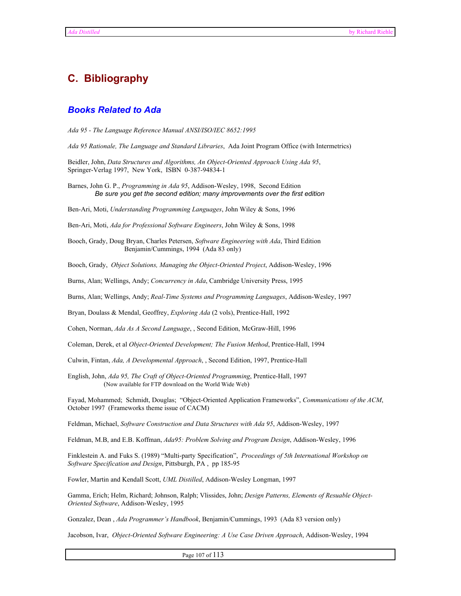# **C. Bibliography**

## *Books Related to Ada*

*Ada 95 - The Language Reference Manual ANSI/ISO/IEC 8652:1995*

*Ada 95 Rationale, The Language and Standard Libraries*, Ada Joint Program Office (with Intermetrics)

Beidler, John, *Data Structures and Algorithms, An Object-Oriented Approach Using Ada 95*, Springer-Verlag 1997, New York, ISBN 0-387-94834-1

Barnes, John G. P., *Programming in Ada 95*, Addison-Wesley, 1998, Second Edition *Be sure you get the second edition; many improvements over the first edition*

Ben-Ari, Moti, *Understanding Programming Languages*, John Wiley & Sons, 1996

Ben-Ari, Moti, *Ada for Professional Software Engineers*, John Wiley & Sons, 1998

Booch, Grady, Doug Bryan, Charles Petersen, *Software Engineering with Ada*, Third Edition Benjamin/Cummings, 1994 (Ada 83 only)

Booch, Grady, *Object Solutions, Managing the Object-Oriented Project*, Addison-Wesley, 1996

Burns, Alan; Wellings, Andy; *Concurrency in Ada*, Cambridge University Press, 1995

Burns, Alan; Wellings, Andy; *Real-Time Systems and Programming Languages*, Addison-Wesley, 1997

Bryan, Doulass & Mendal, Geoffrey, *Exploring Ada* (2 vols), Prentice-Hall, 1992

Cohen, Norman, *Ada As A Second Language*, , Second Edition, McGraw-Hill, 1996

Coleman, Derek, et al *Object-Oriented Development; The Fusion Method*, Prentice-Hall, 1994

Culwin, Fintan, *Ada, A Developmental Approach*, , Second Edition, 1997, Prentice-Hall

English, John, *Ada 95, The Craft of Object-Oriented Programming*, Prentice-Hall, 1997 (Now available for FTP download on the World Wide Web)

Fayad, Mohammed; Schmidt, Douglas; "Object-Oriented Application Frameworks", *Communications of the ACM*, October 1997 (Frameworks theme issue of CACM)

Feldman, Michael, *Software Construction and Data Structures with Ada 95*, Addison-Wesley, 1997

Feldman, M.B, and E.B. Koffman, *Ada95: Problem Solving and Program Design*, Addison-Wesley, 1996

Finklestein A. and Fuks S. (1989) "Multi-party Specification", *Proceedings of 5th International Workshop on Software Specification and Design*, Pittsburgh, PA , pp 185-95

Fowler, Martin and Kendall Scott, *UML Distilled*, Addison-Wesley Longman, 1997

Gamma, Erich; Helm, Richard; Johnson, Ralph; Vlissides, John; *Design Patterns, Elements of Resuable Object-Oriented Software*, Addison-Wesley, 1995

Gonzalez, Dean , *Ada Programmer's Handbook*, Benjamin/Cummings, 1993 (Ada 83 version only)

Jacobson, Ivar, *Object-Oriented Software Engineering: A Use Case Driven Approach*, Addison-Wesley, 1994

Page 107 of 113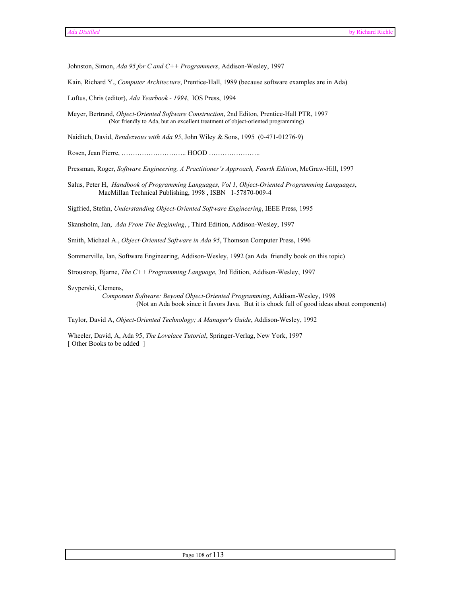Johnston, Simon, *Ada 95 for C and C++ Programmers*, Addison-Wesley, 1997

Kain, Richard Y., *Computer Architecture*, Prentice-Hall, 1989 (because software examples are in Ada)

Loftus, Chris (editor), *Ada Yearbook - 1994*, IOS Press, 1994

Meyer, Bertrand, *Object-Oriented Software Construction*, 2nd Editon, Prentice-Hall PTR, 1997 (Not friendly to Ada, but an excellent treatment of object-oriented programming)

Naiditch, David, *Rendezvous with Ada 95*, John Wiley & Sons, 1995 (0-471-01276-9)

Rosen, Jean Pierre, ……………………….. HOOD …………………..

Pressman, Roger, *Software Engineering, A Practitioner's Approach, Fourth Edition*, McGraw-Hill, 1997

Salus, Peter H, *Handbook of Programming Languages, Vol 1, Object-Oriented Programming Languages*, MacMillan Technical Publishing, 1998 , ISBN 1-57870-009-4

Sigfried, Stefan, *Understanding Object-Oriented Software Engineering*, IEEE Press, 1995

Skansholm, Jan, *Ada From The Beginning*, , Third Edition, Addison-Wesley, 1997

Smith, Michael A., *Object-Oriented Software in Ada 95*, Thomson Computer Press, 1996

Sommerville, Ian, Software Engineering, Addison-Wesley, 1992 (an Ada friendly book on this topic)

Stroustrop, Bjarne, *The C++ Programming Language*, 3rd Edition, Addison-Wesley, 1997

Szyperski, Clemens,

 *Component Software: Beyond Object-Oriented Programming*, Addison-Wesley, 1998 (Not an Ada book since it favors Java. But it is chock full of good ideas about components)

Taylor, David A, *Object-Oriented Technology; A Manager's Guide*, Addison-Wesley, 1992

Wheeler, David, A, Ada 95, *The Lovelace Tutorial*, Springer-Verlag, New York, 1997 [ Other Books to be added ]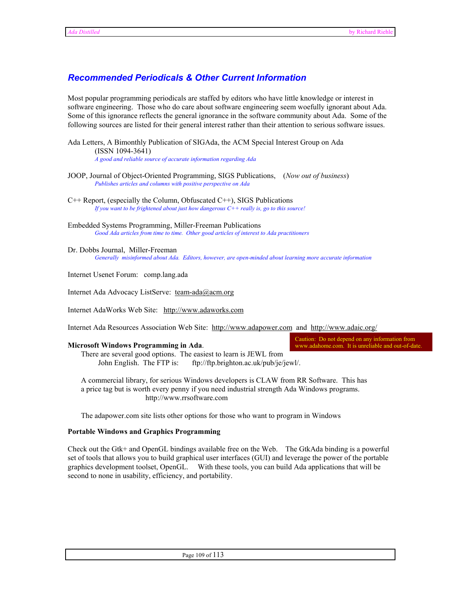## *Recommended Periodicals & Other Current Information*

Most popular programming periodicals are staffed by editors who have little knowledge or interest in software engineering. Those who do care about software engineering seem woefully ignorant about Ada. Some of this ignorance reflects the general ignorance in the software community about Ada. Some of the following sources are listed for their general interest rather than their attention to serious software issues.

- Ada Letters, A Bimonthly Publication of SIGAda, the ACM Special Interest Group on Ada (ISSN 1094-3641) *A good and reliable source of accurate information regarding Ada*
- JOOP, Journal of Object-Oriented Programming, SIGS Publications, (*Now out of business*) *Publishes articles and columns with positive perspective on Ada*
- $C_{++}$  Report, (especially the Column, Obfuscated  $C_{++}$ ), SIGS Publications *If you want to be frightened about just how dangerous C++ really is, go to this source!*
- Embedded Systems Programming, Miller-Freeman Publications *Good Ada articles from time to time. Other good articles of interest to Ada practitioners*
- Dr. Dobbs Journal, Miller-Freeman *Generally misinformed about Ada. Editors, however, are open-minded about learning more accurate information*

Internet Usenet Forum: comp.lang.ada

Internet Ada Advocacy ListServe: team-ada@acm.org

Internet AdaWorks Web Site: http://www.adaworks.com

Internet Ada Resources Association Web Site: http://www.adapower.com and http://www.adaic.org/

## **Microsoft Windows Programming in Ada**.

Caution: Do not depend on any information from www.adahome.com. It is unreliable and out-of-date

 There are several good options. The easiest to learn is JEWL from John English. The FTP is: ftp://ftp.brighton.ac.uk/pub/je/jewl/.

 A commercial library, for serious Windows developers is CLAW from RR Software. This has a price tag but is worth every penny if you need industrial strength Ada Windows programs. http://www.rrsoftware.com

The adapower.com site lists other options for those who want to program in Windows

## **Portable Windows and Graphics Programming**

Check out the Gtk+ and OpenGL bindings available free on the Web. The GtkAda binding is a powerful set of tools that allows you to build graphical user interfaces (GUI) and leverage the power of the portable graphics development toolset, OpenGL. With these tools, you can build Ada applications that will be second to none in usability, efficiency, and portability.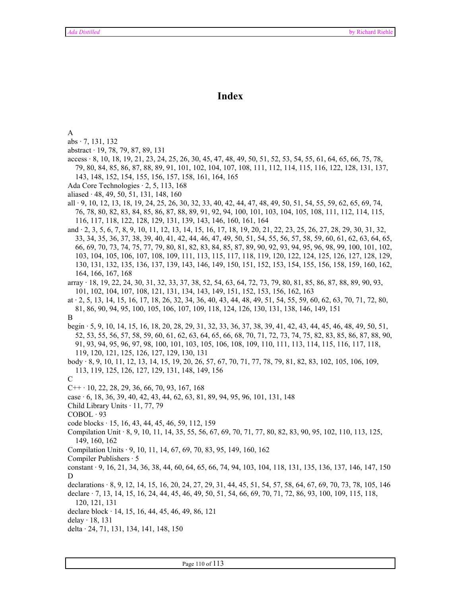## **Index**

A

 $abs \cdot 7, 131, 132$ 

abstract  $\cdot$  19, 78, 79, 87, 89, 131

access · 8, 10, 18, 19, 21, 23, 24, 25, 26, 30, 45, 47, 48, 49, 50, 51, 52, 53, 54, 55, 61, 64, 65, 66, 75, 78, 79, 80, 84, 85, 86, 87, 88, 89, 91, 101, 102, 104, 107, 108, 111, 112, 114, 115, 116, 122, 128, 131, 137, 143, 148, 152, 154, 155, 156, 157, 158, 161, 164, 165

Ada Core Technologies · 2, 5, 113, 168

aliased · 48, 49, 50, 51, 131, 148, 160

all · 9, 10, 12, 13, 18, 19, 24, 25, 26, 30, 32, 33, 40, 42, 44, 47, 48, 49, 50, 51, 54, 55, 59, 62, 65, 69, 74, 76, 78, 80, 82, 83, 84, 85, 86, 87, 88, 89, 91, 92, 94, 100, 101, 103, 104, 105, 108, 111, 112, 114, 115, 116, 117, 118, 122, 128, 129, 131, 139, 143, 146, 160, 161, 164

and · 2, 3, 5, 6, 7, 8, 9, 10, 11, 12, 13, 14, 15, 16, 17, 18, 19, 20, 21, 22, 23, 25, 26, 27, 28, 29, 30, 31, 32, 33, 34, 35, 36, 37, 38, 39, 40, 41, 42, 44, 46, 47, 49, 50, 51, 54, 55, 56, 57, 58, 59, 60, 61, 62, 63, 64, 65, 66, 69, 70, 73, 74, 75, 77, 79, 80, 81, 82, 83, 84, 85, 87, 89, 90, 92, 93, 94, 95, 96, 98, 99, 100, 101, 102, 103, 104, 105, 106, 107, 108, 109, 111, 113, 115, 117, 118, 119, 120, 122, 124, 125, 126, 127, 128, 129, 130, 131, 132, 135, 136, 137, 139, 143, 146, 149, 150, 151, 152, 153, 154, 155, 156, 158, 159, 160, 162, 164, 166, 167, 168

array · 18, 19, 22, 24, 30, 31, 32, 33, 37, 38, 52, 54, 63, 64, 72, 73, 79, 80, 81, 85, 86, 87, 88, 89, 90, 93, 101, 102, 104, 107, 108, 121, 131, 134, 143, 149, 151, 152, 153, 156, 162, 163

at · 2, 5, 13, 14, 15, 16, 17, 18, 26, 32, 34, 36, 40, 43, 44, 48, 49, 51, 54, 55, 59, 60, 62, 63, 70, 71, 72, 80, 81, 86, 90, 94, 95, 100, 105, 106, 107, 109, 118, 124, 126, 130, 131, 138, 146, 149, 151

B

begin · 5, 9, 10, 14, 15, 16, 18, 20, 28, 29, 31, 32, 33, 36, 37, 38, 39, 41, 42, 43, 44, 45, 46, 48, 49, 50, 51, 52, 53, 55, 56, 57, 58, 59, 60, 61, 62, 63, 64, 65, 66, 68, 70, 71, 72, 73, 74, 75, 82, 83, 85, 86, 87, 88, 90, 91, 93, 94, 95, 96, 97, 98, 100, 101, 103, 105, 106, 108, 109, 110, 111, 113, 114, 115, 116, 117, 118, 119, 120, 121, 125, 126, 127, 129, 130, 131

body · 8, 9, 10, 11, 12, 13, 14, 15, 19, 20, 26, 57, 67, 70, 71, 77, 78, 79, 81, 82, 83, 102, 105, 106, 109, 113, 119, 125, 126, 127, 129, 131, 148, 149, 156

 $\mathcal{C}$ 

 $C++$   $\cdot$  10, 22, 28, 29, 36, 66, 70, 93, 167, 168

case · 6, 18, 36, 39, 40, 42, 43, 44, 62, 63, 81, 89, 94, 95, 96, 101, 131, 148

Child Library Units · 11, 77, 79

 $COBOL \cdot 93$ 

code blocks · 15, 16, 43, 44, 45, 46, 59, 112, 159

Compilation Unit · 8, 9, 10, 11, 14, 35, 55, 56, 67, 69, 70, 71, 77, 80, 82, 83, 90, 95, 102, 110, 113, 125, 149, 160, 162

Compilation Units · 9, 10, 11, 14, 67, 69, 70, 83, 95, 149, 160, 162

Compiler Publishers · 5

constant · 9, 16, 21, 34, 36, 38, 44, 60, 64, 65, 66, 74, 94, 103, 104, 118, 131, 135, 136, 137, 146, 147, 150 D

declarations · 8, 9, 12, 14, 15, 16, 20, 24, 27, 29, 31, 44, 45, 51, 54, 57, 58, 64, 67, 69, 70, 73, 78, 105, 146 declare · 7, 13, 14, 15, 16, 24, 44, 45, 46, 49, 50, 51, 54, 66, 69, 70, 71, 72, 86, 93, 100, 109, 115, 118,

120, 121, 131

declare block · 14, 15, 16, 44, 45, 46, 49, 86, 121

delay · 18, 131

delta · 24, 71, 131, 134, 141, 148, 150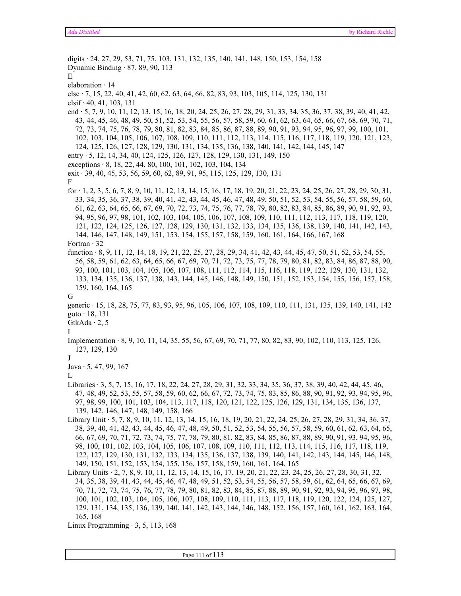digits · 24, 27, 29, 53, 71, 75, 103, 131, 132, 135, 140, 141, 148, 150, 153, 154, 158 Dynamic Binding  $\cdot$  87, 89, 90, 113 E elaboration  $\cdot$  14 else · 7, 15, 22, 40, 41, 42, 60, 62, 63, 64, 66, 82, 83, 93, 103, 105, 114, 125, 130, 131 elsif  $\cdot$  40, 41, 103, 131 end · 5, 7, 9, 10, 11, 12, 13, 15, 16, 18, 20, 24, 25, 26, 27, 28, 29, 31, 33, 34, 35, 36, 37, 38, 39, 40, 41, 42, 43, 44, 45, 46, 48, 49, 50, 51, 52, 53, 54, 55, 56, 57, 58, 59, 60, 61, 62, 63, 64, 65, 66, 67, 68, 69, 70, 71, 72, 73, 74, 75, 76, 78, 79, 80, 81, 82, 83, 84, 85, 86, 87, 88, 89, 90, 91, 93, 94, 95, 96, 97, 99, 100, 101, 102, 103, 104, 105, 106, 107, 108, 109, 110, 111, 112, 113, 114, 115, 116, 117, 118, 119, 120, 121, 123, 124, 125, 126, 127, 128, 129, 130, 131, 134, 135, 136, 138, 140, 141, 142, 144, 145, 147 entry · 5, 12, 14, 34, 40, 124, 125, 126, 127, 128, 129, 130, 131, 149, 150 exceptions · 8, 18, 22, 44, 80, 100, 101, 102, 103, 104, 134 exit · 39, 40, 45, 53, 56, 59, 60, 62, 89, 91, 95, 115, 125, 129, 130, 131  $\mathbf{F}$ for  $\cdot$  1, 2, 3, 5, 6, 7, 8, 9, 10, 11, 12, 13, 14, 15, 16, 17, 18, 19, 20, 21, 22, 23, 24, 25, 26, 27, 28, 29, 30, 31, 33, 34, 35, 36, 37, 38, 39, 40, 41, 42, 43, 44, 45, 46, 47, 48, 49, 50, 51, 52, 53, 54, 55, 56, 57, 58, 59, 60, 61, 62, 63, 64, 65, 66, 67, 69, 70, 72, 73, 74, 75, 76, 77, 78, 79, 80, 82, 83, 84, 85, 86, 89, 90, 91, 92, 93, 94, 95, 96, 97, 98, 101, 102, 103, 104, 105, 106, 107, 108, 109, 110, 111, 112, 113, 117, 118, 119, 120, 121, 122, 124, 125, 126, 127, 128, 129, 130, 131, 132, 133, 134, 135, 136, 138, 139, 140, 141, 142, 143, 144, 146, 147, 148, 149, 151, 153, 154, 155, 157, 158, 159, 160, 161, 164, 166, 167, 168 Fortran · 32 function · 8, 9, 11, 12, 14, 18, 19, 21, 22, 25, 27, 28, 29, 34, 41, 42, 43, 44, 45, 47, 50, 51, 52, 53, 54, 55, 56, 58, 59, 61, 62, 63, 64, 65, 66, 67, 69, 70, 71, 72, 73, 75, 77, 78, 79, 80, 81, 82, 83, 84, 86, 87, 88, 90, 93, 100, 101, 103, 104, 105, 106, 107, 108, 111, 112, 114, 115, 116, 118, 119, 122, 129, 130, 131, 132, 133, 134, 135, 136, 137, 138, 143, 144, 145, 146, 148, 149, 150, 151, 152, 153, 154, 155, 156, 157, 158, 159, 160, 164, 165 G generic · 15, 18, 28, 75, 77, 83, 93, 95, 96, 105, 106, 107, 108, 109, 110, 111, 131, 135, 139, 140, 141, 142 goto  $\cdot$  18, 131 GtkAda  $\cdot$  2, 5 L Implementation 8, 9, 10, 11, 14, 35, 55, 56, 67, 69, 70, 71, 77, 80, 82, 83, 90, 102, 110, 113, 125, 126, 127, 129, 130 J Java  $\cdot$  5, 47, 99, 167  $\mathbf{L}$ Libraries 3, 5, 7, 15, 16, 17, 18, 22, 24, 27, 28, 29, 31, 32, 33, 34, 35, 36, 37, 38, 39, 40, 42, 44, 45, 46, 47, 48, 49, 52, 53, 55, 57, 58, 59, 60, 62, 66, 67, 72, 73, 74, 75, 83, 85, 86, 88, 90, 91, 92, 93, 94, 95, 96, 97, 98, 99, 100, 101, 103, 104, 113, 117, 118, 120, 121, 122, 125, 126, 129, 131, 134, 135, 136, 137, 139, 142, 146, 147, 148, 149, 158, 166 Library Unit · 5, 7, 8, 9, 10, 11, 12, 13, 14, 15, 16, 18, 19, 20, 21, 22, 24, 25, 26, 27, 28, 29, 31, 34, 36, 37, 38, 39, 40, 41, 42, 43, 44, 45, 46, 47, 48, 49, 50, 51, 52, 53, 54, 55, 56, 57, 58, 59, 60, 61, 62, 63, 64, 65, 66, 67, 69, 70, 71, 72, 73, 74, 75, 77, 78, 79, 80, 81, 82, 83, 84, 85, 86, 87, 88, 89, 90, 91, 93, 94, 95, 96, 98, 100, 101, 102, 103, 104, 105, 106, 107, 108, 109, 110, 111, 112, 113, 114, 115, 116, 117, 118, 119, 122, 127, 129, 130, 131, 132, 133, 134, 135, 136, 137, 138, 139, 140, 141, 142, 143, 144, 145, 146, 148, 149, 150, 151, 152, 153, 154, 155, 156, 157, 158, 159, 160, 161, 164, 165 Library Units · 2, 7, 8, 9, 10, 11, 12, 13, 14, 15, 16, 17, 19, 20, 21, 22, 23, 24, 25, 26, 27, 28, 30, 31, 32, 34, 35, 38, 39, 41, 43, 44, 45, 46, 47, 48, 49, 51, 52, 53, 54, 55, 56, 57, 58, 59, 61, 62, 64, 65, 66, 67, 69, 70, 71, 72, 73, 74, 75, 76, 77, 78, 79, 80, 81, 82, 83, 84, 85, 87, 88, 89, 90, 91, 92, 93, 94, 95, 96, 97, 98, 100, 101, 102, 103, 104, 105, 106, 107, 108, 109, 110, 111, 113, 117, 118, 119, 120, 122, 124, 125, 127, 129, 131, 134, 135, 136, 139, 140, 141, 142, 143, 144, 146, 148, 152, 156, 157, 160, 161, 162, 163, 164,

Linux Programming  $\cdot$  3, 5, 113, 168

Page 111 of 113

<sup>165, 168</sup>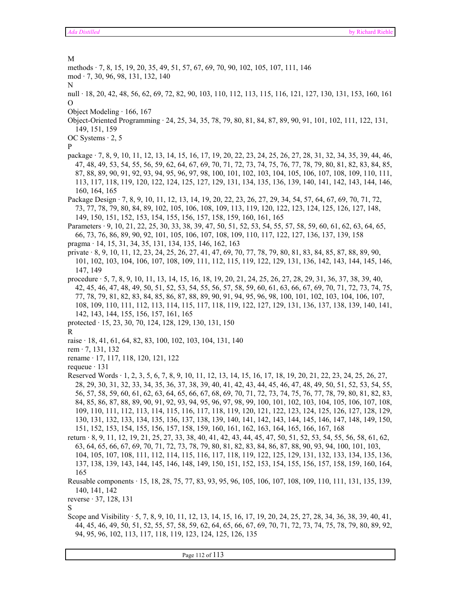M methods · 7, 8, 15, 19, 20, 35, 49, 51, 57, 67, 69, 70, 90, 102, 105, 107, 111, 146 mod · 7, 30, 96, 98, 131, 132, 140 N null · 18, 20, 42, 48, 56, 62, 69, 72, 82, 90, 103, 110, 112, 113, 115, 116, 121, 127, 130, 131, 153, 160, 161 O Object Modeling · 166, 167 Object-Oriented Programming · 24, 25, 34, 35, 78, 79, 80, 81, 84, 87, 89, 90, 91, 101, 102, 111, 122, 131, 149, 151, 159 OC Systems  $\cdot$  2, 5 P package · 7, 8, 9, 10, 11, 12, 13, 14, 15, 16, 17, 19, 20, 22, 23, 24, 25, 26, 27, 28, 31, 32, 34, 35, 39, 44, 46, 47, 48, 49, 53, 54, 55, 56, 59, 62, 64, 67, 69, 70, 71, 72, 73, 74, 75, 76, 77, 78, 79, 80, 81, 82, 83, 84, 85, 87, 88, 89, 90, 91, 92, 93, 94, 95, 96, 97, 98, 100, 101, 102, 103, 104, 105, 106, 107, 108, 109, 110, 111, 113, 117, 118, 119, 120, 122, 124, 125, 127, 129, 131, 134, 135, 136, 139, 140, 141, 142, 143, 144, 146, 160, 164, 165 Package Design · 7, 8, 9, 10, 11, 12, 13, 14, 19, 20, 22, 23, 26, 27, 29, 34, 54, 57, 64, 67, 69, 70, 71, 72, 73, 77, 78, 79, 80, 84, 89, 102, 105, 106, 108, 109, 113, 119, 120, 122, 123, 124, 125, 126, 127, 148, 149, 150, 151, 152, 153, 154, 155, 156, 157, 158, 159, 160, 161, 165 Parameters · 9, 10, 21, 22, 25, 30, 33, 38, 39, 47, 50, 51, 52, 53, 54, 55, 57, 58, 59, 60, 61, 62, 63, 64, 65, 66, 73, 76, 86, 89, 90, 92, 101, 105, 106, 107, 108, 109, 110, 117, 122, 127, 136, 137, 139, 158 pragma · 14, 15, 31, 34, 35, 131, 134, 135, 146, 162, 163 private · 8, 9, 10, 11, 12, 23, 24, 25, 26, 27, 41, 47, 69, 70, 77, 78, 79, 80, 81, 83, 84, 85, 87, 88, 89, 90, 101, 102, 103, 104, 106, 107, 108, 109, 111, 112, 115, 119, 122, 129, 131, 136, 142, 143, 144, 145, 146, 147, 149 procedure · 5, 7, 8, 9, 10, 11, 13, 14, 15, 16, 18, 19, 20, 21, 24, 25, 26, 27, 28, 29, 31, 36, 37, 38, 39, 40, 42, 45, 46, 47, 48, 49, 50, 51, 52, 53, 54, 55, 56, 57, 58, 59, 60, 61, 63, 66, 67, 69, 70, 71, 72, 73, 74, 75, 77, 78, 79, 81, 82, 83, 84, 85, 86, 87, 88, 89, 90, 91, 94, 95, 96, 98, 100, 101, 102, 103, 104, 106, 107, 108, 109, 110, 111, 112, 113, 114, 115, 117, 118, 119, 122, 127, 129, 131, 136, 137, 138, 139, 140, 141, 142, 143, 144, 155, 156, 157, 161, 165 protected · 15, 23, 30, 70, 124, 128, 129, 130, 131, 150 R raise · 18, 41, 61, 64, 82, 83, 100, 102, 103, 104, 131, 140 rem  $\cdot$  7, 131, 132 rename · 17, 117, 118, 120, 121, 122 requeue · 131 Reserved Words · 1, 2, 3, 5, 6, 7, 8, 9, 10, 11, 12, 13, 14, 15, 16, 17, 18, 19, 20, 21, 22, 23, 24, 25, 26, 27, 28, 29, 30, 31, 32, 33, 34, 35, 36, 37, 38, 39, 40, 41, 42, 43, 44, 45, 46, 47, 48, 49, 50, 51, 52, 53, 54, 55, 56, 57, 58, 59, 60, 61, 62, 63, 64, 65, 66, 67, 68, 69, 70, 71, 72, 73, 74, 75, 76, 77, 78, 79, 80, 81, 82, 83, 84, 85, 86, 87, 88, 89, 90, 91, 92, 93, 94, 95, 96, 97, 98, 99, 100, 101, 102, 103, 104, 105, 106, 107, 108, 109, 110, 111, 112, 113, 114, 115, 116, 117, 118, 119, 120, 121, 122, 123, 124, 125, 126, 127, 128, 129, 130, 131, 132, 133, 134, 135, 136, 137, 138, 139, 140, 141, 142, 143, 144, 145, 146, 147, 148, 149, 150, 151, 152, 153, 154, 155, 156, 157, 158, 159, 160, 161, 162, 163, 164, 165, 166, 167, 168 return · 8, 9, 11, 12, 19, 21, 25, 27, 33, 38, 40, 41, 42, 43, 44, 45, 47, 50, 51, 52, 53, 54, 55, 56, 58, 61, 62, 63, 64, 65, 66, 67, 69, 70, 71, 72, 73, 78, 79, 80, 81, 82, 83, 84, 86, 87, 88, 90, 93, 94, 100, 101, 103, 104, 105, 107, 108, 111, 112, 114, 115, 116, 117, 118, 119, 122, 125, 129, 131, 132, 133, 134, 135, 136, 137, 138, 139, 143, 144, 145, 146, 148, 149, 150, 151, 152, 153, 154, 155, 156, 157, 158, 159, 160, 164, 165 Reusable components · 15, 18, 28, 75, 77, 83, 93, 95, 96, 105, 106, 107, 108, 109, 110, 111, 131, 135, 139, 140, 141, 142 reverse · 37, 128, 131 S Scope and Visibility · 5, 7, 8, 9, 10, 11, 12, 13, 14, 15, 16, 17, 19, 20, 24, 25, 27, 28, 34, 36, 38, 39, 40, 41, 44, 45, 46, 49, 50, 51, 52, 55, 57, 58, 59, 62, 64, 65, 66, 67, 69, 70, 71, 72, 73, 74, 75, 78, 79, 80, 89, 92, 94, 95, 96, 102, 113, 117, 118, 119, 123, 124, 125, 126, 135

Page 112 of 113